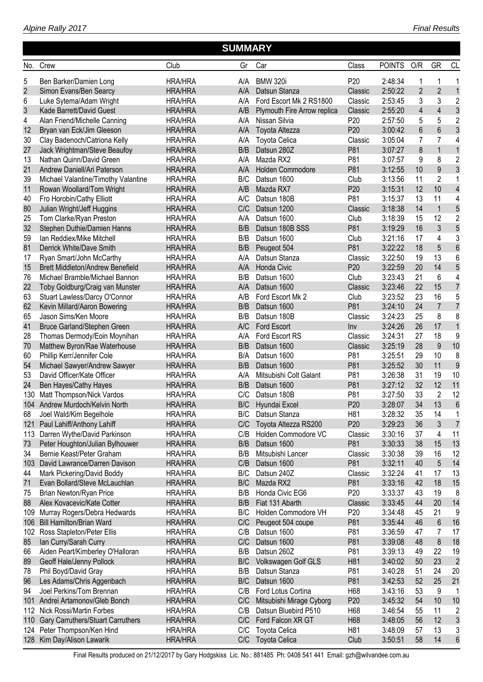|                |                                                                 |                                  | <b>SUMMARY</b> |                                    |                        |                    |                         |                |                          |
|----------------|-----------------------------------------------------------------|----------------------------------|----------------|------------------------------------|------------------------|--------------------|-------------------------|----------------|--------------------------|
| No.            | Crew                                                            | Club                             | Gr             | Car                                | Class                  | <b>POINTS</b>      | O/R                     | GR             | <b>CL</b>                |
| 5              | Ben Barker/Damien Long                                          | <b>HRA/HRA</b>                   | A/A            | <b>BMW 320i</b>                    | P <sub>20</sub>        | 2:48:34            | 1                       | 1              | 1                        |
| $\overline{2}$ | Simon Evans/Ben Searcy                                          | <b>HRA/HRA</b>                   | A/A            | Datsun Stanza                      | Classic                | 2:50:22            | $\overline{2}$          | $\overline{2}$ | $\mathbf{1}$             |
| 6              | Luke Sytema/Adam Wright                                         | <b>HRA/HRA</b>                   | A/A            | Ford Escort Mk 2 RS1800            | Classic                | 2:53:45            | 3                       | 3              | $\overline{2}$           |
| 3              | Kade Barrett/David Guest                                        | <b>HRA/HRA</b>                   | A/B            | Plymouth Fire Arrow replica        | Classic                | 2:55:20            | $\overline{\mathbf{4}}$ | $\overline{4}$ | $\mathfrak{Z}$           |
| 4              | Alan Friend/Michelle Canning                                    | <b>HRA/HRA</b>                   | A/A            | Nissan Silvia                      | P <sub>20</sub>        | 2:57:50            | 5                       | 5              | $\overline{2}$           |
| 12             | Bryan van Eck/Jim Gleeson                                       | <b>HRA/HRA</b>                   | A/A            | Toyota Altezza                     | P <sub>20</sub>        | 3:00:42            | 6                       | 6              | 3                        |
| 30             | Clay Badenoch/Catriona Kelly                                    | <b>HRA/HRA</b>                   | A/A            | <b>Toyota Celica</b>               | Classic                | 3:05:04            | 7                       | 7              | 4                        |
| 27             | Jack Wrightman/Steve Beaufoy                                    | <b>HRA/HRA</b>                   | B/B            | Datsun 280Z                        | P81                    | 3:07:27            | 8                       | $\mathbf{1}$   | $\mathbf{1}$             |
| 13             | Nathan Quinn/David Green                                        | <b>HRA/HRA</b>                   | A/A            | Mazda RX2                          | P81                    | 3:07:57            | 9                       | 8              | $\overline{2}$           |
| 21             | Andrew Daniell/Ari Paterson                                     | <b>HRA/HRA</b>                   | A/A            | Holden Commodore                   | P81                    | 3:12:55            | 10                      | 9              | $\mathfrak{Z}$           |
| 39             | Michael Valantine/Timothy Valantine                             | <b>HRA/HRA</b>                   | B/C            | Datsun 1600                        | Club                   | 3:13:56            | 11                      | $\overline{2}$ | 1                        |
| 11             | Rowan Woollard/Tom Wright                                       | <b>HRA/HRA</b>                   | A/B            | Mazda RX7                          | P <sub>20</sub>        | 3:15:31            | 12                      | 10             | $\overline{\mathcal{L}}$ |
| 40             | Fro Horobin/Cathy Elliott                                       | <b>HRA/HRA</b>                   | A/C            | Datsun 180B                        | P81                    | 3:15:37            | 13                      | 11             | 4                        |
| 80             | Julian Wright/Jeff Huggins                                      | <b>HRA/HRA</b>                   | C/C            | Datsun 1200                        | Classic                | 3:18:38            | 14                      | $\mathbf{1}$   | 5                        |
| 25             | Tom Clarke/Ryan Preston                                         | <b>HRA/HRA</b>                   | A/A            | Datsun 1600                        | Club                   | 3:18:39            | 15                      | 12             | $\overline{2}$           |
| 32             | Stephen Duthie/Damien Hanns                                     | <b>HRA/HRA</b>                   | B/B            | Datsun 180B SSS                    | P81                    | 3:19:29            | 16                      | 3              | 5                        |
| 59             | Ian Reddiex/Mike Mitchell                                       | <b>HRA/HRA</b>                   | B/B            | Datsun 1600                        | Club                   | 3:21:16            | 17                      | 4              | 3                        |
| 81             | Derrick White/Dave Smith                                        | <b>HRA/HRA</b>                   | B/B            | Peugeot 504                        | P81                    | 3:22:22            | 18                      | 5              | $6\phantom{a}$           |
| 17             | Ryan Smart/John McCarthy                                        | <b>HRA/HRA</b>                   | A/A            | Datsun Stanza                      | Classic                | 3:22:50            | 19                      | 13             | 6                        |
| 15             | <b>Brett Middleton/Andrew Benefield</b>                         | <b>HRA/HRA</b>                   | A/A            | Honda Civic                        | P <sub>20</sub>        | 3:22:59            | 20                      | 14             | 5                        |
| 76             | Michael Bramble/Michael Bannon                                  | <b>HRA/HRA</b>                   | B/B            | Datsun 1600                        | Club                   | 3:23:43            | 21                      | 6              | 4                        |
| 22             | Toby Goldburg/Craig van Munster                                 | <b>HRA/HRA</b>                   | A/A            | Datsun 1600                        | Classic                | 3:23:46            | 22                      | 15             | $\overline{7}$           |
| 63             | Stuart Lawless/Darcy O'Connor                                   | <b>HRA/HRA</b>                   | A/B            | Ford Escort Mk 2                   | Club                   | 3:23:52            | 23                      | 16             | 5                        |
| 62             | Kevin Millard/Aaron Bowering                                    | <b>HRA/HRA</b>                   | B/B            | Datsun 1600                        | P81                    | 3:24:10            | 24                      | $\overline{7}$ | $\overline{7}$           |
| 65             | Jason Sims/Ken Moore                                            | <b>HRA/HRA</b>                   | B/B            | Datsun 180B                        | Classic                | 3:24:23            | 25                      | 8              | 8                        |
| 41             | Bruce Garland/Stephen Green                                     | <b>HRA/HRA</b>                   | A/C            | <b>Ford Escort</b>                 | Inv                    | 3:24:26            | 26                      | 17             | $\mathbf{1}$             |
| 28             | Thomas Dermody/Eoin Moynihan                                    | <b>HRA/HRA</b>                   | A/A            | Ford Escort RS                     | Classic                | 3:24:31            | 27                      | 18             | 9                        |
| 70             | Matthew Byron/Rae Waterhouse                                    | <b>HRA/HRA</b>                   | B/B            | Datsun 1600                        | Classic                | 3:25:19            | 28                      | 9              | 10                       |
| 60             | Phillip Kerr/Jennifer Cole                                      | <b>HRA/HRA</b>                   | B/A            | Datsun 1600                        | P81                    | 3:25:51            | 29                      | 10             | 8                        |
| 54             | Michael Sawyer/Andrew Sawyer                                    | <b>HRA/HRA</b>                   | B/B            | Datsun 1600                        | P81                    | 3:25:52            | 30                      | 11             | 9                        |
| 53             | David Officer/Kate Officer                                      | <b>HRA/HRA</b>                   | A/A            | Mitsubishi Colt Galant             | P81                    | 3:26:38            | 31                      | 19             | 10                       |
| 24             | Ben Hayes/Cathy Hayes                                           | <b>HRA/HRA</b>                   | B/B            | Datsun 1600                        | P81                    | 3:27:12            | 32                      | 12             | 11                       |
| 130            | Matt Thompson/Nick Vardos                                       | <b>HRA/HRA</b>                   | C/C            | Datsun 180B                        | P81                    | 3:27:50            | 33                      | $\overline{2}$ | 12                       |
|                | 104 Andrew Murdoch/Kelvin North                                 | <b>HRA/HRA</b>                   | B/C            | Hyundai Excel                      | P <sub>20</sub>        | 3:28:07            | 34                      | 13             | $6\phantom{a}$           |
| 68             | Joel Wald/Kim Begelhole                                         | <b>HRA/HRA</b>                   | B/C            | Datsun Stanza                      | H <sub>81</sub>        | 3:28:32            | 35                      | 14             | 1                        |
| 121            | Paul Lahiff/Anthony Lahiff                                      | <b>HRA/HRA</b>                   | C/C            | Toyota Altezza RS200               | P <sub>20</sub>        | 3:29:23            | 36                      | 3              | $\overline{7}$           |
| 113            | Darren Wythe/David Parkinson                                    | <b>HRA/HRA</b>                   | C/B            | Holden Commodore VC                | Classic                | 3:30:16            | 37                      | 4              | 11                       |
| 73             | Peter Houghton/Julian Bylhouwer                                 | <b>HRA/HRA</b>                   | B/B            | Datsun 1600                        | P81                    | 3:30:33            | 38                      | 15             | 13                       |
| 34             | Bernie Keast/Peter Graham                                       | <b>HRA/HRA</b>                   | B/B            | Mitsubishi Lancer                  | Classic                | 3:30:38            | 39                      | 16             | 12                       |
| 103            | David Lawrance/Darren Davison                                   | <b>HRA/HRA</b>                   | C/B            | Datsun 1600                        | P81                    | 3:32:11            | 40                      | 5              | 14                       |
| 44             | Mark Pickering/David Boddy                                      | <b>HRA/HRA</b>                   | B/C            | Datsun 240Z                        | Classic                | 3:32:24            | 41                      | 17             | 13                       |
| 71             | Evan Bollard/Steve McLauchlan                                   | <b>HRA/HRA</b>                   | B/C<br>B/B     | Mazda RX2                          | P81<br>P <sub>20</sub> | 3:33:16            | 42<br>43                | 18<br>19       | 15                       |
| 75             | Brian Newton/Ryan Price<br>Alex Kovacevic/Kate Cotter           | <b>HRA/HRA</b><br><b>HRA/HRA</b> | B/B            | Honda Civic EG6<br>Fiat 131 Abarth | Classic                | 3:33:37<br>3:33:45 | 44                      | 20             | 8<br>14                  |
| 88<br>109      |                                                                 | <b>HRA/HRA</b>                   | B/C            | Holden Commodore VH                | P <sub>20</sub>        | 3:34:48            | 45                      | 21             | 9                        |
| 106            | Murray Rogers/Debra Hedwards<br><b>Bill Hamilton/Brian Ward</b> | <b>HRA/HRA</b>                   | C/C            | Peugeot 504 coupe                  | P81                    | 3:35:44            | 46                      | 6              | 16                       |
| 102            | Ross Stapleton/Peter Ellis                                      | <b>HRA/HRA</b>                   | C/B            | Datsun 1600                        | P81                    | 3:36:59            | 47                      | 7              | 17                       |
| 85             | lan Curry/Sarah Curry                                           | <b>HRA/HRA</b>                   | C/C            | Datsun 1600                        | P81                    | 3:39:08            | 48                      | 8              | 18                       |
| 66             | Aiden Peart/Kimberley O'Halloran                                | <b>HRA/HRA</b>                   | B/B            | Datsun 260Z                        | P81                    | 3:39:13            | 49                      | 22             | 19                       |
| 89             | Geoff Hale/Jenny Pollock                                        | <b>HRA/HRA</b>                   | B/C            | Volkswagen Golf GLS                | H81                    | 3:40:02            | 50                      | 23             | $\overline{2}$           |
| 78             | Phil Boyd/David Gray                                            | <b>HRA/HRA</b>                   | B/B            | Datsun Stanza                      | P81                    | 3:40:28            | 51                      | 24             | 20                       |
| 96             | Les Adams/Chris Aggenbach                                       | <b>HRA/HRA</b>                   | B/C            | Datsun 1600                        | P81                    | 3:42:53            | 52                      | 25             | 21                       |
| 94             | Joel Perkins/Tom Brennan                                        | <b>HRA/HRA</b>                   | C/B            | Ford Lotus Cortina                 | H68                    | 3:43:16            | 53                      | 9              | 1                        |
| 101            | Andrei Artamonov/Gleb Bonch                                     | <b>HRA/HRA</b>                   | C/C            | Mitsubishi Mirage Cyborg           | P <sub>20</sub>        | 3:45:32            | 54                      | 10             | 10                       |
| 112            | Nick Rossi/Martin Forbes                                        | <b>HRA/HRA</b>                   | C/B            | Datsun Bluebird P510               | H68                    | 3:46:54            | 55                      | 11             | $\overline{2}$           |
| 110            | Gary Carruthers/Stuart Carruthers                               | <b>HRA/HRA</b>                   | C/C            | Ford Falcon XR GT                  | H68                    | 3:48:05            | 56                      | 12             | 3                        |
| 124            | Peter Thompson/Ken Hind                                         | <b>HRA/HRA</b>                   | C/C            | <b>Toyota Celica</b>               | H81                    | 3:48:09            | 57                      | 13             | 3                        |
| 128            | Kim Day/Alison Lawarik                                          | <b>HRA/HRA</b>                   | C/C            | <b>Toyota Celica</b>               | Club                   | 3:50:51            | 58                      | 14             | $6\phantom{1}$           |
|                |                                                                 |                                  |                |                                    |                        |                    |                         |                |                          |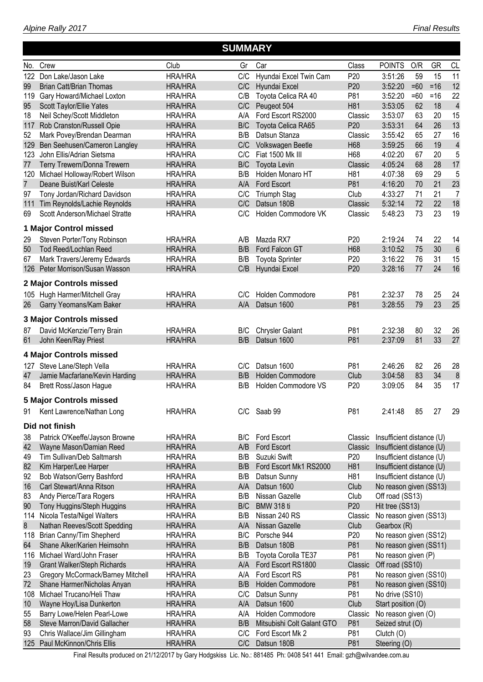*Alpine Rally 2017*

#### No. Crew Club Gr Car Class POINTS O/R GR CL  **SUMMARY** 122 Don Lake/Jason Lake HRA/HRA C/C Hyundai Excel Twin Cam P20 3:51:26 59 15 11 99 Brian Catt/Brian Thomas HRA/HRA C/C Hyundai Excel P20 3:52:20 =60 =16 12 119 Gary Howard/Michael Loxton HRA/HRA C/B Toyota Celica RA 40 P81 3:52:20 =60 =16 22 95 Scott Taylor/Ellie Yates HRA/HRA C/C Peugeot 504 H81 3:53:05 62 18 4 18 Neil Schey/Scott Middleton HRA/HRA A/A Ford Escort RS2000 Classic 3:53:07 63 20 15 117 Rob Cranston/Russell Opie HRA/HRA B/C Toyota Celica RA65 P20 3:53:31 64 26 13 52 Mark Povey/Brendan Dearman HRA/HRA B/B Datsun Stanza Classic 3:55:42 65 27 16 129 Ben Seehusen/Cameron Langley HRA/HRA C/C Volkswagen Beetle H68 3:59:25 66 19 4 123 John Ellis/Adrian Sietsma HRA/HRA C/C Fiat 1500 Mk III H68 4:02:20 67 20 5 77 Terry Trewern/Donna Trewern HRA/HRA B/C Toyota Levin Classic 4:05:24 68 28 17 120 Michael Holloway/Robert Wilson HRA/HRA B/B Holden Monaro HT H81 4:07:38 69 29 5 7 Deane Buist/Karl Celeste HRA/HRA A/A Ford Escort P81 4:16:20 70 21 23 97 Tony Jordan/Richard Davidson HRA/HRA C/C Triumph Stag Club 4:33:27 71 21 7 111 Tim Reynolds/Lachie Reynolds HRA/HRA C/C Datsun 180B Classic 5:32:14 72 22 18 69 Scott Anderson/Michael Stratte HRA/HRA C/C Holden Commodore VK Classic 5:48:23 73 23 19 **1 Major Control missed** 29 Steven Porter/Tony Robinson HRA/HRA A/B Mazda RX7 P20 2:19:24 74 22 14 50 Tod Reed/Lochlan Reed HRA/HRA B/B Ford Falcon GT H68 3:10:52 75 30 6 67 Mark Travers/Jeremy Edwards HRA/HRA B/B Toyota Sprinter P20 3:16:22 76 31 15 126 Peter Morrison/Susan Wasson HRA/HRA C/B Hyundai Excel P20 3:28:16 77 24 16 **2 Major Controls missed** 105 Hugh Harmer/Mitchell Gray HRA/HRA C/C Holden Commodore P81 2:32:37 78 25 24 26 Garry Yeomans/Kam Baker HRA/HRA A/A Datsun 1600 P81 3:28:55 79 23 25 **3 Major Controls missed** 87 David McKenzie/Terry Brain HRA/HRA B/C Chrysler Galant P81 2:32:38 80 32 26 61 John Keen/Ray Priest HRA/HRA B/B Datsun 1600 P81 2:37:09 81 33 27 **4 Major Controls missed** 127 Steve Lane/Steph Vella HRA/HRA C/C Datsun 1600 P81 2:46:26 82 26 28 47 Jamie Macfarlane/Kevin Harding HRA/HRA B/B Holden Commodore Club 3:04:58 83 34 8 84 Brett Ross/Jason Hague **HRA/HRA** B/B Holden Commodore VS P20 3:09:05 84 35 17 **5 Major Controls missed** 91 Kent Lawrence/Nathan Long HRA/HRA C/C Saab 99 P81 2:41:48 85 27 29 **Did not finish** 38 Patrick O'Keeffe/Jayson Browne HRA/HRA B/C Ford Escort Classic Insufficient distance (U) 42 Wayne Mason/Damian Reed HRA/HRA A/B Ford Escort Classic Insufficient distance (U) 49 Tim Sullivan/Deb Saltmarsh HRA/HRA B/B Suzuki Swift P20 Insufficient distance (U) 82 Kim Harper/Lee Harper **HRA/HRA** B/B Ford Escort Mk1 RS2000 H81 Insufficient distance (U) 92 Bob Watson/Gerry Bashford HRA/HRA B/B Datsun Sunny H81 Insufficient distance (U) 16 Carl Stewart/Anna Ritson **HRA/HRA** A/A Datsun 1600 Club No reason given (SS13) 83 Andy Pierce/Tara Rogers **HRA/HRA** B/B Nissan Gazelle Club Off road (SS13) 90 Tony Huggins/Steph Huggins HRA/HRA B/C BMW 318 ti P20 Hit tree (SS13) 114 Nicola Testa/Nigel Walters **HRA/HRA** B/B Nissan 240 RS Classic No reason given (SS13) 8 Nathan Reeves/Scott Spedding HRA/HRA A/A Nissan Gazelle Club Gearbox (R) 118 Brian Canny/Tim Shepherd HRA/HRA B/C Porsche 944 P20 No reason given (SS12) 64 Shane Alker/Karien Heimsohn HRA/HRA B/B Datsun 180B P81 No reason given (SS11) 116 Michael Ward/John Fraser HRA/HRA B/B Toyota Corolla TE37 P81 No reason given (P)<br>19 Grant Walker/Steph Richards HRA/HRA A/A Fo 19 Grant Walker/Steph Richards **HRA/HRA** A/A Ford Escort RS1800 Classic Off road (SS10) 23 Gregory McCormack/Barney Mitchell HRA/HRA A/A Ford Escort RS P81 No reason given (SS10) 72 Shane Harmer/Nicholas Anyan HRA/HRA B/B Holden Commodore P81 No reason given (SS10) 108 Michael Trucano/Heli Thaw HRA/HRA C/C Datsun Sunny P81 No drive (SS10) 10 Wayne Hoy/Lisa Dunkerton **HRA/HRA** A/A Datsun 1600 Club Start position (O) 55 Barry Lowe/Helen Pearl-Lowe **HRA/HRA** A/A Holden Commodore Classic No reason given (O) 58 Steve Marron/David Gallacher HRA/HRA B/B Mitsubishi Colt Galant GTO P81 Seized strut (O) 93 Chris Wallace/Jim Gillingham HRA/HRA C/C Ford Escort Mk 2 P81 Clutch (O) 125 Paul McKinnon/Chris Ellis HRA/HRA C/C Datsun 180B P81 Steering (O)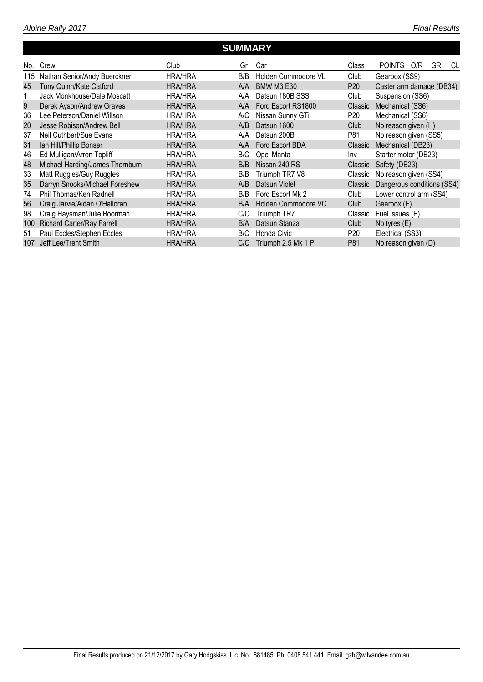|     |                                   |                | <b>SUMMARY</b> |                     |                 |                                  |
|-----|-----------------------------------|----------------|----------------|---------------------|-----------------|----------------------------------|
| No. | Crew                              | Club           | Gr             | Car                 | Class           | <b>POINTS</b><br>GR<br>O/R<br>CL |
| 115 | Nathan Senior/Andy Buerckner      | <b>HRA/HRA</b> | B/B            | Holden Commodore VL | Club            | Gearbox (SS9)                    |
| 45  | Tony Quinn/Kate Catford           | <b>HRA/HRA</b> | A/A            | <b>BMW M3 E30</b>   | P <sub>20</sub> | Caster arm damage (DB34)         |
|     | Jack Monkhouse/Dale Moscatt       | <b>HRA/HRA</b> | A/A            | Datsun 180B SSS     | Club            | Suspension (SS6)                 |
| 9   | Derek Ayson/Andrew Graves         | <b>HRA/HRA</b> | A/A            | Ford Escort RS1800  | Classic         | Mechanical (SS6)                 |
| 36  | Lee Peterson/Daniel Willson       | <b>HRA/HRA</b> | A/C            | Nissan Sunny GTi    | P <sub>20</sub> | Mechanical (SS6)                 |
| 20  | Jesse Robison/Andrew Bell         | <b>HRA/HRA</b> | A/B            | Datsun 1600         | Club            | No reason given (H)              |
| 37  | Neil Cuthbert/Sue Evans           | <b>HRA/HRA</b> | A/A            | Datsun 200B         | P81             | No reason given (SS5)            |
| 31  | Ian Hill/Phillip Bonser           | <b>HRA/HRA</b> | A/A            | Ford Escort BDA     | Classic         | Mechanical (DB23)                |
| 46  | Ed Mulligan/Arron Topliff         | <b>HRA/HRA</b> | B/C            | Opel Manta          | Inv             | Starter motor (DB23)             |
| 48  | Michael Harding/James Thornburn   | <b>HRA/HRA</b> | B/B            | Nissan 240 RS       | Classic         | Safety (DB23)                    |
| 33  | Matt Ruggles/Guy Ruggles          | <b>HRA/HRA</b> | B/B            | Triumph TR7 V8      | Classic         | No reason given (SS4)            |
| 35  | Darryn Snooks/Michael Foreshew    | <b>HRA/HRA</b> | A/B            | Datsun Violet       | Classic         | Dangerous conditions (SS4)       |
| 74  | Phil Thomas/Ken Radnell           | <b>HRA/HRA</b> | B/B            | Ford Escort Mk 2    | Club            | Lower control arm (SS4)          |
| 56  | Craig Jarvie/Aidan O'Halloran     | <b>HRA/HRA</b> | B/A            | Holden Commodore VC | Club            | Gearbox (E)                      |
| 98  | Craig Haysman/Julie Boorman       | <b>HRA/HRA</b> | C/C            | Triumph TR7         | Classic         | Fuel issues (E)                  |
| 100 | <b>Richard Carter/Ray Farrell</b> | <b>HRA/HRA</b> | B/A            | Datsun Stanza       | Club            | No tyres $(E)$                   |
| 51  | Paul Eccles/Stephen Eccles        | <b>HRA/HRA</b> | B/C            | Honda Civic         | P <sub>20</sub> | Electrical (SS3)                 |
| 107 | Jeff Lee/Trent Smith              | <b>HRA/HRA</b> | C/C            | Triumph 2.5 Mk 1 Pl | P81             | No reason given (D)              |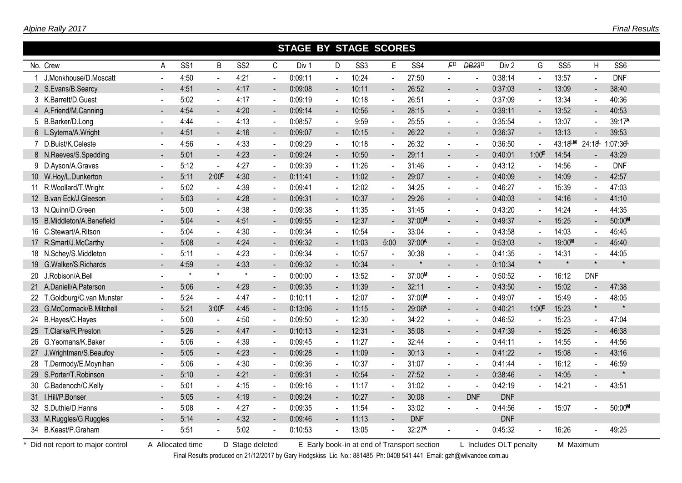|                             |                          |                 |                     |                 |                          | <b>STAGE BY STAGE SCORES</b> |                |                 |                |                 |                          |                    |                  |                          |                 |                          |                 |
|-----------------------------|--------------------------|-----------------|---------------------|-----------------|--------------------------|------------------------------|----------------|-----------------|----------------|-----------------|--------------------------|--------------------|------------------|--------------------------|-----------------|--------------------------|-----------------|
| No. Crew                    | Α                        | SS <sub>1</sub> | B                   | SS <sub>2</sub> | C                        | Div 1                        | D              | SS <sub>3</sub> | E              | SS <sub>4</sub> | FD                       | DB <sub>23</sub> D | Div <sub>2</sub> | G                        | SS <sub>5</sub> | Η                        | SS <sub>6</sub> |
| J.Monkhouse/D.Moscatt       |                          | 4:50            | $\sim$              | 4:21            | L.                       | 0:09:11                      | $\sim$         | 10:24           |                | 27:50           |                          |                    | 0:38:14          | $\sim$                   | 13:57           | $\blacksquare$           | <b>DNF</b>      |
| 2 S.Evans/B.Searcy          |                          | 4:51            | $\sim$              | 4:17            | $\overline{\phantom{0}}$ | 0:09:08                      | $\sim$         | 10:11           | $\sim$         | 26:52           | $\blacksquare$           |                    | 0:37:03          | $\overline{\phantom{a}}$ | 13:09           | $\blacksquare$           | 38:40           |
| 3 K.Barrett/D.Guest         | $\sim$                   | 5:02            | $\blacksquare$      | 4:17            |                          | 0:09:19                      | $\blacksquare$ | 10:18           | $\sim$         | 26:51           | $\sim$                   |                    | 0:37:09          | $\blacksquare$           | 13:34           |                          | 40:36           |
| 4 A.Friend/M.Canning        |                          | 4:54            | $\sim$              | 4:20            | $\blacksquare$           | 0:09:14                      | $\sim$         | 10:56           | $\blacksquare$ | 28:15           | $\overline{a}$           |                    | 0:39:11          | $\sim$                   | 13:52           | $\overline{\phantom{a}}$ | 40:53           |
| 5 B.Barker/D.Long           | $\overline{\phantom{a}}$ | 4:44            | $\sim$              | 4:13            | $\blacksquare$           | 0:08:57                      | $\sim$         | 9:59            | $\mathbf{r}$   | 25:55           | $\sim$                   |                    | 0:35:54          | $\blacksquare$           | 13:07           | $\sim$                   | 39:17A          |
| 6 L.Sytema/A.Wright         | $\blacksquare$           | 4:51            | $\sim$              | 4:16            | $\blacksquare$           | 0:09:07                      | $\sim$         | 10:15           | $\sim$         | 26:22           | $\blacksquare$           | $\blacksquare$     | 0:36:37          | $\blacksquare$           | 13:13           | $\blacksquare$           | 39:53           |
| 7 D.Buist/K.Celeste         | $\blacksquare$           | 4:56            | $\sim$              | 4:33            | $\blacksquare$           | 0:09:29                      | $\sim$         | 10:18           | $\blacksquare$ | 26:32           | $\sim$                   |                    | 0:36:50          | $\sim$                   | 43:18LM 24:18L  |                          | 1:07:36         |
| 8 N.Reeves/S.Spedding       | $\blacksquare$           | 5:01            | $\sim$              | 4:23            | $\sim$                   | 0:09:24                      | $\sim$         | 10:50           | $\mathbf{u}$ . | 29:11           | $\overline{a}$           |                    | 0:40:01          | 1:00 <sup>E</sup>        | 14:54           | $\blacksquare$           | 43:29           |
| 9 D.Ayson/A.Graves          | $\mathbf{r}$             | 5:12            | $\sim$              | 4:27            | $\overline{a}$           | 0:09:39                      | $\Delta$       | 11:26           | $\mathbf{r}$   | 31:46           | $\sim$                   |                    | 0:43:12          | $\sim$                   | 14:56           | $\mathbf{r}$             | <b>DNF</b>      |
| 10 W.Hoy/L.Dunkerton        | $\sim$                   | 5:11            | $2:00$ <sup>E</sup> | 4:30            | $\blacksquare$           | 0:11:41                      | $\blacksquare$ | 11:02           | $\blacksquare$ | 29:07           | $\blacksquare$           |                    | 0:40:09          | $\blacksquare$           | 14:09           | $\blacksquare$           | 42:57           |
| 11 R. Woollard/T. Wright    | $\blacksquare$           | 5:02            | $\sim$              | 4:39            | $\sim$                   | 0:09:41                      | $\blacksquare$ | 12:02           | $\blacksquare$ | 34.25           | $\sim$                   |                    | 0:46:27          | $\blacksquare$           | 15:39           | $\blacksquare$           | 47:03           |
| 12 B.van Eck/J.Gleeson      | $\blacksquare$           | 5:03            | $\sim$              | 4:28            |                          | 0:09:31                      | $\blacksquare$ | 10:37           |                | 29:26           | $\blacksquare$           |                    | 0:40:03          | $\blacksquare$           | 14:16           |                          | 41:10           |
| 13 N.Quinn/D.Green          |                          | 5:00            | $\sim$              | 4:38            |                          | 0:09:38                      | $\sim$         | 11:35           | $\blacksquare$ | 31:45           | $\overline{\phantom{a}}$ |                    | 0:43:20          | $\blacksquare$           | 14:24           |                          | 44:35           |
| 15 B.Middleton/A.Benefield  |                          | 5:04            | $\sim$              | 4:51            | $\blacksquare$           | 0:09:55                      | $\blacksquare$ | 12:37           | $\blacksquare$ | 37:00M          | $\blacksquare$           |                    | 0:49:37          | $\overline{\phantom{a}}$ | 15:25           | $\blacksquare$           | 50:00M          |
| 16 C.Stewart/A.Ritson       |                          | 5:04            | $\sim$              | 4:30            |                          | 0:09:34                      | $\sim$         | 10:54           |                | 33:04           |                          |                    | 0:43:58          |                          | 14:03           |                          | 45:45           |
| 17 R.Smart/J.McCarthy       |                          | 5:08            | $\sim$              | 4:24            | $\blacksquare$           | 0:09:32                      | $\blacksquare$ | 11:03           | 5:00           | 37:00A          | $\overline{a}$           |                    | 0:53:03          |                          | 19:00M          | $\blacksquare$           | 45:40           |
| 18 N.Schey/S.Middleton      |                          | 5:11            | $\blacksquare$      | 4:23            |                          | 0:09:34                      | $\sim$         | 10:57           |                | 30:38           |                          |                    | 0:41:35          | $\sim$                   | 14:31           | ä,                       | 44:05           |
| 19 G.Walker/S.Richards      |                          | 4:59            | $\sim$              | 4:33            | $\blacksquare$           | 0:09:32                      | $\blacksquare$ | 10:34           | $\mathbf{r}$   | $\star$         |                          |                    | 0:10:34          | $\star$                  | $\star$         | $\star$                  | $\star$         |
| 20 J.Robison/A.Bell         |                          | $\star$         | $\star$             | $\star$         |                          | 0:00:00                      | $\sim$         | 13:52           | $\blacksquare$ | 37:00M          | $\blacksquare$           |                    | 0:50:52          | $\blacksquare$           | 16:12           | <b>DNF</b>               |                 |
| 21 A.Daniell/A.Paterson     |                          | 5:06            | $\sim$              | 4:29            | $\blacksquare$           | 0:09:35                      | $\sim$         | 11:39           | $\blacksquare$ | 32:11           | $\blacksquare$           |                    | 0:43:50          | $\blacksquare$           | 15:02           |                          | 47:38           |
| 22 T.Goldburg/C.van Munster | $\blacksquare$           | 5:24            | $\sim$              | 4:47            | $\blacksquare$           | 0:10:11                      | $\sim$         | 12:07           | $\sim$         | 37:00M          | $\blacksquare$           |                    | 0:49:07          | $\sim$                   | 15:49           |                          | 48:05           |
| 23 G.McCormack/B.Mitchell   | $\blacksquare$           | 5:21            | 3:00 <sup>E</sup>   | 4:45            | $\blacksquare$           | 0:13:06                      | $\sim$         | 11:15           | $\blacksquare$ | 29:06A          | $\blacksquare$           |                    | 0:40:21          | 1:00 <sup>E</sup>        | 15:23           | $\star$                  |                 |
| 24 B.Hayes/C.Hayes          | $\blacksquare$           | 5:00            | $\sim$              | 4:50            | $\blacksquare$           | 0:09:50                      | $\sim$         | 12:30           | $\mathbf{r}$   | 34:22           | $\overline{\phantom{a}}$ |                    | 0:46:52          | $\sim$                   | 15:23           | $\blacksquare$           | 47:04           |
| 25 T.Clarke/R.Preston       | $\blacksquare$           | 5:26            | $\sim$              | 4:47            | $\blacksquare$           | 0:10:13                      | $\blacksquare$ | 12:31           | $\mathbf{r}$   | 35:08           | $\blacksquare$           | $\blacksquare$     | 0:47:39          | $\blacksquare$           | 15:25           | $\overline{\phantom{0}}$ | 46:38           |
| 26 G.Yeomans/K.Baker        | $\mathbf{r}$             | 5:06            | $\mathbf{u}$        | 4:39            | $\omega$                 | 0:09:45                      | $\omega$       | 11:27           | $\overline{a}$ | 32:44           | $\sim$                   |                    | 0:44:11          | $\omega$                 | 14:55           | $\blacksquare$           | 44:56           |
| 27 J.Wrightman/S.Beaufoy    |                          | 5:05            | $\blacksquare$      | 4:23            |                          | 0:09:28                      | $\blacksquare$ | 11:09           |                | 30:13           | $\blacksquare$           |                    | 0:41:22          |                          | 15:08           |                          | 43:16           |
| 28 T.Dermody/E.Moynihan     | $\blacksquare$           | 5:06            | $\blacksquare$      | 4:30            | $\blacksquare$           | 0:09:36                      | $\sim$         | 10:37           | $\blacksquare$ | 31:07           | $\sim$                   |                    | 0:41:44          | $\blacksquare$           | 16:12           | $\blacksquare$           | 46:59           |
| 29 S.Porter/T.Robinson      | $\blacksquare$           | 5:10            | $\blacksquare$      | 4:21            | $\blacksquare$           | 0:09:31                      | $\blacksquare$ | 10:54           | $\blacksquare$ | 27:52           | $\overline{\phantom{a}}$ |                    | 0:38:46          | $\blacksquare$           | 14:05           |                          |                 |
| 30 C.Badenoch/C.Kelly       |                          | 5:01            | $\sim$              | 4:15            | $\blacksquare$           | 0:09:16                      | $\sim$         | 11:17           | $\blacksquare$ | 31:02           | $\blacksquare$           |                    | 0:42:19          |                          | 14:21           |                          | 43:51           |
| 31 I.Hill/P.Bonser          |                          | 5:05            | $\sim$              | 4:19            | $\blacksquare$           | 0:09:24                      | $\blacksquare$ | 10:27           | $\blacksquare$ | 30:08           | $\overline{\phantom{a}}$ | <b>DNF</b>         | <b>DNF</b>       |                          |                 |                          |                 |
| 32 S.Duthie/D.Hanns         |                          | 5:08            | $\sim$              | 4:27            |                          | 0:09:35                      | $\sim$         | 11:54           |                | 33:02           |                          |                    | 0:44:56          |                          | 15:07           | $\blacksquare$           | 50:00M          |
| 33 M.Ruggles/G.Ruggles      |                          | 5:14            | $\sim$              | 4:32            | $\sim$                   | 0:09:46                      | $\sim$         | 11:13           | $\sim$         | <b>DNF</b>      |                          |                    | <b>DNF</b>       |                          |                 |                          |                 |
| 34 B.Keast/P.Graham         |                          | 5:51            | $\sim$              | 5:02            |                          | 0:10:53                      | $\blacksquare$ | 13:05           |                | 32:27A          |                          |                    | 0:45:32          |                          | 16:26           |                          | 49:25           |

Final Results produced on 21/12/2017 by Gary Hodgskiss Lic. No.: 881485 Ph: 0408 541 441 Email: gzh@wilvandee.com.au

п

п

Γ

Г

Г

п

Г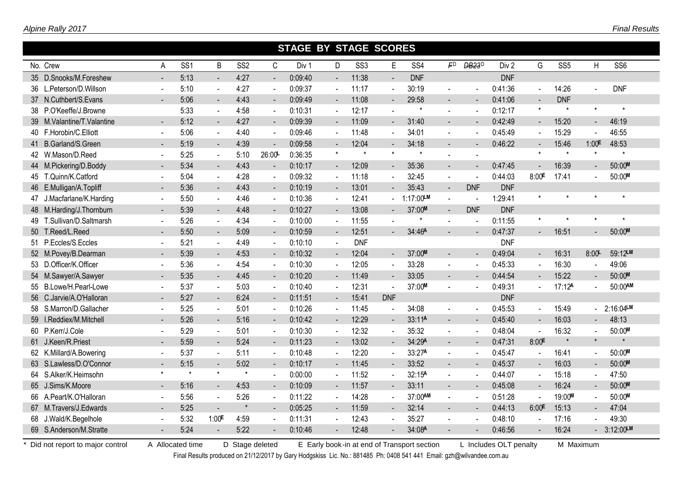|     |                            |         |                 |                          |                 |                | <b>STAGE BY STAGE SCORES</b> |                          |                 |                |                 |                          |                    |                  |                          |                    |                          |                 |
|-----|----------------------------|---------|-----------------|--------------------------|-----------------|----------------|------------------------------|--------------------------|-----------------|----------------|-----------------|--------------------------|--------------------|------------------|--------------------------|--------------------|--------------------------|-----------------|
|     | No. Crew                   | A       | SS <sub>1</sub> | B                        | SS <sub>2</sub> | C              | Div 1                        | D                        | SS <sub>3</sub> | E              | SS <sub>4</sub> | FD                       | DB <sub>23</sub> D | Div <sub>2</sub> | G                        | SS <sub>5</sub>    | H                        | SS <sub>6</sub> |
|     | 35 D.Snooks/M.Foreshew     |         | 5:13            | $\sim$                   | 4:27            | $\sim$         | 0:09:40                      | $\overline{a}$           | 11:38           | $\sim$         | <b>DNF</b>      |                          |                    | <b>DNF</b>       |                          |                    |                          |                 |
|     | 36 L.Peterson/D.Willson    |         | 5:10            | $\sim$                   | 4:27            |                | 0:09:37                      | $\sim$                   | 11:17           |                | 30:19           |                          |                    | 0:41:36          | $\blacksquare$           | 14:26              | $\blacksquare$           | <b>DNF</b>      |
|     | 37 N.Cuthbert/S.Evans      |         | 5:06            | $\blacksquare$           | 4:43            |                | 0:09:49                      | $\blacksquare$           | 11:08           |                | 29:58           | $\overline{a}$           |                    | 0:41:06          | $\blacksquare$           | <b>DNF</b>         |                          |                 |
|     | 38 P.O'Keeffe/J.Browne     |         | 5:33            | $\mathbf{v}$             | 4:58            | $\blacksquare$ | 0:10:31                      | $\blacksquare$           | 12:17           |                | $\star$         | $\overline{\phantom{a}}$ |                    | 0:12:17          | $^\star$                 | $\star$            | $\star$                  | $\star$         |
|     | 39 M.Valantine/T.Valantine |         | 5:12            | $\blacksquare$           | 4:27            | $\sim$         | 0:09:39                      | $\sim$                   | 11:09           | $\blacksquare$ | 31:40           | $\blacksquare$           |                    | 0:42:49          | $\blacksquare$           | 15:20              | $\blacksquare$           | 46:19           |
|     | 40 F.Horobin/C.Elliott     |         | 5:06            | $\sim$                   | 4:40            | $\blacksquare$ | 0:09:46                      | $\blacksquare$           | 11:48           | $\blacksquare$ | 34:01           | $\blacksquare$           |                    | 0:45:49          | $\sim$                   | 15:29              | $\blacksquare$           | 46:55           |
|     | 41 B.Garland/S.Green       |         | 5:19            | $\overline{\phantom{a}}$ | 4:39            | $\sim$         | 0:09:58                      | $\sim$                   | 12:04           | $\blacksquare$ | 34:18           | $\blacksquare$           |                    | 0:46:22          | $\overline{\phantom{a}}$ | 15:46              | 1:00E                    | 48:53           |
|     | 42 W.Mason/D.Reed          |         | 5:25            | $\sim$                   | 5:10            | 26:00          | 0:36:35                      | $\star$                  | $\star$         | $\star$        | $\star$         |                          |                    |                  | $\star$                  | $\star$            | $\star$                  | $\star$         |
|     | 44 M.Pickering/D.Boddy     |         | 5:34            | $\blacksquare$           | 4:43            | $\blacksquare$ | 0:10:17                      | $\blacksquare$           | 12:09           | $\equiv$       | 35:36           | $\blacksquare$           |                    | 0:47:45          | $\blacksquare$           | 16:39              | $\blacksquare$           | 50:00M          |
|     | 45 T.Quinn/K.Catford       |         | 5:04            | $\omega$                 | 4:28            | $\blacksquare$ | 0:09:32                      | $\mathbf{r}$             | 11:18           | $\mathbf{r}$   | 32:45           | $\sim$                   |                    | 0:44:03          | 8:00E                    | 17:41              | $\blacksquare$           | 50:00M          |
|     | 46 E.Mulligan/A.Topliff    |         | 5:36            | $\blacksquare$           | 4:43            |                | 0:10:19                      | $\blacksquare$           | 13:01           |                | 35:43           | $\sim$                   | <b>DNF</b>         | <b>DNF</b>       |                          |                    |                          |                 |
|     | 47 J.Macfarlane/K.Harding  |         | 5:50            | $\sim$                   | 4:46            | $\sim$         | 0:10:36                      | $\sim$                   | 12:41           |                | 1:17:00LM       | $\sim$                   | $\sim$             | 1:29:41          |                          |                    | $\star$                  | $\star$         |
|     | 48 M.Harding/J.Thornburn   |         | 5:39            | $\sim$                   | 4:48            | $\blacksquare$ | 0:10:27                      | $\blacksquare$           | 13:08           |                | 37:00M          | $\blacksquare$           | <b>DNF</b>         | <b>DNF</b>       |                          |                    |                          |                 |
| 49. | T.Sullivan/D.Saltmarsh     |         | 5:26            | $\sim$                   | 4:34            |                | 0:10:00                      | $\sim$                   | 11:55           |                |                 |                          |                    | 0:11:55          | $^\star$                 |                    |                          | $\star$         |
| 50  | T.Reed/L.Reed              |         | 5:50            | $\sim$                   | 5:09            | $\mathbf{r}$   | 0:10:59                      | $\blacksquare$           | 12:51           | $\overline{a}$ | 34:46A          |                          |                    | 0:47:37          |                          | 16:51              |                          | 50:00M          |
|     | 51 P.Eccles/S.Eccles       |         | 5:21            | $\sim$                   | 4:49            |                | 0:10:10                      | $\overline{\phantom{a}}$ | <b>DNF</b>      |                |                 |                          |                    | <b>DNF</b>       |                          |                    |                          |                 |
|     | 52 M.Povey/B.Dearman       |         | 5:39            | $\blacksquare$           | 4:53            | $\blacksquare$ | 0:10:32                      | ◆                        | 12:04           | $\equiv$       | 37:00M          | $\blacksquare$           |                    | 0:49:04          | $\blacksquare$           | 16:31              | 8:00                     | 59:12LM         |
|     | 53 D.Officer/K.Officer     |         | 5:36            | $\blacksquare$           | 4:54            |                | 0:10:30                      | $\blacksquare$           | 12:05           | $\blacksquare$ | 33:28           | $\blacksquare$           |                    | 0:45:33          | $\blacksquare$           | 16:30              |                          | 49:06           |
|     | 54 M.Sawyer/A.Sawyer       |         | 5:35            | $\overline{\phantom{a}}$ | 4:45            | $\blacksquare$ | 0:10:20                      | $\blacksquare$           | 11:49           | $\blacksquare$ | 33:05           | $\blacksquare$           |                    | 0:44:54          | $\overline{\phantom{a}}$ | 15:22              | $\blacksquare$           | 50:00M          |
|     | 55 B.Lowe/H.Pearl-Lowe     |         | 5:37            | $\sim$                   | 5:03            | $\sim$         | 0:10:40                      | $\blacksquare$           | 12:31           |                | 37:00M          | $\overline{\phantom{a}}$ |                    | 0:49:31          | $\sim$                   | 17:12 <sup>A</sup> |                          | 50:00AM         |
|     | 56 C.Jarvie/A.O'Halloran   | $\sim$  | 5:27            | $\sim$                   | 6:24            | $\blacksquare$ | 0:11:51                      | $\sim$                   | 15:41           | <b>DNF</b>     |                 |                          |                    | <b>DNF</b>       |                          |                    |                          |                 |
|     | 58 S.Marron/D.Gallacher    |         | 5:25            | $\sim$                   | 5:01            | $\blacksquare$ | 0:10:26                      | $\sim$                   | 11:45           |                | 34:08           | $\blacksquare$           |                    | 0:45:53          | $\sim$                   | 15:49              | $\overline{\phantom{0}}$ | 2:16:04LM       |
|     | 59 I.Reddiex/M.Mitchell    |         | 5:26            | $\blacksquare$           | 5:16            | $\sim$         | 0:10:42                      | $\blacksquare$           | 12:29           | $\sim$         | 33:11A          | $\blacksquare$           |                    | 0:45:40          | $\sim$                   | 16:03              | $\sim$                   | 48:13           |
|     | 60 P.Kerr/J.Cole           |         | 5:29            | $\sim$                   | 5:01            | $\sim$         | 0:10:30                      | $\mathbf{u}$             | 12:32           | $\blacksquare$ | 35:32           | $\blacksquare$           |                    | 0:48:04          | $\sim$                   | 16:32              | $\sim$                   | 50:00M          |
|     | 61 J.Keen/R.Priest         |         | 5:59            | $\blacksquare$           | 5:24            | $\blacksquare$ | 0:11:23                      | $\blacksquare$           | 13:02           | $\equiv$       | 34:29A          | $\blacksquare$           |                    | 0:47:31          | 8:00 <sup>E</sup>        |                    | $\star$                  |                 |
|     | 62 K.Millard/A.Bowering    |         | 5:37            | $\omega$                 | 5:11            | $\blacksquare$ | 0:10:48                      | $\sim$                   | 12:20           | $\blacksquare$ | 33:27A          | $\sim$                   |                    | 0:45:47          | $\blacksquare$           | 16:41              | $\blacksquare$           | 50:00M          |
|     | 63 S.Lawless/D.O'Connor    |         | 5:15            | $\overline{\phantom{a}}$ | 5:02            |                | 0:10:17                      | $\blacksquare$           | 11:45           |                | 33:52           | $\blacksquare$           |                    | 0:45:37          | $\sim$                   | 16:03              | $\blacksquare$           | 50:00M          |
|     | 64 S.Alker/K.Heimsohn      | $\star$ | $\star$         | $\star$                  | $\star$         |                | 0:00:00                      | $\sim$                   | 11:52           | $\mathbf{r}$   | 32:15A          | $\sim$                   |                    | 0:44:07          | $\blacksquare$           | 15:18              | $\blacksquare$           | 47:50           |
|     | 65 J.Sims/K.Moore          |         | 5:16            | $\sim$                   | 4:53            | $\blacksquare$ | 0:10:09                      | $\blacksquare$           | 11:57           | $\blacksquare$ | 33:11           | $\overline{\phantom{a}}$ |                    | 0:45:08          | $\blacksquare$           | 16:24              | $\blacksquare$           | 50:00M          |
|     | 66 A.Peart/K.O'Halloran    |         | 5:56            | $\sim$                   | 5:26            |                | 0:11:22                      | $\sim$                   | 14:28           |                | 37:00AM         | $\sim$                   |                    | 0:51:28          | $\sim$                   | 19:00M             |                          | 50:00M          |
|     | 67 M.Travers/J.Edwards     |         | 5:25            | $\overline{a}$           | $\pmb{\star}$   |                | 0:05:25                      | $\blacksquare$           | 11:59           | $\sim$         | 32:14           | $\overline{a}$           |                    | 0:44:13          | 6:00 <sup>E</sup>        | 15:13              | $\sim$                   | 47:04           |
|     | 68 J.Wald/K.Begelhole      |         | 5:32            | 1:00 <sup>E</sup>        | 4:59            |                | 0:11:31                      | $\sim$                   | 12:43           |                | 35:27           | $\overline{\phantom{a}}$ |                    | 0:48:10          |                          | 17:16              |                          | 49:30           |
|     | 69 S.Anderson/M.Stratte    |         | 5:24            | $\overline{a}$           | 5:22            |                | 0:10:46                      | $\blacksquare$           | 12:48           |                | 34:08A          |                          |                    | 0:46:56          |                          | 16:24              |                          | $-3:12:00$ LM   |

Final Results produced on 21/12/2017 by Gary Hodgskiss Lic. No.: 881485 Ph: 0408 541 441 Email: gzh@wilvandee.com.au

п

I

Г

п

I

п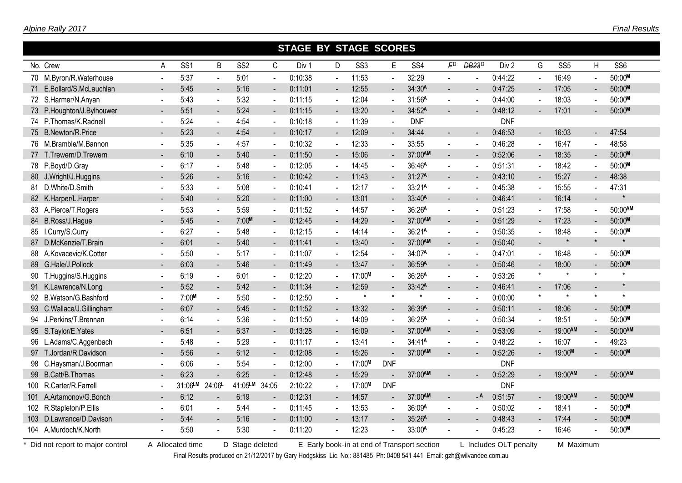|    |                           |                |                 |                          |                 |                | <b>STAGE BY STAGE SCORES</b> |                          |                 |                |                    |                          |                          |            |                |                 |                |                 |
|----|---------------------------|----------------|-----------------|--------------------------|-----------------|----------------|------------------------------|--------------------------|-----------------|----------------|--------------------|--------------------------|--------------------------|------------|----------------|-----------------|----------------|-----------------|
|    | No. Crew                  | Α              | SS <sub>1</sub> | B                        | SS <sub>2</sub> | C              | Div 1                        | D                        | SS <sub>3</sub> | E              | SS <sub>4</sub>    | F <sub>D</sub>           | <b>DB23</b> <sup>D</sup> | Div 2      | G              | SS <sub>5</sub> | H              | SS <sub>6</sub> |
|    | 70 M.Byron/R.Waterhouse   |                | 5:37            | $\overline{\phantom{a}}$ | 5:01            |                | 0:10:38                      | $\ddot{\phantom{a}}$     | 11:53           |                | 32:29              |                          |                          | 0:44:22    | $\sim$         | 16:49           |                | 50:00M          |
|    | 71 E.Bollard/S.McLauchlan |                | 5:45            | ۰                        | 5:16            | $\sim$         | 0:11:01                      | $\blacksquare$           | 12:55           | $\sim$         | 34:30A             | $\overline{a}$           |                          | 0:47:25    | $\blacksquare$ | 17:05           | $\blacksquare$ | 50:00M          |
|    | 72 S.Harmer/N.Anyan       | $\blacksquare$ | 5:43            | $\blacksquare$           | 5:32            | $\blacksquare$ | 0:11:15                      | $\blacksquare$           | 12:04           | $\sim$         | 31:56A             | $\overline{\phantom{a}}$ |                          | 0:44:00    | $\blacksquare$ | 18:03           |                | 50:00M          |
|    | 73 P.Houghton/J.Bylhouwer |                | 5:51            | $\blacksquare$           | 5:24            | $\blacksquare$ | 0:11:15                      | $\blacksquare$           | 13:20           | $\blacksquare$ | 34:52A             |                          |                          | 0:48:12    | $\blacksquare$ | 17:01           |                | 50:00M          |
|    | 74 P.Thomas/K.Radnell     | $\sim$         | 5:24            | $\blacksquare$           | 4:54            | $\sim$         | 0:10:18                      | $\blacksquare$           | 11:39           | $\sim$         | <b>DNF</b>         |                          |                          | <b>DNF</b> |                |                 |                |                 |
|    | 75 B.Newton/R.Price       | $\blacksquare$ | 5:23            | $\sim$                   | 4:54            | $\blacksquare$ | 0:10:17                      | $\blacksquare$           | 12:09           | $\sim$         | 34:44              | $\blacksquare$           | $\blacksquare$           | 0:46:53    | $\blacksquare$ | 16:03           | $\sim$         | 47:54           |
|    | 76 M.Bramble/M.Bannon     |                | 5:35            | $\sim$                   | 4:57            | $\sim$         | 0:10:32                      | $\blacksquare$           | 12:33           | $\sim$         | 33:55              | $\blacksquare$           |                          | 0:46:28    | $\sim$         | 16:47           | $\blacksquare$ | 48:58           |
|    | 77 T.Trewern/D.Trewern    | $\blacksquare$ | 6:10            | $\blacksquare$           | 5:40            | $\blacksquare$ | 0:11:50                      | $\blacksquare$           | 15:06           | $\sim$         | 37:00AM            | $\blacksquare$           |                          | 0:52:06    | $\blacksquare$ | 18:35           | $\blacksquare$ | 50:00M          |
|    | 78 P.Boyd/D.Gray          | $\sim$         | 6:17            | $\blacksquare$           | 5:48            | $\blacksquare$ | 0:12:05                      | $\sim$                   | 14:45           | $\blacksquare$ | 36:46A             | $\blacksquare$           |                          | 0:51:31    | $\blacksquare$ | 18:42           | $\blacksquare$ | 50:00M          |
|    | 80 J.Wright/J.Huggins     | $\blacksquare$ | 5:26            | $\blacksquare$           | 5:16            | $\blacksquare$ | 0:10:42                      | $\blacksquare$           | 11:43           |                | 31:27A             | $\blacksquare$           |                          | 0:43:10    | $\blacksquare$ | 15:27           | $\sim$         | 48:38           |
|    | 81 D.White/D.Smith        | $\blacksquare$ | 5:33            | $\sim$                   | 5:08            | $\blacksquare$ | 0:10:41                      | $\blacksquare$           | 12:17           |                | 33:21A             | $\blacksquare$           |                          | 0:45:38    | $\blacksquare$ | 15:55           | $\blacksquare$ | 47:31           |
|    | 82 K.Harper/L.Harper      |                | 5:40            | $\blacksquare$           | 5:20            |                | 0:11:00                      | $\blacksquare$           | 13:01           |                | 33:40A             | $\blacksquare$           |                          | 0:46:41    | ۰              | 16:14           |                |                 |
|    | 83 A.Pierce/T.Rogers      |                | 5:53            | $\sim$                   | 5:59            | $\blacksquare$ | 0:11:52                      | $\sim$                   | 14:57           |                | 36:26A             | $\blacksquare$           |                          | 0:51:23    | $\sim$         | 17:58           |                | 50:00AM         |
|    | 84 B.Ross/J.Hague         |                | 5:45            | $\blacksquare$           | 7:00M           | $\blacksquare$ | 0:12:45                      | $\blacksquare$           | 14:29           |                | 37:00AM            | $\sim$                   |                          | 0:51:29    | $\blacksquare$ | 17:23           |                | 50:00M          |
| 85 | I.Curry/S.Curry           |                | 6:27            | $\sim$                   | 5:48            |                | 0:12:15                      | $\sim$                   | 14:14           |                | 36:21A             |                          |                          | 0:50:35    |                | 18:48           |                | 50:00M          |
|    | 87 D.McKenzie/T.Brain     |                | 6:01            | $\blacksquare$           | 5:40            | $\blacksquare$ | 0:11:41                      | $\blacksquare$           | 13:40           |                | 37:00AM            | $\sim$                   |                          | 0:50:40    |                | $\star$         | $\star$        | $\star$         |
| 88 | A.Kovacevic/K.Cotter      |                | 5:50            | $\sim$                   | 5:17            | $\blacksquare$ | 0:11:07                      | $\blacksquare$           | 12:54           |                | 34:07A             | $\blacksquare$           |                          | 0:47:01    | $\sim$         | 16:48           |                | 50:00M          |
|    | 89 G.Hale/J.Pollock       |                | 6:03            | $\overline{\phantom{a}}$ | 5:46            | $\blacksquare$ | 0:11:49                      | $\blacksquare$           | 13:47           | $\sim$         | 36:59A             | $\blacksquare$           |                          | 0:50:46    | $\blacksquare$ | 18:00           |                | 50:00M          |
|    | 90 T.Huggins/S.Huggins    | $\blacksquare$ | 6:19            | $\sim$                   | 6:01            | $\blacksquare$ | 0:12:20                      | $\blacksquare$           | 17:00M          |                | 36:26A             | $\blacksquare$           |                          | 0:53:26    | $\star$        | $\star$         | $\star$        | $\star$         |
|    | 91 K.Lawrence/N.Long      | $\blacksquare$ | 5:52            | $\sim$                   | 5:42            | $\blacksquare$ | 0:11:34                      | $\blacksquare$           | 12:59           |                | 33:42 <sup>A</sup> | $\overline{\phantom{a}}$ |                          | 0:46:41    | $\blacksquare$ | 17:06           |                |                 |
|    | 92 B.Watson/G.Bashford    | $\blacksquare$ | 7:00M           | $\sim$                   | 5:50            | $\blacksquare$ | 0:12:50                      | $\overline{\phantom{a}}$ | $\star$         | $\star$        | $\star$            |                          |                          | 0:00:00    | $\star$        | $\star$         | $\star$        |                 |
|    | 93 C.Wallace/J.Gillingham | $\blacksquare$ | 6:07            | $\sim$                   | 5:45            | $\blacksquare$ | 0:11:52                      | $\blacksquare$           | 13:32           | $\sim$         | 36:39A             | $\overline{a}$           |                          | 0:50:11    | $\blacksquare$ | 18:06           | $\sim$         | 50:00M          |
|    | 94 J.Perkins/T.Brennan    | $\sim$         | 6:14            | $\sim$                   | 5:36            | $\blacksquare$ | 0:11:50                      | $\sim$                   | 14:09           |                | 36:25A             | $\blacksquare$           |                          | 0:50:34    | $\sim$         | 18:51           |                | 50:00M          |
|    | 95 S.Taylor/E.Yates       | $\blacksquare$ | 6:51            | $\blacksquare$           | 6:37            | $\blacksquare$ | 0:13:28                      | $\blacksquare$           | 16:09           | $\sim$         | 37:00AM            | $\overline{a}$           |                          | 0:53:09    | $\blacksquare$ | 19:00AM         | $\blacksquare$ | 50:00AM         |
|    | 96 L.Adams/C.Aggenbach    | $\blacksquare$ | 5:48            | $\mathbf{r}$             | 5:29            | $\blacksquare$ | 0:11:17                      | $\blacksquare$           | 13:41           | $\mathbf{r}$   | 34:41 <sup>A</sup> | $\blacksquare$           |                          | 0:48:22    | $\blacksquare$ | 16:07           | $\blacksquare$ | 49:23           |
|    | 97 T.Jordan/R.Davidson    |                | 5:56            | $\blacksquare$           | 6:12            |                | 0:12:08                      | $\overline{\phantom{a}}$ | 15:26           |                | 37:00AM            |                          |                          | 0:52:26    |                | 19:00M          |                | 50:00M          |
|    | 98 C.Haysman/J.Boorman    | $\sim$         | 6:06            | $\sim$                   | 5:54            | $\blacksquare$ | 0:12:00                      | $\sim$                   | 17:00M          | <b>DNF</b>     |                    |                          |                          | <b>DNF</b> |                |                 |                |                 |
|    | 99 B.Catt/B.Thomas        | $\sim$         | 6:23            | $\sim$                   | 6:25            | $\blacksquare$ | 0:12:48                      | $\blacksquare$           | 15:29           | $\blacksquare$ | 37:00AM            | $\overline{\phantom{a}}$ |                          | 0:52:29    |                | 19:00AM         |                | 50:00AM         |
|    | 100 R.Carter/R.Farrell    |                | 31:06LM         | 24:06                    | 41:05LM         | 34:05          | 2:10:22                      | $\sim$                   | 17:00M          | <b>DNF</b>     |                    |                          |                          | <b>DNF</b> |                |                 |                |                 |
|    | 101 A.Artamonov/G.Bonch   |                | 6:12            | $\sim$                   | 6:19            | $\blacksquare$ | 0:12:31                      | $\blacksquare$           | 14:57           | $\sim$         | 37:00AM            | $\sim$                   | $-$ A                    | 0:51:57    | $\blacksquare$ | 19:00AM         | $\blacksquare$ | 50:00AM         |
|    | 102 R.Stapleton/P.Ellis   |                | 6:01            | $\sim$                   | 5:44            |                | 0:11:45                      | $\sim$                   | 13:53           |                | 36:09A             | $\sim$                   |                          | 0:50:02    | $\sim$         | 18:41           |                | 50:00M          |
|    | 103 D.Lawrance/D.Davison  |                | 5:44            | $\sim$                   | 5:16            | $\sim$         | 0:11:00                      | $\sim$                   | 13:17           |                | 35:26A             | $\overline{a}$           |                          | 0:48:43    | $\sim$         | 17:44           |                | 50:00M          |
|    | 104 A.Murdoch/K.North     |                | 5:50            | $\blacksquare$           | 5:30            |                | 0:11:20                      | $\blacksquare$           | 12:23           |                | 33:00A             |                          |                          | 0:45:23    | $\blacksquare$ | 16:46           |                | 50:00M          |

Final Results produced on 21/12/2017 by Gary Hodgskiss Lic. No.: 881485 Ph: 0408 541 441 Email: gzh@wilvandee.com.au

Г

r

Γ

п

I

I

Г

I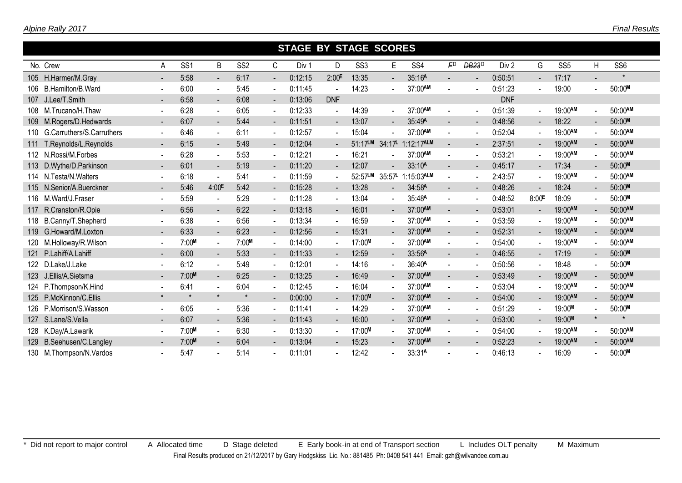|     |                               |                          |                 |                |                 |                          | <b>STAGE BY STAGE SCORES</b> |                |                 |                |                    |                          |                   |            |                          |                 |                |                 |
|-----|-------------------------------|--------------------------|-----------------|----------------|-----------------|--------------------------|------------------------------|----------------|-----------------|----------------|--------------------|--------------------------|-------------------|------------|--------------------------|-----------------|----------------|-----------------|
|     | No. Crew                      | A                        | SS <sub>1</sub> | B              | SS <sub>2</sub> | C                        | Div 1                        | D              | SS <sub>3</sub> | E              | SS <sub>4</sub>    | F <sub>D</sub>           | DB23 <sup>D</sup> | Div 2      | G                        | SS <sub>5</sub> | H              | SS <sub>6</sub> |
|     | 105 H.Harmer/M.Gray           | $\blacksquare$           | 5:58            | $\sim$         | 6:17            | $\blacksquare$           | 0:12:15                      | 2:00E          | 13:35           | $\blacksquare$ | 35:16A             | ÷.                       | $\blacksquare$    | 0:50:51    |                          | 17:17           | ÷.             | $\star$         |
| 106 | B.Hamilton/B.Ward             | $\blacksquare$           | 6:00            | $\sim$         | 5:45            | $\blacksquare$           | 0:11:45                      |                | 14:23           |                | 37:00AM            |                          |                   | 0:51:23    |                          | 19:00           |                | 50:00M          |
| 107 | J.Lee/T.Smith                 | $\overline{\phantom{a}}$ | 6:58            | $\sim$         | 6:08            | $\blacksquare$           | 0:13:06                      | <b>DNF</b>     |                 |                |                    |                          |                   | <b>DNF</b> |                          |                 |                |                 |
| 108 | M.Trucano/H.Thaw              | $\blacksquare$           | 6:28            | $\sim$         | 6:05            | $\sim$                   | 0:12:33                      |                | 14:39           | $\sim$         | 37:00AM            |                          | $\blacksquare$    | 0:51:39    |                          | 19:00AM         | $\mathbf{r}$   | 50:00AM         |
| 109 | M.Rogers/D.Hedwards           | $\blacksquare$           | 6:07            | $\sim$         | 5:44            | $\blacksquare$           | 0:11:51                      | $\sim$         | 13:07           | $\sim$         | 35:49A             | $\overline{\phantom{a}}$ | $\blacksquare$    | 0:48:56    | $\overline{\phantom{a}}$ | 18:22           | $\blacksquare$ | 50:00M          |
|     | 110 G.Carruthers/S.Carruthers | $\blacksquare$           | 6:46            | $\sim$         | 6:11            | $\overline{\phantom{a}}$ | 0:12:57                      |                | 15:04           |                | 37:00AM            |                          |                   | 0:52:04    |                          | 19:00AM         |                | 50:00AM         |
| 111 | T.Reynolds/L.Reynolds         | $\blacksquare$           | 6:15            | $\blacksquare$ | 5:49            | $\blacksquare$           | 0:12:04                      | $\blacksquare$ | $51:17$ LM      | 34:17L         | 1:12:17ALM         | $\blacksquare$           |                   | 2:37:51    |                          | 19:00AM         |                | 50:00AM         |
|     | 112 N.Rossi/M.Forbes          | $\blacksquare$           | 6:28            | $\sim$         | 5:53            | $\sim$                   | 0:12:21                      |                | 16:21           |                | 37:00AM            | $\blacksquare$           | $\blacksquare$    | 0:53:21    | $\blacksquare$           | 19:00AM         |                | 50:00AM         |
|     | 113 D.Wythe/D.Parkinson       | $\blacksquare$           | 6:01            | $\sim$         | 5:19            | $\blacksquare$           | 0:11:20                      | $\sim$         | 12:07           |                | 33:10A             | $\blacksquare$           | $\blacksquare$    | 0:45:17    | $\blacksquare$           | 17:34           |                | 50:00M          |
|     | 114 N.Testa/N.Walters         | $\blacksquare$           | 6:18            |                | 5:41            | $\blacksquare$           | 0:11:59                      |                | 52:57LM         | 35:57          | 1:15:03ALM         |                          |                   | 2:43:57    | $\blacksquare$           | 19:00AM         |                | 50:00AM         |
|     | 115 N.Senior/A.Buerckner      | $\blacksquare$           | 5:46            | 4:00E          | 5:42            | $\blacksquare$           | 0:15:28                      | $\sim$         | 13:28           | $\blacksquare$ | 34:58A             | $\blacksquare$           | $\blacksquare$    | 0:48:26    |                          | 18:24           |                | 50:00M          |
|     | 116 M.Ward/J.Fraser           | $\blacksquare$           | 5:59            |                | 5:29            | $\blacksquare$           | 0:11:28                      | $\blacksquare$ | 13:04           | $\sim$         | 35:48A             | $\blacksquare$           |                   | 0:48:52    | 8:00 <sup>E</sup>        | 18:09           | $\blacksquare$ | 50:00M          |
| 117 | R.Cranston/R.Opie             | $\blacksquare$           | 6:56            | $\sim$         | 6:22            | $\sim$                   | 0:13:18                      | $\sim$         | 16:01           | $\sim$         | 37:00AM            | $\blacksquare$           | $\blacksquare$    | 0:53:01    | $\blacksquare$           | 19:00AM         | $\blacksquare$ | 50:00AM         |
| 118 | B.Canny/T.Shepherd            | $\blacksquare$           | 6:38            | $\sim$         | 6:56            | $\blacksquare$           | 0:13:34                      |                | 16:59           | $\blacksquare$ | 37:00AM            | $\blacksquare$           |                   | 0:53:59    |                          | 19:00AM         |                | 50:00AM         |
|     | 119 G.Howard/M.Loxton         | $\blacksquare$           | 6:33            | $\blacksquare$ | 6:23            | $\blacksquare$           | 0:12:56                      | $\blacksquare$ | 15:31           | $\blacksquare$ | 37:00AM            | $\blacksquare$           | $\blacksquare$    | 0:52:31    | $\blacksquare$           | 19:00AM         |                | 50:00AM         |
| 120 | M.Holloway/R.Wilson           | $\blacksquare$           | 7:00M           | $\sim$         | 7:00M           | $\sim$                   | 0:14:00                      |                | 17:00M          | $\sim$         | 37:00AM            | $\blacksquare$           |                   | 0:54:00    | $\blacksquare$           | 19:00AM         |                | 50:00AM         |
| 121 | P.Lahiff/A.Lahiff             | $\blacksquare$           | 6:00            | $\sim$         | 5:33            | $\blacksquare$           | 0:11:33                      | $\blacksquare$ | 12:59           | $\blacksquare$ | 33:56A             | $\blacksquare$           |                   | 0:46:55    |                          | 17:19           |                | 50:00M          |
|     | 122 D.Lake/J.Lake             | $\blacksquare$           | 6:12            | $\sim$         | 5:49            | $\blacksquare$           | 0:12:01                      | $\blacksquare$ | 14:16           | $\sim$         | 36:40 <sup>A</sup> | ÷.                       |                   | 0:50:56    | $\blacksquare$           | 18:48           | $\sim$         | 50:00M          |
|     | 123 J.Ellis/A.Sietsma         | $\overline{\phantom{a}}$ | 7:00M           | $\sim$         | 6:25            | $\blacksquare$           | 0:13:25                      | $\blacksquare$ | 16:49           | $\blacksquare$ | 37:00AM            | $\overline{\phantom{a}}$ |                   | 0:53:49    |                          | 19:00AM         |                | 50:00AM         |
| 124 | P.Thompson/K.Hind             | $\blacksquare$           | 6:41            | $\sim$         | 6:04            | $\sim$                   | 0:12:45                      | $\blacksquare$ | 16:04           | $\sim$         | 37:00AM            | $\blacksquare$           | $\overline{a}$    | 0:53:04    | $\sim$                   | 19:00AM         |                | 50:00AM         |
|     | 125 P.McKinnon/C.Ellis        | $\star$                  | $\star$         | $\star$        | $\star$         | $\blacksquare$           | 0:00:00                      | $\sim 100$     | 17:00M          | $\blacksquare$ | 37:00AM            | $\overline{\phantom{a}}$ | $\blacksquare$    | 0:54:00    | $\blacksquare$           | 19:00AM         | $\blacksquare$ | 50:00AM         |
|     | 126 P.Morrison/S.Wasson       | $\blacksquare$           | 6:05            | $\sim$         | 5:36            | $\blacksquare$           | 0:11:41                      |                | 14:29           | $\sim$         | 37:00AM            | $\blacksquare$           | $\blacksquare$    | 0:51:29    | $\blacksquare$           | 19:00M          |                | 50:00M          |
| 127 | S.Lane/S.Vella                | $\blacksquare$           | 6:07            | $\blacksquare$ | 5:36            | $\blacksquare$           | 0:11:43                      | $\blacksquare$ | 16:00           | $\blacksquare$ | 37:00AM            | $\overline{\phantom{a}}$ |                   | 0:53:00    | $\blacksquare$           | 19:00M          | $\star$        | $\star$         |
|     | 128 K.Day/A.Lawarik           | $\blacksquare$           | 7:00M           | $\sim$         | 6:30            | $\sim$                   | 0:13:30                      |                | 17:00M          | $\sim$         | 37:00AM            | $\blacksquare$           | $\blacksquare$    | 0:54:00    | $\blacksquare$           | 19:00AM         | $\blacksquare$ | 50:00AM         |
| 129 | B.Seehusen/C.Langley          | $\blacksquare$           | 7:00M           | $\sim$         | 6:04            | $\sim$                   | 0:13:04                      | $\sim$         | 15:23           |                | 37:00AM            | $\blacksquare$           |                   | 0:52:23    |                          | 19:00AM         |                | 50:00AM         |
|     | 130 M.Thompson/N.Vardos       | $\blacksquare$           | 5:47            |                | 5:14            |                          | 0:11:01                      |                | 12:42           |                | 33:31A             |                          |                   | 0:46:13    |                          | 16:09           |                | 50:00M          |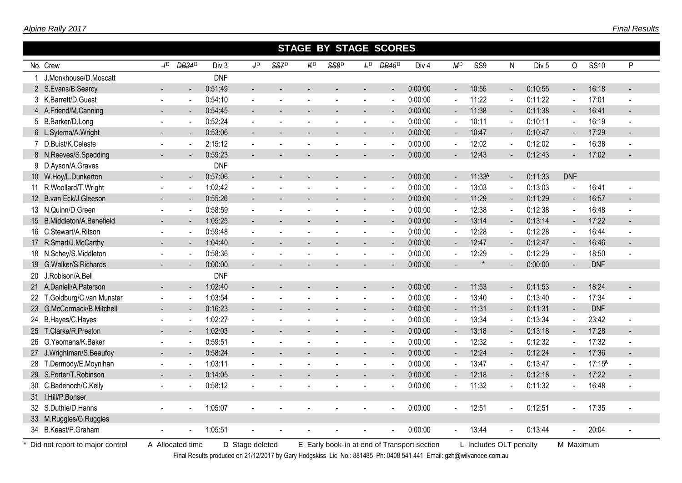|                                   | <b>STAGE BY STAGE SCORES</b> |                          |                  |                 |                  |                |      |                          |                          |                                             |                          |                        |                |                  |                          |             |        |
|-----------------------------------|------------------------------|--------------------------|------------------|-----------------|------------------|----------------|------|--------------------------|--------------------------|---------------------------------------------|--------------------------|------------------------|----------------|------------------|--------------------------|-------------|--------|
| No. Crew                          | 4 <sup>D</sup>               | <b>DB34</b> <sup>D</sup> | Div <sub>3</sub> | J <sub>D</sub>  | SS7 <sup>D</sup> | K <sup>D</sup> | SS8D | $F_D$                    | <b>DB45</b> <sup>D</sup> | Div <sub>4</sub>                            | M <sup>D</sup>           | SS <sub>9</sub>        | N.             | Div <sub>5</sub> | $\circ$                  | <b>SS10</b> | P      |
| 1 J.Monkhouse/D.Moscatt           |                              |                          | <b>DNF</b>       |                 |                  |                |      |                          |                          |                                             |                          |                        |                |                  |                          |             |        |
| 2 S.Evans/B.Searcy                |                              |                          | 0:51:49          |                 |                  |                |      |                          |                          | 0:00:00                                     | $\blacksquare$           | 10:55                  | $\blacksquare$ | 0:10:55          | $\blacksquare$           | 16:18       |        |
| 3 K.Barrett/D.Guest               |                              |                          | 0:54:10          |                 |                  |                |      |                          |                          | 0:00:00                                     |                          | 11:22                  | $\sim$         | 0:11:22          | $\tilde{\phantom{a}}$    | 17:01       |        |
| 4 A.Friend/M.Canning              |                              |                          | 0:54:45          |                 |                  |                |      |                          |                          | 0:00:00                                     |                          | 11:38                  | $\blacksquare$ | 0:11:38          | $\blacksquare$           | 16:41       |        |
| 5 B.Barker/D.Long                 | ÷,                           |                          | 0:52:24          |                 |                  |                |      |                          | $\overline{\phantom{a}}$ | 0:00:00                                     | $\sim$                   | 10:11                  | $\blacksquare$ | 0:10:11          | $\blacksquare$           | 16:19       |        |
| 6 L.Sytema/A.Wright               |                              |                          | 0:53:06          |                 |                  |                |      |                          |                          | 0:00:00                                     | $\blacksquare$           | 10:47                  | $\blacksquare$ | 0:10:47          | $\blacksquare$           | 17:29       |        |
| 7 D.Buist/K.Celeste               | $\blacksquare$               |                          | 2:15:12          |                 |                  |                |      |                          |                          | 0:00:00                                     |                          | 12:02                  |                | 0:12:02          | $\ddot{\phantom{a}}$     | 16:38       |        |
| 8 N.Reeves/S.Spedding             |                              |                          | 0:59:23          |                 |                  |                |      |                          |                          | 0:00:00                                     |                          | 12:43                  |                | 0:12:43          | $\blacksquare$           | 17:02       |        |
| 9 D.Ayson/A.Graves                |                              |                          | <b>DNF</b>       |                 |                  |                |      |                          |                          |                                             |                          |                        |                |                  |                          |             |        |
| 10 W.Hoy/L.Dunkerton              | $\overline{a}$               |                          | 0:57:06          |                 |                  |                |      |                          | $\overline{\phantom{a}}$ | 0:00:00                                     | $\blacksquare$           | 11:33A                 | $\blacksquare$ | 0:11:33          | <b>DNF</b>               |             |        |
| 11 R.Woollard/T.Wright            |                              |                          | 1:02:42          |                 |                  |                |      | $\blacksquare$           | $\sim$                   | 0:00:00                                     | $\mathbf{r}$             | 13:03                  | $\blacksquare$ | 0:13:03          | $\overline{\phantom{a}}$ | 16:41       |        |
| 12 B.van Eck/J.Gleeson            |                              |                          | 0:55:26          |                 |                  |                |      |                          | $\overline{\phantom{a}}$ | 0:00:00                                     | $\overline{\phantom{a}}$ | 11:29                  | $\blacksquare$ | 0:11:29          | $\blacksquare$           | 16:57       |        |
| 13 N.Quinn/D.Green                | $\overline{a}$               |                          | 0:58:59          |                 |                  |                |      |                          | $\sim$                   | 0:00:00                                     | $\blacksquare$           | 12:38                  | $\blacksquare$ | 0:12:38          | $\overline{\phantom{a}}$ | 16:48       |        |
| B.Middleton/A.Benefield<br>15     | $\blacksquare$               |                          | 1:05:25          |                 |                  |                |      |                          | $\blacksquare$           | 0:00:00                                     | $\overline{\phantom{a}}$ | 13:14                  | $\blacksquare$ | 0:13:14          | $\blacksquare$           | 17:22       |        |
| 16 C.Stewart/A.Ritson             | $\blacksquare$               |                          | 0:59:48          |                 |                  |                |      | ÷.                       | $\sim$                   | 0:00:00                                     | $\blacksquare$           | 12:28                  | $\blacksquare$ | 0:12:28          | $\blacksquare$           | 16:44       |        |
| R.Smart/J.McCarthy<br>17          | $\blacksquare$               |                          | 1:04:40          |                 |                  |                |      |                          |                          | 0:00:00                                     | $\blacksquare$           | 12:47                  | $\blacksquare$ | 0:12:47          | $\blacksquare$           | 16:46       |        |
| 18 N.Schey/S.Middleton            | $\blacksquare$               |                          | 0:58:36          |                 |                  |                |      |                          | ÷.                       | 0:00:00                                     | $\blacksquare$           | 12:29                  | $\blacksquare$ | 0:12:29          | $\overline{\phantom{a}}$ | 18:50       |        |
| G.Walker/S.Richards<br>19         |                              |                          | 0:00:00          |                 |                  |                |      |                          |                          | 0:00:00                                     |                          |                        |                | 0:00:00          | $\blacksquare$           | <b>DNF</b>  |        |
| J.Robison/A.Bell<br>20            |                              |                          | <b>DNF</b>       |                 |                  |                |      |                          |                          |                                             |                          |                        |                |                  |                          |             |        |
| A.Daniell/A.Paterson<br>21        |                              |                          | 1:02:40          |                 |                  |                |      |                          |                          | 0:00:00                                     |                          | 11:53                  | $\blacksquare$ | 0:11:53          | $\blacksquare$           | 18:24       |        |
| T.Goldburg/C.van Munster<br>22    | $\blacksquare$               |                          | 1:03:54          |                 |                  |                |      | $\blacksquare$           | $\overline{\phantom{a}}$ | 0:00:00                                     | $\tilde{\phantom{a}}$    | 13:40                  | $\omega$       | 0:13:40          | L.                       | 17:34       |        |
| G.McCormack/B.Mitchell<br>23      | $\blacksquare$               |                          | 0:16:23          | $\blacksquare$  | $\overline{a}$   |                |      | L.                       | $\blacksquare$           | 0:00:00                                     | $\blacksquare$           | 11:31                  | $\blacksquare$ | 0:11:31          | $\blacksquare$           | <b>DNF</b>  |        |
| B.Hayes/C.Hayes<br>24             | $\blacksquare$               |                          | 1:02:27          |                 |                  |                |      | $\overline{\phantom{a}}$ | $\sim$                   | 0:00:00                                     | $\blacksquare$           | 13:34                  | $\blacksquare$ | 0:13:34          | $\overline{\phantom{a}}$ | 23:42       |        |
| T.Clarke/R.Preston<br>25          | $\blacksquare$               | $\sim$                   | 1:02:03          | $\sim$          |                  |                |      | $\overline{a}$           | $\sim$                   | 0:00:00                                     | $\blacksquare$           | 13:18                  | $\blacksquare$ | 0:13:18          | $\blacksquare$           | 17:28       | $\sim$ |
| G.Yeomans/K.Baker<br>26           | $\blacksquare$               | $\blacksquare$           | 0:59:51          | $\overline{a}$  | $\blacksquare$   |                |      | $\blacksquare$           | $\overline{\phantom{a}}$ | 0:00:00                                     | $\blacksquare$           | 12:32                  | $\blacksquare$ | 0:12:32          | $\overline{\phantom{a}}$ | 17:32       |        |
| J.Wrightman/S.Beaufoy<br>27       | $\blacksquare$               |                          | 0:58:24          | $\sim$          |                  |                |      | ÷.                       | $\overline{a}$           | 0:00:00                                     | $\blacksquare$           | 12:24                  | $\blacksquare$ | 0:12:24          | $\blacksquare$           | 17:36       |        |
| T.Dermody/E.Moynihan<br>28        | $\blacksquare$               |                          | 1:03:11          |                 |                  |                |      |                          | $\sim$                   | 0:00:00                                     | $\ddot{\phantom{1}}$     | 13:47                  | $\overline{a}$ | 0:13:47          | $\overline{\phantom{a}}$ | 17:15A      |        |
| 29 S.Porter/T.Robinson            |                              |                          | 0:14:05          |                 |                  |                |      |                          |                          | 0:00:00                                     | $\blacksquare$           | 12:18                  | $\blacksquare$ | 0:12:18          | $\blacksquare$           | 17:22       |        |
| C.Badenoch/C.Kelly<br>30          |                              |                          | 0:58:12          |                 |                  |                |      |                          |                          | 0:00:00                                     |                          | 11:32                  |                | 0:11:32          | $\overline{\phantom{a}}$ | 16:48       |        |
| 31 I.Hill/P.Bonser                |                              |                          |                  |                 |                  |                |      |                          |                          |                                             |                          |                        |                |                  |                          |             |        |
| 32 S.Duthie/D.Hanns               |                              |                          | 1:05:07          |                 |                  |                |      |                          |                          | 0:00:00                                     |                          | 12:51                  |                | 0:12:51          | $\blacksquare$           | 17:35       |        |
| 33 M.Ruggles/G.Ruggles            |                              |                          |                  |                 |                  |                |      |                          |                          |                                             |                          |                        |                |                  |                          |             |        |
| 34 B.Keast/P.Graham               |                              |                          | 1:05:51          |                 |                  |                |      |                          |                          | 0:00:00                                     | $\blacksquare$           | 13:44                  | ä,             | 0:13:44          | $\tilde{\phantom{a}}$    | 20:04       |        |
| * Did not report to major control |                              | A Allocated time         |                  | D Stage deleted |                  |                |      |                          |                          | E Early book-in at end of Transport section |                          | L Includes OLT penalty |                |                  | M Maximum                |             |        |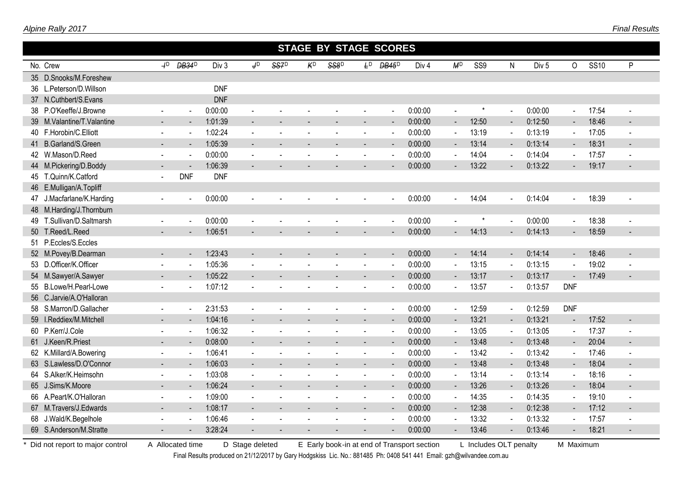|                            |                          |                          |            |                           |                |                | <b>STAGE BY STAGE SCORES</b> |                |                          |                  |                          |          |                             |                  |                          |             |                          |
|----------------------------|--------------------------|--------------------------|------------|---------------------------|----------------|----------------|------------------------------|----------------|--------------------------|------------------|--------------------------|----------|-----------------------------|------------------|--------------------------|-------------|--------------------------|
| No. Crew                   | $+^{D}$                  | <b>DB34</b> <sup>D</sup> | Div 3      | $\mathsf{J}^{\mathsf{D}}$ | SS7D           | K <sup>D</sup> | SS8D                         | $F_D$          | <b>DB45</b> <sup>D</sup> | Div <sub>4</sub> | M <sup>D</sup>           | SS9      | N                           | Div <sub>5</sub> | $\circ$                  | <b>SS10</b> | P                        |
| 35 D.Snooks/M.Foreshew     |                          |                          |            |                           |                |                |                              |                |                          |                  |                          |          |                             |                  |                          |             |                          |
| 36 L.Peterson/D.Willson    |                          |                          | <b>DNF</b> |                           |                |                |                              |                |                          |                  |                          |          |                             |                  |                          |             |                          |
| 37 N.Cuthbert/S.Evans      |                          |                          | <b>DNF</b> |                           |                |                |                              |                |                          |                  |                          |          |                             |                  |                          |             |                          |
| 38 P.O'Keeffe/J.Browne     |                          | $\overline{\phantom{a}}$ | 0:00:00    | $\blacksquare$            |                |                |                              |                | $\blacksquare$           | 0:00:00          | $\overline{a}$           | $^\star$ | $\mathbf{u}$                | 0:00:00          | $\overline{\phantom{a}}$ | 17:54       | $\blacksquare$           |
| 39 M.Valantine/T.Valantine |                          |                          | 1:01:39    |                           |                |                |                              |                |                          | 0:00:00          | $\overline{\phantom{a}}$ | 12:50    | $\blacksquare$              | 0:12:50          | $\overline{\phantom{a}}$ | 18:46       |                          |
| 40 F.Horobin/C.Elliott     | $\blacksquare$           | $\sim$                   | 1:02:24    | $\blacksquare$            | $\sim$         | $\sim$         | $\sim$                       | $\sim$         | $\blacksquare$           | 0:00:00          | $\sim$                   | 13:19    | $\sim$                      | 0:13:19          | $\blacksquare$           | 17:05       | $\sim$                   |
| 41 B.Garland/S.Green       |                          | $\sim$                   | 1:05:39    | $\blacksquare$            |                |                |                              |                | $\blacksquare$           | 0:00:00          | ۰                        | 13:14    | $\sim$                      | 0:13:14          | $\overline{\phantom{a}}$ | 18:31       |                          |
| 42 W.Mason/D.Reed          | $\sim$                   | $\sim$                   | 0:00:00    | $\sim$                    |                |                |                              |                | $\blacksquare$           | 0:00:00          | $\sim$                   | 14:04    | $\sim$                      | 0:14:04          | $\blacksquare$           | 17:57       | $\overline{\phantom{a}}$ |
| 44 M.Pickering/D.Boddy     |                          |                          | 1:06:39    |                           |                |                |                              |                |                          | 0:00:00          | $\blacksquare$           | 13:22    |                             | 0:13:22          | $\blacksquare$           | 19:17       |                          |
| 45 T.Quinn/K.Catford       | $\sim$                   | <b>DNF</b>               | <b>DNF</b> |                           |                |                |                              |                |                          |                  |                          |          |                             |                  |                          |             |                          |
| 46 E.Mulligan/A.Topliff    |                          |                          |            |                           |                |                |                              |                |                          |                  |                          |          |                             |                  |                          |             |                          |
| 47 J.Macfarlane/K.Harding  |                          | $\blacksquare$           | 0:00:00    |                           |                |                |                              |                |                          | 0:00:00          | $\blacksquare$           | 14:04    | $\blacksquare$              | 0:14:04          | $\overline{\phantom{a}}$ | 18:39       |                          |
| 48 M.Harding/J.Thornburn   |                          |                          |            |                           |                |                |                              |                |                          |                  |                          |          |                             |                  |                          |             |                          |
| 49 T.Sullivan/D.Saltmarsh  |                          | $\sim$                   | 0:00:00    |                           |                |                |                              |                | $\blacksquare$           | 0:00:00          |                          | $^\star$ | $\mathcal{L}^{\mathcal{A}}$ | 0:00:00          | $\omega$                 | 18:38       |                          |
| 50 T.Reed/L.Reed           |                          |                          | 1:06:51    |                           |                |                |                              |                |                          | 0:00:00          |                          | 14:13    |                             | 0:14:13          | $\blacksquare$           | 18:59       |                          |
| 51 P.Eccles/S.Eccles       |                          |                          |            |                           |                |                |                              |                |                          |                  |                          |          |                             |                  |                          |             |                          |
| 52 M.Povey/B.Dearman       |                          |                          | 1:23:43    |                           |                |                |                              |                |                          | 0:00:00          | $\blacksquare$           | 14:14    | $\blacksquare$              | 0:14:14          | $\blacksquare$           | 18:46       |                          |
| 53 D.Officer/K.Officer     |                          |                          | 1:05:36    |                           |                |                |                              |                |                          | 0:00:00          | $\blacksquare$           | 13:15    |                             | 0:13:15          | $\blacksquare$           | 19:02       |                          |
| 54 M.Sawyer/A.Sawyer       | $\blacksquare$           |                          | 1:05:22    | $\blacksquare$            |                |                |                              | $\blacksquare$ | $\blacksquare$           | 0:00:00          | $\blacksquare$           | 13:17    | $\blacksquare$              | 0:13:17          | $\blacksquare$           | 17:49       |                          |
| 55 B.Lowe/H.Pearl-Lowe     |                          | $\sim$                   | 1:07:12    | $\blacksquare$            |                |                |                              |                |                          | 0:00:00          | $\blacksquare$           | 13:57    |                             | 0:13:57          | <b>DNF</b>               |             |                          |
| 56 C.Jarvie/A.O'Halloran   |                          |                          |            |                           |                |                |                              |                |                          |                  |                          |          |                             |                  |                          |             |                          |
| 58 S.Marron/D.Gallacher    | $\sim$                   | $\overline{a}$           | 2:31:53    | $\overline{\phantom{a}}$  |                |                |                              |                | $\overline{a}$           | 0:00:00          | $\overline{a}$           | 12:59    | $\sim$                      | 0:12:59          | <b>DNF</b>               |             |                          |
| 59 I.Reddiex/M.Mitchell    | $\overline{\phantom{a}}$ | $\sim$                   | 1:04:16    | $\blacksquare$            |                |                |                              |                | $\blacksquare$           | 0:00:00          | $\blacksquare$           | 13:21    | $\sim$                      | 0:13:21          | $\blacksquare$           | 17:52       |                          |
| 60 P.Kerr/J.Cole           |                          | $\blacksquare$           | 1:06:32    | $\blacksquare$            |                |                |                              |                | $\blacksquare$           | 0:00:00          | $\blacksquare$           | 13:05    | $\sim$                      | 0:13:05          | $\blacksquare$           | 17:37       | $\blacksquare$           |
| 61 J.Keen/R.Priest         |                          | $\blacksquare$           | 0:08:00    | $\blacksquare$            |                |                |                              |                | $\blacksquare$           | 0:00:00          | $\blacksquare$           | 13:48    | $\sim$                      | 0:13:48          | $\blacksquare$           | 20:04       |                          |
| 62 K.Millard/A.Bowering    | $\sim$                   | $\sim$                   | 1:06:41    | $\sim$                    |                |                |                              |                | $\blacksquare$           | 0:00:00          | $\sim$                   | 13:42    | $\sim$                      | 0:13:42          | $\sim$                   | 17:46       | $\sim$                   |
| 63 S.Lawless/D.O'Connor    |                          | $\blacksquare$           | 1:06:03    | $\overline{\phantom{a}}$  |                |                |                              |                | $\blacksquare$           | 0:00:00          | $\blacksquare$           | 13:48    | $\sim$                      | 0:13:48          | $\blacksquare$           | 18:04       | $\blacksquare$           |
| 64 S.Alker/K.Heimsohn      | $\sim$                   | $\blacksquare$           | 1:03:08    | $\mathbf{r}$              | $\blacksquare$ |                | $\sim$                       | $\blacksquare$ | $\mathbf{r}$             | 0:00:00          | $\blacksquare$           | 13:14    | $\sim$                      | 0:13:14          | $\omega$                 | 18:16       | $\sim$                   |
| 65 J.Sims/K.Moore          |                          | $\blacksquare$           | 1:06:24    | $\blacksquare$            |                |                |                              |                | $\overline{\phantom{a}}$ | 0:00:00          | $\overline{\phantom{a}}$ | 13:26    | $\blacksquare$              | 0:13:26          | $\overline{\phantom{a}}$ | 18:04       |                          |
| 66 A.Peart/K.O'Halloran    | $\sim$                   | $\sim$                   | 1:09:00    | $\sim$                    |                |                |                              |                | $\blacksquare$           | 0:00:00          | $\sim$                   | 14:35    | $\blacksquare$              | 0:14:35          | $\blacksquare$           | 19:10       |                          |
| 67 M.Travers/J.Edwards     |                          |                          | 1:08:17    | $\blacksquare$            |                |                |                              |                |                          | 0:00:00          | $\blacksquare$           | 12:38    | $\sim$                      | 0:12:38          | $\blacksquare$           | 17:12       |                          |
| 68 J.Wald/K.Begelhole      |                          |                          | 1:06:46    |                           |                |                |                              |                |                          | 0:00:00          | $\blacksquare$           | 13:32    |                             | 0:13:32          | $\blacksquare$           | 17:57       |                          |
| 69 S.Anderson/M.Stratte    |                          |                          | 3:28:24    |                           |                |                |                              |                |                          | 0:00:00          |                          | 13:46    |                             | 0:13:46          |                          | 18:21       |                          |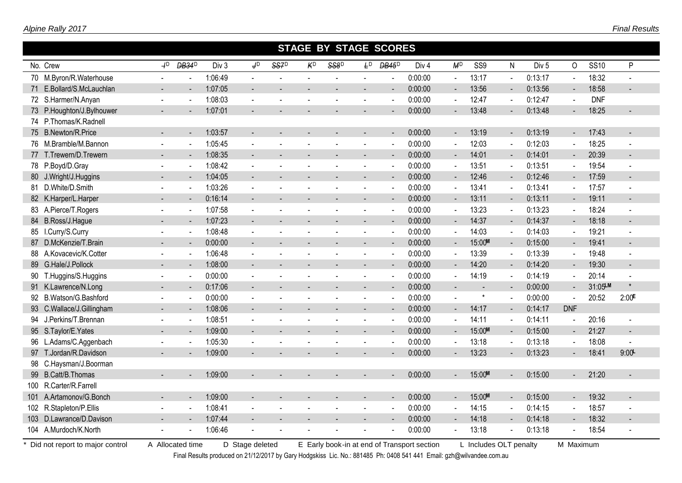|    |                           |                          |                          |         |                              |      |    | STAGE BY STAGE SCORES |                |                          |                  |                          |                 |                          |                  |                          |             |                          |
|----|---------------------------|--------------------------|--------------------------|---------|------------------------------|------|----|-----------------------|----------------|--------------------------|------------------|--------------------------|-----------------|--------------------------|------------------|--------------------------|-------------|--------------------------|
|    | No. Crew                  | $+^{D}$                  | <b>DB34</b> <sup>D</sup> | Div 3   | J <sub>D</sub>               | SS7D | KD | SS8D                  | £Р             | <b>DB45</b> <sup>D</sup> | Div <sub>4</sub> | M <sup>D</sup>           | SS <sub>9</sub> | N                        | Div <sub>5</sub> | 0                        | <b>SS10</b> | P                        |
|    | 70 M.Byron/R.Waterhouse   |                          |                          | 1:06:49 | $\blacksquare$               |      |    |                       |                | $\blacksquare$           | 0:00:00          | $\blacksquare$           | 13:17           | $\blacksquare$           | 0:13:17          | $\blacksquare$           | 18:32       |                          |
|    | 71 E.Bollard/S.McLauchlan |                          |                          | 1:07:05 | ÷.                           |      |    |                       |                |                          | 0:00:00          | $\blacksquare$           | 13:56           |                          | 0:13:56          | $\blacksquare$           | 18:58       |                          |
|    | 72 S.Harmer/N.Anyan       |                          |                          | 1:08:03 |                              |      |    |                       |                |                          | 0:00:00          | $\blacksquare$           | 12:47           |                          | 0:12:47          | $\blacksquare$           | <b>DNF</b>  |                          |
|    | 73 P.Houghton/J.Bylhouwer |                          |                          | 1:07:01 |                              |      |    |                       |                |                          | 0:00:00          |                          | 13:48           |                          | 0:13:48          |                          | 18:25       |                          |
|    | 74 P.Thomas/K.Radnell     |                          |                          |         |                              |      |    |                       |                |                          |                  |                          |                 |                          |                  |                          |             |                          |
|    | 75 B.Newton/R.Price       | $\sim$                   | $\sim$                   | 1:03:57 | $\blacksquare$               |      |    |                       |                | $\blacksquare$           | 0:00:00          | $\sim$                   | 13:19           | $\sim$                   | 0:13:19          | $\sim$                   | 17:43       | $\blacksquare$           |
|    | 76 M.Bramble/M.Bannon     | $\blacksquare$           |                          | 1:05:45 | $\blacksquare$               |      |    |                       |                |                          | 0:00:00          | $\blacksquare$           | 12:03           | $\blacksquare$           | 0:12:03          | $\blacksquare$           | 18:25       |                          |
|    | 77 T.Trewern/D.Trewern    |                          |                          | 1:08:35 | $\qquad \qquad \blacksquare$ |      |    |                       |                |                          | 0:00:00          | $\blacksquare$           | 14:01           | $\blacksquare$           | 0:14:01          | $\blacksquare$           | 20:39       | $\blacksquare$           |
|    | 78 P.Boyd/D.Gray          |                          |                          | 1:08:42 | $\blacksquare$               |      |    |                       |                |                          | 0:00:00          | $\blacksquare$           | 13:51           | $\sim$                   | 0:13:51          | $\blacksquare$           | 19:54       | $\blacksquare$           |
|    | 80 J.Wright/J.Huggins     |                          |                          | 1:04:05 | $\overline{\phantom{a}}$     |      |    |                       |                |                          | 0:00:00          | $\blacksquare$           | 12:46           | $\overline{\phantom{a}}$ | 0:12:46          | $\blacksquare$           | 17:59       | $\blacksquare$           |
|    | 81 D.White/D.Smith        |                          |                          | 1:03:26 | $\sim$                       |      |    |                       |                |                          | 0:00:00          | $\sim$                   | 13:41           | $\sim$                   | 0:13:41          | $\sim$                   | 17:57       |                          |
|    | 82 K.Harper/L.Harper      |                          |                          | 0:16:14 | $\overline{a}$               |      |    |                       |                |                          | 0:00:00          | $\sim$                   | 13:11           | $\sim$                   | 0:13:11          | $\blacksquare$           | 19:11       | $\overline{a}$           |
|    | 83 A.Pierce/T.Rogers      | $\blacksquare$           |                          | 1:07:58 | $\blacksquare$               |      |    |                       |                |                          | 0:00:00          | $\blacksquare$           | 13:23           | $\blacksquare$           | 0:13:23          | $\blacksquare$           | 18:24       | $\blacksquare$           |
|    | 84 B.Ross/J.Hague         | $\blacksquare$           |                          | 1:07:23 | $\overline{\phantom{a}}$     |      |    |                       | $\blacksquare$ |                          | 0:00:00          | $\blacksquare$           | 14:37           | $\blacksquare$           | 0:14:37          | $\blacksquare$           | 18:18       | $\overline{\phantom{a}}$ |
|    | 85 I.Curry/S.Curry        |                          |                          | 1:08:48 | $\sim$                       |      |    |                       |                |                          | 0:00:00          | $\blacksquare$           | 14:03           | $\blacksquare$           | 0:14:03          | $\blacksquare$           | 19:21       |                          |
|    | 87 D.McKenzie/T.Brain     |                          |                          | 0:00:00 | $\blacksquare$               |      |    |                       |                |                          | 0:00:00          | $\blacksquare$           | 15:00M          | $\blacksquare$           | 0:15:00          | $\blacksquare$           | 19:41       |                          |
| 88 | A.Kovacevic/K.Cotter      |                          |                          | 1:06:48 | $\sim$                       |      |    |                       |                |                          | 0:00:00          | $\blacksquare$           | 13:39           |                          | 0:13:39          | $\sim$                   | 19:48       |                          |
|    | 89 G.Hale/J.Pollock       |                          |                          | 1:08:00 | $\blacksquare$               |      |    |                       |                |                          | 0:00:00          |                          | 14:20           | ۰                        | 0:14:20          | $\sim$                   | 19:30       |                          |
|    | 90 T.Huggins/S.Huggins    |                          |                          | 0:00:00 | $\sim$                       |      |    |                       |                |                          | 0:00:00          |                          | 14:19           |                          | 0:14:19          | $\blacksquare$           | 20:14       |                          |
|    | 91 K.Lawrence/N.Long      |                          |                          | 0:17:06 | $\blacksquare$               |      |    |                       |                |                          | 0:00:00          |                          |                 | $\blacksquare$           | 0:00:00          | $\blacksquare$           | 31:05LM     | $\star$                  |
|    | 92 B.Watson/G.Bashford    |                          |                          | 0:00:00 | $\sim$                       |      |    |                       |                |                          | 0:00:00          |                          | $\star$         |                          | 0:00:00          | $\sim$                   | 20:52       | $2:00^{E}$               |
|    | 93 C.Wallace/J.Gillingham |                          |                          | 1:08:06 | $\blacksquare$               |      |    |                       |                |                          | 0:00:00          | $\overline{\phantom{a}}$ | 14:17           |                          | 0:14:17          | <b>DNF</b>               |             |                          |
|    | 94 J.Perkins/T.Brennan    | $\overline{\phantom{a}}$ |                          | 1:08:51 | $\blacksquare$               |      |    |                       |                |                          | 0:00:00          | $\blacksquare$           | 14:11           | $\overline{a}$           | 0:14:11          | $\blacksquare$           | 20:16       | $\blacksquare$           |
|    | 95 S.Taylor/E.Yates       |                          |                          | 1:09:00 | $\overline{\phantom{a}}$     |      |    |                       |                |                          | 0:00:00          | $\blacksquare$           | 15:00M          | $\overline{\phantom{a}}$ | 0:15:00          | $\overline{\phantom{a}}$ | 21:27       | $\blacksquare$           |
|    | 96 L.Adams/C.Aggenbach    |                          |                          | 1:05:30 | $\blacksquare$               |      |    |                       |                |                          | 0:00:00          | $\blacksquare$           | 13:18           |                          | 0:13:18          | $\blacksquare$           | 18:08       | $\sim$                   |
|    | 97 T.Jordan/R.Davidson    |                          |                          | 1:09:00 |                              |      |    |                       |                |                          | 0:00:00          | $\blacksquare$           | 13:23           |                          | 0:13:23          | $\blacksquare$           | 18:41       | 9:00                     |
|    | 98 C.Haysman/J.Boorman    |                          |                          |         |                              |      |    |                       |                |                          |                  |                          |                 |                          |                  |                          |             |                          |
|    | 99 B.Catt/B.Thomas        |                          |                          | 1:09:00 | $\overline{\phantom{0}}$     |      |    |                       |                |                          | 0:00:00          | $\overline{\phantom{a}}$ | 15:00M          | $\blacksquare$           | 0:15:00          | $\blacksquare$           | 21:20       |                          |
|    | 100 R.Carter/R.Farrell    |                          |                          |         |                              |      |    |                       |                |                          |                  |                          |                 |                          |                  |                          |             |                          |
|    | 101 A.Artamonov/G.Bonch   |                          |                          | 1:09:00 | $\blacksquare$               |      |    |                       |                |                          | 0:00:00          | $\overline{\phantom{a}}$ | 15:00M          | $\blacksquare$           | 0:15:00          | $\blacksquare$           | 19:32       |                          |
|    | 102 R.Stapleton/P.Ellis   |                          |                          | 1:08:41 | $\blacksquare$               |      |    |                       |                |                          | 0:00:00          | $\sim$                   | 14:15           | $\blacksquare$           | 0:14:15          | $\blacksquare$           | 18:57       |                          |
|    | 103 D.Lawrance/D.Davison  |                          |                          | 1:07:44 |                              |      |    |                       |                |                          | 0:00:00          |                          | 14:18           |                          | 0:14:18          |                          | 18:32       |                          |
|    | 104 A.Murdoch/K.North     |                          |                          | 1:06:46 |                              |      |    |                       |                |                          | 0:00:00          |                          | 13:18           |                          | 0:13:18          |                          | 18:54       |                          |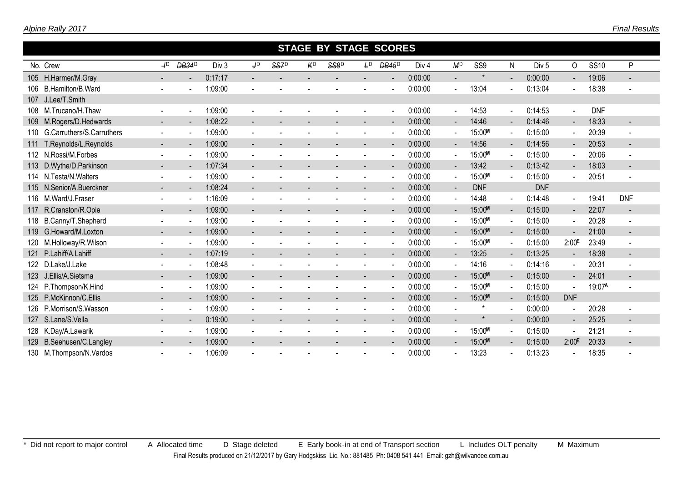|     |                               |                          |                          |         |                          |      |    | <b>STAGE BY STAGE SCORES</b> |       |                          |                  |                |                 |                          |                  |                   |             |                          |  |
|-----|-------------------------------|--------------------------|--------------------------|---------|--------------------------|------|----|------------------------------|-------|--------------------------|------------------|----------------|-----------------|--------------------------|------------------|-------------------|-------------|--------------------------|--|
|     | No. Crew                      | $+^{D}$                  | <b>DB34</b> <sup>D</sup> | Div 3   | J <sub>D</sub>           | SS7D | KD | SS8 <sup>D</sup>             | $F_D$ | <b>DB45</b> <sup>D</sup> | Div <sub>4</sub> | M <sup>D</sup> | SS <sub>9</sub> | N                        | Div <sub>5</sub> | 0                 | <b>SS10</b> | P                        |  |
|     | 105 H.Harmer/M.Gray           |                          | $\blacksquare$           | 0:17:17 |                          |      |    |                              |       | $\blacksquare$           | 0:00:00          | ÷.             |                 |                          | 0:00:00          | $\sim$            | 19:06       |                          |  |
|     | 106 B. Hamilton/B. Ward       |                          |                          | 1:09:00 |                          |      |    |                              |       |                          | 0:00:00          | $\sim$         | 13:04           |                          | 0:13:04          | $\blacksquare$    | 18:38       |                          |  |
|     | 107 J.Lee/T.Smith             |                          |                          |         |                          |      |    |                              |       |                          |                  |                |                 |                          |                  |                   |             |                          |  |
|     | 108 M.Trucano/H.Thaw          | $\blacksquare$           | $\blacksquare$           | 1:09:00 |                          |      |    |                              |       | $\blacksquare$           | 0:00:00          | $\sim$         | 14:53           | $\sim$                   | 0:14:53          | $\blacksquare$    | <b>DNF</b>  |                          |  |
|     | 109 M.Rogers/D.Hedwards       | $\blacksquare$           | $\blacksquare$           | 1:08:22 |                          |      |    |                              |       | $\overline{\phantom{a}}$ | 0:00:00          | $\blacksquare$ | 14:46           | $\overline{\phantom{a}}$ | 0:14:46          | $\blacksquare$    | 18:33       | $\blacksquare$           |  |
|     | 110 G.Carruthers/S.Carruthers |                          | $\blacksquare$           | 1:09:00 |                          |      |    |                              |       | $\overline{\phantom{a}}$ | 0:00:00          | $\sim$         | 15:00M          | $\blacksquare$           | 0:15:00          | $\sim$            | 20:39       | $\overline{\phantom{a}}$ |  |
|     | 111 T.Reynolds/L.Reynolds     | $\blacksquare$           | $\overline{\phantom{a}}$ | 1:09:00 |                          |      |    |                              |       | $\blacksquare$           | 0:00:00          | $\sim$         | 14:56           | $\blacksquare$           | 0:14:56          | $\sim$            | 20:53       | $\overline{\phantom{a}}$ |  |
|     | 112 N.Rossi/M.Forbes          | $\blacksquare$           | $\blacksquare$           | 1:09:00 | $\blacksquare$           |      |    |                              |       | $\overline{\phantom{a}}$ | 0:00:00          | $\sim$         | 15:00M          |                          | 0:15:00          | $\sim$            | 20:06       | $\overline{\phantom{a}}$ |  |
|     | 113 D.Wythe/D.Parkinson       |                          | $\overline{\phantom{a}}$ | 1:07:34 |                          |      |    |                              |       | $\blacksquare$           | 0:00:00          | $\sim$         | 13:42           |                          | 0:13:42          | $\sim$            | 18:03       | $\blacksquare$           |  |
|     | 114 N.Testa/N.Walters         | $\blacksquare$           | $\blacksquare$           | 1:09:00 |                          |      |    |                              |       | $\blacksquare$           | 0:00:00          | $\sim$         | 15:00M          |                          | 0:15:00          | $\sim$            | 20:51       | $\blacksquare$           |  |
|     | 115 N.Senior/A.Buerckner      | $\blacksquare$           | $\blacksquare$           | 1:08:24 | $\blacksquare$           |      |    |                              |       | $\overline{\phantom{a}}$ | 0:00:00          | $\sim$         | <b>DNF</b>      |                          | <b>DNF</b>       |                   |             |                          |  |
|     | 116 M.Ward/J.Fraser           |                          | $\blacksquare$           | 1:16:09 |                          |      |    |                              |       |                          | 0:00:00          | $\sim$         | 14:48           |                          | 0:14:48          | $\sim$            | 19:41       | <b>DNF</b>               |  |
|     | 117 R.Cranston/R.Opie         | $\overline{\phantom{a}}$ | $\overline{\phantom{a}}$ | 1:09:00 |                          |      |    |                              |       | $\overline{\phantom{a}}$ | 0:00:00          | $\blacksquare$ | 15:00M          | $\overline{\phantom{a}}$ | 0:15:00          | $\sim$            | 22:07       | $\overline{\phantom{a}}$ |  |
|     | 118 B.Canny/T.Shepherd        | $\blacksquare$           | $\blacksquare$           | 1:09:00 | $\blacksquare$           |      |    |                              |       | $\overline{\phantom{a}}$ | 0:00:00          | $\sim$         | 15:00M          | $\overline{\phantom{a}}$ | 0:15:00          | $\sim$            | 20:28       | $\overline{\phantom{a}}$ |  |
|     | 119 G.Howard/M.Loxton         |                          | $\blacksquare$           | 1:09:00 |                          |      |    |                              |       | $\blacksquare$           | 0:00:00          | $\sim$         | 15:00M          | $\blacksquare$           | 0:15:00          | $\sim$            | 21:00       |                          |  |
|     | 120 M.Holloway/R.Wilson       | $\blacksquare$           | $\blacksquare$           | 1:09:00 |                          |      |    |                              |       | $\overline{\phantom{a}}$ | 0:00:00          | $\blacksquare$ | 15:00M          |                          | 0:15:00          | 2:00 <sup>E</sup> | 23:49       |                          |  |
|     | 121 P.Lahiff/A.Lahiff         | $\blacksquare$           | $\blacksquare$           | 1:07:19 |                          |      |    |                              |       | $\overline{\phantom{a}}$ | 0:00:00          | $\sim$         | 13:25           | $\overline{\phantom{a}}$ | 0:13:25          | $\sim$            | 18:38       | $\sim$                   |  |
|     | 122 D.Lake/J.Lake             |                          | $\blacksquare$           | 1:08:48 |                          |      |    |                              |       |                          | 0:00:00          |                | 14:16           |                          | 0:14:16          | $\blacksquare$    | 20:31       | $\overline{\phantom{a}}$ |  |
|     | 123 J.Ellis/A.Sietsma         |                          | $\overline{\phantom{a}}$ | 1:09:00 |                          |      |    |                              |       |                          | 0:00:00          | $\sim$         | 15:00M          | $\overline{\phantom{a}}$ | 0:15:00          | $\blacksquare$    | 24:01       |                          |  |
|     | 124 P.Thompson/K.Hind         | $\overline{\phantom{0}}$ | $\blacksquare$           | 1:09:00 | $\blacksquare$           |      |    |                              |       | $\overline{\phantom{a}}$ | 0:00:00          | $\sim$         | 15:00M          |                          | 0:15:00          | $\blacksquare$    | 19:07A      |                          |  |
|     | 125 P.McKinnon/C.Ellis        |                          | $\blacksquare$           | 1:09:00 |                          |      |    |                              |       | $\blacksquare$           | 0:00:00          | $\blacksquare$ | 15:00M          | $\blacksquare$           | 0:15:00          | <b>DNF</b>        |             |                          |  |
| 126 | P.Morrison/S.Wasson           | $\blacksquare$           | $\blacksquare$           | 1:09:00 |                          |      |    |                              |       | $\overline{\phantom{a}}$ | 0:00:00          | $\blacksquare$ | $^{\star}$      |                          | 0:00:00          | $\sim$            | 20:28       | $\overline{\phantom{a}}$ |  |
|     | 127 S.Lane/S.Vella            | $\blacksquare$           | $\blacksquare$           | 0:19:00 | $\overline{\phantom{0}}$ |      |    |                              |       | $\overline{\phantom{a}}$ | 0:00:00          | $\sim$         | $\star$         |                          | 0:00:00          | $\sim$            | 25:25       | $\blacksquare$           |  |
|     | 128 K.Day/A.Lawarik           |                          |                          | 1:09:00 |                          |      |    |                              |       |                          | 0:00:00          |                | 15:00M          |                          | 0:15:00          |                   | 21:21       |                          |  |
|     | 129 B.Seehusen/C.Langley      |                          |                          | 1:09:00 |                          |      |    |                              |       |                          | 0:00:00          |                | 15:00M          |                          | 0:15:00          | $2:00^{\text{E}}$ | 20:33       |                          |  |

M.Thompson/N.Vardos - - 1:06:09 - - - - - - 0:00:00 - 13:23 - 0:13:23 - 18:35 -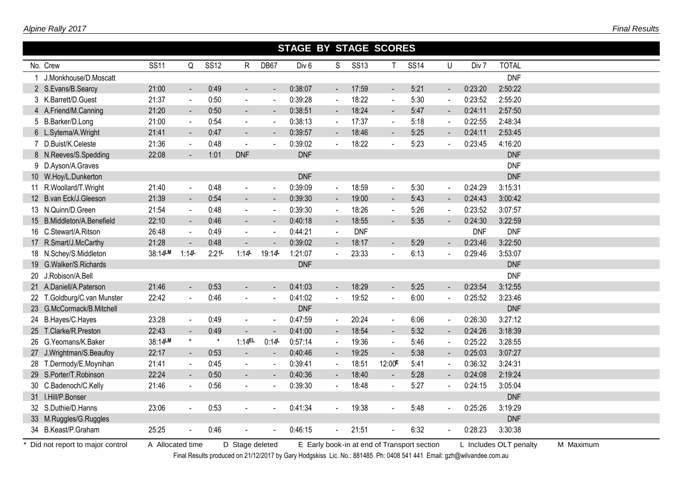|                             |             |                              |             |                          |                          | <b>STAGE BY STAGE SCORES</b> |                          |             |                          |             |                          |            |              |  |
|-----------------------------|-------------|------------------------------|-------------|--------------------------|--------------------------|------------------------------|--------------------------|-------------|--------------------------|-------------|--------------------------|------------|--------------|--|
| No. Crew                    | <b>SS11</b> | Q                            | <b>SS12</b> | $\mathsf{R}$             | DB67                     | Div <sub>6</sub>             | S                        | <b>SS13</b> | T                        | <b>SS14</b> | U                        | Div 7      | <b>TOTAL</b> |  |
| J.Monkhouse/D.Moscatt       |             |                              |             |                          |                          |                              |                          |             |                          |             |                          |            | <b>DNF</b>   |  |
| 2 S.Evans/B.Searcy          | 21:00       | $\blacksquare$               | 0:49        | $\blacksquare$           | $\blacksquare$           | 0:38:07                      | $\blacksquare$           | 17:59       | $\blacksquare$           | 5:21        | $\blacksquare$           | 0:23:20    | 2:50:22      |  |
| 3 K.Barrett/D.Guest         | 21:37       | $\blacksquare$               | 0:50        | $\blacksquare$           | $\sim$                   | 0:39:28                      | $\sim$                   | 18:22       | $\sim$                   | 5:30        | $\blacksquare$           | 0:23:52    | 2:55:20      |  |
| 4 A.Friend/M.Canning        | 21:20       | $\blacksquare$               | 0:50        | $\blacksquare$           | $\blacksquare$           | 0:38:51                      | $\sim$                   | 18:24       | $\blacksquare$           | 5:47        | $\blacksquare$           | 0:24:11    | 2:57:50      |  |
| 5 B.Barker/D.Long           | 21:00       | $\sim$                       | 0:54        | $\sim$                   | $\blacksquare$           | 0:38:13                      | $\blacksquare$           | 17:37       | $\blacksquare$           | 5:18        | $\tilde{\phantom{a}}$    | 0:22:55    | 2:48:34      |  |
| 6 L.Sytema/A.Wright         | 21:41       | $\blacksquare$               | 0:47        | $\sim$                   | $\sim$                   | 0:39:57                      | $\sim$                   | 18:46       | $\blacksquare$           | 5:25        | $\blacksquare$           | 0:24:11    | 2:53:45      |  |
| 7 D.Buist/K.Celeste         | 21:36       | $\blacksquare$               | 0:48        | $\overline{\phantom{a}}$ |                          | 0:39:02                      |                          | 18:22       |                          | 5:23        |                          | 0:23:45    | 4:16:20      |  |
| 8 N.Reeves/S.Spedding       | 22:08       |                              | 1:01        | <b>DNF</b>               |                          | <b>DNF</b>                   |                          |             |                          |             |                          |            | <b>DNF</b>   |  |
| 9 D.Ayson/A.Graves          |             |                              |             |                          |                          |                              |                          |             |                          |             |                          |            | <b>DNF</b>   |  |
| 10 W.Hoy/L.Dunkerton        |             |                              |             |                          |                          | <b>DNF</b>                   |                          |             |                          |             |                          |            | <b>DNF</b>   |  |
| 11 R. Woollard/T. Wright    | 21:40       | $\blacksquare$               | 0:48        | $\blacksquare$           | $\sim$                   | 0:39:09                      | $\sim$                   | 18:59       | $\overline{\phantom{a}}$ | 5:30        | $\tilde{\phantom{a}}$    | 0:24:29    | 3:15:31      |  |
| 12 B.van Eck/J.Gleeson      | 21:39       | $\blacksquare$               | 0:54        | $\blacksquare$           |                          | 0:39:30                      |                          | 19:00       | $\blacksquare$           | 5:43        |                          | 0:24:43    | 3:00:42      |  |
| 13 N.Quinn/D.Green          | 21:54       | $\blacksquare$               | 0:48        | $\sim$                   | $\sim$                   | 0:39:30                      | $\blacksquare$           | 18:26       | $\sim$                   | 5:26        |                          | 0:23:52    | 3:07:57      |  |
| 15 B.Middleton/A.Benefield  | 22:10       | $\blacksquare$               | 0:46        | $\sim$                   | $\overline{\phantom{a}}$ | 0:40:18                      | $\blacksquare$           | 18:55       | $\blacksquare$           | 5:35        | $\blacksquare$           | 0:24:30    | 3:22:59      |  |
| 16 C.Stewart/A.Ritson       | 26:48       | $\overline{\phantom{a}}$     | 0:49        | $\mathbf{r}$             | $\sim$                   | 0:44:21                      | $\sim$                   | <b>DNF</b>  |                          |             |                          | <b>DNF</b> | <b>DNF</b>   |  |
| 17 R.Smart/J.McCarthy       | 21:28       | $\overline{a}$               | 0:48        | $\blacksquare$           |                          | 0:39:02                      | $\sim$                   | 18:17       |                          | 5:29        | $\sim$                   | 0:23:46    | 3:22:50      |  |
| 18 N.Schey/S.Middleton      | 38:14LM     | 1:14                         | 2:21        | 1:14                     | 19:14                    | 1:21:07                      |                          | 23:33       |                          | 6:13        |                          | 0:29:46    | 3:53:07      |  |
| 19 G.Walker/S.Richards      |             |                              |             |                          |                          | <b>DNF</b>                   |                          |             |                          |             |                          |            | <b>DNF</b>   |  |
| 20 J.Robison/A.Bell         |             |                              |             |                          |                          |                              |                          |             |                          |             |                          |            | <b>DNF</b>   |  |
| 21 A.Daniell/A.Paterson     | 21:46       | $\blacksquare$               | 0:53        |                          |                          | 0:41:03                      | $\blacksquare$           | 18:29       | $\sim$                   | 5:25        | $\blacksquare$           | 0:23:54    | 3:12:55      |  |
| 22 T.Goldburg/C.van Munster | 22:42       | ÷,                           | 0:46        | $\blacksquare$           | $\sim$                   | 0:41:02                      | $\blacksquare$           | 19:52       | $\sim$                   | 6:00        | $\blacksquare$           | 0:25:52    | 3:23:46      |  |
| 23 G.McCormack/B.Mitchell   |             |                              |             |                          |                          | <b>DNF</b>                   |                          |             |                          |             |                          |            | <b>DNF</b>   |  |
| 24 B.Hayes/C.Hayes          | 23:28       | $\blacksquare$               | 0:49        |                          |                          | 0:47:59                      | $\blacksquare$           | 20:24       | $\blacksquare$           | 6:06        | $\overline{\phantom{a}}$ | 0:26:30    | 3:27:12      |  |
| 25 T.Clarke/R.Preston       | 22:43       | $\blacksquare$               | 0:49        | $\blacksquare$           | $\blacksquare$           | 0:41:00                      | $\blacksquare$           | 18:54       | $\blacksquare$           | 5:32        | $\blacksquare$           | 0:24:26    | 3:18:39      |  |
| 26 G.Yeomans/K.Baker        | 38:14LM     | $\star$                      | $\star$     | 1:14EL                   | 0:14                     | 0:57:14                      |                          | 19:36       | $\sim$                   | 5:46        |                          | 0:25:22    | 3:28:55      |  |
| 27 J.Wrightman/S.Beaufoy    | 22:17       | $\blacksquare$               | 0:53        | $\sim$                   | $\sim$                   | 0:40:46                      | $\blacksquare$           | 19:25       | $\blacksquare$           | 5:38        | ◆                        | 0:25:03    | 3:07:27      |  |
| 28 T.Dermody/E.Moynihan     | 21:41       | $\blacksquare$               | 0:45        | $\blacksquare$           | $\sim$                   | 0:39:41                      | $\overline{\phantom{a}}$ | 18:51       | 12:00 <sup>E</sup>       | 5:41        |                          | 0:36:32    | 3:24:31      |  |
| 29 S.Porter/T.Robinson      | 22:24       | $\qquad \qquad \blacksquare$ | 0:50        | $\blacksquare$           |                          | 0:40:36                      |                          | 18:40       | $\blacksquare$           | 5:28        |                          | 0:24:08    | 2:19:24      |  |
| 30 C.Badenoch/C.Kelly       | 21:46       | $\sim$                       | 0:56        | $\sim$                   | $\sim$                   | 0:39:30                      | $\blacksquare$           | 18:48       | $\blacksquare$           | 5:27        | $\blacksquare$           | 0:24:15    | 3:05:04      |  |
| 31 I.Hill/P.Bonser          |             |                              |             |                          |                          |                              |                          |             |                          |             |                          |            | <b>DNF</b>   |  |
| 32 S.Duthie/D.Hanns         | 23:06       | $\sim$                       | 0:53        | $\sim$                   |                          | 0:41:34                      | $\blacksquare$           | 19:38       |                          | 5:48        | $\blacksquare$           | 0:25:26    | 3:19:29      |  |
| 33 M.Ruggles/G.Ruggles      |             |                              |             |                          |                          |                              |                          |             |                          |             |                          |            | <b>DNF</b>   |  |
| 34 B.Keast/P.Graham         | 25:25       | $\sim$                       | 0:46        | $\sim$                   |                          | 0:46:15                      | $\blacksquare$           | 21:51       |                          | 6:32        |                          | 0:28:23    | 3:30:38      |  |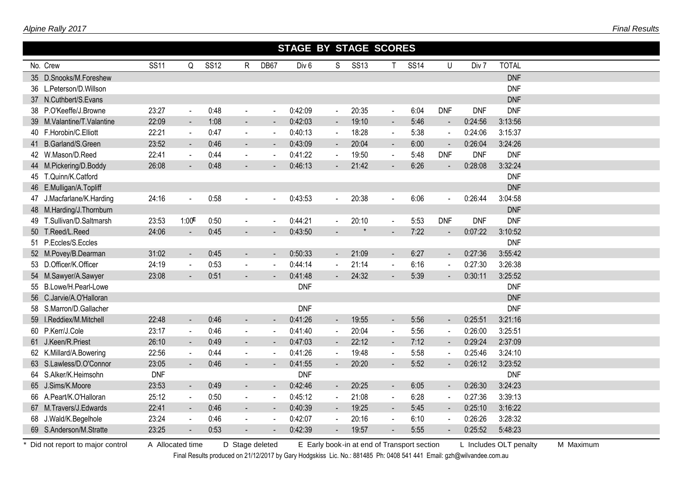|                            |             |                          |             |                |                          | <b>STAGE BY STAGE SCORES</b> |                          |             |                |             |                          |            |              |  |
|----------------------------|-------------|--------------------------|-------------|----------------|--------------------------|------------------------------|--------------------------|-------------|----------------|-------------|--------------------------|------------|--------------|--|
| No. Crew                   | <b>SS11</b> | Q                        | <b>SS12</b> | R.             | DB67                     | Div <sub>6</sub>             | S                        | <b>SS13</b> | $\mathsf{T}$   | <b>SS14</b> | U                        | Div 7      | <b>TOTAL</b> |  |
| 35 D.Snooks/M.Foreshew     |             |                          |             |                |                          |                              |                          |             |                |             |                          |            | <b>DNF</b>   |  |
| 36 L.Peterson/D.Willson    |             |                          |             |                |                          |                              |                          |             |                |             |                          |            | <b>DNF</b>   |  |
| 37 N.Cuthbert/S.Evans      |             |                          |             |                |                          |                              |                          |             |                |             |                          |            | <b>DNF</b>   |  |
| 38 P.O'Keeffe/J.Browne     | 23:27       | $\sim$                   | 0:48        | $\blacksquare$ | $\sim$                   | 0:42:09                      | $\blacksquare$           | 20:35       | $\blacksquare$ | 6:04        | <b>DNF</b>               | <b>DNF</b> | <b>DNF</b>   |  |
| 39 M.Valantine/T.Valantine | 22:09       | $\sim$                   | 1:08        | $\blacksquare$ |                          | 0:42:03                      | $\sim$                   | 19:10       | $\blacksquare$ | 5:46        | $\sim$                   | 0:24:56    | 3:13:56      |  |
| 40 F.Horobin/C.Elliott     | 22:21       | $\sim$                   | 0:47        | $\sim$         |                          | 0:40:13                      | $\sim$                   | 18:28       | $\mathbf{r}$   | 5:38        | $\sim$                   | 0:24:06    | 3:15:37      |  |
| 41 B.Garland/S.Green       | 23:52       | $\blacksquare$           | 0:46        | $\mathbf{r}$   |                          | 0:43:09                      |                          | 20:04       | $\sim$         | 6:00        | $\blacksquare$           | 0:26:04    | 3:24:26      |  |
| 42 W.Mason/D.Reed          | 22:41       | $\sim$                   | 0:44        | $\blacksquare$ | $\overline{\phantom{a}}$ | 0:41:22                      | $\blacksquare$           | 19:50       | $\blacksquare$ | 5:48        | <b>DNF</b>               | <b>DNF</b> | <b>DNF</b>   |  |
| 44 M.Pickering/D.Boddy     | 26:08       |                          | 0:48        |                |                          | 0:46:13                      |                          | 21:42       |                | 6:26        |                          | 0:28:08    | 3:32:24      |  |
| 45 T.Quinn/K.Catford       |             |                          |             |                |                          |                              |                          |             |                |             |                          |            | <b>DNF</b>   |  |
| 46 E.Mulligan/A.Topliff    |             |                          |             |                |                          |                              |                          |             |                |             |                          |            | <b>DNF</b>   |  |
| 47 J.Macfarlane/K.Harding  | 24:16       | $\overline{\phantom{a}}$ | 0:58        | $\blacksquare$ | $\sim$                   | 0:43:53                      | $\mathbf{r}$             | 20:38       | $\sim$         | 6:06        |                          | 0:26:44    | 3:04:58      |  |
| 48 M.Harding/J.Thornburn   |             |                          |             |                |                          |                              |                          |             |                |             |                          |            | <b>DNF</b>   |  |
| 49 T.Sullivan/D.Saltmarsh  | 23:53       | 1:00E                    | 0:50        | $\blacksquare$ |                          | 0:44:21                      | $\sim$                   | 20:10       | $\blacksquare$ | 5:53        | <b>DNF</b>               | <b>DNF</b> | <b>DNF</b>   |  |
| 50 T.Reed/L.Reed           | 24:06       | $\blacksquare$           | 0:45        | $\blacksquare$ |                          | 0:43:50                      |                          |             |                | 7:22        | $\blacksquare$           | 0:07:22    | 3:10:52      |  |
| 51 P.Eccles/S.Eccles       |             |                          |             |                |                          |                              |                          |             |                |             |                          |            | <b>DNF</b>   |  |
| 52 M.Povey/B.Dearman       | 31:02       | $\blacksquare$           | 0:45        | $\blacksquare$ |                          | 0:50:33                      | $\blacksquare$           | 21:09       | $\blacksquare$ | 6:27        | $\blacksquare$           | 0:27:36    | 3:55:42      |  |
| 53 D.Officer/K.Officer     | 24:19       | $\sim$                   | 0:53        | $\sim$         | $\sim$                   | 0:44:14                      | $\blacksquare$           | 21:14       | $\mathbf{r}$   | 6:16        | $\sim$                   | 0:27:30    | 3:26:38      |  |
| 54 M.Sawyer/A.Sawyer       | 23:08       |                          | 0:51        |                |                          | 0:41:48                      |                          | 24:32       |                | 5:39        |                          | 0:30:11    | 3:25:52      |  |
| 55 B.Lowe/H.Pearl-Lowe     |             |                          |             |                |                          | <b>DNF</b>                   |                          |             |                |             |                          |            | <b>DNF</b>   |  |
| 56 C.Jarvie/A.O'Halloran   |             |                          |             |                |                          |                              |                          |             |                |             |                          |            | <b>DNF</b>   |  |
| 58 S.Marron/D.Gallacher    |             |                          |             |                |                          | <b>DNF</b>                   |                          |             |                |             |                          |            | <b>DNF</b>   |  |
| 59 I.Reddiex/M.Mitchell    | 22:48       | $\sim$                   | 0:46        | $\blacksquare$ |                          | 0:41:26                      | $\blacksquare$           | 19:55       | $\blacksquare$ | 5:56        | $\blacksquare$           | 0:25:51    | 3:21:16      |  |
| 60 P.Kerr/J.Cole           | 23:17       | $\sim$                   | 0:46        | $\blacksquare$ | $\blacksquare$           | 0:41:40                      |                          | 20:04       | $\blacksquare$ | 5:56        | $\blacksquare$           | 0:26:00    | 3:25:51      |  |
| 61 J.Keen/R.Priest         | 26:10       | $\blacksquare$           | 0:49        | $\blacksquare$ |                          | 0:47:03                      | $\overline{\phantom{a}}$ | 22:12       | $\blacksquare$ | 7:12        | $\blacksquare$           | 0:29:24    | 2:37:09      |  |
| 62 K.Millard/A.Bowering    | 22:56       | $\sim$                   | 0:44        | $\blacksquare$ | $\blacksquare$           | 0:41:26                      | $\blacksquare$           | 19:48       | $\blacksquare$ | 5:58        | $\blacksquare$           | 0:25:46    | 3:24:10      |  |
| 63 S.Lawless/D.O'Connor    | 23:05       | $\blacksquare$           | 0:46        | $\blacksquare$ | $\overline{\phantom{a}}$ | 0:41:55                      | $\overline{\phantom{a}}$ | 20:20       | $\blacksquare$ | 5:52        | ۰                        | 0:26:12    | 3:23:52      |  |
| 64 S.Alker/K.Heimsohn      | <b>DNF</b>  |                          |             |                |                          | <b>DNF</b>                   |                          |             |                |             |                          |            | <b>DNF</b>   |  |
| 65 J.Sims/K.Moore          | 23:53       | $\sim$                   | 0:49        | $\blacksquare$ | $\blacksquare$           | 0:42:46                      | $\blacksquare$           | 20:25       | $\blacksquare$ | 6:05        | $\overline{\phantom{a}}$ | 0:26:30    | 3:24:23      |  |
| 66 A.Peart/K.O'Halloran    | 25:12       | $\blacksquare$           | 0:50        | $\mathbf{r}$   | $\sim$                   | 0:45:12                      | $\sim$                   | 21:08       | $\mathbf{r}$   | 6:28        | $\sim$                   | 0:27:36    | 3:39:13      |  |
| 67 M.Travers/J.Edwards     | 22:41       | $\sim$                   | 0:46        | $\blacksquare$ | $\sim$                   | 0:40:39                      | ۰                        | 19:25       | $\sim$         | 5:45        | $\sim$                   | 0:25:10    | 3:16:22      |  |
| 68 J.Wald/K.Begelhole      | 23:24       | $\sim$                   | 0:46        | $\blacksquare$ | $\blacksquare$           | 0:42:07                      | $\blacksquare$           | 20:16       | $\blacksquare$ | 6:10        | $\blacksquare$           | 0:26:26    | 3:28:32      |  |
| 69 S.Anderson/M.Stratte    | 23:25       |                          | 0:53        |                |                          | 0:42:39                      |                          | 19:57       |                | 5:55        |                          | 0:25:52    | 5:48:23      |  |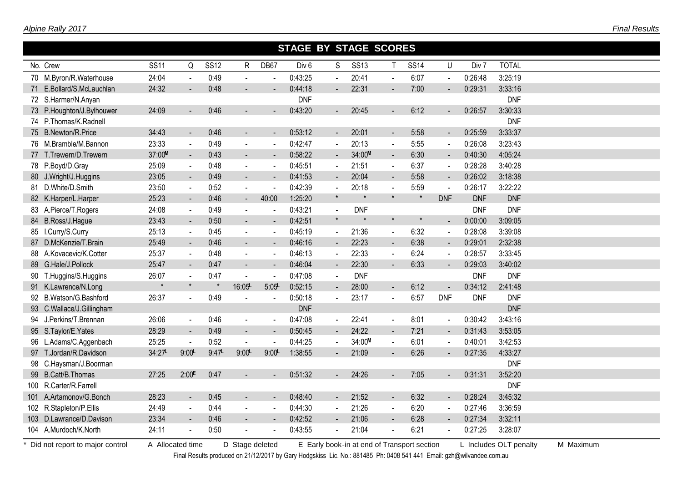#### *Final Results*

|      |                           |             |                          |             | <b>STAGE BY STAGE SCORES</b> |                          |                  |                |             |                          |             |                       |            |              |  |
|------|---------------------------|-------------|--------------------------|-------------|------------------------------|--------------------------|------------------|----------------|-------------|--------------------------|-------------|-----------------------|------------|--------------|--|
|      | No. Crew                  | <b>SS11</b> | Q                        | <b>SS12</b> | $\mathsf{R}$                 | DB67                     | Div <sub>6</sub> | S              | <b>SS13</b> | $\mathsf{T}$             | <b>SS14</b> | U                     | Div 7      | <b>TOTAL</b> |  |
|      | 70 M.Byron/R.Waterhouse   | 24:04       | $\ddot{\phantom{a}}$     | 0:49        | $\mathbf{r}$                 | $\overline{\phantom{a}}$ | 0:43:25          | $\blacksquare$ | 20:41       | $\sim$                   | 6:07        | $\blacksquare$        | 0:26:48    | 3:25:19      |  |
|      | 71 E.Bollard/S.McLauchlan | 24:32       |                          | 0:48        |                              |                          | 0:44:18          |                | 22:31       |                          | 7:00        |                       | 0:29:31    | 3:33:16      |  |
|      | 72 S.Harmer/N.Anyan       |             |                          |             |                              |                          | <b>DNF</b>       |                |             |                          |             |                       |            | <b>DNF</b>   |  |
|      | 73 P.Houghton/J.Bylhouwer | 24:09       |                          | 0:46        |                              |                          | 0:43:20          |                | 20:45       |                          | 6:12        |                       | 0:26:57    | 3:30:33      |  |
| 74   | P.Thomas/K.Radnell        |             |                          |             |                              |                          |                  |                |             |                          |             |                       |            | <b>DNF</b>   |  |
|      | 75 B.Newton/R.Price       | 34:43       | $\blacksquare$           | 0:46        | $\sim$                       | $\blacksquare$           | 0:53:12          | $\sim$         | 20:01       | $\blacksquare$           | 5:58        | $\blacksquare$        | 0:25:59    | 3:33:37      |  |
|      | 76 M.Bramble/M.Bannon     | 23:33       | $\sim$                   | 0:49        | $\blacksquare$               | $\blacksquare$           | 0:42:47          |                | 20:13       | $\sim$                   | 5:55        |                       | 0:26:08    | 3:23:43      |  |
|      | 77 T.Trewern/D.Trewern    | 37:00M      | $\blacksquare$           | 0:43        | $\blacksquare$               | $\blacksquare$           | 0:58:22          |                | 34:00M      | $\blacksquare$           | 6:30        | $\blacksquare$        | 0:40:30    | 4:05:24      |  |
|      | 78 P.Boyd/D.Gray          | 25:09       | $\sim$                   | 0:48        | $\sim$                       | $\sim$                   | 0:45:51          | $\blacksquare$ | 21:51       | $\blacksquare$           | 6:37        |                       | 0:28:28    | 3:40:28      |  |
|      | 80 J.Wright/J.Huggins     | 23:05       | $\blacksquare$           | 0:49        | $\blacksquare$               |                          | 0:41:53          | $\blacksquare$ | 20:04       | $\blacksquare$           | 5:58        |                       | 0:26:02    | 3:18:38      |  |
|      | 81 D.White/D.Smith        | 23:50       | $\blacksquare$           | 0:52        | $\sim$                       |                          | 0:42:39          | $\blacksquare$ | 20:18       | $\sim$                   | 5:59        |                       | 0:26:17    | 3:22:22      |  |
|      | 82 K.Harper/L.Harper      | 25:23       | $\blacksquare$           | 0:46        | $\blacksquare$               | 40:00                    | 1:25:20          | $\star$        |             | $\star$                  | $\star$     | <b>DNF</b>            | <b>DNF</b> | <b>DNF</b>   |  |
|      | 83 A.Pierce/T.Rogers      | 24:08       | $\blacksquare$           | 0:49        | $\mathbf{r}$                 |                          | 0:43:21          |                | <b>DNF</b>  |                          |             |                       | <b>DNF</b> | <b>DNF</b>   |  |
|      | 84 B.Ross/J.Hague         | 23:43       | $\blacksquare$           | 0:50        | $\blacksquare$               | $\blacksquare$           | 0:42:51          | $\star$        |             | $\star$                  | $\star$     | $\blacksquare$        | 0:00:00    | 3:09:05      |  |
|      | 85 I.Curry/S.Curry        | 25:13       | $\overline{\phantom{a}}$ | 0:45        | $\mathbf{r}$                 | $\sim$                   | 0:45:19          | $\blacksquare$ | 21:36       | $\sim$                   | 6:32        | $\tilde{\phantom{a}}$ | 0:28:08    | 3:39:08      |  |
| 87 - | D.McKenzie/T.Brain        | 25:49       | $\blacksquare$           | 0:46        | $\blacksquare$               |                          | 0:46:16          |                | 22:23       | $\blacksquare$           | 6:38        | $\blacksquare$        | 0:29:01    | 2:32:38      |  |
|      | 88 A.Kovacevic/K.Cotter   | 25:37       | $\sim$                   | 0:48        | $\blacksquare$               | $\overline{a}$           | 0:46:13          | $\mathbf{r}$   | 22:33       | $\sim$                   | 6:24        | $\tilde{\phantom{a}}$ | 0:28:57    | 3:33:45      |  |
|      | 89 G.Hale/J.Pollock       | 25:47       | $\overline{\phantom{a}}$ | 0:47        | $\blacksquare$               |                          | 0:46:04          | $\blacksquare$ | 22:30       | $\overline{a}$           | 6:33        |                       | 0:29:03    | 3:40:02      |  |
|      | 90 T.Huggins/S.Huggins    | 26:07       | $\blacksquare$           | 0:47        |                              | $\sim$                   | 0:47:08          |                | <b>DNF</b>  |                          |             |                       | <b>DNF</b> | <b>DNF</b>   |  |
|      | 91 K.Lawrence/N.Long      | $\star$     | $\star$                  |             | 16:05                        | 5:05                     | 0:52:15          |                | 28:00       | $\overline{a}$           | 6:12        |                       | 0:34:12    | 2:41:48      |  |
|      | 92 B.Watson/G.Bashford    | 26:37       | $\blacksquare$           | 0:49        |                              | ÷,                       | 0:50:18          |                | 23:17       | $\sim$                   | 6:57        | <b>DNF</b>            | <b>DNF</b> | <b>DNF</b>   |  |
|      | 93 C.Wallace/J.Gillingham |             |                          |             |                              |                          | <b>DNF</b>       |                |             |                          |             |                       |            | <b>DNF</b>   |  |
| 94   | J.Perkins/T.Brennan       | 26:06       | $\overline{a}$           | 0:46        | $\mathbf{r}$                 | $\blacksquare$           | 0:47:08          |                | 22:41       | $\sim$                   | 8:01        | $\blacksquare$        | 0:30:42    | 3:43:16      |  |
|      | 95 S.Taylor/E.Yates       | 28:29       | $\blacksquare$           | 0:49        | $\blacksquare$               | $\overline{\phantom{a}}$ | 0:50:45          | $\blacksquare$ | 24:22       | $\overline{\phantom{a}}$ | 7:21        | $\blacksquare$        | 0:31:43    | 3:53:05      |  |
| 96   | L.Adams/C.Aggenbach       | 25:25       | $\blacksquare$           | 0:52        | $\sim$                       | $\overline{a}$           | 0:44:25          |                | 34:00M      | $\sim$                   | 6:01        | $\blacksquare$        | 0:40:01    | 3:42:53      |  |
|      | 97 T.Jordan/R.Davidson    | 34:27       | 9:00                     | 9:47        | 9:00                         | 9:00                     | 1:38:55          |                | 21:09       |                          | 6:26        | $\blacksquare$        | 0:27:35    | 4:33:27      |  |
|      | 98 C.Haysman/J.Boorman    |             |                          |             |                              |                          |                  |                |             |                          |             |                       |            | <b>DNF</b>   |  |
|      | 99 B.Catt/B.Thomas        | 27:25       | 2:00E                    | 0:47        | $\blacksquare$               |                          | 0:51:32          | $\sim$         | 24:26       | $\blacksquare$           | 7:05        | $\blacksquare$        | 0:31:31    | 3:52:20      |  |
|      | 100 R.Carter/R.Farrell    |             |                          |             |                              |                          |                  |                |             |                          |             |                       |            | <b>DNF</b>   |  |
|      | 101 A.Artamonov/G.Bonch   | 28:23       | $\blacksquare$           | 0:45        | $\blacksquare$               | $\sim$                   | 0:48:40          | $\blacksquare$ | 21:52       | $\sim$                   | 6:32        | $\blacksquare$        | 0:28:24    | 3:45:32      |  |
|      | 102 R.Stapleton/P.Ellis   | 24:49       | $\sim$                   | 0:44        | $\blacksquare$               | $\blacksquare$           | 0:44:30          | $\blacksquare$ | 21:26       | $\sim$                   | 6:20        | $\blacksquare$        | 0:27:46    | 3:36:59      |  |
|      | 103 D.Lawrance/D.Davison  | 23:34       | $\overline{\phantom{a}}$ | 0:46        | $\blacksquare$               |                          | 0:42:52          |                | 21:06       | $\overline{\phantom{a}}$ | 6:28        |                       | 0:27:34    | 3:32:11      |  |
|      | 104 A.Murdoch/K.North     | 24:11       |                          | 0:50        |                              |                          | 0:43:55          |                | 21:04       |                          | 6:21        |                       | 0:27:25    | 3:28:07      |  |

\* Did not report to major control A Allocated time D Stage deleted E Early book-in at end of Transport section L Includes OLT penalty M Maximum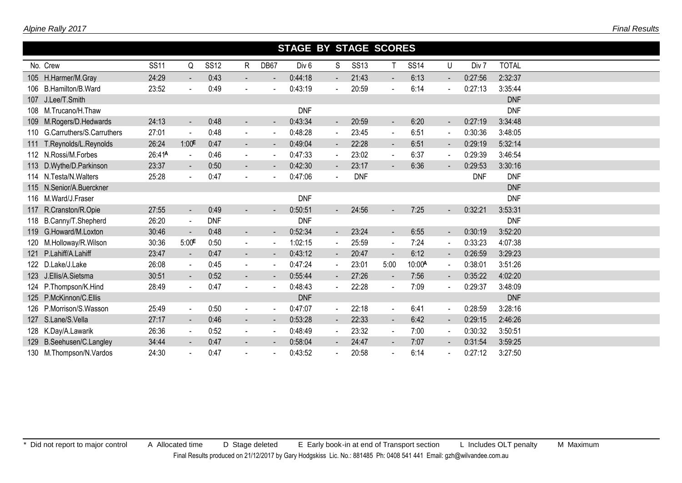|                  |                           |                    |                          |             |                |                          | <b>STAGE BY STAGE SCORES</b> |                     |            |                          |              |                |            |            |  |
|------------------|---------------------------|--------------------|--------------------------|-------------|----------------|--------------------------|------------------------------|---------------------|------------|--------------------------|--------------|----------------|------------|------------|--|
|                  | No. Crew                  | <b>SS11</b>        | Q                        | <b>SS12</b> | R              | DB67                     |                              | <b>SS14</b>         | U          | Div 7                    | <b>TOTAL</b> |                |            |            |  |
|                  | 105 H.Harmer/M.Gray       | 24:29              | $\sim$                   | 0:43        | $\sim$         |                          | 0:44:18                      | $\sim$              | 21:43      | $\blacksquare$           | 6:13         | $\blacksquare$ | 0:27:56    | 2:32:37    |  |
|                  | 106 B.Hamilton/B.Ward     | 23:52              |                          | 0:49        | $\blacksquare$ |                          | 0:43:19                      |                     | 20:59      |                          | 6:14         | $\blacksquare$ | 0:27:13    | 3:35:44    |  |
| 107              | J.Lee/T.Smith             |                    |                          |             |                |                          |                              |                     |            |                          |              |                |            | <b>DNF</b> |  |
|                  | 108 M.Trucano/H.Thaw      |                    |                          |             |                |                          | <b>DNF</b>                   |                     |            |                          |              |                |            | <b>DNF</b> |  |
| 109 <sup>°</sup> | M.Rogers/D.Hedwards       | 24:13              | $\blacksquare$           | 0:48        | $\blacksquare$ |                          | 0:43:34                      | $\blacksquare$      | 20:59      | $\overline{\phantom{a}}$ | 6:20         | $\blacksquare$ | 0:27:19    | 3:34:48    |  |
| 110              | G.Carruthers/S.Carruthers | 27:01              | $\sim$                   | 0:48        | $\blacksquare$ |                          | 0:48:28                      | $\blacksquare$      | 23:45      | $\blacksquare$           | 6:51         | $\blacksquare$ | 0:30:36    | 3:48:05    |  |
| 111              | T.Reynolds/L.Reynolds     | 26:24              | 1:00 <sup>F</sup>        | 0:47        | $\sim$         | $\overline{\phantom{a}}$ | 0:49:04                      | $\sim$              | 22:28      | $\sim$                   | 6:51         | $\sim$         | 0:29:19    | 5:32:14    |  |
|                  | 112 N.Rossi/M.Forbes      | 26:41 <sup>A</sup> | $\blacksquare$           | 0:46        | $\blacksquare$ | $\overline{\phantom{a}}$ | 0:47:33                      | $\sim$              | 23:02      | $\blacksquare$           | 6:37         | $\sim$         | 0:29:39    | 3:46:54    |  |
|                  | 113 D.Wythe/D.Parkinson   | 23:37              | $\blacksquare$           | 0:50        | $\blacksquare$ | $\blacksquare$           | 0:42:30                      | $\sim$              | 23:17      | $\blacksquare$           | 6:36         | $\blacksquare$ | 0:29:53    | 3:30:16    |  |
|                  | 114 N.Testa/N.Walters     | 25:28              | $\overline{\phantom{a}}$ | 0:47        | $\blacksquare$ |                          | 0:47:06                      | $\sim$              | <b>DNF</b> |                          |              |                | <b>DNF</b> | <b>DNF</b> |  |
|                  | 115 N.Senior/A.Buerckner  |                    |                          |             |                |                          |                              |                     |            |                          |              |                |            | <b>DNF</b> |  |
|                  | 116 M.Ward/J.Fraser       |                    |                          |             |                |                          | <b>DNF</b>                   |                     |            |                          |              |                |            | <b>DNF</b> |  |
| 117              | R.Cranston/R.Opie         | 27:55              | $\sim$                   | 0:49        | $\blacksquare$ |                          | 0:50:51                      | $\sim$              | 24:56      | $\blacksquare$           | 7:25         |                | 0:32:21    | 3:53:31    |  |
|                  | 118 B.Canny/T.Shepherd    | 26:20              | $\blacksquare$           | <b>DNF</b>  |                |                          | <b>DNF</b>                   |                     |            |                          |              |                |            | <b>DNF</b> |  |
|                  | 119 G.Howard/M.Loxton     | 30:46              |                          | 0:48        | $\blacksquare$ |                          | 0:52:34                      | $\blacksquare$      | 23:24      | $\blacksquare$           | 6:55         | $\blacksquare$ | 0:30:19    | 3:52:20    |  |
| 120              | M.Holloway/R.Wilson       | 30:36              | 5:00                     | 0:50        | $\blacksquare$ |                          | 1:02:15                      | $\blacksquare$      | 25:59      | $\sim$                   | 7:24         | $\sim$         | 0:33:23    | 4:07:38    |  |
| 121              | P.Lahiff/A.Lahiff         | 23:47              | $\blacksquare$           | 0:47        | $\sim$         | $\overline{\phantom{a}}$ | 0:43:12                      | $\sim$              | 20:47      | $\sim$                   | 6:12         | $\blacksquare$ | 0:26:59    | 3:29:23    |  |
|                  | 122 D.Lake/J.Lake         | 26:08              | $\sim$                   | 0:45        | $\blacksquare$ |                          | 0:47:24                      | $\sim$              | 23:01      | 5:00                     | 10:00A       | $\sim$         | 0:38:01    | 3:51:26    |  |
| 123              | J.Ellis/A.Sietsma         | 30:51              | $\blacksquare$           | 0:52        | $\blacksquare$ |                          | 0:55:44                      | $\omega_{\rm{eff}}$ | 27:26      | $\overline{\phantom{a}}$ | 7:56         | $\blacksquare$ | 0:35:22    | 4:02:20    |  |
|                  | 124 P.Thompson/K.Hind     | 28:49              | $\overline{\phantom{a}}$ | 0:47        | $\sim$         |                          | 0:48:43                      | $\blacksquare$      | 22:28      | $\blacksquare$           | 7:09         | $\sim$         | 0:29:37    | 3:48:09    |  |
|                  | 125 P.McKinnon/C.Ellis    |                    |                          |             |                |                          | <b>DNF</b>                   |                     |            |                          |              |                |            | <b>DNF</b> |  |
|                  | 126 P.Morrison/S.Wasson   | 25:49              | $\sim$                   | 0:50        | $\blacksquare$ |                          | 0:47:07                      | $\blacksquare$      | 22:18      | $\blacksquare$           | 6:41         | $\sim$         | 0:28:59    | 3:28:16    |  |
| 127              | S.Lane/S.Vella            | 27:17              | $\sim$                   | 0:46        | $\blacksquare$ | $\overline{\phantom{a}}$ | 0:53:28                      | $\mathcal{L}^{\pm}$ | 22:33      | $\blacksquare$           | 6:42         | $\blacksquare$ | 0:29:15    | 2:46:26    |  |
|                  | 128 K.Day/A.Lawarik       | 26:36              | $\blacksquare$           | 0:52        | $\blacksquare$ | $\blacksquare$           | 0:48:49                      | $\blacksquare$      | 23:32      | $\blacksquare$           | 7:00         | $\sim$         | 0:30:32    | 3:50:51    |  |
|                  | 129 B.Seehusen/C.Langley  | 34:44              |                          | 0:47        |                |                          | 0:58:04                      |                     | 24:47      |                          | 7:07         |                | 0:31:54    | 3:59:25    |  |
|                  | 130 M.Thompson/N.Vardos   | 24:30              |                          | 0:47        |                |                          | 0:43:52                      |                     | 20:58      |                          | 6:14         | $\blacksquare$ | 0:27:12    | 3:27:50    |  |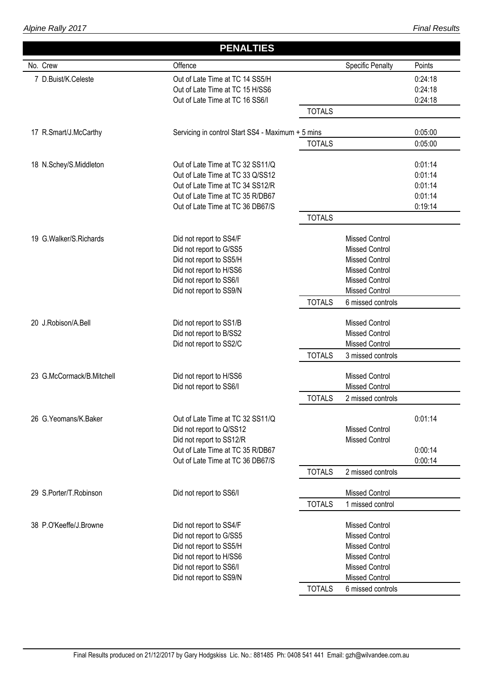### *Final Results*

|                           | <b>PENALTIES</b>                                                     |               |                                                |                    |
|---------------------------|----------------------------------------------------------------------|---------------|------------------------------------------------|--------------------|
| No. Crew                  | Offence                                                              |               | <b>Specific Penalty</b>                        | Points             |
| 7 D.Buist/K.Celeste       | Out of Late Time at TC 14 SS5/H                                      |               |                                                | 0:24:18            |
|                           | Out of Late Time at TC 15 H/SS6                                      |               |                                                | 0:24:18            |
|                           | Out of Late Time at TC 16 SS6/I                                      |               |                                                | 0:24:18            |
|                           |                                                                      | <b>TOTALS</b> |                                                |                    |
| 17 R.Smart/J.McCarthy     | Servicing in control Start SS4 - Maximum + 5 mins                    |               |                                                | 0:05:00            |
|                           |                                                                      | <b>TOTALS</b> |                                                | 0:05:00            |
|                           |                                                                      |               |                                                |                    |
| 18 N.Schey/S.Middleton    | Out of Late Time at TC 32 SS11/Q                                     |               |                                                | 0:01:14            |
|                           | Out of Late Time at TC 33 Q/SS12                                     |               |                                                | 0:01:14            |
|                           | Out of Late Time at TC 34 SS12/R                                     |               |                                                | 0:01:14            |
|                           | Out of Late Time at TC 35 R/DB67<br>Out of Late Time at TC 36 DB67/S |               |                                                | 0:01:14<br>0:19:14 |
|                           |                                                                      | <b>TOTALS</b> |                                                |                    |
|                           |                                                                      |               |                                                |                    |
| 19 G. Walker/S. Richards  | Did not report to SS4/F                                              |               | <b>Missed Control</b><br><b>Missed Control</b> |                    |
|                           | Did not report to G/SS5                                              |               | <b>Missed Control</b>                          |                    |
|                           | Did not report to SS5/H                                              |               | <b>Missed Control</b>                          |                    |
|                           | Did not report to H/SS6<br>Did not report to SS6/I                   |               | <b>Missed Control</b>                          |                    |
|                           | Did not report to SS9/N                                              |               | <b>Missed Control</b>                          |                    |
|                           |                                                                      | <b>TOTALS</b> | 6 missed controls                              |                    |
|                           |                                                                      |               |                                                |                    |
| 20 J.Robison/A.Bell       | Did not report to SS1/B                                              |               | <b>Missed Control</b>                          |                    |
|                           | Did not report to B/SS2                                              |               | <b>Missed Control</b>                          |                    |
|                           | Did not report to SS2/C                                              |               | <b>Missed Control</b>                          |                    |
|                           |                                                                      | <b>TOTALS</b> | 3 missed controls                              |                    |
| 23 G.McCormack/B.Mitchell | Did not report to H/SS6                                              |               | <b>Missed Control</b>                          |                    |
|                           | Did not report to SS6/I                                              |               | <b>Missed Control</b>                          |                    |
|                           |                                                                      | <b>TOTALS</b> | 2 missed controls                              |                    |
| 26 G. Yeomans/K. Baker    | Out of Late Time at TC 32 SS11/Q                                     |               |                                                | 0:01:14            |
|                           | Did not report to Q/SS12                                             |               | <b>Missed Control</b>                          |                    |
|                           | Did not report to SS12/R                                             |               | <b>Missed Control</b>                          |                    |
|                           | Out of Late Time at TC 35 R/DB67                                     |               |                                                | 0:00:14            |
|                           | Out of Late Time at TC 36 DB67/S                                     |               |                                                | 0:00:14            |
|                           |                                                                      | <b>TOTALS</b> | 2 missed controls                              |                    |
| 29 S.Porter/T.Robinson    | Did not report to SS6/I                                              |               | <b>Missed Control</b>                          |                    |
|                           |                                                                      | <b>TOTALS</b> | 1 missed control                               |                    |
| 38 P.O'Keeffe/J.Browne    | Did not report to SS4/F                                              |               | <b>Missed Control</b>                          |                    |
|                           | Did not report to G/SS5                                              |               | <b>Missed Control</b>                          |                    |
|                           | Did not report to SS5/H                                              |               | <b>Missed Control</b>                          |                    |
|                           | Did not report to H/SS6                                              |               | <b>Missed Control</b>                          |                    |
|                           | Did not report to SS6/I                                              |               | <b>Missed Control</b>                          |                    |
|                           | Did not report to SS9/N                                              |               | <b>Missed Control</b>                          |                    |
|                           |                                                                      | <b>TOTALS</b> | 6 missed controls                              |                    |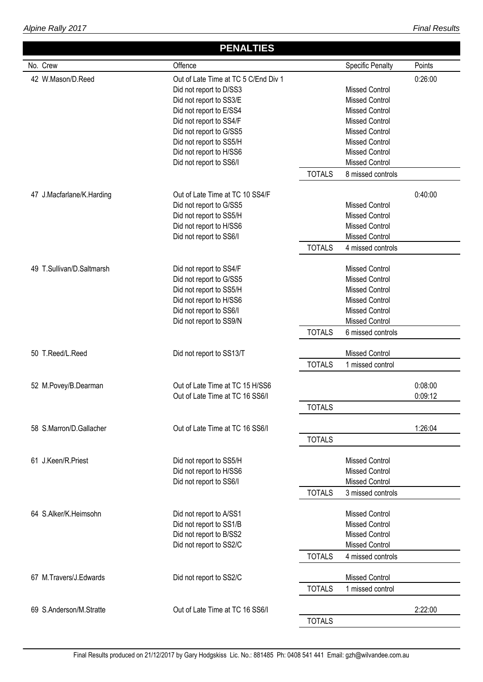|                           | <b>PENALTIES</b>                     |                                                            |
|---------------------------|--------------------------------------|------------------------------------------------------------|
| No. Crew                  | Offence                              | <b>Specific Penalty</b><br>Points                          |
| 42 W.Mason/D.Reed         | Out of Late Time at TC 5 C/End Div 1 | 0:26:00                                                    |
|                           | Did not report to D/SS3              | <b>Missed Control</b>                                      |
|                           | Did not report to SS3/E              | <b>Missed Control</b>                                      |
|                           | Did not report to E/SS4              | <b>Missed Control</b>                                      |
|                           | Did not report to SS4/F              | <b>Missed Control</b>                                      |
|                           | Did not report to G/SS5              | <b>Missed Control</b>                                      |
|                           | Did not report to SS5/H              | <b>Missed Control</b>                                      |
|                           | Did not report to H/SS6              | <b>Missed Control</b>                                      |
|                           | Did not report to SS6/I              | <b>Missed Control</b>                                      |
|                           |                                      | <b>TOTALS</b><br>8 missed controls                         |
|                           |                                      |                                                            |
| 47 J.Macfarlane/K.Harding | Out of Late Time at TC 10 SS4/F      | 0:40:00                                                    |
|                           | Did not report to G/SS5              | <b>Missed Control</b>                                      |
|                           | Did not report to SS5/H              | <b>Missed Control</b>                                      |
|                           | Did not report to H/SS6              | <b>Missed Control</b>                                      |
|                           | Did not report to SS6/I              | <b>Missed Control</b>                                      |
|                           |                                      | <b>TOTALS</b><br>4 missed controls                         |
| 49 T.Sullivan/D.Saltmarsh | Did not report to SS4/F              | <b>Missed Control</b>                                      |
|                           | Did not report to G/SS5              | <b>Missed Control</b>                                      |
|                           |                                      | <b>Missed Control</b>                                      |
|                           | Did not report to SS5/H              |                                                            |
|                           | Did not report to H/SS6              | <b>Missed Control</b>                                      |
|                           | Did not report to SS6/I              | <b>Missed Control</b>                                      |
|                           | Did not report to SS9/N              | <b>Missed Control</b>                                      |
|                           |                                      | <b>TOTALS</b><br>6 missed controls                         |
| 50 T.Reed/L.Reed          | Did not report to SS13/T             | <b>Missed Control</b>                                      |
|                           |                                      | <b>TOTALS</b><br>1 missed control                          |
|                           |                                      |                                                            |
| 52 M.Povey/B.Dearman      | Out of Late Time at TC 15 H/SS6      | 0:08:00                                                    |
|                           | Out of Late Time at TC 16 SS6/I      | 0:09:12                                                    |
|                           |                                      | <b>TOTALS</b>                                              |
| 58 S.Marron/D.Gallacher   | Out of Late Time at TC 16 SS6/I      | 1:26:04                                                    |
|                           |                                      | <b>TOTALS</b>                                              |
| 61 J.Keen/R.Priest        |                                      | <b>Missed Control</b>                                      |
|                           | Did not report to SS5/H              |                                                            |
|                           | Did not report to H/SS6              | <b>Missed Control</b>                                      |
|                           | Did not report to SS6/I              | <b>Missed Control</b>                                      |
|                           |                                      | <b>TOTALS</b><br>3 missed controls                         |
| 64 S.Alker/K.Heimsohn     | Did not report to A/SS1              | <b>Missed Control</b>                                      |
|                           | Did not report to SS1/B              | <b>Missed Control</b>                                      |
|                           | Did not report to B/SS2              | <b>Missed Control</b>                                      |
|                           | Did not report to SS2/C              | <b>Missed Control</b>                                      |
|                           |                                      | <b>TOTALS</b><br>4 missed controls                         |
|                           |                                      |                                                            |
| 67 M.Travers/J.Edwards    | Did not report to SS2/C              | <b>Missed Control</b><br><b>TOTALS</b><br>1 missed control |
|                           |                                      |                                                            |
| 69 S.Anderson/M.Stratte   | Out of Late Time at TC 16 SS6/I      | 2:22:00                                                    |
|                           |                                      | <b>TOTALS</b>                                              |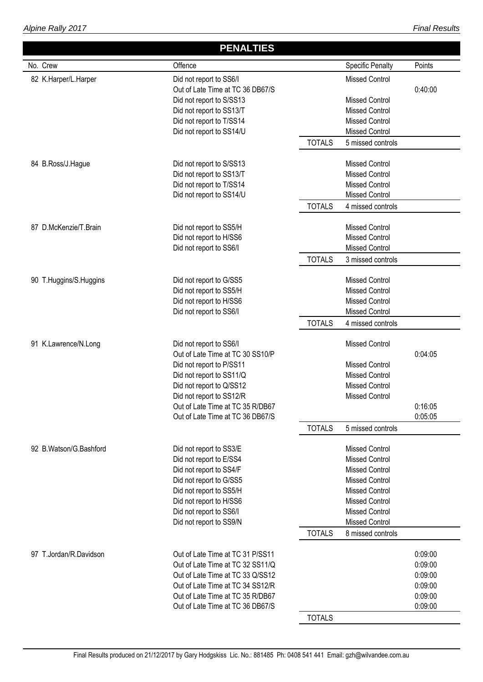# **PENALTIES**

| No. Crew               | Offence                                                                                                                                                                                                                                             | <b>Specific Penalty</b><br>Points                                                                                                                                                                                                          |
|------------------------|-----------------------------------------------------------------------------------------------------------------------------------------------------------------------------------------------------------------------------------------------------|--------------------------------------------------------------------------------------------------------------------------------------------------------------------------------------------------------------------------------------------|
| 82 K.Harper/L.Harper   | Did not report to SS6/I<br>Out of Late Time at TC 36 DB67/S<br>Did not report to S/SS13<br>Did not report to SS13/T<br>Did not report to T/SS14<br>Did not report to SS14/U                                                                         | <b>Missed Control</b><br>0:40:00<br><b>Missed Control</b><br><b>Missed Control</b><br><b>Missed Control</b><br><b>Missed Control</b><br><b>TOTALS</b><br>5 missed controls                                                                 |
| 84 B.Ross/J.Hague      | Did not report to S/SS13<br>Did not report to SS13/T<br>Did not report to T/SS14<br>Did not report to SS14/U                                                                                                                                        | <b>Missed Control</b><br><b>Missed Control</b><br><b>Missed Control</b><br>Missed Control<br><b>TOTALS</b><br>4 missed controls                                                                                                            |
| 87 D.McKenzie/T.Brain  | Did not report to SS5/H<br>Did not report to H/SS6<br>Did not report to SS6/I                                                                                                                                                                       | <b>Missed Control</b><br><b>Missed Control</b><br><b>Missed Control</b><br><b>TOTALS</b><br>3 missed controls                                                                                                                              |
| 90 T.Huggins/S.Huggins | Did not report to G/SS5<br>Did not report to SS5/H<br>Did not report to H/SS6<br>Did not report to SS6/I                                                                                                                                            | <b>Missed Control</b><br><b>Missed Control</b><br><b>Missed Control</b><br>Missed Control<br><b>TOTALS</b><br>4 missed controls                                                                                                            |
| 91 K.Lawrence/N.Long   | Did not report to SS6/I<br>Out of Late Time at TC 30 SS10/P<br>Did not report to P/SS11<br>Did not report to SS11/Q<br>Did not report to Q/SS12<br>Did not report to SS12/R<br>Out of Late Time at TC 35 R/DB67<br>Out of Late Time at TC 36 DB67/S | <b>Missed Control</b><br>0:04:05<br><b>Missed Control</b><br><b>Missed Control</b><br><b>Missed Control</b><br><b>Missed Control</b><br>0:16:05<br>0:05:05<br><b>TOTALS</b><br>5 missed controls                                           |
| 92 B.Watson/G.Bashford | Did not report to SS3/E<br>Did not report to E/SS4<br>Did not report to SS4/F<br>Did not report to G/SS5<br>Did not report to SS5/H<br>Did not report to H/SS6<br>Did not report to SS6/I<br>Did not report to SS9/N                                | <b>Missed Control</b><br><b>Missed Control</b><br><b>Missed Control</b><br><b>Missed Control</b><br><b>Missed Control</b><br><b>Missed Control</b><br><b>Missed Control</b><br><b>Missed Control</b><br><b>TOTALS</b><br>8 missed controls |
| 97 T.Jordan/R.Davidson | Out of Late Time at TC 31 P/SS11<br>Out of Late Time at TC 32 SS11/Q<br>Out of Late Time at TC 33 Q/SS12<br>Out of Late Time at TC 34 SS12/R<br>Out of Late Time at TC 35 R/DB67<br>Out of Late Time at TC 36 DB67/S                                | 0:09:00<br>0:09:00<br>0:09:00<br>0:09:00<br>0:09:00<br>0:09:00<br><b>TOTALS</b>                                                                                                                                                            |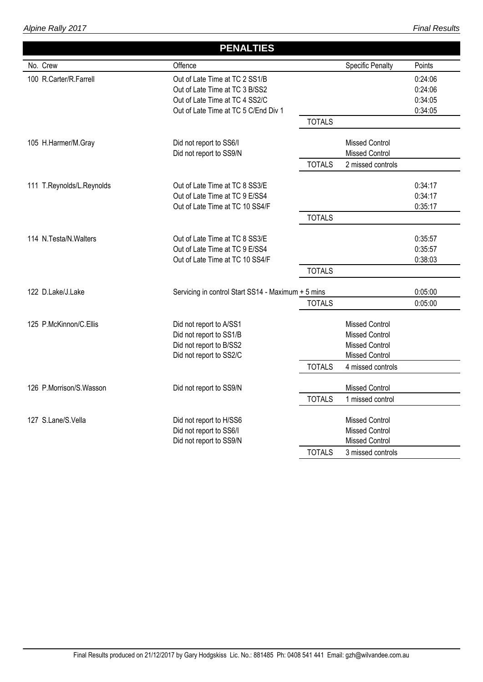*Alpine Rally 2017*

### *Final Results*

|                           | <b>PENALTIES</b>                                   |               |                         |         |
|---------------------------|----------------------------------------------------|---------------|-------------------------|---------|
| No. Crew                  | Offence                                            |               | <b>Specific Penalty</b> | Points  |
| 100 R.Carter/R.Farrell    | Out of Late Time at TC 2 SS1/B                     |               |                         | 0.24:06 |
|                           | Out of Late Time at TC 3 B/SS2                     |               |                         | 0:24:06 |
|                           | Out of Late Time at TC 4 SS2/C                     |               |                         | 0:34:05 |
|                           | Out of Late Time at TC 5 C/End Div 1               |               |                         | 0:34:05 |
|                           |                                                    | <b>TOTALS</b> |                         |         |
| 105 H.Harmer/M.Gray       | Did not report to SS6/I                            |               | <b>Missed Control</b>   |         |
|                           | Did not report to SS9/N                            |               | <b>Missed Control</b>   |         |
|                           |                                                    | <b>TOTALS</b> | 2 missed controls       |         |
| 111 T.Reynolds/L.Reynolds | Out of Late Time at TC 8 SS3/E                     |               |                         | 0:34:17 |
|                           | Out of Late Time at TC 9 E/SS4                     |               |                         | 0:34:17 |
|                           | Out of Late Time at TC 10 SS4/F                    |               |                         | 0:35:17 |
|                           |                                                    | <b>TOTALS</b> |                         |         |
| 114 N.Testa/N.Walters     | Out of Late Time at TC 8 SS3/E                     |               |                         | 0:35:57 |
|                           | Out of Late Time at TC 9 E/SS4                     |               |                         | 0:35:57 |
|                           | Out of Late Time at TC 10 SS4/F                    |               |                         | 0:38:03 |
|                           |                                                    | <b>TOTALS</b> |                         |         |
| 122 D.Lake/J.Lake         | Servicing in control Start SS14 - Maximum + 5 mins |               |                         | 0:05:00 |
|                           |                                                    | <b>TOTALS</b> |                         | 0:05:00 |
| 125 P.McKinnon/C.Ellis    | Did not report to A/SS1                            |               | <b>Missed Control</b>   |         |
|                           | Did not report to SS1/B                            |               | <b>Missed Control</b>   |         |
|                           | Did not report to B/SS2                            |               | <b>Missed Control</b>   |         |
|                           | Did not report to SS2/C                            |               | <b>Missed Control</b>   |         |
|                           |                                                    | <b>TOTALS</b> | 4 missed controls       |         |
| 126 P.Morrison/S.Wasson   | Did not report to SS9/N                            |               | <b>Missed Control</b>   |         |
|                           |                                                    | <b>TOTALS</b> | 1 missed control        |         |
| 127 S.Lane/S.Vella        | Did not report to H/SS6                            |               | <b>Missed Control</b>   |         |
|                           | Did not report to SS6/I                            |               | <b>Missed Control</b>   |         |
|                           | Did not report to SS9/N                            |               | <b>Missed Control</b>   |         |
|                           |                                                    | <b>TOTALS</b> | 3 missed controls       |         |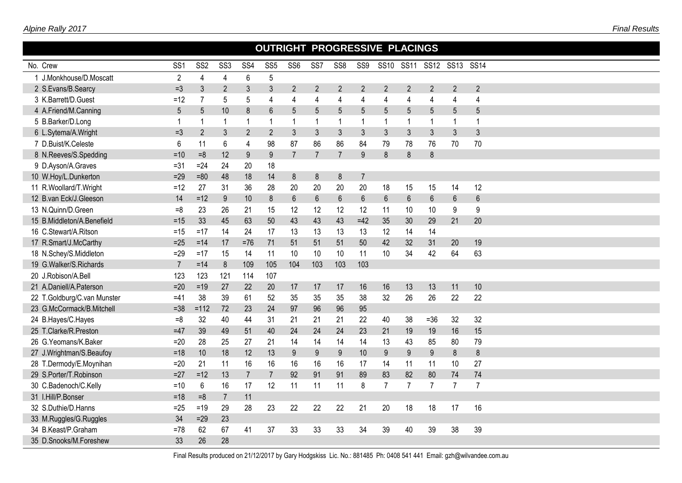| OUTRIGHT PROGRESSIVE PLACINGS<br>SS10 SS11<br>SS12 SS13 SS14 |                 |                 |                  |                 |                 |                 |                  |                 |                         |                |                |                |                |                |
|--------------------------------------------------------------|-----------------|-----------------|------------------|-----------------|-----------------|-----------------|------------------|-----------------|-------------------------|----------------|----------------|----------------|----------------|----------------|
| No. Crew                                                     | SS <sub>1</sub> | SS <sub>2</sub> | SS <sub>3</sub>  | SS <sub>4</sub> | SS <sub>5</sub> | SS <sub>6</sub> | SS7              | SS <sub>8</sub> | SS9                     |                |                |                |                |                |
| 1 J.Monkhouse/D.Moscatt                                      | $\overline{2}$  | 4               | 4                | 6               | $\sqrt{5}$      |                 |                  |                 |                         |                |                |                |                |                |
| 2 S.Evans/B.Searcy                                           | $=3$            | 3               | $\overline{2}$   | 3               | $\mathfrak{Z}$  | $\overline{2}$  | $\overline{2}$   | $\overline{2}$  | $\overline{2}$          | $\overline{2}$ | $\overline{2}$ | $\overline{2}$ | $\overline{2}$ | $\overline{2}$ |
| 3 K.Barrett/D.Guest                                          | $=12$           | $\overline{7}$  | 5                | 5               | $\overline{4}$  | 4               | $\overline{4}$   | 4               | 4                       | $\overline{4}$ | 4              | 4              | 4              | $\overline{4}$ |
| 4 A.Friend/M.Canning                                         | 5               | 5               | 10               | 8               | $6\phantom{1}6$ | 5               | 5                | 5               | 5                       | $5\phantom{.}$ | 5              | 5              | 5              | 5              |
| 5 B.Barker/D.Long                                            | 1               | $\mathbf{1}$    | $\mathbf{1}$     | 1               | $\overline{1}$  | $\mathbf{1}$    | $\mathbf{1}$     | -1              | $\overline{\mathbf{1}}$ | $\mathbf 1$    | $\mathbf{1}$   | 1              | $\mathbf{1}$   | 1              |
| 6 L.Sytema/A.Wright                                          | $=3$            | $\overline{2}$  | 3                | $\overline{2}$  | $\overline{2}$  | $\mathfrak{Z}$  | 3                | $\mathfrak{Z}$  | 3                       | $\mathfrak{Z}$ | $\mathfrak{Z}$ | 3              | $\mathfrak{Z}$ | 3              |
| 7 D.Buist/K.Celeste                                          | 6               | 11              | 6                | 4               | 98              | 87              | 86               | 86              | 84                      | 79             | 78             | 76             | 70             | 70             |
| 8 N.Reeves/S.Spedding                                        | $=10$           | $=8$            | 12               | 9               | 9               | $\overline{7}$  | $\overline{7}$   | $\overline{7}$  | 9                       | 8              | 8              | 8              |                |                |
| 9 D.Ayson/A.Graves                                           | $= 31$          | $=24$           | 24               | 20              | 18              |                 |                  |                 |                         |                |                |                |                |                |
| 10 W.Hoy/L.Dunkerton                                         | $=29$           | $=80$           | 48               | 18              | 14              | $\bf 8$         | 8                | 8               | $\overline{7}$          |                |                |                |                |                |
| 11 R.Woollard/T.Wright                                       | $=12$           | 27              | 31               | 36              | 28              | 20              | 20               | 20              | 20                      | 18             | 15             | 15             | 14             | 12             |
| 12 B.van Eck/J.Gleeson                                       | 14              | $=12$           | $\boldsymbol{9}$ | 10              | $\delta$        | $6\phantom{.}$  | $\boldsymbol{6}$ | $6\,$           | $\,6\,$                 | $6\,$          | $6\phantom{.}$ | $\,6$          | 6              | $6\phantom{a}$ |
| 13 N.Quinn/D.Green                                           | $=8$            | 23              | 26               | 21              | 15              | 12              | 12               | 12              | 12                      | 11             | 10             | 10             | 9              | 9              |
| 15 B.Middleton/A.Benefield                                   | $=15$           | 33              | 45               | 63              | 50              | 43              | 43               | 43              | $=42$                   | 35             | 30             | 29             | 21             | 20             |
| 16 C.Stewart/A.Ritson                                        | $=15$           | $=17$           | 14               | 24              | 17              | 13              | 13               | 13              | 13                      | 12             | 14             | 14             |                |                |
| 17 R.Smart/J.McCarthy                                        | $=25$           | $=14$           | 17               | $=76$           | 71              | 51              | 51               | 51              | 50                      | 42             | 32             | 31             | 20             | 19             |
| 18 N.Schey/S.Middleton                                       | $=29$           | $=17$           | 15               | 14              | 11              | 10              | 10               | 10              | 11                      | 10             | 34             | 42             | 64             | 63             |
| 19 G.Walker/S.Richards                                       | $\overline{7}$  | $=14$           | 8                | 109             | 105             | 104             | 103              | 103             | 103                     |                |                |                |                |                |
| 20 J.Robison/A.Bell                                          | 123             | 123             | 121              | 114             | 107             |                 |                  |                 |                         |                |                |                |                |                |
| 21 A.Daniell/A.Paterson                                      | $=20$           | $=19$           | 27               | 22              | 20              | 17              | 17               | 17              | 16                      | 16             | 13             | 13             | 11             | 10             |
| 22 T.Goldburg/C.van Munster                                  | $=41$           | 38              | 39               | 61              | 52              | 35              | 35               | 35              | 38                      | 32             | 26             | 26             | 22             | 22             |
| 23 G.McCormack/B.Mitchell                                    | $= 38$          | $=112$          | 72               | 23              | 24              | 97              | 96               | 96              | 95                      |                |                |                |                |                |
| 24 B.Hayes/C.Hayes                                           | $=8$            | 32              | 40               | 44              | 31              | 21              | 21               | 21              | 22                      | 40             | 38             | $=36$          | 32             | 32             |
| 25 T.Clarke/R.Preston                                        | $=47$           | 39              | 49               | 51              | 40              | 24              | 24               | 24              | 23                      | 21             | 19             | 19             | 16             | 15             |
| 26 G.Yeomans/K.Baker                                         | $=20$           | 28              | 25               | 27              | 21              | 14              | 14               | 14              | 14                      | 13             | 43             | 85             | 80             | 79             |
| 27 J.Wrightman/S.Beaufoy                                     | $=18$           | 10              | 18               | 12              | 13              | 9               | 9                | 9               | 10                      | 9              | 9              | 9              | $\bf 8$        | 8              |
| 28 T.Dermody/E.Moynihan                                      | $=20$           | 21              | 11               | 16              | 16              | 16              | 16               | 16              | 17                      | 14             | 11             | 11             | 10             | 27             |
| 29 S.Porter/T.Robinson                                       | $=27$           | $=12$           | 13               | $\overline{7}$  | $\overline{7}$  | 92              | 91               | 91              | 89                      | 83             | 82             | 80             | 74             | 74             |
| 30 C.Badenoch/C.Kelly                                        | $=10$           | $\,6\,$         | 16               | 17              | 12              | 11              | 11               | 11              | 8                       | $\overline{7}$ | $\overline{7}$ | $\overline{7}$ | $\overline{7}$ | $\overline{7}$ |
| 31 I.Hill/P.Bonser                                           | $=18$           | $=8$            | $\overline{7}$   | 11              |                 |                 |                  |                 |                         |                |                |                |                |                |
| 32 S.Duthie/D.Hanns                                          | $=25$           | $=19$           | 29               | 28              | 23              | 22              | 22               | 22              | 21                      | 20             | 18             | 18             | 17             | 16             |
| 33 M.Ruggles/G.Ruggles                                       | 34              | $=29$           | 23               |                 |                 |                 |                  |                 |                         |                |                |                |                |                |
| 34 B.Keast/P.Graham                                          | $=78$           | 62              | 67               | 41              | 37              | 33              | 33               | 33              | 34                      | 39             | 40             | 39             | 38             | 39             |
| 35 D.Snooks/M.Foreshew                                       | 33              | 26              | 28               |                 |                 |                 |                  |                 |                         |                |                |                |                |                |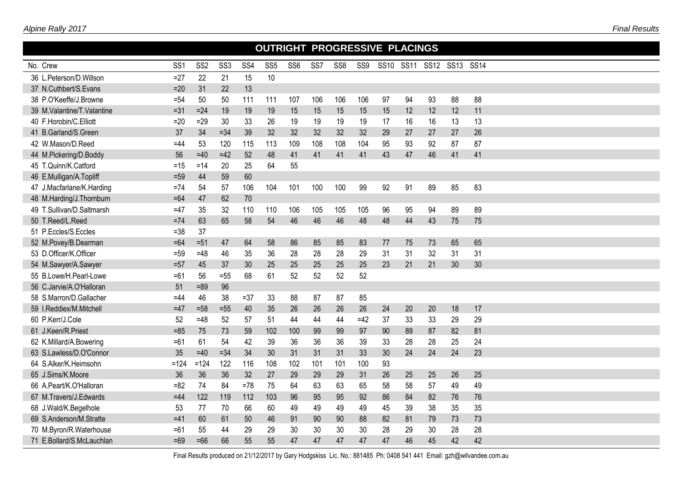| OUTRIGHT PROGRESSIVE PLACINGS |                 |                 |                 |        |                 |                 |     |                 |       |           |    |                |    |    |  |
|-------------------------------|-----------------|-----------------|-----------------|--------|-----------------|-----------------|-----|-----------------|-------|-----------|----|----------------|----|----|--|
| No. Crew                      | SS <sub>1</sub> | SS <sub>2</sub> | SS <sub>3</sub> | SS4    | SS <sub>5</sub> | SS <sub>6</sub> | SS7 | SS <sub>8</sub> | SS9   | SS10 SS11 |    | SS12 SS13 SS14 |    |    |  |
| 36 L.Peterson/D.Willson       | $=27$           | 22              | 21              | 15     | 10              |                 |     |                 |       |           |    |                |    |    |  |
| 37 N.Cuthbert/S.Evans         | $=20$           | 31              | 22              | 13     |                 |                 |     |                 |       |           |    |                |    |    |  |
| 38 P.O'Keeffe/J.Browne        | $= 54$          | 50              | 50              | 111    | 111             | 107             | 106 | 106             | 106   | 97        | 94 | 93             | 88 | 88 |  |
| 39 M.Valantine/T.Valantine    | $= 31$          | $=24$           | 19              | 19     | 19              | 15              | 15  | 15              | 15    | 15        | 12 | 12             | 12 | 11 |  |
| 40 F.Horobin/C.Elliott        | $=20$           | $=29$           | 30              | 33     | 26              | 19              | 19  | 19              | 19    | 17        | 16 | 16             | 13 | 13 |  |
| 41 B.Garland/S.Green          | 37              | 34              | $= 34$          | 39     | 32              | 32              | 32  | 32              | 32    | 29        | 27 | 27             | 27 | 26 |  |
| 42 W.Mason/D.Reed             | $=44$           | 53              | 120             | 115    | 113             | 109             | 108 | 108             | 104   | 95        | 93 | 92             | 87 | 87 |  |
| 44 M.Pickering/D.Boddy        | 56              | $=40$           | $=42$           | 52     | 48              | 41              | 41  | 41              | 41    | 43        | 47 | 46             | 41 | 41 |  |
| 45 T.Quinn/K.Catford          | =15             | $=14$           | 20              | 25     | 64              | 55              |     |                 |       |           |    |                |    |    |  |
| 46 E.Mulligan/A.Topliff       | $=59$           | 44              | 59              | 60     |                 |                 |     |                 |       |           |    |                |    |    |  |
| 47 J.Macfarlane/K.Harding     | $=74$           | 54              | 57              | 106    | 104             | 101             | 100 | 100             | 99    | 92        | 91 | 89             | 85 | 83 |  |
| 48 M.Harding/J.Thornburn      | $=64$           | 47              | 62              | 70     |                 |                 |     |                 |       |           |    |                |    |    |  |
| 49 T.Sullivan/D.Saltmarsh     | $=47$           | 35              | 32              | 110    | 110             | 106             | 105 | 105             | 105   | 96        | 95 | 94             | 89 | 89 |  |
| 50 T.Reed/L.Reed              | $=74$           | 63              | 65              | 58     | 54              | 46              | 46  | 46              | 48    | 48        | 44 | 43             | 75 | 75 |  |
| 51 P.Eccles/S.Eccles          | $= 38$          | 37              |                 |        |                 |                 |     |                 |       |           |    |                |    |    |  |
| 52 M.Povey/B.Dearman          | $=64$           | $=51$           | 47              | 64     | 58              | 86              | 85  | 85              | 83    | 77        | 75 | 73             | 65 | 65 |  |
| 53 D.Officer/K.Officer        | $=59$           | $=48$           | 46              | 35     | 36              | 28              | 28  | 28              | 29    | 31        | 31 | 32             | 31 | 31 |  |
| 54 M.Sawyer/A.Sawyer          | $=57$           | 45              | 37              | 30     | 25              | 25              | 25  | 25              | 25    | 23        | 21 | 21             | 30 | 30 |  |
| 55 B.Lowe/H.Pearl-Lowe        | $=61$           | 56              | $=55$           | 68     | 61              | 52              | 52  | 52              | 52    |           |    |                |    |    |  |
| 56 C.Jarvie/A.O'Halloran      | 51              | $=89$           | 96              |        |                 |                 |     |                 |       |           |    |                |    |    |  |
| 58 S.Marron/D.Gallacher       | =44             | 46              | 38              | $= 37$ | 33              | 88              | 87  | 87              | 85    |           |    |                |    |    |  |
| 59 I.Reddiex/M.Mitchell       | $=47$           | $=58$           | $=55$           | 40     | 35              | 26              | 26  | 26              | 26    | 24        | 20 | 20             | 18 | 17 |  |
| 60 P.Kerr/J.Cole              | 52              | $=48$           | 52              | 57     | 51              | 44              | 44  | 44              | $=42$ | 37        | 33 | 33             | 29 | 29 |  |
| 61 J.Keen/R.Priest            | $= 85$          | 75              | 73              | 59     | 102             | 100             | 99  | 99              | 97    | 90        | 89 | 87             | 82 | 81 |  |
| 62 K.Millard/A.Bowering       | $=61$           | 61              | 54              | 42     | 39              | 36              | 36  | 36              | 39    | 33        | 28 | 28             | 25 | 24 |  |
| 63 S.Lawless/D.O'Connor       | 35              | $=40$           | $= 34$          | 34     | 30              | 31              | 31  | 31              | 33    | 30        | 24 | 24             | 24 | 23 |  |
| 64 S.Alker/K.Heimsohn         | $=124$          | $=124$          | 122             | 116    | 108             | 102             | 101 | 101             | 100   | 93        |    |                |    |    |  |
| 65 J.Sims/K.Moore             | 36              | 36              | 36              | 32     | 27              | 29              | 29  | 29              | 31    | 26        | 25 | 25             | 26 | 25 |  |
| 66 A.Peart/K.O'Halloran       | $= 82$          | 74              | 84              | $=78$  | 75              | 64              | 63  | 63              | 65    | 58        | 58 | 57             | 49 | 49 |  |
| 67 M.Travers/J.Edwards        | $=44$           | 122             | 119             | 112    | 103             | 96              | 95  | 95              | 92    | 86        | 84 | 82             | 76 | 76 |  |
| 68 J.Wald/K.Begelhole         | 53              | 77              | 70              | 66     | 60              | 49              | 49  | 49              | 49    | 45        | 39 | 38             | 35 | 35 |  |
| 69 S.Anderson/M.Stratte       | $=41$           | 60              | 61              | 50     | 46              | 91              | 90  | 90              | 88    | 82        | 81 | 79             | 73 | 73 |  |
| 70 M.Byron/R.Waterhouse       | $=61$           | 55              | 44              | 29     | 29              | 30              | 30  | 30              | 30    | 28        | 29 | 30             | 28 | 28 |  |
| 71 E.Bollard/S.McLauchlan     | $=69$           | $=66$           | 66              | 55     | 55              | 47              | 47  | 47              | 47    | 47        | 46 | 45             | 42 | 42 |  |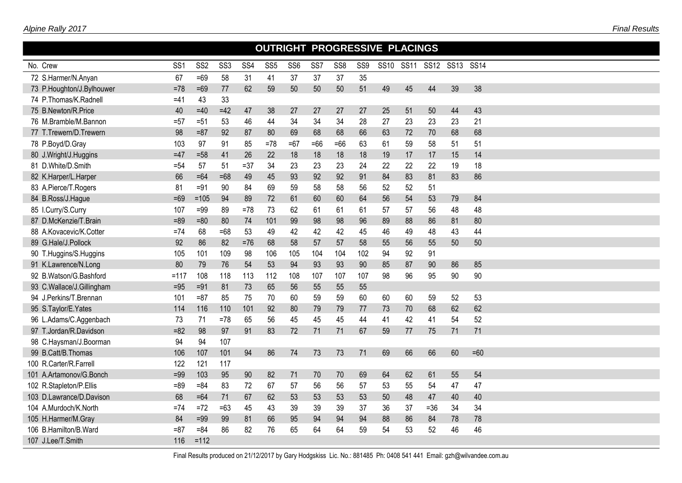|                           | OUTRIGHT PROGRESSIVE PLACINGS<br>SS <sub>1</sub><br>SS <sub>2</sub><br>SS <sub>3</sub><br>SS4<br>SS <sub>5</sub><br>SS <sub>6</sub><br>SS <sub>7</sub><br>SS <sub>8</sub><br>SS9<br><b>SS11</b><br>SS12 SS13 SS14<br><b>SS10</b> |        |       |       |       |       |       |       |     |    |    |        |    |       |  |
|---------------------------|----------------------------------------------------------------------------------------------------------------------------------------------------------------------------------------------------------------------------------|--------|-------|-------|-------|-------|-------|-------|-----|----|----|--------|----|-------|--|
| No. Crew                  |                                                                                                                                                                                                                                  |        |       |       |       |       |       |       |     |    |    |        |    |       |  |
| 72 S.Harmer/N.Anyan       | 67                                                                                                                                                                                                                               | $=69$  | 58    | 31    | 41    | 37    | 37    | 37    | 35  |    |    |        |    |       |  |
| 73 P.Houghton/J.Bylhouwer | $=78$                                                                                                                                                                                                                            | $=69$  | 77    | 62    | 59    | 50    | 50    | 50    | 51  | 49 | 45 | 44     | 39 | 38    |  |
| 74 P.Thomas/K.Radnell     | =41                                                                                                                                                                                                                              | 43     | 33    |       |       |       |       |       |     |    |    |        |    |       |  |
| 75 B.Newton/R.Price       | 40                                                                                                                                                                                                                               | $=40$  | $=42$ | 47    | 38    | 27    | 27    | 27    | 27  | 25 | 51 | 50     | 44 | 43    |  |
| 76 M.Bramble/M.Bannon     | $= 57$                                                                                                                                                                                                                           | $= 51$ | 53    | 46    | 44    | 34    | 34    | 34    | 28  | 27 | 23 | 23     | 23 | 21    |  |
| 77 T.Trewern/D.Trewern    | 98                                                                                                                                                                                                                               | $= 87$ | 92    | 87    | 80    | 69    | 68    | 68    | 66  | 63 | 72 | 70     | 68 | 68    |  |
| 78 P.Boyd/D.Gray          | 103                                                                                                                                                                                                                              | 97     | 91    | 85    | $=78$ | $=67$ | $=66$ | $=66$ | 63  | 61 | 59 | 58     | 51 | 51    |  |
| 80 J.Wright/J.Huggins     | $=47$                                                                                                                                                                                                                            | $= 58$ | 41    | 26    | 22    | 18    | 18    | 18    | 18  | 19 | 17 | 17     | 15 | 14    |  |
| 81 D.White/D.Smith        | $= 54$                                                                                                                                                                                                                           | 57     | 51    | $=37$ | 34    | 23    | 23    | 23    | 24  | 22 | 22 | 22     | 19 | 18    |  |
| 82 K.Harper/L.Harper      | 66                                                                                                                                                                                                                               | $=64$  | $=68$ | 49    | 45    | 93    | 92    | 92    | 91  | 84 | 83 | 81     | 83 | 86    |  |
| 83 A.Pierce/T.Rogers      | 81                                                                                                                                                                                                                               | $=91$  | 90    | 84    | 69    | 59    | 58    | 58    | 56  | 52 | 52 | 51     |    |       |  |
| 84 B.Ross/J.Hague         | $=69$                                                                                                                                                                                                                            | $=105$ | 94    | 89    | 72    | 61    | 60    | 60    | 64  | 56 | 54 | 53     | 79 | 84    |  |
| 85 I.Curry/S.Curry        | 107                                                                                                                                                                                                                              | $=99$  | 89    | $=78$ | 73    | 62    | 61    | 61    | 61  | 57 | 57 | 56     | 48 | 48    |  |
| 87 D.McKenzie/T.Brain     | $= 89$                                                                                                                                                                                                                           | $= 80$ | 80    | 74    | 101   | 99    | 98    | 98    | 96  | 89 | 88 | 86     | 81 | 80    |  |
| 88 A.Kovacevic/K.Cotter   | $=74$                                                                                                                                                                                                                            | 68     | $=68$ | 53    | 49    | 42    | 42    | 42    | 45  | 46 | 49 | 48     | 43 | 44    |  |
| 89 G.Hale/J.Pollock       | 92                                                                                                                                                                                                                               | 86     | 82    | $=76$ | 68    | 58    | 57    | 57    | 58  | 55 | 56 | 55     | 50 | 50    |  |
| 90 T.Huggins/S.Huggins    | 105                                                                                                                                                                                                                              | 101    | 109   | 98    | 106   | 105   | 104   | 104   | 102 | 94 | 92 | 91     |    |       |  |
| 91 K.Lawrence/N.Long      | 80                                                                                                                                                                                                                               | 79     | 76    | 54    | 53    | 94    | 93    | 93    | 90  | 85 | 87 | 90     | 86 | 85    |  |
| 92 B.Watson/G.Bashford    | $=117$                                                                                                                                                                                                                           | 108    | 118   | 113   | 112   | 108   | 107   | 107   | 107 | 98 | 96 | 95     | 90 | 90    |  |
| 93 C.Wallace/J.Gillingham | $=95$                                                                                                                                                                                                                            | $=91$  | 81    | 73    | 65    | 56    | 55    | 55    | 55  |    |    |        |    |       |  |
| 94 J.Perkins/T.Brennan    | 101                                                                                                                                                                                                                              | $= 87$ | 85    | 75    | 70    | 60    | 59    | 59    | 60  | 60 | 60 | 59     | 52 | 53    |  |
| 95 S.Taylor/E.Yates       | 114                                                                                                                                                                                                                              | 116    | 110   | 101   | 92    | 80    | 79    | 79    | 77  | 73 | 70 | 68     | 62 | 62    |  |
| 96 L.Adams/C.Aggenbach    | 73                                                                                                                                                                                                                               | 71     | $=78$ | 65    | 56    | 45    | 45    | 45    | 44  | 41 | 42 | 41     | 54 | 52    |  |
| 97 T.Jordan/R.Davidson    | $= 82$                                                                                                                                                                                                                           | 98     | 97    | 91    | 83    | 72    | 71    | 71    | 67  | 59 | 77 | 75     | 71 | 71    |  |
| 98 C.Haysman/J.Boorman    | 94                                                                                                                                                                                                                               | 94     | 107   |       |       |       |       |       |     |    |    |        |    |       |  |
| 99 B.Catt/B.Thomas        | 106                                                                                                                                                                                                                              | 107    | 101   | 94    | 86    | 74    | 73    | 73    | 71  | 69 | 66 | 66     | 60 | $=60$ |  |
| 100 R.Carter/R.Farrell    | 122                                                                                                                                                                                                                              | 121    | 117   |       |       |       |       |       |     |    |    |        |    |       |  |
| 101 A.Artamonov/G.Bonch   | $=99$                                                                                                                                                                                                                            | 103    | 95    | 90    | 82    | 71    | 70    | 70    | 69  | 64 | 62 | 61     | 55 | 54    |  |
| 102 R.Stapleton/P.Ellis   | $= 89$                                                                                                                                                                                                                           | $= 84$ | 83    | 72    | 67    | 57    | 56    | 56    | 57  | 53 | 55 | 54     | 47 | 47    |  |
| 103 D.Lawrance/D.Davison  | 68                                                                                                                                                                                                                               | $=64$  | 71    | 67    | 62    | 53    | 53    | 53    | 53  | 50 | 48 | 47     | 40 | 40    |  |
| 104 A.Murdoch/K.North     | $=74$                                                                                                                                                                                                                            | $=72$  | $=63$ | 45    | 43    | 39    | 39    | 39    | 37  | 36 | 37 | $= 36$ | 34 | 34    |  |
| 105 H.Harmer/M.Gray       | 84                                                                                                                                                                                                                               | $=99$  | 99    | 81    | 66    | 95    | 94    | 94    | 94  | 88 | 86 | 84     | 78 | 78    |  |
| 106 B.Hamilton/B.Ward     | $= 87$                                                                                                                                                                                                                           | $= 84$ | 86    | 82    | 76    | 65    | 64    | 64    | 59  | 54 | 53 | 52     | 46 | 46    |  |
| 107 J.Lee/T.Smith         | 116                                                                                                                                                                                                                              | $=112$ |       |       |       |       |       |       |     |    |    |        |    |       |  |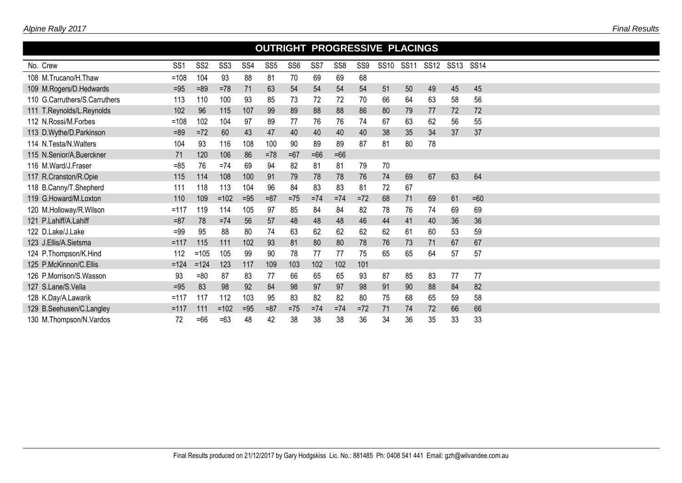|                               | <b>OUTRIGHT PROGRESSIVE PLACINGS</b> |                 |                 |                 |                 |                 |                 |                 |                 |             |             |             |             |             |  |  |  |  |
|-------------------------------|--------------------------------------|-----------------|-----------------|-----------------|-----------------|-----------------|-----------------|-----------------|-----------------|-------------|-------------|-------------|-------------|-------------|--|--|--|--|
| No. Crew                      | SS <sub>1</sub>                      | SS <sub>2</sub> | SS <sub>3</sub> | SS <sub>4</sub> | SS <sub>5</sub> | SS <sub>6</sub> | SS <sub>7</sub> | SS <sub>8</sub> | SS <sub>9</sub> | <b>SS10</b> | <b>SS11</b> | <b>SS12</b> | <b>SS13</b> | <b>SS14</b> |  |  |  |  |
| 108 M.Trucano/H.Thaw          | $=108$                               | 104             | 93              | 88              | 81              | 70              | 69              | 69              | 68              |             |             |             |             |             |  |  |  |  |
| 109 M.Rogers/D.Hedwards       | $=95$                                | $= 89$          | $=78$           | 71              | 63              | 54              | 54              | 54              | 54              | 51          | 50          | 49          | 45          | 45          |  |  |  |  |
| 110 G.Carruthers/S.Carruthers | 113                                  | 110             | 100             | 93              | 85              | 73              | 72              | 72              | 70              | 66          | 64          | 63          | 58          | 56          |  |  |  |  |
| 111 T.Reynolds/L.Reynolds     | 102                                  | 96              | 115             | 107             | 99              | 89              | 88              | 88              | 86              | 80          | 79          | 77          | 72          | 72          |  |  |  |  |
| 112 N.Rossi/M.Forbes          | $=108$                               | 102             | 104             | 97              | 89              | 77              | 76              | 76              | 74              | 67          | 63          | 62          | 56          | 55          |  |  |  |  |
| 113 D.Wythe/D.Parkinson       | $= 89$                               | $=72$           | 60              | 43              | 47              | 40              | 40              | 40              | 40              | 38          | 35          | 34          | 37          | 37          |  |  |  |  |
| 114 N.Testa/N.Walters         | 104                                  | 93              | 116             | 108             | 100             | 90              | 89              | 89              | 87              | 81          | 80          | 78          |             |             |  |  |  |  |
| 115 N.Senior/A.Buerckner      | 71                                   | 120             | 106             | 86              | $=78$           | $=67$           | $=66$           | $=66$           |                 |             |             |             |             |             |  |  |  |  |
| 116 M.Ward/J.Fraser           | $= 85$                               | 76              | $=74$           | 69              | 94              | 82              | 81              | 81              | 79              | 70          |             |             |             |             |  |  |  |  |
| 117 R.Cranston/R.Opie         | 115                                  | 114             | 108             | 100             | 91              | 79              | 78              | 78              | 76              | 74          | 69          | 67          | 63          | 64          |  |  |  |  |
| 118 B.Canny/T.Shepherd        | 111                                  | 118             | 113             | 104             | 96              | 84              | 83              | 83              | 81              | 72          | 67          |             |             |             |  |  |  |  |
| 119 G.Howard/M.Loxton         | 110                                  | 109             | $=102$          | $=95$           | $= 87$          | $=75$           | $=74$           | $=74$           | $=72$           | 68          | 71          | 69          | 61          | $=60$       |  |  |  |  |
| 120 M.Holloway/R.Wilson       | $=117$                               | 119             | 114             | 105             | 97              | 85              | 84              | 84              | 82              | 78          | 76          | 74          | 69          | 69          |  |  |  |  |
| 121 P.Lahiff/A.Lahiff         | $= 87$                               | 78              | $=74$           | 56              | 57              | 48              | 48              | 48              | 46              | 44          | 41          | 40          | 36          | 36          |  |  |  |  |
| 122 D.Lake/J.Lake             | $= 99$                               | 95              | 88              | 80              | 74              | 63              | 62              | 62              | 62              | 62          | 61          | 60          | 53          | 59          |  |  |  |  |
| 123 J.Ellis/A.Sietsma         | $=117$                               | 115             | 111             | 102             | 93              | 81              | 80              | 80              | 78              | 76          | 73          | 71          | 67          | 67          |  |  |  |  |
| 124 P.Thompson/K.Hind         | 112                                  | $=105$          | 105             | 99              | 90              | 78              | 77              | 77              | 75              | 65          | 65          | 64          | 57          | 57          |  |  |  |  |
| 125 P.McKinnon/C.Ellis        | $=124$                               | $=124$          | 123             | 117             | 109             | 103             | 102             | 102             | 101             |             |             |             |             |             |  |  |  |  |
| 126 P.Morrison/S.Wasson       | 93                                   | $= 80$          | 87              | 83              | 77              | 66              | 65              | 65              | 93              | 87          | 85          | 83          | 77          | 77          |  |  |  |  |
| 127 S.Lane/S.Vella            | $=95$                                | 83              | 98              | 92              | 84              | 98              | 97              | 97              | 98              | 91          | 90          | 88          | 84          | 82          |  |  |  |  |
| 128 K.Day/A.Lawarik           | $=117$                               | 117             | 112             | 103             | 95              | 83              | 82              | 82              | 80              | 75          | 68          | 65          | 59          | 58          |  |  |  |  |
| 129 B.Seehusen/C.Langley      | $=117$                               | 111             | $=102$          | $=95$           | $= 87$          | $=75$           | $=74$           | $=74$           | $=72$           | 71          | 74          | 72          | 66          | 66          |  |  |  |  |
| 130 M. Thompson/N. Vardos     | 72                                   | $=66$           | $=63$           | 48              | 42              | 38              | 38              | 38              | 36              | 34          | 36          | 35          | 33          | 33          |  |  |  |  |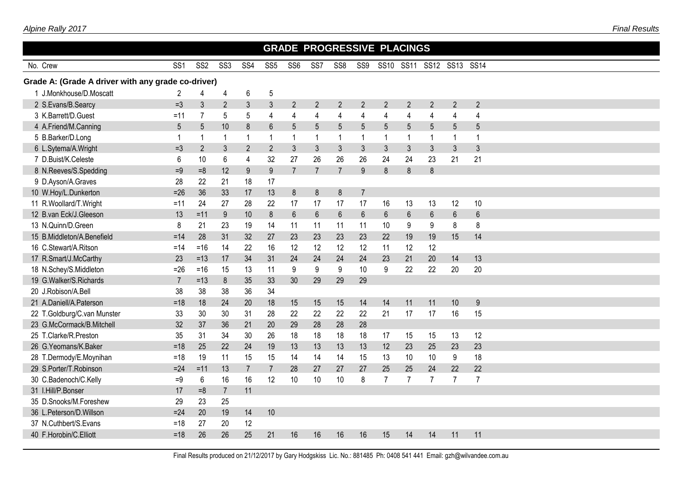| <b>GRADE PROGRESSIVE PLACINGS</b><br>SS10 SS11<br>SS13 SS14 |                 |                 |                  |                 |                 |                 |                |                 |                |                |                |                  |                |                |  |  |  |
|-------------------------------------------------------------|-----------------|-----------------|------------------|-----------------|-----------------|-----------------|----------------|-----------------|----------------|----------------|----------------|------------------|----------------|----------------|--|--|--|
| No. Crew                                                    | SS <sub>1</sub> | SS <sub>2</sub> | SS <sub>3</sub>  | SS <sub>4</sub> | SS <sub>5</sub> | SS <sub>6</sub> | SS7            | SS <sub>8</sub> | SS9            |                |                | <b>SS12</b>      |                |                |  |  |  |
| Grade A: (Grade A driver with any grade co-driver)          |                 |                 |                  |                 |                 |                 |                |                 |                |                |                |                  |                |                |  |  |  |
| 1 J.Monkhouse/D.Moscatt                                     | 2               | 4               | 4                | 6               | 5               |                 |                |                 |                |                |                |                  |                |                |  |  |  |
| 2 S.Evans/B.Searcy                                          | $=3$            | 3               | $\overline{2}$   | $\sqrt{3}$      | $\mathfrak{Z}$  | $\overline{2}$  | $\overline{2}$ | $\overline{2}$  | $\overline{2}$ | $\overline{2}$ | $\overline{2}$ | $\overline{2}$   | $\overline{2}$ | $\overline{2}$ |  |  |  |
| 3 K.Barrett/D.Guest                                         | $=11$           | $\overline{7}$  | 5                | 5               | 4               | 4               | 4              | 4               | 4              | $\overline{4}$ | 4              | 4                | $\overline{4}$ | 4              |  |  |  |
| 4 A.Friend/M.Canning                                        | 5               | 5               | 10               | 8               | $6\phantom{.}$  | 5               | 5              | 5               | 5              | 5              | 5              | 5                | 5              | 5              |  |  |  |
| 5 B.Barker/D.Long                                           | $\mathbf{1}$    | 1               | $\mathbf{1}$     | $\mathbf{1}$    |                 | 1               | $\mathbf{1}$   | 1               | -1             | $\mathbf{1}$   | $\mathbf{1}$   | -1               | $\mathbf 1$    | 1              |  |  |  |
| 6 L.Sytema/A.Wright                                         | $=3$            | $\overline{2}$  | $\mathfrak{Z}$   | $\overline{2}$  | $\overline{2}$  | 3               | $\sqrt{3}$     | 3               | $\mathfrak{Z}$ | $\mathfrak{Z}$ | $\mathfrak{Z}$ | $\mathfrak{Z}$   | $\mathfrak{Z}$ | 3              |  |  |  |
| 7 D.Buist/K.Celeste                                         | 6               | 10              | 6                | $\overline{4}$  | 32              | 27              | 26             | 26              | 26             | 24             | 24             | 23               | 21             | 21             |  |  |  |
| 8 N.Reeves/S.Spedding                                       | $=9$            | $=8$            | 12               | 9               | $9\,$           | $\overline{7}$  | $\overline{7}$ | $\overline{7}$  | $9\,$          | $\bf 8$        | $\,8\,$        | $\boldsymbol{8}$ |                |                |  |  |  |
| 9 D.Ayson/A.Graves                                          | 28              | 22              | 21               | 18              | 17              |                 |                |                 |                |                |                |                  |                |                |  |  |  |
| 10 W.Hoy/L.Dunkerton                                        | $=26$           | 36              | 33               | 17              | 13              | 8               | 8              | $\bf 8$         | $\overline{7}$ |                |                |                  |                |                |  |  |  |
| 11 R.Woollard/T.Wright                                      | $=11$           | 24              | 27               | 28              | 22              | 17              | 17             | 17              | 17             | 16             | 13             | 13               | 12             | 10             |  |  |  |
| 12 B.van Eck/J.Gleeson                                      | 13              | $=11$           | $\boldsymbol{9}$ | 10              | 8               | $6\phantom{1}$  | $6\,$          | $6\phantom{a}$  | 6              | $6\phantom{.}$ | $6\phantom{a}$ | $6\phantom{1}$   | $6\,$          | $6\phantom{1}$ |  |  |  |
| 13 N.Quinn/D.Green                                          | 8               | 21              | 23               | 19              | 14              | 11              | 11             | 11              | 11             | 10             | 9              | 9                | 8              | 8              |  |  |  |
| 15 B.Middleton/A.Benefield                                  | $=14$           | 28              | 31               | 32              | 27              | 23              | 23             | 23              | 23             | 22             | 19             | 19               | 15             | 14             |  |  |  |
| 16 C.Stewart/A.Ritson                                       | $=14$           | $=16$           | 14               | 22              | 16              | 12              | 12             | 12              | 12             | 11             | 12             | 12               |                |                |  |  |  |
| 17 R.Smart/J.McCarthy                                       | 23              | $=13$           | 17               | 34              | 31              | 24              | 24             | 24              | 24             | 23             | 21             | 20               | 14             | 13             |  |  |  |
| 18 N.Schey/S.Middleton                                      | $=26$           | $=16$           | 15               | 13              | 11              | 9               | 9              | 9               | 10             | 9              | 22             | 22               | 20             | 20             |  |  |  |
| 19 G.Walker/S.Richards                                      | $\overline{7}$  | $=13$           | 8                | 35              | 33              | 30              | 29             | 29              | 29             |                |                |                  |                |                |  |  |  |
| 20 J.Robison/A.Bell                                         | 38              | 38              | 38               | 36              | 34              |                 |                |                 |                |                |                |                  |                |                |  |  |  |
| 21 A.Daniell/A.Paterson                                     | $=18$           | 18              | 24               | 20              | 18              | 15              | 15             | 15              | 14             | 14             | 11             | 11               | 10             | 9              |  |  |  |
| 22 T.Goldburg/C.van Munster                                 | 33              | 30              | 30               | 31              | 28              | 22              | 22             | 22              | 22             | 21             | 17             | 17               | 16             | 15             |  |  |  |
| 23 G.McCormack/B.Mitchell                                   | 32              | 37              | 36               | 21              | 20              | 29              | 28             | 28              | 28             |                |                |                  |                |                |  |  |  |
| 25 T.Clarke/R.Preston                                       | 35              | 31              | 34               | 30              | 26              | 18              | 18             | 18              | 18             | 17             | 15             | 15               | 13             | 12             |  |  |  |
| 26 G.Yeomans/K.Baker                                        | $=18$           | 25              | 22               | 24              | 19              | 13              | 13             | 13              | 13             | 12             | 23             | 25               | 23             | 23             |  |  |  |
| 28 T.Dermody/E.Moynihan                                     | $=18$           | 19              | 11               | 15              | 15              | 14              | 14             | 14              | 15             | 13             | 10             | 10               | 9              | 18             |  |  |  |
| 29 S.Porter/T.Robinson                                      | $=24$           | $=11$           | 13               | $\overline{7}$  | $\overline{7}$  | 28              | 27             | 27              | 27             | 25             | 25             | 24               | 22             | 22             |  |  |  |
| 30 C.Badenoch/C.Kelly                                       | $=9$            | 6               | 16               | 16              | 12              | 10              | 10             | 10              | 8              | $\overline{7}$ | $\overline{7}$ | $\overline{7}$   | $\overline{7}$ | $\overline{7}$ |  |  |  |
| 31 I.Hill/P.Bonser                                          | 17              | $=8$            | $\overline{7}$   | 11              |                 |                 |                |                 |                |                |                |                  |                |                |  |  |  |
| 35 D.Snooks/M.Foreshew                                      | 29              | 23              | 25               |                 |                 |                 |                |                 |                |                |                |                  |                |                |  |  |  |
| 36 L.Peterson/D.Willson                                     | $=24$           | 20              | 19               | 14              | 10              |                 |                |                 |                |                |                |                  |                |                |  |  |  |
| 37 N.Cuthbert/S.Evans                                       | $=18$           | 27              | 20               | 12              |                 |                 |                |                 |                |                |                |                  |                |                |  |  |  |
| 40 F.Horobin/C.Elliott                                      | $=18$           | 26              | 26               | 25              | 21              | 16              | 16             | 16              | 16             | 15             | 14             | 14               | 11             | 11             |  |  |  |
|                                                             |                 |                 |                  |                 |                 |                 |                |                 |                |                |                |                  |                |                |  |  |  |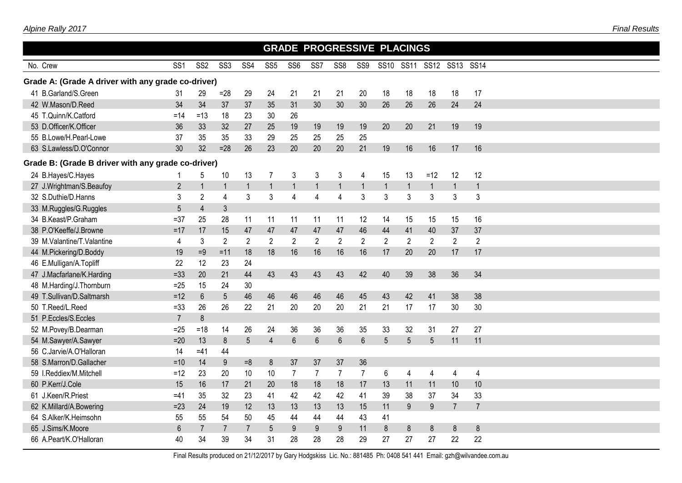| <b>GRADE PROGRESSIVE PLACINGS</b><br>SS13 SS14<br>SS10 SS11 |                 |                 |                 |                 |                 |                 |                |                         |                |                |                |                |                |                |  |  |
|-------------------------------------------------------------|-----------------|-----------------|-----------------|-----------------|-----------------|-----------------|----------------|-------------------------|----------------|----------------|----------------|----------------|----------------|----------------|--|--|
| No. Crew                                                    | SS <sub>1</sub> | SS <sub>2</sub> | SS <sub>3</sub> | SS <sub>4</sub> | SS <sub>5</sub> | SS <sub>6</sub> | SS7            | SS <sub>8</sub>         | SS9            |                |                | <b>SS12</b>    |                |                |  |  |
| Grade A: (Grade A driver with any grade co-driver)          |                 |                 |                 |                 |                 |                 |                |                         |                |                |                |                |                |                |  |  |
| 41 B.Garland/S.Green                                        | 31              | 29              | $=28$           | 29              | 24              | 21              | 21             | 21                      | 20             | 18             | 18             | 18             | 18             | 17             |  |  |
| 42 W.Mason/D.Reed                                           | 34              | 34              | 37              | 37              | 35              | 31              | 30             | 30                      | 30             | 26             | 26             | 26             | 24             | 24             |  |  |
| 45 T.Quinn/K.Catford                                        | $=14$           | $=13$           | 18              | 23              | 30              | 26              |                |                         |                |                |                |                |                |                |  |  |
| 53 D.Officer/K.Officer                                      | 36              | 33              | 32              | 27              | 25              | 19              | 19             | 19                      | 19             | 20             | 20             | 21             | 19             | 19             |  |  |
| 55 B.Lowe/H.Pearl-Lowe                                      | 37              | 35              | 35              | 33              | 29              | 25              | 25             | 25                      | 25             |                |                |                |                |                |  |  |
| 63 S.Lawless/D.O'Connor                                     | 30              | 32              | $=28$           | 26              | 23              | 20              | 20             | 20                      | 21             | 19             | 16             | 16             | 17             | 16             |  |  |
| Grade B: (Grade B driver with any grade co-driver)          |                 |                 |                 |                 |                 |                 |                |                         |                |                |                |                |                |                |  |  |
| 24 B.Hayes/C.Hayes                                          | 1               | 5               | 10              | 13              | $\overline{7}$  | 3               | $\mathfrak{Z}$ | 3                       | 4              | 15             | 13             | $=12$          | 12             | 12             |  |  |
| 27 J.Wrightman/S.Beaufoy                                    | $\overline{2}$  | $\mathbf{1}$    | $\mathbf{1}$    | $\mathbf{1}$    | $\mathbf{1}$    | $\overline{1}$  | $\overline{1}$ | $\mathbf{1}$            | $\mathbf{1}$   | $\mathbf{1}$   | $\mathbf{1}$   | $\mathbf{1}$   | $\overline{1}$ | $\mathbf{1}$   |  |  |
| 32 S.Duthie/D.Hanns                                         | $\mathsf 3$     | $\overline{2}$  | 4               | 3               | 3               | 4               | $\overline{4}$ | $\overline{\mathbf{4}}$ | 3              | 3              | 3              | $\mathfrak{Z}$ | $\mathfrak{Z}$ | 3              |  |  |
| 33 M.Ruggles/G.Ruggles                                      | 5               | $\overline{4}$  | 3               |                 |                 |                 |                |                         |                |                |                |                |                |                |  |  |
| 34 B.Keast/P.Graham                                         | $= 37$          | 25              | 28              | 11              | 11              | 11              | 11             | 11                      | 12             | 14             | 15             | 15             | 15             | 16             |  |  |
| 38 P.O'Keeffe/J.Browne                                      | $=17$           | 17              | 15              | 47              | 47              | 47              | 47             | 47                      | 46             | 44             | 41             | 40             | 37             | 37             |  |  |
| 39 M.Valantine/T.Valantine                                  | $\overline{4}$  | 3               | $\overline{2}$  | $\overline{2}$  | $\overline{2}$  | $\overline{2}$  | $\overline{2}$ | $\overline{2}$          | $\overline{2}$ | $\overline{2}$ | $\overline{2}$ | $\overline{2}$ | $\overline{2}$ | $\overline{2}$ |  |  |
| 44 M.Pickering/D.Boddy                                      | 19              | $=9$            | $= 11$          | 18              | 18              | 16              | 16             | 16                      | 16             | 17             | 20             | 20             | 17             | 17             |  |  |
| 46 E.Mulligan/A.Topliff                                     | 22              | 12              | 23              | 24              |                 |                 |                |                         |                |                |                |                |                |                |  |  |
| 47 J.Macfarlane/K.Harding                                   | $=33$           | 20              | 21              | 44              | 43              | 43              | 43             | 43                      | 42             | 40             | 39             | 38             | 36             | 34             |  |  |
| 48 M.Harding/J.Thornburn                                    | $=25$           | 15              | 24              | 30              |                 |                 |                |                         |                |                |                |                |                |                |  |  |
| 49 T.Sullivan/D.Saltmarsh                                   | $=12$           | $6\phantom{a}$  | 5               | 46              | 46              | 46              | 46             | 46                      | 45             | 43             | 42             | 41             | 38             | 38             |  |  |
| 50 T.Reed/L.Reed                                            | $= 33$          | 26              | 26              | 22              | 21              | 20              | 20             | 20                      | 21             | 21             | 17             | 17             | 30             | 30             |  |  |
| 51 P.Eccles/S.Eccles                                        | $\overline{7}$  | 8               |                 |                 |                 |                 |                |                         |                |                |                |                |                |                |  |  |
| 52 M.Povey/B.Dearman                                        | $=25$           | $=18$           | 14              | 26              | 24              | 36              | 36             | 36                      | 35             | 33             | 32             | 31             | 27             | 27             |  |  |
| 54 M.Sawyer/A.Sawyer                                        | $=20$           | 13              | 8               | $5\phantom{.0}$ | $\overline{4}$  | $\,6\,$         | $6\phantom{a}$ | $6\phantom{a}$          | 6              | 5              | $\overline{5}$ | 5              | 11             | 11             |  |  |
| 56 C.Jarvie/A.O'Halloran                                    | 14              | $=41$           | 44              |                 |                 |                 |                |                         |                |                |                |                |                |                |  |  |
| 58 S.Marron/D.Gallacher                                     | $=10$           | 14              | 9               | $=8$            | 8               | 37              | 37             | 37                      | 36             |                |                |                |                |                |  |  |
| 59 I.Reddiex/M.Mitchell                                     | $=12$           | 23              | 20              | 10              | 10              | $\overline{7}$  | $\overline{7}$ | $\overline{7}$          | $\overline{7}$ | 6              | 4              | 4              | 4              | 4              |  |  |
| 60 P.Kerr/J.Cole                                            | 15              | 16              | 17              | 21              | 20              | 18              | 18             | 18                      | 17             | 13             | 11             | 11             | 10             | 10             |  |  |
| 61 J.Keen/R.Priest                                          | $=41$           | 35              | 32              | 23              | 41              | 42              | 42             | 42                      | 41             | 39             | 38             | 37             | 34             | 33             |  |  |
| 62 K.Millard/A.Bowering                                     | $=23$           | 24              | 19              | 12              | 13              | 13              | 13             | 13                      | 15             | 11             | 9              | 9              | $\overline{7}$ | $\overline{7}$ |  |  |
| 64 S.Alker/K.Heimsohn                                       | 55              | 55              | 54              | 50              | 45              | 44              | 44             | 44                      | 43             | 41             |                |                |                |                |  |  |
| 65 J.Sims/K.Moore                                           | $6\phantom{1}6$ | $\overline{7}$  | $\overline{7}$  | $\overline{7}$  | 5               | 9               | 9              | 9                       | 11             | 8              | 8              | 8              | 8              | 8              |  |  |
| 66 A.Peart/K.O'Halloran                                     | 40              | 34              | 39              | 34              | 31              | 28              | 28             | 28                      | 29             | 27             | 27             | 27             | 22             | 22             |  |  |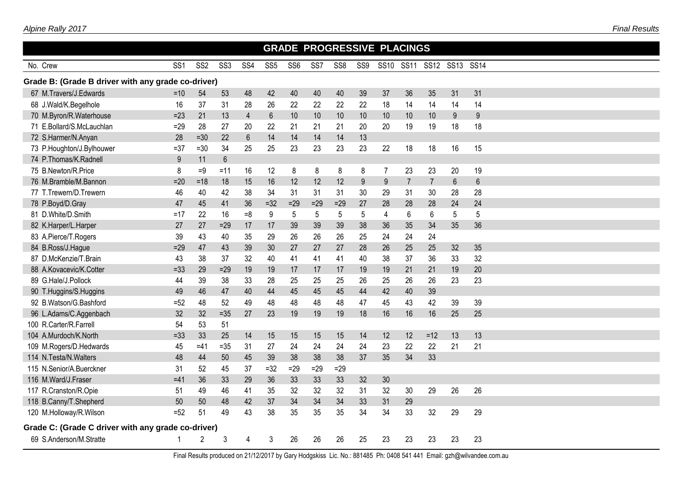|                                                    |                 |                 |                 |                 |                 |                 |       |                 |                 |                         | <b>GRADE PROGRESSIVE PLACINGS</b> |                |                 |                |  |
|----------------------------------------------------|-----------------|-----------------|-----------------|-----------------|-----------------|-----------------|-------|-----------------|-----------------|-------------------------|-----------------------------------|----------------|-----------------|----------------|--|
| No. Crew                                           | SS <sub>1</sub> | SS <sub>2</sub> | SS <sub>3</sub> | SS <sub>4</sub> | SS <sub>5</sub> | SS <sub>6</sub> | SS7   | SS <sub>8</sub> | SS9             |                         | SS10 SS11                         | SS12 SS13      |                 | <b>SS14</b>    |  |
| Grade B: (Grade B driver with any grade co-driver) |                 |                 |                 |                 |                 |                 |       |                 |                 |                         |                                   |                |                 |                |  |
| 67 M.Travers/J.Edwards                             | $=10$           | 54              | 53              | 48              | 42              | 40              | 40    | 40              | 39              | 37                      | 36                                | 35             | 31              | 31             |  |
| 68 J.Wald/K.Begelhole                              | 16              | 37              | 31              | 28              | 26              | 22              | 22    | 22              | 22              | 18                      | 14                                | 14             | 14              | 14             |  |
| 70 M.Byron/R.Waterhouse                            | $=23$           | 21              | 13              | $\overline{4}$  | $6\phantom{a}$  | 10              | 10    | 10              | 10              | 10                      | 10                                | 10             | 9               | 9              |  |
| 71 E.Bollard/S.McLauchlan                          | $=29$           | 28              | 27              | 20              | 22              | 21              | 21    | 21              | 20              | 20                      | 19                                | 19             | 18              | 18             |  |
| 72 S.Harmer/N.Anyan                                | 28              | $=30$           | 22              | $6\phantom{1}$  | 14              | 14              | 14    | 14              | 13              |                         |                                   |                |                 |                |  |
| 73 P.Houghton/J.Bylhouwer                          | $= 37$          | $=30$           | 34              | 25              | 25              | 23              | 23    | 23              | 23              | 22                      | 18                                | 18             | 16              | 15             |  |
| 74 P.Thomas/K.Radnell                              | 9               | 11              | $6\phantom{1}$  |                 |                 |                 |       |                 |                 |                         |                                   |                |                 |                |  |
| 75 B.Newton/R.Price                                | 8               | $=9$            | $=11$           | 16              | 12              | 8               | 8     | 8               | 8               | $\overline{7}$          | 23                                | 23             | 20              | 19             |  |
| 76 M.Bramble/M.Bannon                              | $=20$           | $=18$           | 18              | 15              | 16              | 12              | 12    | 12              | 9               | 9                       | $\overline{7}$                    | $\overline{7}$ | $6\phantom{1}$  | $6\phantom{1}$ |  |
| 77 T.Trewern/D.Trewern                             | 46              | 40              | 42              | 38              | 34              | 31              | 31    | 31              | 30              | 29                      | 31                                | 30             | 28              | 28             |  |
| 78 P.Boyd/D.Gray                                   | 47              | 45              | 41              | 36              | $=32$           | $=29$           | $=29$ | $=29$           | 27              | 28                      | 28                                | 28             | 24              | 24             |  |
| 81 D.White/D.Smith                                 | $=17$           | 22              | 16              | $=8$            | 9               | $\sqrt{5}$      | $5\,$ | 5               | $5\phantom{.0}$ | $\overline{\mathbf{4}}$ | 6                                 | 6              | $5\phantom{.0}$ | 5              |  |
| 82 K.Harper/L.Harper                               | 27              | 27              | $=29$           | 17              | 17              | 39              | 39    | 39              | 38              | 36                      | 35                                | 34             | 35              | 36             |  |
| 83 A.Pierce/T.Rogers                               | 39              | 43              | 40              | 35              | 29              | 26              | 26    | 26              | 25              | 24                      | 24                                | 24             |                 |                |  |
| 84 B.Ross/J.Hague                                  | $=29$           | 47              | 43              | 39              | 30              | 27              | 27    | 27              | 28              | 26                      | 25                                | 25             | 32              | 35             |  |
| 87 D.McKenzie/T.Brain                              | 43              | 38              | 37              | 32              | 40              | 41              | 41    | 41              | 40              | 38                      | 37                                | 36             | 33              | 32             |  |
| 88 A.Kovacevic/K.Cotter                            | $= 33$          | 29              | $=29$           | 19              | 19              | 17              | 17    | 17              | 19              | 19                      | 21                                | 21             | 19              | 20             |  |
| 89 G.Hale/J.Pollock                                | 44              | 39              | 38              | 33              | 28              | 25              | 25    | 25              | 26              | 25                      | 26                                | 26             | 23              | 23             |  |
| 90 T.Huggins/S.Huggins                             | 49              | 46              | 47              | 40              | 44              | 45              | 45    | 45              | 44              | 42                      | 40                                | 39             |                 |                |  |
| 92 B.Watson/G.Bashford                             | $=52$           | 48              | 52              | 49              | 48              | 48              | 48    | 48              | 47              | 45                      | 43                                | 42             | 39              | 39             |  |
| 96 L.Adams/C.Aggenbach                             | 32              | 32              | $=35$           | 27              | 23              | 19              | 19    | 19              | 18              | 16                      | 16                                | 16             | 25              | 25             |  |
| 100 R.Carter/R.Farrell                             | 54              | 53              | 51              |                 |                 |                 |       |                 |                 |                         |                                   |                |                 |                |  |
| 104 A.Murdoch/K.North                              | $=33$           | 33              | 25              | 14              | 15              | 15              | 15    | 15              | 14              | 12                      | 12                                | $=12$          | 13              | 13             |  |
| 109 M.Rogers/D.Hedwards                            | 45              | $=41$           | $= 35$          | 31              | 27              | 24              | 24    | 24              | 24              | 23                      | 22                                | 22             | 21              | 21             |  |
| 114 N.Testa/N.Walters                              | 48              | 44              | 50              | 45              | 39              | 38              | 38    | 38              | 37              | 35                      | 34                                | 33             |                 |                |  |
| 115 N.Senior/A.Buerckner                           | 31              | 52              | 45              | 37              | $=32$           | $=29$           | $=29$ | $=29$           |                 |                         |                                   |                |                 |                |  |
| 116 M.Ward/J.Fraser                                | $=41$           | 36              | 33              | 29              | 36              | 33              | 33    | 33              | 32              | 30                      |                                   |                |                 |                |  |
| 117 R.Cranston/R.Opie                              | 51              | 49              | 46              | 41              | 35              | 32              | 32    | 32              | 31              | 32                      | 30                                | 29             | 26              | 26             |  |
| 118 B.Canny/T.Shepherd                             | 50              | 50              | 48              | 42              | 37              | 34              | 34    | 34              | 33              | 31                      | 29                                |                |                 |                |  |
| 120 M.Holloway/R.Wilson                            | $=52$           | 51              | 49              | 43              | 38              | 35              | 35    | 35              | 34              | 34                      | 33                                | 32             | 29              | 29             |  |
| Grade C: (Grade C driver with any grade co-driver) |                 |                 |                 |                 |                 |                 |       |                 |                 |                         |                                   |                |                 |                |  |
| 69 S.Anderson/M.Stratte                            |                 | $\overline{2}$  | 3               | 4               | 3               | 26              | 26    | 26              | 25              | 23                      | 23                                | 23             | 23              | 23             |  |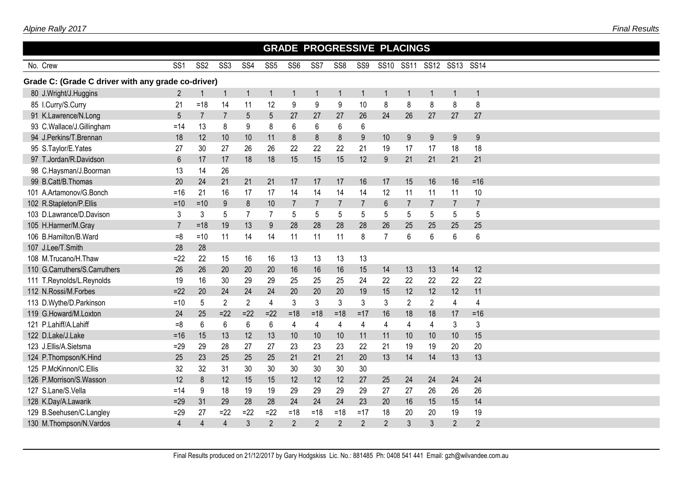|                                                    |                 |                 |                 |                |                 |                 |                  |                 |                |                | <b>GRADE PROGRESSIVE PLACINGS</b> |                |                |                |  |
|----------------------------------------------------|-----------------|-----------------|-----------------|----------------|-----------------|-----------------|------------------|-----------------|----------------|----------------|-----------------------------------|----------------|----------------|----------------|--|
| No. Crew                                           | SS <sub>1</sub> | SS <sub>2</sub> | SS <sub>3</sub> | SS4            | SS <sub>5</sub> | SS <sub>6</sub> | SS7              | SS <sub>8</sub> | SS9            |                | SS10 SS11                         | <b>SS12</b>    | <b>SS13</b>    | <b>SS14</b>    |  |
| Grade C: (Grade C driver with any grade co-driver) |                 |                 |                 |                |                 |                 |                  |                 |                |                |                                   |                |                |                |  |
| 80 J.Wright/J.Huggins                              | $\overline{2}$  |                 | -1              | $\overline{1}$ | $\mathbf{1}$    |                 | $\mathbf 1$      | $\mathbf 1$     |                | $\overline{1}$ | $\mathbf 1$                       |                | -1             | $\overline{1}$ |  |
| 85 I.Curry/S.Curry                                 | 21              | $=18$           | 14              | 11             | 12              | 9               | $\boldsymbol{9}$ | 9               | 10             | 8              | 8                                 | 8              | 8              | 8              |  |
| 91 K.Lawrence/N.Long                               | 5               | $\overline{7}$  | $\overline{7}$  | 5              | 5               | 27              | 27               | 27              | 26             | 24             | 26                                | 27             | 27             | 27             |  |
| 93 C.Wallace/J.Gillingham                          | $=14$           | 13              | 8               | 9              | 8               | 6               | 6                | 6               | 6              |                |                                   |                |                |                |  |
| 94 J.Perkins/T.Brennan                             | 18              | 12              | 10              | 10             | 11              | 8               | 8                | 8               | 9              | 10             | 9                                 | 9              | 9              | 9              |  |
| 95 S.Taylor/E.Yates                                | 27              | 30              | 27              | 26             | 26              | 22              | 22               | 22              | 21             | 19             | 17                                | 17             | 18             | 18             |  |
| 97 T.Jordan/R.Davidson                             | $6\phantom{a}$  | 17              | 17              | 18             | 18              | 15              | 15               | 15              | 12             | 9              | 21                                | 21             | 21             | 21             |  |
| 98 C.Haysman/J.Boorman                             | 13              | 14              | 26              |                |                 |                 |                  |                 |                |                |                                   |                |                |                |  |
| 99 B.Catt/B.Thomas                                 | 20              | 24              | 21              | 21             | 21              | 17              | 17               | 17              | 16             | 17             | 15                                | 16             | 16             | $= 16$         |  |
| 101 A.Artamonov/G.Bonch                            | $= 16$          | 21              | 16              | 17             | 17              | 14              | 14               | 14              | 14             | 12             | 11                                | 11             | 11             | 10             |  |
| 102 R.Stapleton/P.Ellis                            | $=10$           | $=10$           | 9               | 8              | 10              | $\overline{7}$  | $\overline{7}$   | $\overline{7}$  | $\overline{7}$ | $6\phantom{1}$ | $\overline{7}$                    | $\overline{7}$ | $\overline{7}$ | $\overline{7}$ |  |
| 103 D.Lawrance/D.Davison                           | 3               | 3               | 5               | $\overline{7}$ | $\overline{7}$  | 5               | 5                | 5               | 5              | 5              | 5                                 | 5              | 5              | 5              |  |
| 105 H.Harmer/M.Gray                                | $\overline{7}$  | $=18$           | 19              | 13             | 9               | 28              | 28               | 28              | 28             | 26             | 25                                | 25             | 25             | 25             |  |
| 106 B.Hamilton/B.Ward                              | $=8$            | $=10$           | 11              | 14             | 14              | 11              | 11               | 11              | 8              | $\overline{7}$ | 6                                 | 6              | 6              | $6\phantom{1}$ |  |
| 107 J.Lee/T.Smith                                  | 28              | 28              |                 |                |                 |                 |                  |                 |                |                |                                   |                |                |                |  |
| 108 M.Trucano/H.Thaw                               | $=22$           | 22              | 15              | 16             | 16              | 13              | 13               | 13              | 13             |                |                                   |                |                |                |  |
| 110 G.Carruthers/S.Carruthers                      | 26              | 26              | 20              | 20             | 20              | 16              | 16               | 16              | 15             | 14             | 13                                | 13             | 14             | 12             |  |
| 111 T.Reynolds/L.Reynolds                          | 19              | 16              | 30              | 29             | 29              | 25              | 25               | 25              | 24             | 22             | 22                                | 22             | 22             | 22             |  |
| 112 N.Rossi/M.Forbes                               | $=22$           | 20              | 24              | 24             | 24              | 20              | 20               | 20              | 19             | 15             | 12                                | 12             | 12             | 11             |  |
| 113 D.Wythe/D.Parkinson                            | $=10$           | 5               | $\overline{2}$  | $\overline{2}$ | $\overline{4}$  | 3               | 3                | 3               | $\mathfrak{Z}$ | 3              | $\overline{2}$                    | $\overline{2}$ | $\overline{4}$ | $\overline{4}$ |  |
| 119 G.Howard/M.Loxton                              | 24              | 25              | $= 22$          | $=22$          | $=22$           | $=18$           | $=18$            | $=18$           | $=17$          | 16             | 18                                | 18             | 17             | $= 16$         |  |
| 121 P.Lahiff/A.Lahiff                              | $=8$            | 6               | $\,6\,$         | $\,6\,$        | 6               | 4               | $\overline{4}$   | $\overline{4}$  | $\overline{4}$ | $\overline{4}$ | 4                                 | 4              | 3              | $\mathfrak{Z}$ |  |
| 122 D.Lake/J.Lake                                  | $= 16$          | 15              | 13              | 12             | 13              | 10              | 10               | 10              | 11             | 11             | 10                                | 10             | 10             | 15             |  |
| 123 J.Ellis/A.Sietsma                              | $=29$           | 29              | 28              | 27             | 27              | 23              | 23               | 23              | 22             | 21             | 19                                | 19             | 20             | 20             |  |
| 124 P.Thompson/K.Hind                              | 25              | 23              | 25              | 25             | 25              | 21              | 21               | 21              | 20             | 13             | 14                                | 14             | 13             | 13             |  |
| 125 P.McKinnon/C.Ellis                             | 32              | 32              | 31              | 30             | 30              | 30              | 30               | 30              | 30             |                |                                   |                |                |                |  |
| 126 P.Morrison/S.Wasson                            | 12              | 8               | 12              | 15             | 15              | 12              | 12               | 12              | 27             | 25             | 24                                | 24             | 24             | 24             |  |
| 127 S.Lane/S.Vella                                 | $=14$           | 9               | 18              | 19             | 19              | 29              | 29               | 29              | 29             | 27             | 27                                | 26             | 26             | 26             |  |
| 128 K.Day/A.Lawarik                                | $=29$           | 31              | 29              | 28             | 28              | 24              | 24               | 24              | 23             | 20             | 16                                | 15             | 15             | 14             |  |
| 129 B.Seehusen/C.Langley                           | $=29$           | 27              | $=22$           | $=22$          | $=22$           | $=18$           | $=18$            | $=18$           | $=17$          | 18             | 20                                | 20             | 19             | 19             |  |
| 130 M.Thompson/N.Vardos                            | $\overline{4}$  | $\overline{4}$  | $\overline{4}$  | $\mathfrak{Z}$ | $\overline{2}$  | $\overline{2}$  | $\overline{2}$   | $\overline{2}$  | $\overline{2}$ | $\overline{2}$ | 3                                 | 3              | $\overline{2}$ | $\overline{2}$ |  |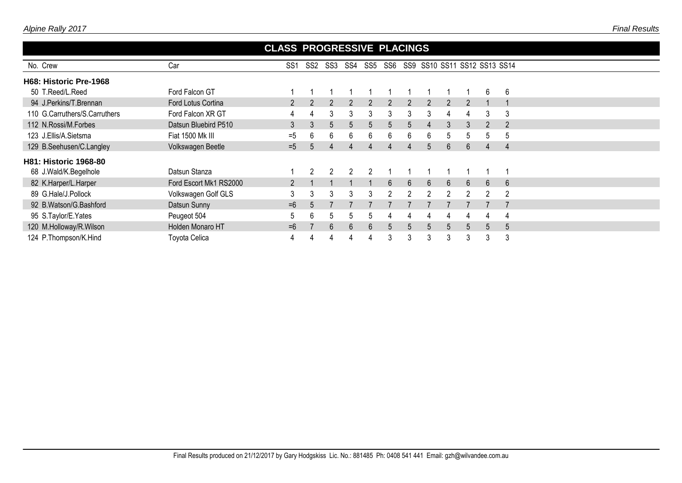|                               |                        | <b>CLASS PROGRESSIVE PLACINGS</b> |                |     |                |     |                  |                |             |   |               |   |                              |
|-------------------------------|------------------------|-----------------------------------|----------------|-----|----------------|-----|------------------|----------------|-------------|---|---------------|---|------------------------------|
| No. Crew                      | Car                    | SS1                               | SS2            | SS3 | SS4            | SS5 | SS6              |                |             |   |               |   | SS9 SS10 SS11 SS12 SS13 SS14 |
| H68: Historic Pre-1968        |                        |                                   |                |     |                |     |                  |                |             |   |               |   |                              |
| 50 T.Reed/L.Reed              | Ford Falcon GT         |                                   |                |     |                |     |                  |                |             |   |               | 6 | 6                            |
| 94 J.Perkins/T.Brennan        | Ford Lotus Cortina     |                                   |                | 2   |                |     | $\overline{2}$   | $\overline{2}$ | 2           | 2 |               |   |                              |
| 110 G.Carruthers/S.Carruthers | Ford Falcon XR GT      |                                   | 4              | 3   | 3              | 3   | 3                | 3              | 3           | 4 | 4             | 3 | 3                            |
| 112 N.Rossi/M.Forbes          | Datsun Bluebird P510   | 3                                 | 3              | 5   | $\overline{5}$ | 5   | 5                | 5              | 4           | 3 | 3             | 2 |                              |
| 123 J.Ellis/A.Sietsma         | Fiat 1500 Mk III       | $=5$                              | 6              | 6   | 6              | 6.  | 6                | 6              | 6           | 5 | 5             | 5 | 5                            |
| 129 B.Seehusen/C.Langley      | Volkswagen Beetle      | $=5$                              | $\overline{5}$ | Δ   | $\Delta$       |     | 4                | 4              | $5^{\circ}$ | 6 | 6             | 4 | $\boldsymbol{\Delta}$        |
| <b>H81: Historic 1968-80</b>  |                        |                                   |                |     |                |     |                  |                |             |   |               |   |                              |
| 68 J.Wald/K.Begelhole         | Datsun Stanza          |                                   |                |     |                |     |                  |                |             |   |               |   |                              |
| 82 K.Harper/L.Harper          | Ford Escort Mk1 RS2000 |                                   |                |     |                |     | $6 \overline{6}$ | 6              | 6           | 6 | 6             | 6 | 6                            |
| 89 G.Hale/J.Pollock           | Volkswagen Golf GLS    | 3                                 | 3              | 3   | 3              | 3   | $\mathcal{P}$    | $\mathfrak{p}$ |             |   | $\mathcal{L}$ | 2 | 2                            |
| 92 B.Watson/G.Bashford        | Datsun Sunny           | $=6$                              |                |     |                |     |                  |                |             |   |               |   |                              |
| 95 S.Taylor/E.Yates           | Peugeot 504            | $5^{\circ}$                       | 6              | 5   | 5              | 5   | 4                | 4              | 4           |   |               |   |                              |
| 120 M.Holloway/R.Wilson       | Holden Monaro HT       | $=6$                              |                | 6   | 6              | 6.  | 5                | 5              | $5^{\circ}$ | 5 | $5^{\circ}$   | 5 | 5                            |
| 124 P.Thompson/K.Hind         | Toyota Celica          |                                   |                |     |                |     | 3                | 3              |             | 3 |               | 3 | 3                            |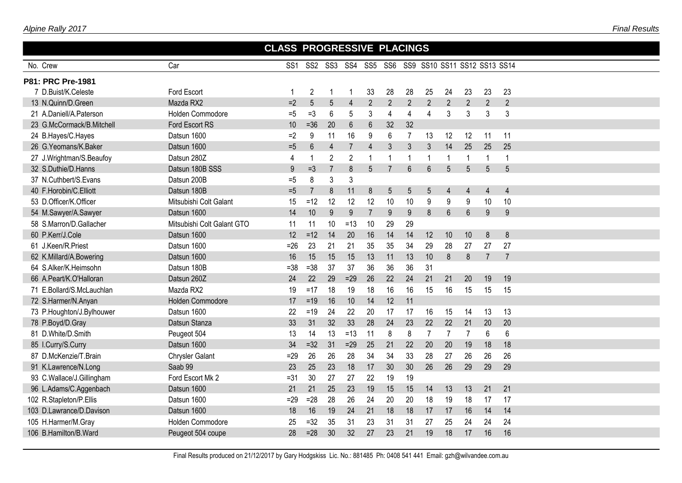| Alpine Rally 2017 |  |
|-------------------|--|
|                   |  |

|                           |                            | <b>CLASS PROGRESSIVE PLACINGS</b> |                |                |                                                  |                |                |                |                 |                |                |                |                |
|---------------------------|----------------------------|-----------------------------------|----------------|----------------|--------------------------------------------------|----------------|----------------|----------------|-----------------|----------------|----------------|----------------|----------------|
| No. Crew                  | Car                        | SS <sub>1</sub>                   |                |                | SS2 SS3 SS4 SS5 SS6 SS9 SS10 SS11 SS12 SS13 SS14 |                |                |                |                 |                |                |                |                |
| P81: PRC Pre-1981         |                            |                                   |                |                |                                                  |                |                |                |                 |                |                |                |                |
| 7 D.Buist/K.Celeste       | <b>Ford Escort</b>         |                                   | $\overline{2}$ | -1             |                                                  | 33             | 28             | 28             | 25              | 24             | 23             | 23             | 23             |
| 13 N.Quinn/D.Green        | Mazda RX2                  | $=2$                              | 5              | 5              | $\overline{4}$                                   | $\overline{2}$ | 2              | $\overline{2}$ | $\overline{2}$  | $\overline{2}$ | $\overline{2}$ | $\overline{2}$ | $\overline{2}$ |
| 21 A.Daniell/A.Paterson   | <b>Holden Commodore</b>    | $=5$                              | $=3$           | 6              | 5                                                | 3              | 4              | 4              | 4               | 3              | 3              | 3              | 3              |
| 23 G.McCormack/B.Mitchell | Ford Escort RS             | 10                                | $=36$          | 20             | $6\phantom{1}6$                                  | 6              | 32             | 32             |                 |                |                |                |                |
| 24 B.Hayes/C.Hayes        | Datsun 1600                | $=2$                              | 9              | 11             | 16                                               | 9              | $6\phantom{1}$ | $\overline{7}$ | 13              | 12             | 12             | 11             | 11             |
| 26 G.Yeomans/K.Baker      | Datsun 1600                | $=5$                              | 6              | $\overline{4}$ | $\overline{7}$                                   | $\overline{4}$ | 3              | 3              | $\mathfrak{Z}$  | 14             | 25             | 25             | 25             |
| 27 J.Wrightman/S.Beaufoy  | Datsun 280Z                | 4                                 | $\mathbf 1$    | $\overline{2}$ | $\overline{2}$                                   |                |                | 1              | -1              | 1              | 1              | 1              | 1              |
| 32 S.Duthie/D.Hanns       | Datsun 180B SSS            | 9                                 | $=3$           | $\overline{7}$ | 8                                                | 5 <sup>5</sup> | $\overline{7}$ | 6              | $6\overline{6}$ | 5              | 5              | 5              | 5              |
| 37 N.Cuthbert/S.Evans     | Datsun 200B                | $=5$                              | 8              | 3              | 3                                                |                |                |                |                 |                |                |                |                |
| 40 F.Horobin/C.Elliott    | Datsun 180B                | $=5$                              | $\overline{7}$ | 8              | 11                                               | 8              | $5\,$          | 5              | 5               | 4              | $\overline{4}$ | 4              | $\overline{4}$ |
| 53 D.Officer/K.Officer    | Mitsubishi Colt Galant     | 15                                | $=12$          | 12             | 12                                               | 12             | 10             | 10             | $9\,$           | 9              | 9              | 10             | 10             |
| 54 M.Sawyer/A.Sawyer      | Datsun 1600                | 14                                | 10             | 9              | 9                                                | $\overline{7}$ | 9              | $9\,$          | 8               | $6\phantom{a}$ | $6\phantom{1}$ | 9              | 9              |
| 58 S.Marron/D.Gallacher   | Mitsubishi Colt Galant GTO | 11                                | 11             | 10             | $=13$                                            | 10             | 29             | 29             |                 |                |                |                |                |
| 60 P.Kerr/J.Cole          | Datsun 1600                | 12                                | $=12$          | 14             | 20                                               | 16             | 14             | 14             | 12              | 10             | 10             | 8              | 8              |
| 61 J.Keen/R.Priest        | Datsun 1600                | $=26$                             | 23             | 21             | 21                                               | 35             | 35             | 34             | 29              | 28             | 27             | 27             | 27             |
| 62 K.Millard/A.Bowering   | Datsun 1600                | 16                                | 15             | 15             | 15                                               | 13             | 11             | 13             | 10              | 8              | 8              | $\overline{7}$ | $\overline{7}$ |
| 64 S.Alker/K.Heimsohn     | Datsun 180B                | $=38$                             | $= 38$         | 37             | 37                                               | 36             | 36             | 36             | 31              |                |                |                |                |
| 66 A.Peart/K.O'Halloran   | Datsun 260Z                | 24                                | 22             | 29             | $=29$                                            | 26             | 22             | 24             | 21              | 21             | 20             | 19             | 19             |
| 71 E.Bollard/S.McLauchlan | Mazda RX2                  | 19                                | $=17$          | 18             | 19                                               | 18             | 16             | 16             | 15              | 16             | 15             | 15             | 15             |
| 72 S.Harmer/N.Anyan       | <b>Holden Commodore</b>    | 17                                | $=19$          | 16             | 10                                               | 14             | 12             | 11             |                 |                |                |                |                |
| 73 P.Houghton/J.Bylhouwer | Datsun 1600                | 22                                | $=19$          | 24             | 22                                               | 20             | 17             | 17             | 16              | 15             | 14             | 13             | 13             |
| 78 P.Boyd/D.Gray          | Datsun Stanza              | 33                                | 31             | 32             | 33                                               | 28             | 24             | 23             | 22              | 22             | 21             | 20             | 20             |
| 81 D.White/D.Smith        | Peugeot 504                | 13                                | 14             | 13             | $=13$                                            | 11             | 8              | 8              | $\overline{7}$  | $\overline{7}$ | $\overline{7}$ | 6              | 6              |
| 85 I.Curry/S.Curry        | Datsun 1600                | 34                                | $=32$          | 31             | $=29$                                            | 25             | 21             | 22             | 20              | 20             | 19             | 18             | 18             |
| 87 D.McKenzie/T.Brain     | <b>Chrysler Galant</b>     | $=29$                             | 26             | 26             | 28                                               | 34             | 34             | 33             | 28              | 27             | 26             | 26             | 26             |
| 91 K.Lawrence/N.Long      | Saab 99                    | 23                                | 25             | 23             | 18                                               | 17             | 30             | 30             | 26              | 26             | 29             | 29             | 29             |
| 93 C.Wallace/J.Gillingham | Ford Escort Mk 2           | $=31$                             | 30             | 27             | 27                                               | 22             | 19             | 19             |                 |                |                |                |                |
| 96 L.Adams/C.Aggenbach    | Datsun 1600                | 21                                | 21             | 25             | 23                                               | 19             | 15             | 15             | 14              | 13             | 13             | 21             | 21             |
| 102 R.Stapleton/P.Ellis   | Datsun 1600                | $=29$                             | $=28$          | 28             | 26                                               | 24             | 20             | 20             | 18              | 19             | 18             | 17             | 17             |
| 103 D.Lawrance/D.Davison  | Datsun 1600                | 18                                | 16             | 19             | 24                                               | 21             | 18             | 18             | 17              | 17             | 16             | 14             | 14             |
| 105 H.Harmer/M.Gray       | Holden Commodore           | 25                                | $=32$          | 35             | 31                                               | 23             | 31             | 31             | 27              | 25             | 24             | 24             | 24             |
| 106 B.Hamilton/B.Ward     | Peugeot 504 coupe          | 28                                | $=28$          | 30             | 32                                               | 27             | 23             | 21             | 19              | 18             | 17             | 16             | 16             |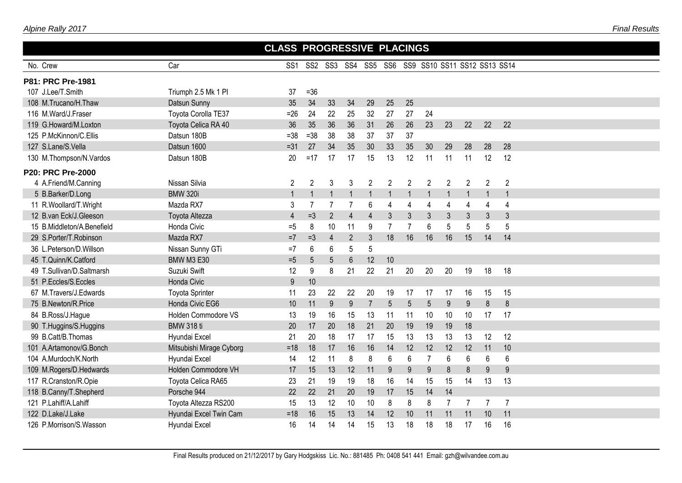|--|

|                            |                          | <b>CLASS PROGRESSIVE PLACINGS</b> |                |                |                 |                |                |                |                |                |                                                  |                          |                |  |
|----------------------------|--------------------------|-----------------------------------|----------------|----------------|-----------------|----------------|----------------|----------------|----------------|----------------|--------------------------------------------------|--------------------------|----------------|--|
| No. Crew                   | Car                      | SS <sub>1</sub>                   |                |                |                 |                |                |                |                |                | SS2 SS3 SS4 SS5 SS6 SS9 SS10 SS11 SS12 SS13 SS14 |                          |                |  |
| P81: PRC Pre-1981          |                          |                                   |                |                |                 |                |                |                |                |                |                                                  |                          |                |  |
| 107 J.Lee/T.Smith          | Triumph 2.5 Mk 1 PI      | 37                                | $=36$          |                |                 |                |                |                |                |                |                                                  |                          |                |  |
| 108 M.Trucano/H.Thaw       | Datsun Sunny             | 35                                | 34             | 33             | 34              | 29             | 25             | 25             |                |                |                                                  |                          |                |  |
| 116 M.Ward/J.Fraser        | Toyota Corolla TE37      | $=26$                             | 24             | 22             | 25              | 32             | 27             | 27             | 24             |                |                                                  |                          |                |  |
| 119 G.Howard/M.Loxton      | Toyota Celica RA 40      | 36                                | 35             | 36             | 36              | 31             | 26             | 26             | 23             | 23             | 22                                               | 22                       | 22             |  |
| 125 P.McKinnon/C.Ellis     | Datsun 180B              | $=38$                             | $= 38$         | 38             | 38              | 37             | 37             | 37             |                |                |                                                  |                          |                |  |
| 127 S.Lane/S.Vella         | Datsun 1600              | $=31$                             | 27             | 34             | 35              | 30             | 33             | 35             | 30             | 29             | 28                                               | 28                       | 28             |  |
| 130 M.Thompson/N.Vardos    | Datsun 180B              | 20                                | $=17$          | 17             | 17              | 15             | 13             | 12             | 11             | 11             | 11                                               | 12                       | 12             |  |
| <b>P20: PRC Pre-2000</b>   |                          |                                   |                |                |                 |                |                |                |                |                |                                                  |                          |                |  |
| 4 A.Friend/M.Canning       | Nissan Silvia            | $\overline{2}$                    | $\overline{2}$ | 3              | 3               | $\overline{2}$ | $\overline{2}$ | $\overline{2}$ | $\overline{2}$ | $\overline{c}$ | $\overline{2}$                                   | $\mathbf{2}$             | $\overline{2}$ |  |
| 5 B.Barker/D.Long          | <b>BMW 320i</b>          | $\overline{1}$                    | $\mathbf{1}$   |                |                 |                | $\overline{1}$ | 1              |                | $\overline{1}$ | 1                                                | $\overline{\phantom{a}}$ | $\overline{1}$ |  |
| 11 R.Woollard/T.Wright     | Mazda RX7                | 3                                 | $\overline{7}$ | $\overline{7}$ | $\overline{7}$  | 6              | $\overline{4}$ | 4              | 4              | 4              | 4                                                | 4                        | 4              |  |
| 12 B.van Eck/J.Gleeson     | Toyota Altezza           | $\overline{4}$                    | $=3$           | $\overline{2}$ | $\overline{4}$  | $\overline{4}$ | 3              | 3              | 3              | 3              | 3                                                | 3                        | 3              |  |
| 15 B.Middleton/A.Benefield | Honda Civic              | $=5$                              | 8              | 10             | 11              | 9              | $\overline{7}$ | $\overline{7}$ | 6              | 5              | 5                                                | 5                        | 5              |  |
| 29 S.Porter/T.Robinson     | Mazda RX7                | $=7$                              | $=3$           | $\overline{4}$ | $\overline{2}$  | 3              | 18             | 16             | 16             | 16             | 15                                               | 14                       | 14             |  |
| 36 L.Peterson/D.Willson    | Nissan Sunny GTi         | $=7$                              | 6              | 6              | 5               | 5              |                |                |                |                |                                                  |                          |                |  |
| 45 T.Quinn/K.Catford       | <b>BMW M3 E30</b>        | $=5$                              | 5              | 5              | $6\phantom{1}6$ | 12             | 10             |                |                |                |                                                  |                          |                |  |
| 49 T.Sullivan/D.Saltmarsh  | Suzuki Swift             | 12                                | 9              | 8              | 21              | 22             | 21             | 20             | 20             | 20             | 19                                               | 18                       | 18             |  |
| 51 P.Eccles/S.Eccles       | Honda Civic              | 9                                 | 10             |                |                 |                |                |                |                |                |                                                  |                          |                |  |
| 67 M.Travers/J.Edwards     | <b>Toyota Sprinter</b>   | 11                                | 23             | 22             | 22              | 20             | 19             | 17             | 17             | 17             | 16                                               | 15                       | 15             |  |
| 75 B.Newton/R.Price        | Honda Civic EG6          | 10                                | 11             | 9              | 9               | $\overline{7}$ | 5              | 5              | 5              | 9              | 9                                                | 8                        | 8              |  |
| 84 B.Ross/J.Hague          | Holden Commodore VS      | 13                                | 19             | 16             | 15              | 13             | 11             | 11             | 10             | 10             | 10                                               | 17                       | 17             |  |
| 90 T.Huggins/S.Huggins     | <b>BMW 318 ti</b>        | 20                                | 17             | 20             | 18              | 21             | 20             | 19             | 19             | 19             | 18                                               |                          |                |  |
| 99 B.Catt/B.Thomas         | Hyundai Excel            | 21                                | 20             | 18             | 17              | 17             | 15             | 13             | 13             | 13             | 13                                               | 12                       | 12             |  |
| 101 A.Artamonov/G.Bonch    | Mitsubishi Mirage Cyborg | $=18$                             | 18             | 17             | 16              | 16             | 14             | 12             | 12             | 12             | 12                                               | 11                       | 10             |  |
| 104 A.Murdoch/K.North      | Hyundai Excel            | 14                                | 12             | 11             | 8               | 8              | 6              | 6              | $\overline{7}$ | 6              | 6                                                | 6                        | 6              |  |
| 109 M.Rogers/D.Hedwards    | Holden Commodore VH      | 17                                | 15             | 13             | 12              | 11             | 9              | 9              | 9              | 8              | 8                                                | 9                        | 9              |  |
| 117 R.Cranston/R.Opie      | Toyota Celica RA65       | 23                                | 21             | 19             | 19              | 18             | 16             | 14             | 15             | 15             | 14                                               | 13                       | 13             |  |
| 118 B.Canny/T.Shepherd     | Porsche 944              | 22                                | 22             | 21             | 20              | 19             | 17             | 15             | 14             | 14             |                                                  |                          |                |  |
| 121 P.Lahiff/A.Lahiff      | Toyota Altezza RS200     | 15                                | 13             | 12             | 10              | 10             | 8              | 8              | 8              | $\overline{7}$ | 7                                                | $\overline{7}$           | $\overline{7}$ |  |
| 122 D.Lake/J.Lake          | Hyundai Excel Twin Cam   | $=18$                             | 16             | 15             | 13              | 14             | 12             | 10             | 11             | 11             | 11                                               | 10                       | 11             |  |
| 126 P.Morrison/S.Wasson    | Hyundai Excel            | 16                                | 14             | 14             | 14              | 15             | 13             | 18             | 18             | 18             | 17                                               | 16                       | 16             |  |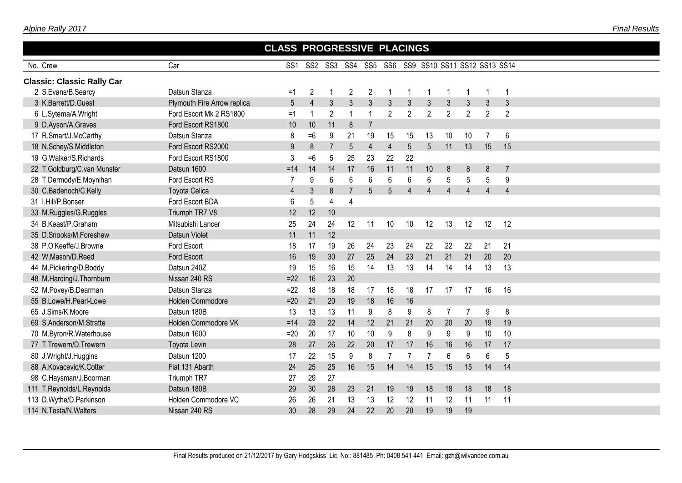|                                   |                             | <b>CLASS PROGRESSIVE PLACINGS</b> |                |                |                |                |                |                |                                                  |                |                |                |                |  |
|-----------------------------------|-----------------------------|-----------------------------------|----------------|----------------|----------------|----------------|----------------|----------------|--------------------------------------------------|----------------|----------------|----------------|----------------|--|
| No. Crew                          | Car                         | SS <sub>1</sub>                   |                |                |                |                |                |                | SS2 SS3 SS4 SS5 SS6 SS9 SS10 SS11 SS12 SS13 SS14 |                |                |                |                |  |
| <b>Classic: Classic Rally Car</b> |                             |                                   |                |                |                |                |                |                |                                                  |                |                |                |                |  |
| 2 S.Evans/B.Searcy                | Datsun Stanza               | $=1$                              | $\overline{2}$ |                | 2              | 2              |                |                |                                                  | 1              |                |                | 1              |  |
| 3 K.Barrett/D.Guest               | Plymouth Fire Arrow replica | 5                                 | $\overline{4}$ | $\mathfrak{Z}$ | $\mathfrak{Z}$ | $\overline{3}$ | $\overline{3}$ | 3              | 3                                                | $\mathfrak{Z}$ | $\mathfrak{Z}$ | $\mathbf{3}$   | 3              |  |
| 6 L.Sytema/A.Wright               | Ford Escort Mk 2 RS1800     | $=1$                              | 1              | $\overline{2}$ | $\overline{1}$ | $\overline{1}$ | $\mathbf{2}$   | $\overline{2}$ | $\overline{2}$                                   | $\overline{2}$ | $\overline{2}$ | $\overline{2}$ | $\overline{2}$ |  |
| 9 D.Ayson/A.Graves                | Ford Escort RS1800          | 10                                | 10             | 11             | 8              | $\overline{7}$ |                |                |                                                  |                |                |                |                |  |
| 17 R.Smart/J.McCarthy             | Datsun Stanza               | 8                                 | $=6$           | 9              | 21             | 19             | 15             | 15             | 13                                               | 10             | 10             | $\overline{7}$ | 6              |  |
| 18 N.Schey/S.Middleton            | Ford Escort RS2000          | 9                                 | 8              | $\overline{7}$ | 5              | $\overline{4}$ | $\overline{4}$ | 5              | 5                                                | 11             | 13             | 15             | 15             |  |
| 19 G.Walker/S.Richards            | Ford Escort RS1800          | 3                                 | $=6$           | 5              | 25             | 23             | 22             | 22             |                                                  |                |                |                |                |  |
| 22 T.Goldburg/C.van Munster       | Datsun 1600                 | $=14$                             | 14             | 14             | 17             | 16             | 11             | 11             | 10                                               | 8              | 8              | 8              | $\overline{7}$ |  |
| 28 T.Dermody/E.Moynihan           | Ford Escort RS              | 7                                 | 9              | 6              | 6              | 6              | 6              | 6              | 6                                                | 5              | 5              | 5              | 9              |  |
| 30 C.Badenoch/C.Kelly             | <b>Toyota Celica</b>        | $\overline{4}$                    | 3              | 8              | $\overline{7}$ | 5              | 5              | $\Delta$       | $\overline{4}$                                   | $\overline{4}$ | $\Delta$       | $\overline{4}$ | $\overline{4}$ |  |
| 31 I.Hill/P.Bonser                | Ford Escort BDA             | 6                                 | 5              | $\overline{4}$ | 4              |                |                |                |                                                  |                |                |                |                |  |
| 33 M.Ruggles/G.Ruggles            | Triumph TR7 V8              | 12                                | 12             | 10             |                |                |                |                |                                                  |                |                |                |                |  |
| 34 B.Keast/P.Graham               | Mitsubishi Lancer           | 25                                | 24             | 24             | 12             | 11             | 10             | 10             | 12                                               | 13             | 12             | 12             | 12             |  |
| 35 D.Snooks/M.Foreshew            | Datsun Violet               | 11                                | 11             | 12             |                |                |                |                |                                                  |                |                |                |                |  |
| 38 P.O'Keeffe/J.Browne            | Ford Escort                 | 18                                | 17             | 19             | 26             | 24             | 23             | 24             | 22                                               | 22             | 22             | 21             | 21             |  |
| 42 W.Mason/D.Reed                 | Ford Escort                 | 16                                | 19             | 30             | 27             | 25             | 24             | 23             | 21                                               | 21             | 21             | 20             | 20             |  |
| 44 M.Pickering/D.Boddy            | Datsun 240Z                 | 19                                | 15             | 16             | 15             | 14             | 13             | 13             | 14                                               | 14             | 14             | 13             | 13             |  |
| 48 M.Harding/J.Thornburn          | Nissan 240 RS               | $=22$                             | 16             | 23             | 20             |                |                |                |                                                  |                |                |                |                |  |
| 52 M.Povey/B.Dearman              | Datsun Stanza               | $=22$                             | 18             | 18             | 18             | 17             | 18             | 18             | 17                                               | 17             | 17             | 16             | 16             |  |
| 55 B.Lowe/H.Pearl-Lowe            | Holden Commodore            | $=20$                             | 21             | 20             | 19             | 18             | 16             | 16             |                                                  |                |                |                |                |  |
| 65 J.Sims/K.Moore                 | Datsun 180B                 | 13                                | 13             | 13             | 11             | 9              | 8              | 9              | 8                                                | $\overline{7}$ | $\overline{7}$ | 9              | 8              |  |
| 69 S.Anderson/M.Stratte           | Holden Commodore VK         | $=14$                             | 23             | 22             | 14             | 12             | 21             | 21             | 20                                               | 20             | 20             | 19             | 19             |  |
| 70 M.Byron/R.Waterhouse           | Datsun 1600                 | $=20$                             | 20             | 17             | 10             | 10             | $9\,$          | 8              | 9                                                | 9              | 9              | 10             | 10             |  |
| 77 T.Trewern/D.Trewern            | Toyota Levin                | 28                                | 27             | 26             | 22             | 20             | 17             | 17             | 16                                               | 16             | 16             | 17             | 17             |  |
| 80 J.Wright/J.Huggins             | Datsun 1200                 | 17                                | 22             | 15             | 9              | 8              | $\overline{7}$ | $\overline{7}$ |                                                  | 6              | 6              | 6              | 5              |  |
| 88 A.Kovacevic/K.Cotter           | Fiat 131 Abarth             | 24                                | 25             | 25             | 16             | 15             | 14             | 14             | 15                                               | 15             | 15             | 14             | 14             |  |
| 98 C.Haysman/J.Boorman            | Triumph TR7                 | 27                                | 29             | 27             |                |                |                |                |                                                  |                |                |                |                |  |
| 111 T.Reynolds/L.Reynolds         | Datsun 180B                 | 29                                | 30             | 28             | 23             | 21             | 19             | 19             | 18                                               | 18             | 18             | 18             | 18             |  |
| 113 D.Wythe/D.Parkinson           | Holden Commodore VC         | 26                                | 26             | 21             | 13             | 13             | 12             | 12             | 11                                               | 12             | 11             | 11             | 11             |  |
| 114 N.Testa/N.Walters             | Nissan 240 RS               | 30                                | 28             | 29             | 24             | 22             | 20             | 20             | 19                                               | 19             | 19             |                |                |  |
|                                   |                             |                                   |                |                |                |                |                |                |                                                  |                |                |                |                |  |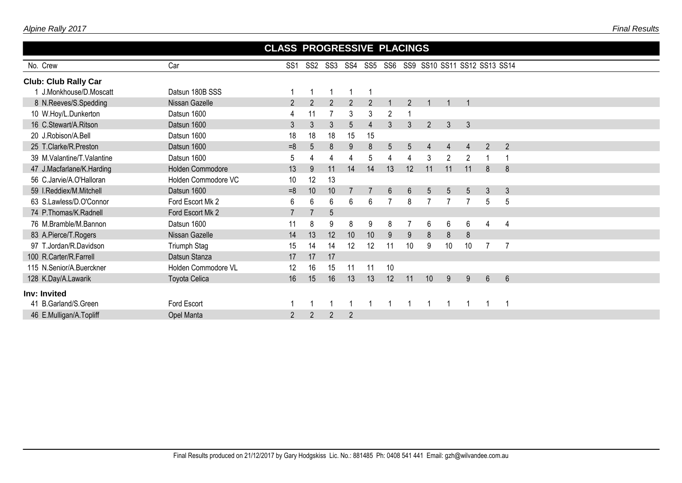| Alpine Rally 2017 |  |
|-------------------|--|
|-------------------|--|

|                             |                         | <b>CLASS PROGRESSIVE PLACINGS</b> |                |                 |                |                |                                      |                |                 |                |                 |                |                |
|-----------------------------|-------------------------|-----------------------------------|----------------|-----------------|----------------|----------------|--------------------------------------|----------------|-----------------|----------------|-----------------|----------------|----------------|
| No. Crew                    | Car                     | SS <sub>1</sub>                   | SS2            | SS3             | SS4            |                | SS5 SS6 SS9 SS10 SS11 SS12 SS13 SS14 |                |                 |                |                 |                |                |
| <b>Club: Club Rally Car</b> |                         |                                   |                |                 |                |                |                                      |                |                 |                |                 |                |                |
| 1 J.Monkhouse/D.Moscatt     | Datsun 180B SSS         | -1                                |                |                 |                |                |                                      |                |                 |                |                 |                |                |
| 8 N.Reeves/S.Spedding       | Nissan Gazelle          | $\overline{2}$                    | 2              | $\overline{2}$  | 2              | $\overline{2}$ |                                      | $\overline{2}$ |                 |                |                 |                |                |
| 10 W.Hoy/L.Dunkerton        | Datsun 1600             |                                   | 11             |                 | 3              | 3              | 2                                    |                |                 |                |                 |                |                |
| 16 C.Stewart/A.Ritson       | Datsun 1600             | 3                                 | 3              | $\mathfrak{Z}$  | 5              | 4              | 3                                    | 3              | $\overline{2}$  | 3              | $\mathfrak{Z}$  |                |                |
| 20 J.Robison/A.Bell         | Datsun 1600             | 18                                | 18             | 18              | 15             | 15             |                                      |                |                 |                |                 |                |                |
| 25 T.Clarke/R.Preston       | Datsun 1600             | $=8$                              | 5              | 8               | 9              | 8              | $5\overline{)}$                      | 5              | $\overline{4}$  | $\overline{4}$ | $\overline{4}$  | $\overline{2}$ | $\overline{2}$ |
| 39 M.Valantine/T.Valantine  | Datsun 1600             | 5                                 | 4              | 4               | 4              | 5              | 4                                    | 4              | 3               | $\overline{2}$ | $\overline{2}$  |                |                |
| 47 J.Macfarlane/K.Harding   | <b>Holden Commodore</b> | 13                                | 9              | 11              | 14             | 14             | 13                                   | 12             | 11              | 11             | 11              | 8              | 8              |
| 56 C.Jarvie/A.O'Halloran    | Holden Commodore VC     | 10                                | 12             | 13              |                |                |                                      |                |                 |                |                 |                |                |
| 59 I.Reddiex/M.Mitchell     | Datsun 1600             | $=8$                              | 10             | 10              |                |                | $6\phantom{.}$                       | $6\phantom{.}$ | $5\phantom{.0}$ | 5              | $5\overline{)}$ | 3              | 3              |
| 63 S.Lawless/D.O'Connor     | Ford Escort Mk 2        | 6                                 | 6              | 6               | 6              | 6              |                                      | 8              |                 |                |                 | 5              | 5              |
| 74 P.Thomas/K.Radnell       | Ford Escort Mk 2        | $\overline{7}$                    |                | $5\phantom{.0}$ |                |                |                                      |                |                 |                |                 |                |                |
| 76 M.Bramble/M.Bannon       | Datsun 1600             | 11                                | 8              | 9               | 8              | 9              | 8                                    |                | $6\phantom{1}6$ | 6              | $6\phantom{.}6$ | 4              | $\overline{4}$ |
| 83 A.Pierce/T.Rogers        | Nissan Gazelle          | 14                                | 13             | 12              | 10             | 10             | 9                                    | $9\,$          | 8               | 8              | $\bf 8$         |                |                |
| 97 T.Jordan/R.Davidson      | Triumph Stag            | 15                                | 14             | 14              | 12             | 12             | 11                                   | 10             | 9               | 10             | 10              | 7              | $\overline{7}$ |
| 100 R.Carter/R.Farrell      | Datsun Stanza           | 17                                | 17             | 17              |                |                |                                      |                |                 |                |                 |                |                |
| 115 N.Senior/A.Buerckner    | Holden Commodore VL     | 12                                | 16             | 15              | 11             | 11             | 10                                   |                |                 |                |                 |                |                |
| 128 K.Day/A.Lawarik         | Toyota Celica           | 16                                | 15             | 16              | 13             | 13             | 12                                   | 11             | 10              | 9              | 9               | $6\phantom{1}$ | $6\phantom{1}$ |
| Inv: Invited                |                         |                                   |                |                 |                |                |                                      |                |                 |                |                 |                |                |
| 41 B.Garland/S.Green        | Ford Escort             |                                   |                |                 |                |                |                                      |                |                 |                |                 |                |                |
| 46 E.Mulligan/A.Topliff     | Opel Manta              | $\overline{2}$                    | $\overline{2}$ | $\overline{2}$  | $\overline{2}$ |                |                                      |                |                 |                |                 |                |                |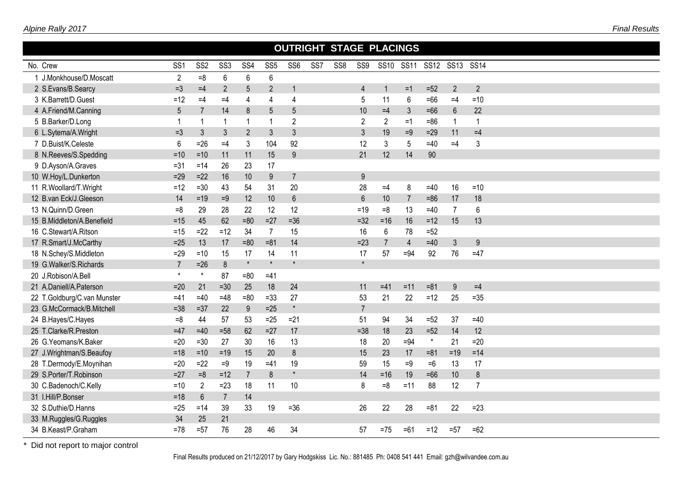| Alpine Rally 2017           |                 |                 |                 |                 |                 |                 |                 |                 |                 |                                |                |           |                |                          | <b>Final Results</b> |
|-----------------------------|-----------------|-----------------|-----------------|-----------------|-----------------|-----------------|-----------------|-----------------|-----------------|--------------------------------|----------------|-----------|----------------|--------------------------|----------------------|
|                             |                 |                 |                 |                 |                 |                 |                 |                 |                 | <b>OUTRIGHT STAGE PLACINGS</b> |                |           |                |                          |                      |
| No. Crew                    | SS <sub>1</sub> | SS <sub>2</sub> | SS <sub>3</sub> | SS <sub>4</sub> | SS <sub>5</sub> | SS <sub>6</sub> | SS <sub>7</sub> | SS <sub>8</sub> | SS <sub>9</sub> |                                | SS10 SS11      | SS12 SS13 |                | <b>SS14</b>              |                      |
| 1 J.Monkhouse/D.Moscatt     | $\overline{2}$  | $= 8$           | 6               | 6               | 6               |                 |                 |                 |                 |                                |                |           |                |                          |                      |
| 2 S.Evans/B.Searcy          | $=3$            | $=4$            | $\overline{2}$  | 5               | $\overline{2}$  | 1               |                 |                 | $\overline{4}$  |                                | $=1$           | $=52$     | $\overline{2}$ | $\overline{2}$           |                      |
| 3 K.Barrett/D.Guest         | $=12$           | $=4$            | $=4$            | 4               | 4               | 4               |                 |                 | 5               | 11                             | 6              | $=66$     | $=4$           | $=10$                    |                      |
| 4 A.Friend/M.Canning        | 5               | $\overline{7}$  | 14              | 8               | 5               | $5\phantom{.0}$ |                 |                 | 10              | $=4$                           | 3              | $=66$     | 6              | 22                       |                      |
| 5 B.Barker/D.Long           |                 | -1              | $\mathbf{1}$    |                 | 1               | $\overline{2}$  |                 |                 | $\overline{2}$  | $\overline{2}$                 | $=1$           | $= 86$    | $\mathbf 1$    | $\overline{\phantom{a}}$ |                      |
| 6 L.Sytema/A.Wright         | $=3$            | 3               | 3               | $\overline{2}$  | 3               | $\mathfrak{Z}$  |                 |                 | 3               | 19                             | $=9$           | $=29$     | 11             | $=4$                     |                      |
| 7 D.Buist/K.Celeste         | 6               | $=26$           | $=4$            | 3               | 104             | 92              |                 |                 | 12              | 3                              | 5              | $=40$     | $=4$           | 3                        |                      |
| 8 N.Reeves/S.Spedding       | $=10$           | $=10$           | 11              | 11              | 15              | 9               |                 |                 | 21              | 12                             | 14             | 90        |                |                          |                      |
| 9 D.Ayson/A.Graves          | $= 31$          | $=14$           | 26              | 23              | 17              |                 |                 |                 |                 |                                |                |           |                |                          |                      |
| 10 W.Hoy/L.Dunkerton        | $=29$           | $=22$           | 16              | 10              | $9\,$           | $\overline{7}$  |                 |                 | 9               |                                |                |           |                |                          |                      |
| 11 R.Woollard/T.Wright      | $=12$           | $= 30$          | 43              | 54              | 31              | 20              |                 |                 | 28              | $=4$                           | 8              | $=40$     | 16             | $=10$                    |                      |
| 12 B.van Eck/J.Gleeson      | 14              | $=19$           | $=9$            | 12              | 10              | $6\phantom{1}$  |                 |                 | $6\phantom{1}$  | 10                             | $\overline{7}$ | $= 86$    | 17             | 18                       |                      |
| 13 N.Quinn/D.Green          | $=8$            | 29              | 28              | 22              | 12              | 12              |                 |                 | $=19$           | $=8$                           | 13             | $=40$     |                | 6                        |                      |
| 15 B.Middleton/A.Benefield  | $= 15$          | 45              | 62              | $= 80$          | $=27$           | $=36$           |                 |                 | $=32$           | $= 16$                         | 16             | $=12$     | 15             | 13                       |                      |
| 16 C.Stewart/A.Ritson       | $=15$           | $=22$           | $=12$           | 34              | 7               | 15              |                 |                 | 16              | 6                              | 78             | $=52$     |                |                          |                      |
| 17 R.Smart/J.McCarthy       | $=25$           | 13              | 17              | $= 80$          | $= 81$          | 14              |                 |                 | $=23$           | $\overline{7}$                 | 4              | $=40$     | $\mathfrak{Z}$ | 9                        |                      |
| 18 N.Schey/S.Middleton      | $=29$           | $=10$           | 15              | 17              | 14              | 11              |                 |                 | 17              | 57                             | $=94$          | 92        | 76             | $=47$                    |                      |
| 19 G.Walker/S.Richards      | $\overline{7}$  | $=26$           | $8\phantom{1}$  | $\star$         | $\star$         | $\star$         |                 |                 | $\star$         |                                |                |           |                |                          |                      |
| 20 J.Robison/A.Bell         | $\star$         | $\star$         | 87              | $= 80$          | $=41$           |                 |                 |                 |                 |                                |                |           |                |                          |                      |
| 21 A.Daniell/A.Paterson     | $=20$           | 21              | $=30$           | 25              | 18              | 24              |                 |                 | 11              | $=41$                          | $=11$          | $= 81$    | 9              | $=4$                     |                      |
| 22 T.Goldburg/C.van Munster | $=41$           | $=40$           | $=48$           | $= 80$          | $=33$           | 27              |                 |                 | 53              | 21                             | 22             | $=12$     | 25             | $=35$                    |                      |
| 23 G.McCormack/B.Mitchell   | $= 38$          | $=37$           | 22              | 9               | $=25$           | $\star$         |                 |                 | $\overline{7}$  |                                |                |           |                |                          |                      |
| 24 B.Hayes/C.Hayes          | $= 8$           | 44              | 57              | 53              | $=25$           | $=21$           |                 |                 | 51              | 94                             | 34             | $=52$     | 37             | $=40$                    |                      |
| 25 T.Clarke/R.Preston       | $=47$           | $=40$           | $=58$           | 62              | $=27$           | 17              |                 |                 | $= 38$          | 18                             | 23             | $=52$     | 14             | 12                       |                      |
| 26 G.Yeomans/K.Baker        | $=20$           | $=30$           | 27              | 30              | 16              | 13              |                 |                 | 18              | 20                             | $= 94$         | $^\star$  | 21             | $=20$                    |                      |

27 J.Wrightman/S.Beaufoy =  $18 = 10 = 19$  15 20 8 15 23 17 =81 =19 =14 T.Dermody/E.Moynihan =20 =22 =9 19 =41 19 59 15 =9 =6 13 17 S.Porter/T.Robinson =27 =8 =12 7 8 \* 14 =16 19 =66 10 8 30 C.Badenoch/C.Kelly =10 2 =23 18 11 10 8 =8 =11 88 12 7

32 S.Duthie/D.Hanns =25 =14 39 33 19 =36 26 22 28 =81 22 =23

34 B.Keast/P.Graham =78 =57 76 28 46 34 57 =75 =61 =12 =57 =62

I.Hill/P.Bonser =18 6 7 14

33 M.Ruggles/G.Ruggles 34 25 21

\* Did not report to major control

Final Results produced on 21/12/2017 by Gary Hodgskiss Lic. No.: 881485 Ph: 0408 541 441 Email: gzh@wilvandee.com.au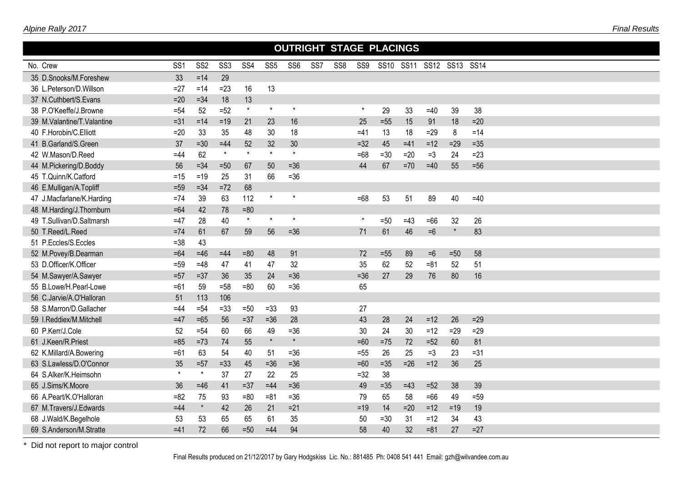|                            |                 |                 |                 |         |                 |                 |                 | <b>OUTRIGHT STAGE PLACINGS</b> |         |       |       |                          |         |        |  |
|----------------------------|-----------------|-----------------|-----------------|---------|-----------------|-----------------|-----------------|--------------------------------|---------|-------|-------|--------------------------|---------|--------|--|
| No. Crew                   | SS <sub>1</sub> | SS <sub>2</sub> | SS <sub>3</sub> | SS4     | SS <sub>5</sub> | SS <sub>6</sub> | SS <sub>7</sub> | SS <sub>8</sub>                | SS9     |       |       | SS10 SS11 SS12 SS13 SS14 |         |        |  |
| 35 D.Snooks/M.Foreshew     | 33              | $=14$           | 29              |         |                 |                 |                 |                                |         |       |       |                          |         |        |  |
| 36 L.Peterson/D.Willson    | $=27$           | $=14$           | $=23$           | 16      | 13              |                 |                 |                                |         |       |       |                          |         |        |  |
| 37 N.Cuthbert/S.Evans      | $=20$           | $= 34$          | 18              | 13      |                 |                 |                 |                                |         |       |       |                          |         |        |  |
| 38 P.O'Keeffe/J.Browne     | $= 54$          | 52              | $=52$           | $\star$ | $\star$         | $\star$         |                 |                                | $\star$ | 29    | 33    | $=40$                    | 39      | 38     |  |
| 39 M.Valantine/T.Valantine | $= 31$          | $= 14$          | $=19$           | 21      | 23              | 16              |                 |                                | 25      | $=55$ | 15    | 91                       | 18      | $=20$  |  |
| 40 F.Horobin/C.Elliott     | $=20$           | 33              | 35              | 48      | 30              | 18              |                 |                                | $=41$   | 13    | 18    | $=29$                    | 8       | $=14$  |  |
| 41 B.Garland/S.Green       | 37              | $=30$           | $=44$           | 52      | 32              | 30              |                 |                                | $=32$   | 45    | $=41$ | $= 12$                   | $=29$   | $=35$  |  |
| 42 W.Mason/D.Reed          | $=44$           | 62              | $\star$         | $\star$ | $\star$         | $\star$         |                 |                                | $=68$   | $=30$ | $=20$ | $=3$                     | 24      | $=23$  |  |
| 44 M.Pickering/D.Boddy     | 56              | $= 34$          | $=50$           | 67      | 50              | $=36$           |                 |                                | 44      | 67    | $=70$ | $=40$                    | 55      | $=56$  |  |
| 45 T.Quinn/K.Catford       | $=15$           | $=19$           | 25              | 31      | 66              | $=36$           |                 |                                |         |       |       |                          |         |        |  |
| 46 E.Mulligan/A.Topliff    | $=59$           | $= 34$          | $=72$           | 68      |                 |                 |                 |                                |         |       |       |                          |         |        |  |
| 47 J.Macfarlane/K.Harding  | $=74$           | 39              | 63              | 112     | $\star$         | $\star$         |                 |                                | $=68$   | 53    | 51    | 89                       | 40      | $=40$  |  |
| 48 M.Harding/J.Thornburn   | $=64$           | 42              | 78              | $= 80$  |                 |                 |                 |                                |         |       |       |                          |         |        |  |
| 49 T.Sullivan/D.Saltmarsh  | $=47$           | 28              | 40              | $\star$ | $\star$         | $\star$         |                 |                                | $\star$ | $=50$ | $=43$ | $=66$                    | 32      | 26     |  |
| 50 T.Reed/L.Reed           | $=74$           | 61              | 67              | 59      | 56              | $=36$           |                 |                                | 71      | 61    | 46    | $=6$                     | $\star$ | 83     |  |
| 51 P.Eccles/S.Eccles       | $= 38$          | 43              |                 |         |                 |                 |                 |                                |         |       |       |                          |         |        |  |
| 52 M.Povey/B.Dearman       | $=64$           | $=46$           | $=44$           | $=80$   | 48              | 91              |                 |                                | 72      | $=55$ | 89    | $=6$                     | $=50$   | 58     |  |
| 53 D.Officer/K.Officer     | $= 59$          | $=48$           | 47              | 41      | 47              | 32              |                 |                                | 35      | 62    | 52    | $= 81$                   | 52      | 51     |  |
| 54 M.Sawyer/A.Sawyer       | $=57$           | $=37$           | 36              | 35      | 24              | $=36$           |                 |                                | $=36$   | 27    | 29    | 76                       | 80      | 16     |  |
| 55 B.Lowe/H.Pearl-Lowe     | $=61$           | 59              | $=58$           | $= 80$  | 60              | $=36$           |                 |                                | 65      |       |       |                          |         |        |  |
| 56 C.Jarvie/A.O'Halloran   | 51              | 113             | 106             |         |                 |                 |                 |                                |         |       |       |                          |         |        |  |
| 58 S.Marron/D.Gallacher    | $=44$           | $= 54$          | $= 33$          | $=50$   | $= 33$          | 93              |                 |                                | 27      |       |       |                          |         |        |  |
| 59 I.Reddiex/M.Mitchell    | $=47$           | $=65$           | 56              | $=37$   | $=36$           | 28              |                 |                                | 43      | 28    | 24    | $=12$                    | 26      | $=29$  |  |
| 60 P.Kerr/J.Cole           | 52              | $= 54$          | 60              | 66      | 49              | $=36$           |                 |                                | 30      | 24    | 30    | $=12$                    | $=29$   | $=29$  |  |
| 61 J.Keen/R.Priest         | $= 85$          | $=73$           | 74              | 55      | $\star$         | $\star$         |                 |                                | $=60$   | $=75$ | 72    | $=52$                    | 60      | 81     |  |
| 62 K.Millard/A.Bowering    | $=61$           | 63              | 54              | 40      | 51              | $=36$           |                 |                                | $=55$   | 26    | 25    | $=3$                     | 23      | $= 31$ |  |
| 63 S.Lawless/D.O'Connor    | 35              | $=57$           | $=33$           | 45      | $=36$           | $=36$           |                 |                                | $=60$   | $=35$ | $=26$ | $=12$                    | 36      | 25     |  |
| 64 S.Alker/K.Heimsohn      | $\star$         | $\star$         | 37              | 27      | 22              | 25              |                 |                                | $=32$   | 38    |       |                          |         |        |  |
| 65 J.Sims/K.Moore          | 36              | $=46$           | 41              | $=37$   | $=44$           | $=36$           |                 |                                | 49      | $=35$ | $=43$ | $=52$                    | 38      | 39     |  |
| 66 A.Peart/K.O'Halloran    | $= 82$          | 75              | 93              | $= 80$  | $= 81$          | $=36$           |                 |                                | 79      | 65    | 58    | $=66$                    | 49      | $=59$  |  |
| 67 M.Travers/J.Edwards     | $=44$           | $\star$         | 42              | 26      | 21              | $=21$           |                 |                                | $=19$   | 14    | $=20$ | $=12$                    | $=19$   | 19     |  |
| 68 J.Wald/K.Begelhole      | 53              | 53              | 65              | 65      | 61              | 35              |                 |                                | 50      | $=30$ | 31    | $=12$                    | 34      | 43     |  |
| 69 S.Anderson/M.Stratte    | $=41$           | 72              | 66              | $=50$   | $=44$           | 94              |                 |                                | 58      | 40    | 32    | $= 81$                   | 27      | $=27$  |  |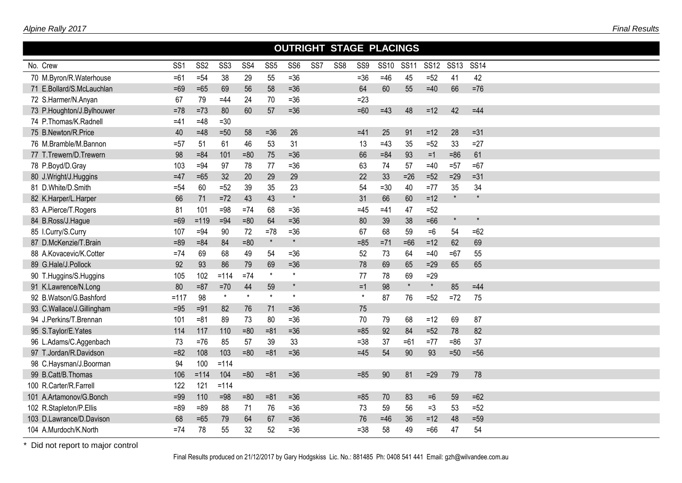|                           |                 |                 |                 |                 |                 |                 |                 | <b>OUTRIGHT STAGE PLACINGS</b> |         |             |             |             |             |             |  |  |  |
|---------------------------|-----------------|-----------------|-----------------|-----------------|-----------------|-----------------|-----------------|--------------------------------|---------|-------------|-------------|-------------|-------------|-------------|--|--|--|
| No. Crew                  | SS <sub>1</sub> | SS <sub>2</sub> | SS <sub>3</sub> | SS <sub>4</sub> | SS <sub>5</sub> | SS <sub>6</sub> | SS <sub>7</sub> | SS8                            | SS9     | <b>SS10</b> | <b>SS11</b> | <b>SS12</b> | <b>SS13</b> | <b>SS14</b> |  |  |  |
| 70 M.Byron/R.Waterhouse   | $=61$           | $= 54$          | 38              | 29              | 55              | $=36$           |                 |                                | $=36$   | $=46$       | 45          | $=52$       | 41          | 42          |  |  |  |
| 71 E.Bollard/S.McLauchlan | $=69$           | $=65$           | 69              | 56              | 58              | $=36$           |                 |                                | 64      | 60          | 55          | $=40$       | 66          | $=76$       |  |  |  |
| 72 S.Harmer/N.Anyan       | 67              | 79              | $=44$           | 24              | 70              | $= 36$          |                 |                                | $=23$   |             |             |             |             |             |  |  |  |
| 73 P.Houghton/J.Bylhouwer | $=78$           | $=73$           | 80              | 60              | 57              | $=36$           |                 |                                | $=60$   | $=43$       | 48          | $=12$       | 42          | $=44$       |  |  |  |
| 74 P.Thomas/K.Radnell     | $=41$           | $=48$           | $=30$           |                 |                 |                 |                 |                                |         |             |             |             |             |             |  |  |  |
| 75 B.Newton/R.Price       | 40              | $=48$           | $=50$           | 58              | $=36$           | 26              |                 |                                | $=41$   | 25          | 91          | $=12$       | 28          | $=31$       |  |  |  |
| 76 M.Bramble/M.Bannon     | $= 57$          | 51              | 61              | 46              | 53              | 31              |                 |                                | 13      | $=43$       | 35          | $=52$       | 33          | $=27$       |  |  |  |
| 77 T.Trewern/D.Trewern    | 98              | $= 84$          | 101             | $= 80$          | 75              | $=36$           |                 |                                | 66      | $= 84$      | 93          | $=1$        | $= 86$      | 61          |  |  |  |
| 78 P.Boyd/D.Gray          | 103             | $=94$           | 97              | 78              | 77              | $= 36$          |                 |                                | 63      | 74          | 57          | $=40$       | $=57$       | $=67$       |  |  |  |
| 80 J.Wright/J.Huggins     | $=47$           | $=65$           | 32              | 20              | 29              | 29              |                 |                                | 22      | 33          | $=26$       | $=52$       | $=29$       | $=31$       |  |  |  |
| 81 D.White/D.Smith        | $= 54$          | 60              | $=52$           | 39              | 35              | 23              |                 |                                | 54      | $=30$       | 40          | $=77$       | 35          | 34          |  |  |  |
| 82 K.Harper/L.Harper      | 66              | 71              | $=72$           | 43              | 43              | $\star$         |                 |                                | 31      | 66          | 60          | $= 12$      | $\star$     | $\star$     |  |  |  |
| 83 A.Pierce/T.Rogers      | 81              | 101             | $=98$           | $=74$           | 68              | $= 36$          |                 |                                | $=45$   | $=41$       | 47          | $=52$       |             |             |  |  |  |
| 84 B.Ross/J.Hague         | $=69$           | $=119$          | $=94$           | $= 80$          | 64              | $=36$           |                 |                                | 80      | 39          | 38          | $=66$       | $\star$     | $\star$     |  |  |  |
| 85 I.Curry/S.Curry        | 107             | $=94$           | 90              | 72              | $=78$           | $= 36$          |                 |                                | 67      | 68          | 59          | $=6$        | 54          | $=62$       |  |  |  |
| 87 D.McKenzie/T.Brain     | $=89$           | $= 84$          | 84              | $= 80$          | $\star$         | $\star$         |                 |                                | $= 85$  | $= 71$      | $=66$       | $=12$       | 62          | 69          |  |  |  |
| 88 A.Kovacevic/K.Cotter   | $=74$           | 69              | 68              | 49              | 54              | $= 36$          |                 |                                | 52      | 73          | 64          | $=40$       | $=67$       | 55          |  |  |  |
| 89 G.Hale/J.Pollock       | 92              | 93              | 86              | 79              | 69              | $=36$           |                 |                                | 78      | 69          | 65          | $=29$       | 65          | 65          |  |  |  |
| 90 T.Huggins/S.Huggins    | 105             | 102             | $=114$          | $=74$           | $\star$         | $\star$         |                 |                                | 77      | 78          | 69          | $=29$       |             |             |  |  |  |
| 91 K.Lawrence/N.Long      | 80              | $= 87$          | $=70$           | 44              | 59              | $\star$         |                 |                                | $=1$    | 98          | $\star$     | $\star$     | 85          | $=44$       |  |  |  |
| 92 B.Watson/G.Bashford    | $=117$          | 98              | $\pmb{\ast}$    | $\star$         | $\star$         | $\star$         |                 |                                | $\star$ | 87          | 76          | $= 52$      | $=72$       | 75          |  |  |  |
| 93 C.Wallace/J.Gillingham | $=95$           | $=91$           | 82              | 76              | 71              | $=36$           |                 |                                | 75      |             |             |             |             |             |  |  |  |
| 94 J.Perkins/T.Brennan    | 101             | $= 81$          | 89              | 73              | 80              | $= 36$          |                 |                                | 70      | 79          | 68          | $=12$       | 69          | 87          |  |  |  |
| 95 S.Taylor/E.Yates       | 114             | 117             | 110             | $= 80$          | $= 81$          | $=36$           |                 |                                | $=85$   | 92          | 84          | $=52$       | 78          | 82          |  |  |  |
| 96 L.Adams/C.Aggenbach    | 73              | $=76$           | 85              | 57              | 39              | 33              |                 |                                | $= 38$  | 37          | $=61$       | $=77$       | $= 86$      | 37          |  |  |  |
| 97 T.Jordan/R.Davidson    | $= 82$          | 108             | 103             | $= 80$          | $= 81$          | $=36$           |                 |                                | $=45$   | 54          | 90          | 93          | $=50$       | $=56$       |  |  |  |
| 98 C.Haysman/J.Boorman    | 94              | 100             | $=114$          |                 |                 |                 |                 |                                |         |             |             |             |             |             |  |  |  |
| 99 B.Catt/B.Thomas        | 106             | $=114$          | 104             | $=80$           | $= 81$          | $=36$           |                 |                                | $= 85$  | 90          | 81          | $=29$       | 79          | 78          |  |  |  |
| 100 R.Carter/R.Farrell    | 122             | 121             | $=114$          |                 |                 |                 |                 |                                |         |             |             |             |             |             |  |  |  |
| 101 A.Artamonov/G.Bonch   | $=99$           | 110             | $=98$           | $= 80$          | $= 81$          | $=36$           |                 |                                | $=85$   | 70          | 83          | $=6$        | 59          | $=62$       |  |  |  |
| 102 R.Stapleton/P.Ellis   | $= 89$          | $= 89$          | 88              | 71              | 76              | $= 36$          |                 |                                | 73      | 59          | 56          | $=3$        | 53          | $=52$       |  |  |  |
| 103 D.Lawrance/D.Davison  | 68              | $=65$           | 79              | 64              | 67              | $=36$           |                 |                                | 76      | $=46$       | 36          | $=12$       | 48          | $=59$       |  |  |  |
| 104 A.Murdoch/K.North     | $=74$           | 78              | 55              | 32              | 52              | $= 36$          |                 |                                | $= 38$  | 58          | 49          | $=66$       | 47          | 54          |  |  |  |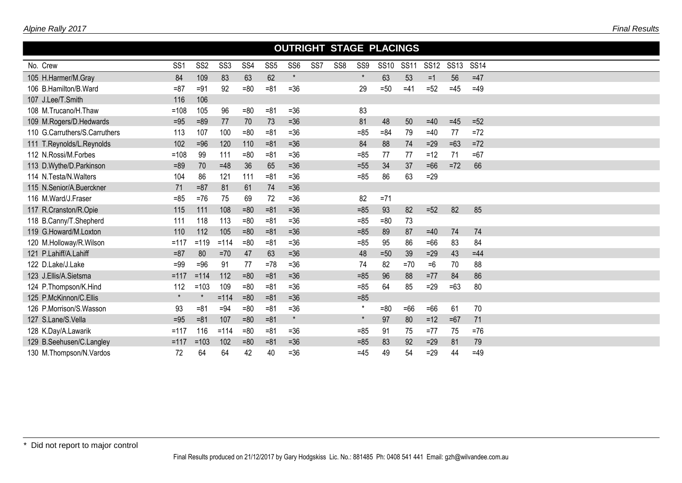|                               |                 |                 |                 |        |                 |                 |                 |                 |                 | <b>OUTRIGHT STAGE PLACINGS</b> |             |             |             |             |  |
|-------------------------------|-----------------|-----------------|-----------------|--------|-----------------|-----------------|-----------------|-----------------|-----------------|--------------------------------|-------------|-------------|-------------|-------------|--|
| No. Crew                      | SS <sub>1</sub> | SS <sub>2</sub> | SS <sub>3</sub> | SS4    | SS <sub>5</sub> | SS <sub>6</sub> | SS <sub>7</sub> | SS <sub>8</sub> | SS <sub>9</sub> | <b>SS10</b>                    | <b>SS11</b> | <b>SS12</b> | <b>SS13</b> | <b>SS14</b> |  |
| 105 H.Harmer/M.Gray           | 84              | 109             | 83              | 63     | 62              | $\star$         |                 |                 | $\star$         | 63                             | 53          | $=1$        | 56          | $=47$       |  |
| 106 B.Hamilton/B.Ward         | $= 87$          | $=91$           | 92              | $= 80$ | $= 81$          | $= 36$          |                 |                 | 29              | $=50$                          | $=41$       | $=52$       | $=45$       | $=49$       |  |
| 107 J.Lee/T.Smith             | 116             | 106             |                 |        |                 |                 |                 |                 |                 |                                |             |             |             |             |  |
| 108 M.Trucano/H.Thaw          | $=108$          | 105             | 96              | $= 80$ | $= 81$          | $= 36$          |                 |                 | 83              |                                |             |             |             |             |  |
| 109 M.Rogers/D.Hedwards       | $=95$           | $=89$           | 77              | 70     | 73              | $=36$           |                 |                 | 81              | 48                             | 50          | $=40$       | $=45$       | $=52$       |  |
| 110 G.Carruthers/S.Carruthers | 113             | 107             | 100             | $=80$  | $= 81$          | $= 36$          |                 |                 | $= 85$          | $= 84$                         | 79          | $=40$       | 77          | $=72$       |  |
| 111 T.Reynolds/L.Reynolds     | 102             | $=96$           | 120             | 110    | $= 81$          | $=36$           |                 |                 | 84              | 88                             | 74          | $=29$       | $=63$       | $=72$       |  |
| 112 N.Rossi/M.Forbes          | $=108$          | 99              | 111             | $= 80$ | $= 81$          | $= 36$          |                 |                 | $= 85$          | 77                             | 77          | $=12$       | 71          | $=67$       |  |
| 113 D.Wythe/D.Parkinson       | $=89$           | 70              | $=48$           | 36     | 65              | $=36$           |                 |                 | $=55$           | 34                             | 37          | $=66$       | $=72$       | 66          |  |
| 114 N.Testa/N.Walters         | 104             | 86              | 121             | 111    | $= 81$          | $=36$           |                 |                 | $= 85$          | 86                             | 63          | $=29$       |             |             |  |
| 115 N.Senior/A.Buerckner      | 71              | $= 87$          | 81              | 61     | 74              | $=36$           |                 |                 |                 |                                |             |             |             |             |  |
| 116 M.Ward/J.Fraser           | $= 85$          | $=76$           | 75              | 69     | 72              | $=36$           |                 |                 | 82              | $= 71$                         |             |             |             |             |  |
| 117 R.Cranston/R.Opie         | 115             | 111             | 108             | $= 80$ | $= 81$          | $=36$           |                 |                 | $= 85$          | 93                             | 82          | $=52$       | 82          | 85          |  |
| 118 B.Canny/T.Shepherd        | 111             | 118             | 113             | $= 80$ | $= 81$          | $= 36$          |                 |                 | $= 85$          | $= 80$                         | 73          |             |             |             |  |
| 119 G.Howard/M.Loxton         | 110             | 112             | 105             | $= 80$ | $= 81$          | $=36$           |                 |                 | $= 85$          | 89                             | 87          | $=40$       | 74          | 74          |  |
| 120 M.Holloway/R.Wilson       | $=117$          | $=119$          | $=114$          | $= 80$ | $= 81$          | $= 36$          |                 |                 | $= 85$          | 95                             | 86          | $=66$       | 83          | 84          |  |
| 121 P.Lahiff/A.Lahiff         | $= 87$          | 80              | $=70$           | 47     | 63              | $=36$           |                 |                 | 48              | $=50$                          | 39          | $=29$       | 43          | $=44$       |  |
| 122 D.Lake/J.Lake             | $=99$           | $=96$           | 91              | 77     | $=78$           | $= 36$          |                 |                 | 74              | 82                             | $=70$       | $=6$        | 70          | 88          |  |
| 123 J.Ellis/A.Sietsma         | $=117$          | $=114$          | 112             | $= 80$ | $= 81$          | $=36$           |                 |                 | $= 85$          | 96                             | 88          | $=77$       | 84          | 86          |  |
| 124 P.Thompson/K.Hind         | 112             | $=103$          | 109             | $= 80$ | $= 81$          | $= 36$          |                 |                 | $= 85$          | 64                             | 85          | $=29$       | $=63$       | 80          |  |
| 125 P.McKinnon/C.Ellis        | $\star$         | $\star$         | $= 114$         | $= 80$ | $= 81$          | $=36$           |                 |                 | $=85$           |                                |             |             |             |             |  |
| 126 P.Morrison/S.Wasson       | 93              | $= 81$          | $= 94$          | $= 80$ | $= 81$          | $=36$           |                 |                 | $\star$         | $= 80$                         | $=66$       | $=66$       | 61          | 70          |  |
| 127 S.Lane/S.Vella            | $=95$           | $= 81$          | 107             | $= 80$ | $= 81$          | $\star$         |                 |                 | $\star$         | 97                             | 80          | $=12$       | $=67$       | 71          |  |
| 128 K.Day/A.Lawarik           | $=117$          | 116             | $= 114$         | $= 80$ | $= 81$          | $= 36$          |                 |                 | $= 85$          | 91                             | 75          | $=77$       | 75          | $= 76$      |  |
| 129 B.Seehusen/C.Langley      | $=117$          | $=103$          | 102             | $=80$  | $= 81$          | $=36$           |                 |                 | $= 85$          | 83                             | 92          | $=29$       | 81          | 79          |  |
| 130 M.Thompson/N.Vardos       | 72              | 64              | 64              | 42     | 40              | $= 36$          |                 |                 | $=45$           | 49                             | 54          | $=29$       | 44          | $=49$       |  |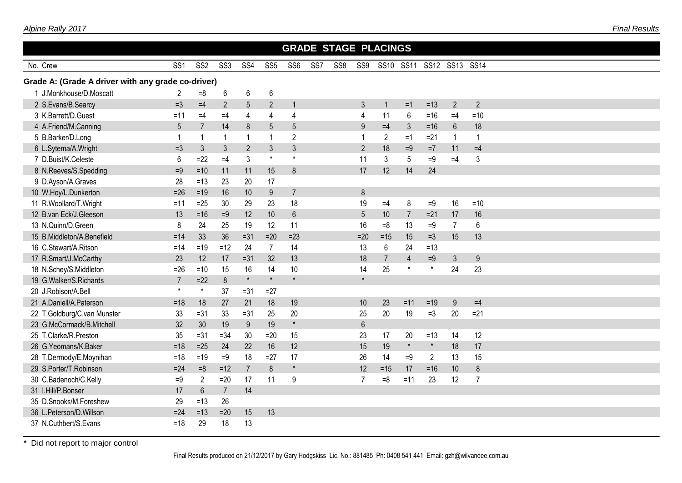|                                                    |                 |                 |                 |                 |                 |                |             | <b>GRADE STAGE PLACINGS</b> |                |                |                |                |                |                |  |  |  |
|----------------------------------------------------|-----------------|-----------------|-----------------|-----------------|-----------------|----------------|-------------|-----------------------------|----------------|----------------|----------------|----------------|----------------|----------------|--|--|--|
| No. Crew                                           | SS4             | SS <sub>5</sub> | SS <sub>6</sub> | SS <sub>7</sub> | SS <sub>8</sub> | SS9            | <b>SS10</b> | <b>SS11</b>                 | <b>SS12</b>    | SS13 SS14      |                |                |                |                |  |  |  |
| Grade A: (Grade A driver with any grade co-driver) |                 |                 |                 |                 |                 |                |             |                             |                |                |                |                |                |                |  |  |  |
| 1 J.Monkhouse/D.Moscatt                            | 2               | $=8$            | 6               | 6               | 6               |                |             |                             |                |                |                |                |                |                |  |  |  |
| 2 S.Evans/B.Searcy                                 | $=3$            | $=4$            | $\overline{2}$  | 5               | $\overline{2}$  | $\overline{1}$ |             |                             | 3              | $\overline{1}$ | $=1$           | $=13$          | $\overline{2}$ | $\overline{2}$ |  |  |  |
| 3 K.Barrett/D.Guest                                | $=11$           | $=4$            | $=4$            | $\overline{4}$  | 4               | $\overline{4}$ |             |                             | 4              | 11             | 6              | $=16$          | $=4$           | $=10$          |  |  |  |
| 4 A.Friend/M.Canning                               | $5\phantom{.0}$ | $\overline{7}$  | 14              | $\bf 8$         | 5               | 5              |             |                             | 9              | $=4$           | $\mathfrak{Z}$ | $=16$          | $6\,$          | 18             |  |  |  |
| 5 B.Barker/D.Long                                  | $\mathbf{1}$    | 1               | -1              | $\overline{1}$  | 1               | $\overline{2}$ |             |                             | -1             | $\overline{2}$ | $=1$           | $= 21$         | $\overline{1}$ | $\mathbf{1}$   |  |  |  |
| 6 L.Sytema/A.Wright                                | $=3$            | 3               | 3               | $\overline{2}$  | 3               | $\mathbf{3}$   |             |                             | $\overline{2}$ | 18             | $=9$           | $=7$           | 11             | $=4$           |  |  |  |
| 7 D.Buist/K.Celeste                                | 6               | $=22$           | $=4$            | 3               | $\star$         | $\star$        |             |                             | 11             | 3              | 5              | $=9$           | $=4$           | 3              |  |  |  |
| 8 N.Reeves/S.Spedding                              | $=9$            | $=10$           | 11              | 11              | 15              | 8              |             |                             | 17             | 12             | 14             | 24             |                |                |  |  |  |
| 9 D.Ayson/A.Graves                                 | 28              | $=13$           | 23              | 20              | 17              |                |             |                             |                |                |                |                |                |                |  |  |  |
| 10 W.Hoy/L.Dunkerton                               | $=26$           | $=19$           | 16              | 10              | 9               | $\overline{7}$ |             |                             | 8              |                |                |                |                |                |  |  |  |
| 11 R.Woollard/T.Wright                             | $=11$           | $=25$           | 30              | 29              | 23              | 18             |             |                             | 19             | $=4$           | 8              | $=9$           | 16             | $=10$          |  |  |  |
| 12 B.van Eck/J.Gleeson                             | 13              | $=16$           | $=9$            | 12              | 10 <sup>1</sup> | $6\phantom{a}$ |             |                             | 5              | 10             | $\overline{7}$ | $=21$          | 17             | 16             |  |  |  |
| 13 N.Quinn/D.Green                                 | 8               | 24              | 25              | 19              | 12              | 11             |             |                             | 16             | $=8$           | 13             | $=9$           | $\overline{7}$ | 6              |  |  |  |
| 15 B.Middleton/A.Benefield                         | $=14$           | 33              | 36              | $=31$           | $=20$           | $=23$          |             |                             | $=20$          | $=15$          | 15             | $=3$           | 15             | 13             |  |  |  |
| 16 C.Stewart/A.Ritson                              | $=14$           | $=19$           | $=12$           | 24              | $\overline{7}$  | 14             |             |                             | 13             | $6\phantom{1}$ | 24             | $=13$          |                |                |  |  |  |
| 17 R.Smart/J.McCarthy                              | 23              | 12              | 17              | $=31$           | 32              | 13             |             |                             | 18             | $\overline{7}$ | $\overline{4}$ | $=9$           | 3              | 9              |  |  |  |
| 18 N.Schey/S.Middleton                             | $=26$           | $=10$           | 15              | 16              | 14              | 10             |             |                             | 14             | 25             | $\star$        | $\star$        | 24             | 23             |  |  |  |
| 19 G.Walker/S.Richards                             | $\overline{7}$  | $=22$           | 8               | $\star$         | $\star$         | $\star$        |             |                             | $\star$        |                |                |                |                |                |  |  |  |
| 20 J.Robison/A.Bell                                | $\star$         | $\star$         | 37              | $= 31$          | $=27$           |                |             |                             |                |                |                |                |                |                |  |  |  |
| 21 A.Daniell/A.Paterson                            | $=18$           | 18              | 27              | 21              | 18              | 19             |             |                             | 10             | 23             | $=11$          | $=19$          | 9              | $=4$           |  |  |  |
| 22 T.Goldburg/C.van Munster                        | 33              | $=31$           | 33              | $= 31$          | 25              | 20             |             |                             | 25             | 20             | 19             | $=3$           | 20             | $=21$          |  |  |  |
| 23 G.McCormack/B.Mitchell                          | 32              | 30              | 19              | 9               | 19              | $\star$        |             |                             | $6\phantom{1}$ |                |                |                |                |                |  |  |  |
| 25 T.Clarke/R.Preston                              | 35              | $= 31$          | $= 34$          | 30              | $=20$           | 15             |             |                             | 23             | 17             | 20             | $=13$          | 14             | 12             |  |  |  |
| 26 G.Yeomans/K.Baker                               | $=18$           | $=25$           | 24              | 22              | 16              | 12             |             |                             | 15             | 19             | $\star$        | $\star$        | 18             | 17             |  |  |  |
| 28 T.Dermody/E.Moynihan                            | $=18$           | $=19$           | $=9$            | 18              | $=27$           | 17             |             |                             | 26             | 14             | $=9$           | $\overline{2}$ | 13             | 15             |  |  |  |
| 29 S.Porter/T.Robinson                             | $=24$           | $=8$            | $=12$           | $\overline{7}$  | 8               | $\pmb{\star}$  |             |                             | 12             | $=15$          | 17             | $=16$          | 10             | 8              |  |  |  |
| 30 C.Badenoch/C.Kelly                              | $=9$            | $\overline{2}$  | $=20$           | 17              | 11              | 9              |             |                             | 7              | $=8$           | $=11$          | 23             | 12             | $\overline{7}$ |  |  |  |
| 31 I.Hill/P.Bonser                                 | 17              | $6\phantom{1}$  | $\overline{7}$  | 14              |                 |                |             |                             |                |                |                |                |                |                |  |  |  |
| 35 D.Snooks/M.Foreshew                             | 29              | $=13$           | 26              |                 |                 |                |             |                             |                |                |                |                |                |                |  |  |  |
| 36 L.Peterson/D.Willson                            | $=24$           | $=13$           | $=20$           | 15              | 13              |                |             |                             |                |                |                |                |                |                |  |  |  |
| 37 N.Cuthbert/S.Evans                              | $=18$           | 29              | 18              | 13              |                 |                |             |                             |                |                |                |                |                |                |  |  |  |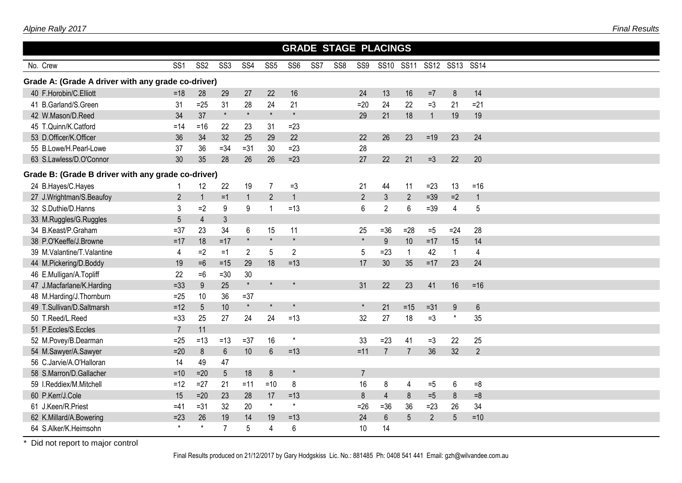|                                                    |                 |                 |                 |                |                 |                 |                 | <b>GRADE STAGE PLACINGS</b> |                |                  |                |                |                |                |  |
|----------------------------------------------------|-----------------|-----------------|-----------------|----------------|-----------------|-----------------|-----------------|-----------------------------|----------------|------------------|----------------|----------------|----------------|----------------|--|
| No. Crew                                           | SS <sub>1</sub> | SS <sub>2</sub> | SS <sub>3</sub> | SS4            | SS <sub>5</sub> | SS <sub>6</sub> | SS <sub>7</sub> | SS <sub>8</sub>             | SS9            | <b>SS10</b>      | <b>SS11</b>    | <b>SS12</b>    | <b>SS13</b>    | <b>SS14</b>    |  |
| Grade A: (Grade A driver with any grade co-driver) |                 |                 |                 |                |                 |                 |                 |                             |                |                  |                |                |                |                |  |
| 40 F.Horobin/C.Elliott                             | $= 18$          | 28              | 29              | 27             | 22              | 16              |                 |                             | 24             | 13               | 16             | $=7$           | $\delta$       | 14             |  |
| 41 B.Garland/S.Green                               | 31              | $=25$           | 31              | 28             | 24              | 21              |                 |                             | $=20$          | 24               | 22             | $=3$           | 21             | $=21$          |  |
| 42 W.Mason/D.Reed                                  | 34              | 37              | $\pmb{\star}$   | $\star$        | $\star$         | $\star$         |                 |                             | 29             | 21               | 18             | $\mathbf{1}$   | 19             | 19             |  |
| 45 T.Quinn/K.Catford                               | $=14$           | $= 16$          | 22              | 23             | 31              | $=23$           |                 |                             |                |                  |                |                |                |                |  |
| 53 D.Officer/K.Officer                             | 36              | 34              | 32              | 25             | 29              | 22              |                 |                             | 22             | 26               | 23             | $=19$          | 23             | 24             |  |
| 55 B.Lowe/H.Pearl-Lowe                             | 37              | 36              | $= 34$          | $=31$          | 30              | $=23$           |                 |                             | 28             |                  |                |                |                |                |  |
| 63 S.Lawless/D.O'Connor                            | 30              | 35              | 28              | 26             | 26              | $=23$           |                 |                             | 27             | 22               | 21             | $=3$           | 22             | 20             |  |
| Grade B: (Grade B driver with any grade co-driver) |                 |                 |                 |                |                 |                 |                 |                             |                |                  |                |                |                |                |  |
| 24 B.Hayes/C.Hayes                                 | -1              | 12              | 22              | 19             | $\overline{7}$  | $=3$            |                 |                             | 21             | 44               | 11             | $=23$          | 13             | $= 16$         |  |
| 27 J.Wrightman/S.Beaufoy                           | $\overline{2}$  | $\mathbf{1}$    | $=1$            | $\mathbf{1}$   | $\overline{2}$  | $\overline{1}$  |                 |                             | $\overline{2}$ | $\mathfrak{Z}$   | $\overline{2}$ | $=39$          | $=2$           | $\mathbf{1}$   |  |
| 32 S.Duthie/D.Hanns                                | 3               | $=2$            | 9               | 9              | $\mathbf{1}$    | $=13$           |                 |                             | 6              | $\overline{2}$   | 6              | $=39$          | $\overline{4}$ | 5              |  |
| 33 M.Ruggles/G.Ruggles                             | 5               | $\overline{4}$  | $\mathfrak{Z}$  |                |                 |                 |                 |                             |                |                  |                |                |                |                |  |
| 34 B.Keast/P.Graham                                | $= 37$          | 23              | 34              | 6              | 15              | 11              |                 |                             | 25             | $=36$            | $=28$          | $=5$           | $=24$          | 28             |  |
| 38 P.O'Keeffe/J.Browne                             | $=17$           | 18              | $=17$           | $\star$        | $\star$         | $\star$         |                 |                             | $\star$        | $\boldsymbol{9}$ | 10             | $=17$          | 15             | 14             |  |
| 39 M.Valantine/T.Valantine                         | $\overline{4}$  | $=2$            | $=1$            | $\overline{2}$ | 5               | $\overline{2}$  |                 |                             | 5              | $=23$            | $\mathbf{1}$   | 42             | $\overline{1}$ | $\overline{4}$ |  |
| 44 M.Pickering/D.Boddy                             | 19              | $=6$            | $=15$           | 29             | 18              | $=13$           |                 |                             | 17             | 30               | 35             | $=17$          | 23             | 24             |  |
| 46 E.Mulligan/A.Topliff                            | 22              | $=6$            | $=30$           | 30             |                 |                 |                 |                             |                |                  |                |                |                |                |  |
| 47 J.Macfarlane/K.Harding                          | $=33$           | 9               | 25              | $\star$        | $\star$         | $\star$         |                 |                             | 31             | 22               | 23             | 41             | 16             | $= 16$         |  |
| 48 M.Harding/J.Thornburn                           | $=25$           | 10              | 36              | $= 37$         |                 |                 |                 |                             |                |                  |                |                |                |                |  |
| 49 T.Sullivan/D.Saltmarsh                          | $=12$           | 5 <sup>5</sup>  | 10              | $\star$        | $\star$         | $\star$         |                 |                             | $\star$        | 21               | $=15$          | $= 31$         | 9              | $6\phantom{1}$ |  |
| 50 T.Reed/L.Reed                                   | $= 33$          | 25              | 27              | 24             | 24              | $=13$           |                 |                             | 32             | 27               | 18             | $=3$           | $\star$        | 35             |  |
| 51 P.Eccles/S.Eccles                               | $\overline{7}$  | 11              |                 |                |                 |                 |                 |                             |                |                  |                |                |                |                |  |
| 52 M.Povey/B.Dearman                               | $=25$           | $=13$           | $=13$           | $=37$          | 16              | $\star$         |                 |                             | 33             | $=23$            | 41             | $=3$           | 22             | 25             |  |
| 54 M.Sawyer/A.Sawyer                               | $=20$           | 8               | $6\phantom{1}$  | 10             | $6\phantom{1}$  | $=13$           |                 |                             | $=11$          | $\overline{7}$   | $\overline{7}$ | 36             | 32             | $\overline{2}$ |  |
| 56 C.Jarvie/A.O'Halloran                           | 14              | 49              | 47              |                |                 |                 |                 |                             |                |                  |                |                |                |                |  |
| 58 S.Marron/D.Gallacher                            | $=10$           | $=20$           | $5\phantom{.0}$ | 18             | 8               | $\star$         |                 |                             | $\overline{7}$ |                  |                |                |                |                |  |
| 59 I.Reddiex/M.Mitchell                            | $=12$           | $=27$           | 21              | $=11$          | $=10$           | 8               |                 |                             | 16             | 8                | 4              | $=5$           | 6              | $=8$           |  |
| 60 P.Kerr/J.Cole                                   | 15              | $=20$           | 23              | 28             | 17              | $=13$           |                 |                             | 8              | $\overline{4}$   | 8              | $=5$           | $\delta$       | $=8$           |  |
| 61 J.Keen/R.Priest                                 | $=41$           | $= 31$          | 32              | 20             | $\star$         | $\star$         |                 |                             | $=26$          | $=36$            | 36             | $=23$          | 26             | 34             |  |
| 62 K.Millard/A.Bowering                            | $=23$           | 26              | 19              | 14             | 19              | $=13$           |                 |                             | 24             | 6                | 5              | $\overline{2}$ | 5              | $=10$          |  |
| 64 S.Alker/K.Heimsohn                              | $\star$         | $\star$         | $\overline{7}$  | 5              | 4               | 6               |                 |                             | 10             | 14               |                |                |                |                |  |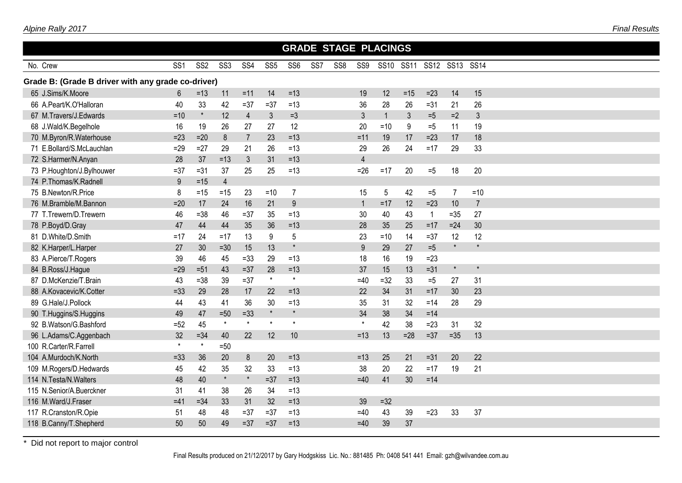| SS <sub>6</sub><br>SS <sub>7</sub><br>SS <sub>8</sub><br>SS9<br><b>SS12</b><br>SS <sub>1</sub><br>SS <sub>2</sub><br>SS <sub>3</sub><br>SS4<br>SS <sub>5</sub><br><b>SS10</b><br><b>SS11</b><br><b>SS13</b><br><b>SS14</b><br>No. Crew<br>Grade B: (Grade B driver with any grade co-driver)<br>65 J.Sims/K.Moore<br>$=11$<br>14<br>$=13$<br>19<br>12<br>$= 15$<br>$=23$<br>14<br>15<br>6<br>$=13$<br>11<br>26<br>42<br>$=13$<br>28<br>26<br>66 A.Peart/K.O'Halloran<br>40<br>33<br>$=37$<br>$=37$<br>36<br>21<br>$= 31$<br>$\star$<br>$\mathfrak{Z}$<br>12<br>$\overline{4}$<br>$\mathfrak{Z}$<br>$=3$<br>$\mathfrak{Z}$<br>$\overline{1}$<br>$\mathfrak{Z}$<br>$=5$<br>$=2$<br>67 M.Travers/J.Edwards<br>$=10$<br>19<br>16<br>26<br>27<br>27<br>12<br>20<br>$\boldsymbol{9}$<br>11<br>68 J.Wald/K.Begelhole<br>19<br>$=10$<br>$=5$<br>18<br>70 M.Byron/R.Waterhouse<br>$=23$<br>$=20$<br>8<br>$\overline{7}$<br>23<br>$=13$<br>$=11$<br>19<br>17<br>$=23$<br>17<br>24<br>71 E.Bollard/S.McLauchlan<br>26<br>$=13$<br>29<br>26<br>29<br>33<br>$=29$<br>$=27$<br>29<br>21<br>$=17$<br>31<br>$\overline{4}$<br>72 S.Harmer/N.Anyan<br>28<br>37<br>$=13$<br>$\mathfrak{Z}$<br>$=13$<br>25<br>20<br>18<br>20<br>73 P.Houghton/J.Bylhouwer<br>$=37$<br>$=31$<br>37<br>25<br>$=13$<br>$=26$<br>$=17$<br>$=5$<br>74 P.Thomas/K.Radnell<br>$9\,$<br>$\overline{4}$<br>$=15$<br>75 B.Newton/R.Price<br>8<br>23<br>$=10$<br>$\overline{7}$<br>15<br>5<br>42<br>$=5$<br>$\overline{7}$<br>$=10$<br>$=15$<br>$=15$<br>16<br>$\boldsymbol{9}$<br>76 M.Bramble/M.Bannon<br>24<br>21<br>12<br>10<br>$\overline{7}$<br>$=20$<br>17<br>$\overline{1}$<br>$=17$<br>$=23$<br>27<br>77 T.Trewern/D.Trewern<br>46<br>$= 38$<br>46<br>$= 37$<br>35<br>$=13$<br>30<br>40<br>43<br>$=35$<br>$\mathbf{1}$<br>30<br>47<br>44<br>36<br>28<br>35<br>$=24$<br>78 P.Boyd/D.Gray<br>44<br>35<br>$=13$<br>25<br>$=17$<br>81 D.White/D.Smith<br>13<br>5<br>$=10$<br>14<br>12<br>$=17$<br>24<br>$=17$<br>9<br>23<br>$=37$<br>12<br>$\star$<br>$\star$<br>13<br>9<br>$=5$<br>82 K.Harper/L.Harper<br>27<br>30<br>$=30$<br>15<br>$\star$<br>29<br>27<br>18<br>16<br>83 A.Pierce/T.Rogers<br>39<br>46<br>45<br>$= 33$<br>29<br>$=13$<br>19<br>$=23$<br>28<br>37<br>$=31$<br>$\star$<br>$\star$<br>84 B.Ross/J.Hague<br>$=29$<br>$=51$<br>43<br>$=37$<br>$=13$<br>15<br>13<br>$\star$<br>$\star$<br>87 D.McKenzie/T.Brain<br>$=37$<br>43<br>39<br>$=32$<br>33<br>31<br>$=38$<br>$=40$<br>$=5$<br>27<br>22<br>34<br>31<br>23<br>88 A.Kovacevic/K.Cotter<br>$=33$<br>29<br>28<br>17<br>22<br>$=13$<br>$=17$<br>30 |
|----------------------------------------------------------------------------------------------------------------------------------------------------------------------------------------------------------------------------------------------------------------------------------------------------------------------------------------------------------------------------------------------------------------------------------------------------------------------------------------------------------------------------------------------------------------------------------------------------------------------------------------------------------------------------------------------------------------------------------------------------------------------------------------------------------------------------------------------------------------------------------------------------------------------------------------------------------------------------------------------------------------------------------------------------------------------------------------------------------------------------------------------------------------------------------------------------------------------------------------------------------------------------------------------------------------------------------------------------------------------------------------------------------------------------------------------------------------------------------------------------------------------------------------------------------------------------------------------------------------------------------------------------------------------------------------------------------------------------------------------------------------------------------------------------------------------------------------------------------------------------------------------------------------------------------------------------------------------------------------------------------------------------------------------------------------------------------------------------------------------------------------------------------------------------------------------------------------------------------------------------------------------------------------------------------------------------------------------------------------------------------------------------------------------------------------------------------------------------------------------------------------------------------------------------------------------------|
|                                                                                                                                                                                                                                                                                                                                                                                                                                                                                                                                                                                                                                                                                                                                                                                                                                                                                                                                                                                                                                                                                                                                                                                                                                                                                                                                                                                                                                                                                                                                                                                                                                                                                                                                                                                                                                                                                                                                                                                                                                                                                                                                                                                                                                                                                                                                                                                                                                                                                                                                                                            |
|                                                                                                                                                                                                                                                                                                                                                                                                                                                                                                                                                                                                                                                                                                                                                                                                                                                                                                                                                                                                                                                                                                                                                                                                                                                                                                                                                                                                                                                                                                                                                                                                                                                                                                                                                                                                                                                                                                                                                                                                                                                                                                                                                                                                                                                                                                                                                                                                                                                                                                                                                                            |
|                                                                                                                                                                                                                                                                                                                                                                                                                                                                                                                                                                                                                                                                                                                                                                                                                                                                                                                                                                                                                                                                                                                                                                                                                                                                                                                                                                                                                                                                                                                                                                                                                                                                                                                                                                                                                                                                                                                                                                                                                                                                                                                                                                                                                                                                                                                                                                                                                                                                                                                                                                            |
|                                                                                                                                                                                                                                                                                                                                                                                                                                                                                                                                                                                                                                                                                                                                                                                                                                                                                                                                                                                                                                                                                                                                                                                                                                                                                                                                                                                                                                                                                                                                                                                                                                                                                                                                                                                                                                                                                                                                                                                                                                                                                                                                                                                                                                                                                                                                                                                                                                                                                                                                                                            |
|                                                                                                                                                                                                                                                                                                                                                                                                                                                                                                                                                                                                                                                                                                                                                                                                                                                                                                                                                                                                                                                                                                                                                                                                                                                                                                                                                                                                                                                                                                                                                                                                                                                                                                                                                                                                                                                                                                                                                                                                                                                                                                                                                                                                                                                                                                                                                                                                                                                                                                                                                                            |
|                                                                                                                                                                                                                                                                                                                                                                                                                                                                                                                                                                                                                                                                                                                                                                                                                                                                                                                                                                                                                                                                                                                                                                                                                                                                                                                                                                                                                                                                                                                                                                                                                                                                                                                                                                                                                                                                                                                                                                                                                                                                                                                                                                                                                                                                                                                                                                                                                                                                                                                                                                            |
|                                                                                                                                                                                                                                                                                                                                                                                                                                                                                                                                                                                                                                                                                                                                                                                                                                                                                                                                                                                                                                                                                                                                                                                                                                                                                                                                                                                                                                                                                                                                                                                                                                                                                                                                                                                                                                                                                                                                                                                                                                                                                                                                                                                                                                                                                                                                                                                                                                                                                                                                                                            |
|                                                                                                                                                                                                                                                                                                                                                                                                                                                                                                                                                                                                                                                                                                                                                                                                                                                                                                                                                                                                                                                                                                                                                                                                                                                                                                                                                                                                                                                                                                                                                                                                                                                                                                                                                                                                                                                                                                                                                                                                                                                                                                                                                                                                                                                                                                                                                                                                                                                                                                                                                                            |
|                                                                                                                                                                                                                                                                                                                                                                                                                                                                                                                                                                                                                                                                                                                                                                                                                                                                                                                                                                                                                                                                                                                                                                                                                                                                                                                                                                                                                                                                                                                                                                                                                                                                                                                                                                                                                                                                                                                                                                                                                                                                                                                                                                                                                                                                                                                                                                                                                                                                                                                                                                            |
|                                                                                                                                                                                                                                                                                                                                                                                                                                                                                                                                                                                                                                                                                                                                                                                                                                                                                                                                                                                                                                                                                                                                                                                                                                                                                                                                                                                                                                                                                                                                                                                                                                                                                                                                                                                                                                                                                                                                                                                                                                                                                                                                                                                                                                                                                                                                                                                                                                                                                                                                                                            |
|                                                                                                                                                                                                                                                                                                                                                                                                                                                                                                                                                                                                                                                                                                                                                                                                                                                                                                                                                                                                                                                                                                                                                                                                                                                                                                                                                                                                                                                                                                                                                                                                                                                                                                                                                                                                                                                                                                                                                                                                                                                                                                                                                                                                                                                                                                                                                                                                                                                                                                                                                                            |
|                                                                                                                                                                                                                                                                                                                                                                                                                                                                                                                                                                                                                                                                                                                                                                                                                                                                                                                                                                                                                                                                                                                                                                                                                                                                                                                                                                                                                                                                                                                                                                                                                                                                                                                                                                                                                                                                                                                                                                                                                                                                                                                                                                                                                                                                                                                                                                                                                                                                                                                                                                            |
|                                                                                                                                                                                                                                                                                                                                                                                                                                                                                                                                                                                                                                                                                                                                                                                                                                                                                                                                                                                                                                                                                                                                                                                                                                                                                                                                                                                                                                                                                                                                                                                                                                                                                                                                                                                                                                                                                                                                                                                                                                                                                                                                                                                                                                                                                                                                                                                                                                                                                                                                                                            |
|                                                                                                                                                                                                                                                                                                                                                                                                                                                                                                                                                                                                                                                                                                                                                                                                                                                                                                                                                                                                                                                                                                                                                                                                                                                                                                                                                                                                                                                                                                                                                                                                                                                                                                                                                                                                                                                                                                                                                                                                                                                                                                                                                                                                                                                                                                                                                                                                                                                                                                                                                                            |
|                                                                                                                                                                                                                                                                                                                                                                                                                                                                                                                                                                                                                                                                                                                                                                                                                                                                                                                                                                                                                                                                                                                                                                                                                                                                                                                                                                                                                                                                                                                                                                                                                                                                                                                                                                                                                                                                                                                                                                                                                                                                                                                                                                                                                                                                                                                                                                                                                                                                                                                                                                            |
|                                                                                                                                                                                                                                                                                                                                                                                                                                                                                                                                                                                                                                                                                                                                                                                                                                                                                                                                                                                                                                                                                                                                                                                                                                                                                                                                                                                                                                                                                                                                                                                                                                                                                                                                                                                                                                                                                                                                                                                                                                                                                                                                                                                                                                                                                                                                                                                                                                                                                                                                                                            |
|                                                                                                                                                                                                                                                                                                                                                                                                                                                                                                                                                                                                                                                                                                                                                                                                                                                                                                                                                                                                                                                                                                                                                                                                                                                                                                                                                                                                                                                                                                                                                                                                                                                                                                                                                                                                                                                                                                                                                                                                                                                                                                                                                                                                                                                                                                                                                                                                                                                                                                                                                                            |
|                                                                                                                                                                                                                                                                                                                                                                                                                                                                                                                                                                                                                                                                                                                                                                                                                                                                                                                                                                                                                                                                                                                                                                                                                                                                                                                                                                                                                                                                                                                                                                                                                                                                                                                                                                                                                                                                                                                                                                                                                                                                                                                                                                                                                                                                                                                                                                                                                                                                                                                                                                            |
|                                                                                                                                                                                                                                                                                                                                                                                                                                                                                                                                                                                                                                                                                                                                                                                                                                                                                                                                                                                                                                                                                                                                                                                                                                                                                                                                                                                                                                                                                                                                                                                                                                                                                                                                                                                                                                                                                                                                                                                                                                                                                                                                                                                                                                                                                                                                                                                                                                                                                                                                                                            |
|                                                                                                                                                                                                                                                                                                                                                                                                                                                                                                                                                                                                                                                                                                                                                                                                                                                                                                                                                                                                                                                                                                                                                                                                                                                                                                                                                                                                                                                                                                                                                                                                                                                                                                                                                                                                                                                                                                                                                                                                                                                                                                                                                                                                                                                                                                                                                                                                                                                                                                                                                                            |
|                                                                                                                                                                                                                                                                                                                                                                                                                                                                                                                                                                                                                                                                                                                                                                                                                                                                                                                                                                                                                                                                                                                                                                                                                                                                                                                                                                                                                                                                                                                                                                                                                                                                                                                                                                                                                                                                                                                                                                                                                                                                                                                                                                                                                                                                                                                                                                                                                                                                                                                                                                            |
| 41<br>36<br>31<br>29<br>89 G.Hale/J.Pollock<br>44<br>43<br>30<br>$=13$<br>32<br>28<br>35<br>$=14$                                                                                                                                                                                                                                                                                                                                                                                                                                                                                                                                                                                                                                                                                                                                                                                                                                                                                                                                                                                                                                                                                                                                                                                                                                                                                                                                                                                                                                                                                                                                                                                                                                                                                                                                                                                                                                                                                                                                                                                                                                                                                                                                                                                                                                                                                                                                                                                                                                                                          |
| $\star$<br>$\star$<br>49<br>47<br>$=50$<br>$=33$<br>34<br>38<br>34<br>90 T.Huggins/S.Huggins<br>$=14$                                                                                                                                                                                                                                                                                                                                                                                                                                                                                                                                                                                                                                                                                                                                                                                                                                                                                                                                                                                                                                                                                                                                                                                                                                                                                                                                                                                                                                                                                                                                                                                                                                                                                                                                                                                                                                                                                                                                                                                                                                                                                                                                                                                                                                                                                                                                                                                                                                                                      |
| $\star$<br>$\star$<br>$\star$<br>$\star$<br>$\star$<br>42<br>38<br>32<br>92 B.Watson/G.Bashford<br>$=52$<br>45<br>$=23$<br>31                                                                                                                                                                                                                                                                                                                                                                                                                                                                                                                                                                                                                                                                                                                                                                                                                                                                                                                                                                                                                                                                                                                                                                                                                                                                                                                                                                                                                                                                                                                                                                                                                                                                                                                                                                                                                                                                                                                                                                                                                                                                                                                                                                                                                                                                                                                                                                                                                                              |
| 32<br>$=28$<br>$= 37$<br>13<br>96 L.Adams/C.Aggenbach<br>$= 34$<br>40<br>22<br>12<br>10<br>13<br>$=35$<br>$=13$                                                                                                                                                                                                                                                                                                                                                                                                                                                                                                                                                                                                                                                                                                                                                                                                                                                                                                                                                                                                                                                                                                                                                                                                                                                                                                                                                                                                                                                                                                                                                                                                                                                                                                                                                                                                                                                                                                                                                                                                                                                                                                                                                                                                                                                                                                                                                                                                                                                            |
| $\star$<br>100 R.Carter/R.Farrell<br>$\star$<br>$=50$                                                                                                                                                                                                                                                                                                                                                                                                                                                                                                                                                                                                                                                                                                                                                                                                                                                                                                                                                                                                                                                                                                                                                                                                                                                                                                                                                                                                                                                                                                                                                                                                                                                                                                                                                                                                                                                                                                                                                                                                                                                                                                                                                                                                                                                                                                                                                                                                                                                                                                                      |
| 104 A.Murdoch/K.North<br>36<br>20<br>20<br>$=13$<br>20<br>22<br>$=33$<br>8<br>$=13$<br>25<br>21<br>$=31$                                                                                                                                                                                                                                                                                                                                                                                                                                                                                                                                                                                                                                                                                                                                                                                                                                                                                                                                                                                                                                                                                                                                                                                                                                                                                                                                                                                                                                                                                                                                                                                                                                                                                                                                                                                                                                                                                                                                                                                                                                                                                                                                                                                                                                                                                                                                                                                                                                                                   |
| 21<br>35<br>32<br>33<br>38<br>20<br>19<br>45<br>42<br>$=13$<br>22<br>109 M.Rogers/D.Hedwards<br>$=17$                                                                                                                                                                                                                                                                                                                                                                                                                                                                                                                                                                                                                                                                                                                                                                                                                                                                                                                                                                                                                                                                                                                                                                                                                                                                                                                                                                                                                                                                                                                                                                                                                                                                                                                                                                                                                                                                                                                                                                                                                                                                                                                                                                                                                                                                                                                                                                                                                                                                      |
| $\star$<br>114 N.Testa/N.Walters<br>48<br>40<br>$\star$<br>$=37$<br>$=13$<br>41<br>30<br>$=14$<br>$=40$                                                                                                                                                                                                                                                                                                                                                                                                                                                                                                                                                                                                                                                                                                                                                                                                                                                                                                                                                                                                                                                                                                                                                                                                                                                                                                                                                                                                                                                                                                                                                                                                                                                                                                                                                                                                                                                                                                                                                                                                                                                                                                                                                                                                                                                                                                                                                                                                                                                                    |
| 34<br>$=13$<br>115 N.Senior/A.Buerckner<br>31<br>41<br>26<br>38                                                                                                                                                                                                                                                                                                                                                                                                                                                                                                                                                                                                                                                                                                                                                                                                                                                                                                                                                                                                                                                                                                                                                                                                                                                                                                                                                                                                                                                                                                                                                                                                                                                                                                                                                                                                                                                                                                                                                                                                                                                                                                                                                                                                                                                                                                                                                                                                                                                                                                            |
| 116 M.Ward/J.Fraser<br>32<br>$=13$<br>$=41$<br>$= 34$<br>33<br>31<br>$=32$<br>39                                                                                                                                                                                                                                                                                                                                                                                                                                                                                                                                                                                                                                                                                                                                                                                                                                                                                                                                                                                                                                                                                                                                                                                                                                                                                                                                                                                                                                                                                                                                                                                                                                                                                                                                                                                                                                                                                                                                                                                                                                                                                                                                                                                                                                                                                                                                                                                                                                                                                           |
| 117 R.Cranston/R.Opie<br>48<br>$= 37$<br>$=37$<br>$=13$<br>43<br>39<br>$=23$<br>33<br>37<br>51<br>48<br>$=40$                                                                                                                                                                                                                                                                                                                                                                                                                                                                                                                                                                                                                                                                                                                                                                                                                                                                                                                                                                                                                                                                                                                                                                                                                                                                                                                                                                                                                                                                                                                                                                                                                                                                                                                                                                                                                                                                                                                                                                                                                                                                                                                                                                                                                                                                                                                                                                                                                                                              |
| 50<br>118 B.Canny/T.Shepherd<br>50<br>49<br>$=37$<br>$=37$<br>$=13$<br>39<br>37<br>$=40$                                                                                                                                                                                                                                                                                                                                                                                                                                                                                                                                                                                                                                                                                                                                                                                                                                                                                                                                                                                                                                                                                                                                                                                                                                                                                                                                                                                                                                                                                                                                                                                                                                                                                                                                                                                                                                                                                                                                                                                                                                                                                                                                                                                                                                                                                                                                                                                                                                                                                   |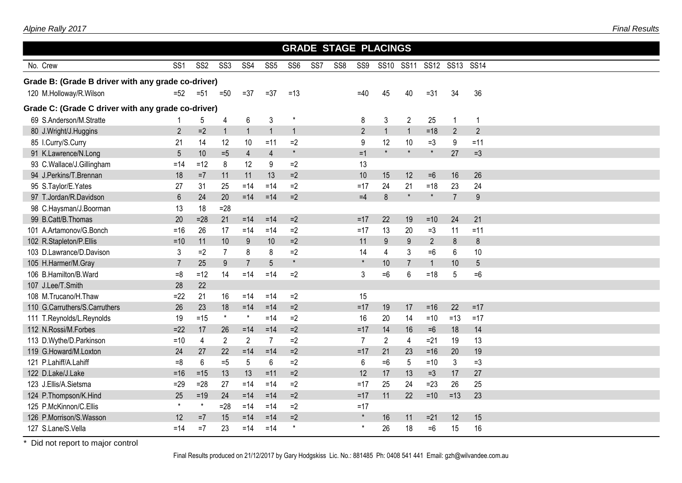|                                                    |                 |                 |                 |                 |                 |                 |                 |                 |                | <b>GRADE STAGE PLACINGS</b> |                |                |                |                  |  |  |
|----------------------------------------------------|-----------------|-----------------|-----------------|-----------------|-----------------|-----------------|-----------------|-----------------|----------------|-----------------------------|----------------|----------------|----------------|------------------|--|--|
| No. Crew                                           | SS <sub>1</sub> | SS <sub>2</sub> | SS <sub>3</sub> | SS4             | SS <sub>5</sub> | SS <sub>6</sub> | SS <sub>7</sub> | SS <sub>8</sub> | SS9            | <b>SS10</b>                 | <b>SS11</b>    |                | SS12 SS13      | <b>SS14</b>      |  |  |
| Grade B: (Grade B driver with any grade co-driver) |                 |                 |                 |                 |                 |                 |                 |                 |                |                             |                |                |                |                  |  |  |
| 120 M.Holloway/R.Wilson                            | $=52$           | $=51$           | $=50$           | $=37$           | $= 37$          | $=13$           |                 |                 | $=40$          | 45                          | 40             | $= 31$         | 34             | 36               |  |  |
| Grade C: (Grade C driver with any grade co-driver) |                 |                 |                 |                 |                 |                 |                 |                 |                |                             |                |                |                |                  |  |  |
| 69 S.Anderson/M.Stratte                            |                 | 5               | 4               | 6               | 3               | $\star$         |                 |                 | 8              | $\mathfrak{Z}$              | $\overline{2}$ | 25             | $\mathbf{1}$   | $\overline{1}$   |  |  |
| 80 J.Wright/J.Huggins                              | 2               | $=2$            | $\mathbf 1$     | $\overline{1}$  | $\mathbf{1}$    | $\mathbf{1}$    |                 |                 | $\overline{2}$ | $\mathbf{1}$                | $\mathbf{1}$   | $=18$          | $\overline{2}$ | $\overline{2}$   |  |  |
| 85 I.Curry/S.Curry                                 | 21              | 14              | 12              | 10              | $=11$           | $=2$            |                 |                 | 9              | 12                          | 10             | $=3$           | 9              | $=11$            |  |  |
| 91 K.Lawrence/N.Long                               | 5               | 10              | $=5$            | $\overline{4}$  | $\overline{4}$  | $\pmb{\star}$   |                 |                 | $=1$           | $\star$                     | $\star$        | $\star$        | 27             | $=3$             |  |  |
| 93 C.Wallace/J.Gillingham                          | $=14$           | $=12$           | 8               | 12              | 9               | $=2$            |                 |                 | 13             |                             |                |                |                |                  |  |  |
| 94 J.Perkins/T.Brennan                             | 18              | $=7$            | 11              | 11              | 13              | $=2$            |                 |                 | 10             | 15                          | 12             | $=6$           | 16             | 26               |  |  |
| 95 S.Taylor/E.Yates                                | 27              | 31              | 25              | $=14$           | $=14$           | $=2$            |                 |                 | $=17$          | 24                          | 21             | $=18$          | 23             | 24               |  |  |
| 97 T.Jordan/R.Davidson                             | $6\phantom{.}$  | 24              | 20              | $=14$           | $=14$           | $=2$            |                 |                 | $=4$           | 8                           | $\star$        | $\star$        | $\overline{7}$ | $\boldsymbol{9}$ |  |  |
| 98 C.Haysman/J.Boorman                             | 13              | 18              | $=28$           |                 |                 |                 |                 |                 |                |                             |                |                |                |                  |  |  |
| 99 B.Catt/B.Thomas                                 | 20              | $=28$           | 21              | $= 14$          | $= 14$          | $=2$            |                 |                 | $=17$          | 22                          | 19             | $=10$          | 24             | 21               |  |  |
| 101 A.Artamonov/G.Bonch                            | $=16$           | 26              | 17              | $=14$           | $=14$           | $=2$            |                 |                 | $=17$          | 13                          | 20             | $=3$           | 11             | $=11$            |  |  |
| 102 R.Stapleton/P.Ellis                            | $=10$           | 11              | 10              | 9               | 10              | $=2$            |                 |                 | 11             | 9                           | $9\,$          | $\overline{2}$ | $\bf 8$        | $\bf 8$          |  |  |
| 103 D.Lawrance/D.Davison                           | 3               | $=2$            | $\overline{7}$  | 8               | 8               | $=2$            |                 |                 | 14             | $\overline{4}$              | $\mathfrak{Z}$ | $=6$           | 6              | 10               |  |  |
| 105 H.Harmer/M.Gray                                | $\overline{7}$  | 25              | 9               | $\overline{7}$  | 5               | $\star$         |                 |                 | $\star$        | 10                          | $\overline{7}$ | $\mathbf{1}$   | 10             | 5                |  |  |
| 106 B.Hamilton/B.Ward                              | $=8$            | $=12$           | 14              | $= 14$          | $= 14$          | $=2$            |                 |                 | 3              | $=6$                        | $6\phantom{.}$ | $=18$          | 5              | $=6$             |  |  |
| 107 J.Lee/T.Smith                                  | 28              | 22              |                 |                 |                 |                 |                 |                 |                |                             |                |                |                |                  |  |  |
| 108 M.Trucano/H.Thaw                               | $=22$           | 21              | 16              | $=14$           | $=14$           | $=2$            |                 |                 | 15             |                             |                |                |                |                  |  |  |
| 110 G.Carruthers/S.Carruthers                      | 26              | 23              | 18              | $=14$           | $=14$           | $=2$            |                 |                 | $=17$          | 19                          | 17             | $=16$          | 22             | $=17$            |  |  |
| 111 T.Reynolds/L.Reynolds                          | 19              | $=15$           | $\star$         | $\star$         | $=14$           | $=2$            |                 |                 | 16             | 20                          | 14             | $=10$          | $=13$          | $=17$            |  |  |
| 112 N.Rossi/M.Forbes                               | $=22$           | 17              | 26              | $=14$           | $=14$           | $=2$            |                 |                 | $=17$          | 14                          | 16             | $=6$           | 18             | 14               |  |  |
| 113 D.Wythe/D.Parkinson                            | $=10$           | 4               | $\overline{2}$  | $\overline{2}$  | $\overline{7}$  | $=2$            |                 |                 | $\overline{7}$ | $\overline{2}$              | 4              | $=21$          | 19             | 13               |  |  |
| 119 G.Howard/M.Loxton                              | 24              | 27              | 22              | $=14$           | $=14$           | $=2$            |                 |                 | $=17$          | 21                          | 23             | $=16$          | 20             | 19               |  |  |
| 121 P.Lahiff/A.Lahiff                              | $=8$            | 6               | $=5$            | $5\phantom{.0}$ | 6               | $=2$            |                 |                 | $6\phantom{1}$ | $=6$                        | $\overline{5}$ | $=10$          | 3              | $=3$             |  |  |
| 122 D.Lake/J.Lake                                  | $= 16$          | $=15$           | 13              | 13              | $=11$           | $=2$            |                 |                 | 12             | 17                          | 13             | $=3$           | 17             | 27               |  |  |
| 123 J.Ellis/A.Sietsma                              | $=29$           | $=28$           | 27              | $=14$           | $=14$           | $=2$            |                 |                 | $=17$          | 25                          | 24             | $=23$          | 26             | 25               |  |  |
| 124 P.Thompson/K.Hind                              | 25              | $=19$           | 24              | $=14$           | $=14$           | $=2$            |                 |                 | $=17$          | 11                          | 22             | $= 10$         | $=13$          | 23               |  |  |
| 125 P.McKinnon/C.Ellis                             | $\star$         | $\star$         | $= 28$          | $=14$           | $=14$           | $=2$            |                 |                 | $=17$          |                             |                |                |                |                  |  |  |
| 126 P.Morrison/S.Wasson                            | 12              | $=7$            | 15              | $= 14$          | $=14$           | $=2$            |                 |                 | $\star$        | 16                          | 11             | $=21$          | 12             | 15               |  |  |
| 127 S.Lane/S.Vella                                 | $=14$           | $=7$            | 23              | $=14$           | $=14$           | $\star$         |                 |                 | $^\star$       | 26                          | 18             | $=6$           | 15             | 16               |  |  |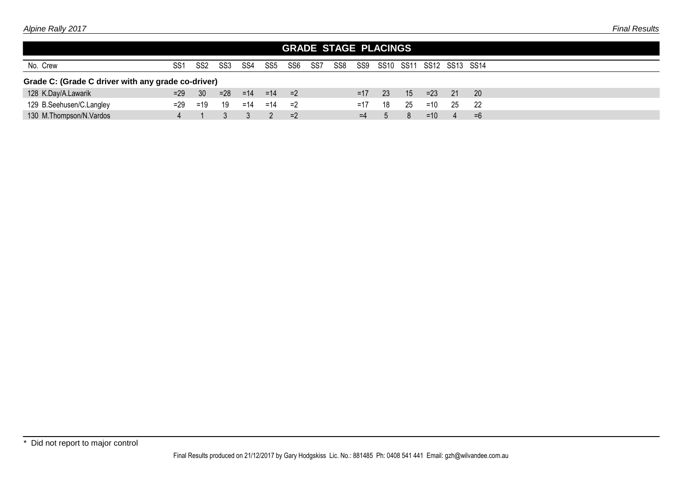| SS <sub>1</sub> | SS <sub>2</sub> | SS3   | SS4                                                | SS5   | SS6   | SS7        | SS8 |       |               |     |                             |       |      |                          |
|-----------------|-----------------|-------|----------------------------------------------------|-------|-------|------------|-----|-------|---------------|-----|-----------------------------|-------|------|--------------------------|
|                 |                 |       |                                                    |       |       |            |     |       |               |     |                             |       |      |                          |
| $=29$           | - 30            | $=28$ |                                                    |       |       |            |     | $=17$ | 23            | 15  | $=23$                       | $-21$ | -20  |                          |
| $=29$           | $=19$           | 19    | $=14$                                              | $=14$ | =2    |            |     | $=17$ | 18            | 25  | $=10$                       | 25    | 22   |                          |
|                 |                 |       |                                                    |       | $=2$  |            |     | $=4$  | $\mathcal{D}$ | 8   | $=10$                       | 4     | $=6$ |                          |
|                 |                 |       | Grade C: (Grade C driver with any grade co-driver) |       | $=14$ | $=14$ $=2$ |     |       |               | SS9 | <b>GRADE STAGE PLACINGS</b> |       |      | SS10 SS11 SS12 SS13 SS14 |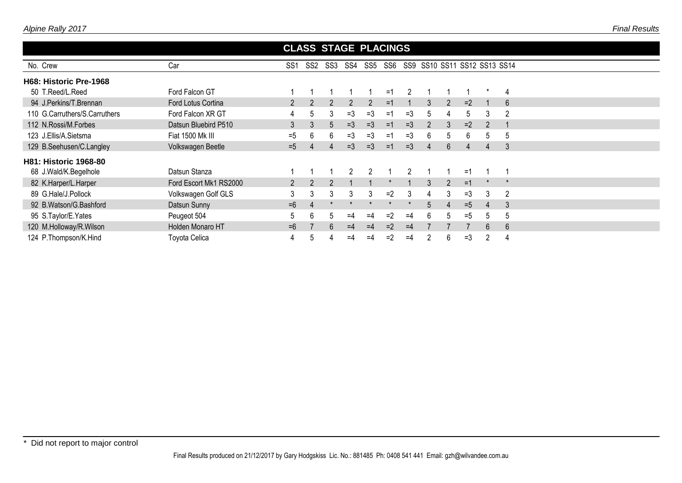|                               |                        |                |                 | <b>CLASS STAGE PLACINGS</b> |                |                |      |                |                |               |      |               |                              |
|-------------------------------|------------------------|----------------|-----------------|-----------------------------|----------------|----------------|------|----------------|----------------|---------------|------|---------------|------------------------------|
| No. Crew                      | Car                    | SS1            | SS <sub>2</sub> | SS3                         | SS4            | SS5 SS6        |      |                |                |               |      |               | SS9 SS10 SS11 SS12 SS13 SS14 |
| H68: Historic Pre-1968        |                        |                |                 |                             |                |                |      |                |                |               |      |               |                              |
| 50 T.Reed/L.Reed              | Ford Falcon GT         |                |                 |                             |                |                | $=1$ | $\mathfrak{p}$ |                |               |      |               | 4                            |
| 94 J.Perkins/T.Brennan        | Ford Lotus Cortina     | $\overline{2}$ |                 | 2                           | $\overline{2}$ | $\overline{2}$ | $=1$ |                | 3              | $\mathcal{P}$ | $=2$ |               | 6                            |
| 110 G.Carruthers/S.Carruthers | Ford Falcon XR GT      | 4              | .5              | 3                           | $=3$           | $=3$           | $=1$ | =3             | 5              |               | 5    | 3             | $\overline{2}$               |
| 112 N.Rossi/M.Forbes          | Datsun Bluebird P510   | 3              | 3               | 5                           | $=3$           | $=3$           | $=1$ | $=$ 3          | $\overline{2}$ |               | $=2$ | $\mathcal{P}$ |                              |
| 123 J.Ellis/A.Sietsma         | Fiat 1500 Mk III       | $=5$           | 6               | 6                           | $=3$           | $=3$           | $=1$ | $=$ 3          | 6              | $\mathcal{D}$ | 6    | 5             | 5                            |
| 129 B.Seehusen/C.Langley      | Volkswagen Beetle      | $=5$           |                 | 4                           | $=3$           | $=$ 3          | $=1$ | $=3$           |                | 6             | 4    | 4             | 3                            |
| <b>H81: Historic 1968-80</b>  |                        |                |                 |                             |                |                |      |                |                |               |      |               |                              |
| 68 J.Wald/K.Begelhole         | Datsun Stanza          |                |                 |                             |                |                |      |                |                |               | $=1$ |               |                              |
| 82 K.Harper/L.Harper          | Ford Escort Mk1 RS2000 | $\overline{2}$ | $\mathcal{P}$   | $\mathcal{P}$               |                |                |      |                | 3              | $\sqrt{2}$    | $=1$ |               |                              |
| 89 G.Hale/J.Pollock           | Volkswagen Golf GLS    | 3              | 3               | 3                           | 3              | 3              | $=2$ | 3              | 4              | 3             | $=3$ | 3             | 2                            |
| 92 B.Watson/G.Bashford        | Datsun Sunny           | $=6$           | 4               |                             |                |                |      |                | 5              |               | $=5$ | 4             | 3                            |
| 95 S.Taylor/E.Yates           | Peugeot 504            | 5              | 6               | $\mathbf b$                 | $=4$           | $=4$           | $=2$ | $=4$           | 6              | h.            | $=5$ | 5             | 5                            |
| 120 M.Holloway/R.Wilson       | Holden Monaro HT       | $=6$           |                 | 6                           | $=4$           | $=4$           | $=2$ | $=4$           |                |               |      | 6             | 6                            |
| 124 P.Thompson/K.Hind         | Toyota Celica          | 4              |                 |                             | $=4$           | $=4$           | $=2$ | $=4$           |                |               | $=3$ | 2             | 4                            |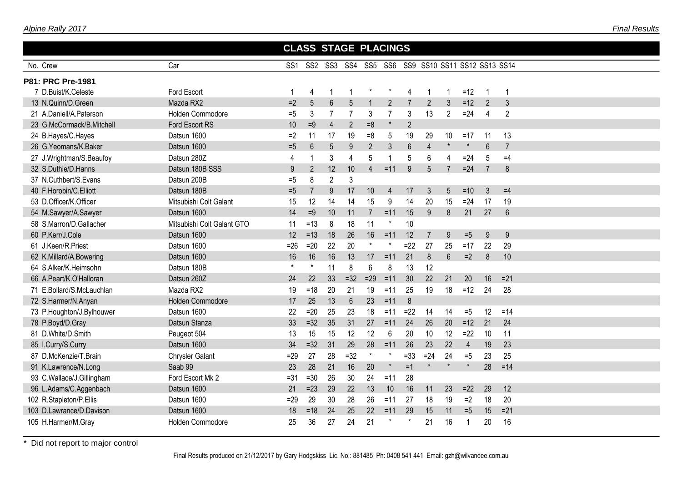| Alpine Rally 2017 |  |  |
|-------------------|--|--|
|                   |  |  |
|                   |  |  |

| No. Crew                  | Car                        | SS <sub>1</sub> | SS2            | SS3            |                         |                |                |                 |                 |                | SS4 SS5 SS6 SS9 SS10 SS11 SS12 SS13 SS14 |                 |                |
|---------------------------|----------------------------|-----------------|----------------|----------------|-------------------------|----------------|----------------|-----------------|-----------------|----------------|------------------------------------------|-----------------|----------------|
| P81: PRC Pre-1981         |                            |                 |                |                |                         |                |                |                 |                 |                |                                          |                 |                |
| 7 D.Buist/K.Celeste       | Ford Escort                | 1               | 4              | -1             | -1                      | $\ast$         | $\ast$         | $\overline{4}$  | -1              |                | $=12$                                    | -1              |                |
| 13 N.Quinn/D.Green        | Mazda RX2                  | $=2$            | 5              | $6\,$          | 5                       | $\overline{1}$ | $\overline{2}$ | $\overline{7}$  | $\overline{2}$  | 3              | $=12$                                    | $\overline{2}$  | $\mathfrak{Z}$ |
| 21 A.Daniell/A.Paterson   | Holden Commodore           | $=5$            | 3              | $\overline{7}$ | $\overline{7}$          | 3              | $\overline{7}$ | 3               | 13              | $\overline{2}$ | $=24$                                    | $\overline{4}$  | $\overline{2}$ |
| 23 G.McCormack/B.Mitchell | Ford Escort RS             | 10              | $=9$           | $\overline{4}$ | $\overline{2}$          | $=8$           | $\pmb{\ast}$   | $\overline{2}$  |                 |                |                                          |                 |                |
| 24 B.Hayes/C.Hayes        | Datsun 1600                | $=2$            | 11             | 17             | 19                      | $=8$           | 5              | 19              | 29              | 10             | $=17$                                    | 11              | 13             |
| 26 G.Yeomans/K.Baker      | Datsun 1600                | $=5$            | $6\phantom{1}$ | 5              | 9                       | $\overline{2}$ | 3              | $6\overline{6}$ | $\overline{4}$  | $\star$        | $\star$                                  | $6\phantom{1}6$ | $\overline{7}$ |
| 27 J.Wrightman/S.Beaufoy  | Datsun 280Z                | 4               |                | $\mathfrak{Z}$ | $\overline{\mathbf{4}}$ | 5              | $\mathbf 1$    | 5               | $6\phantom{1}6$ | 4              | $=24$                                    | 5               | $=4$           |
| 32 S.Duthie/D.Hanns       | Datsun 180B SSS            | 9               | $\overline{2}$ | 12             | 10                      | 4              | $=11$          | 9               | 5               | $\overline{7}$ | $=24$                                    | $\overline{7}$  | 8              |
| 37 N.Cuthbert/S.Evans     | Datsun 200B                | $=5$            | 8              | $\overline{2}$ | 3                       |                |                |                 |                 |                |                                          |                 |                |
| 40 F.Horobin/C.Elliott    | Datsun 180B                | $=5$            |                | 9              | 17                      | 10             | $\overline{4}$ | 17              | 3               | 5              | $=10$                                    | 3               | $=4$           |
| 53 D.Officer/K.Officer    | Mitsubishi Colt Galant     | 15              | 12             | 14             | 14                      | 15             | $9\,$          | 14              | 20              | 15             | $=24$                                    | 17              | 19             |
| 54 M.Sawyer/A.Sawyer      | Datsun 1600                | 14              | $=9$           | 10             | 11                      | $\overline{7}$ | $=11$          | 15              | 9               | 8              | 21                                       | 27              | $6\phantom{a}$ |
| 58 S.Marron/D.Gallacher   | Mitsubishi Colt Galant GTO | 11              | $=13$          | 8              | 18                      | 11             | $^\star$       | 10              |                 |                |                                          |                 |                |
| 60 P.Kerr/J.Cole          | Datsun 1600                | 12              | $=13$          | 18             | 26                      | 16             | $=11$          | 12              | 7               | 9              | $=5$                                     | 9               | 9              |
| 61 J.Keen/R.Priest        | Datsun 1600                | $=26$           | $=20$          | 22             | 20                      | $^\star$       | $\ast$         | $=22$           | 27              | 25             | $=17$                                    | 22              | 29             |
| 62 K.Millard/A.Bowering   | Datsun 1600                | 16              | 16             | 16             | 13                      | 17             | $=11$          | 21              | 8               | $6\phantom{a}$ | $=2$                                     | $\delta$        | 10             |
| 64 S.Alker/K.Heimsohn     | Datsun 180B                | $\star$         |                | 11             | 8                       | 6              | 8              | 13              | 12              |                |                                          |                 |                |
| 66 A.Peart/K.O'Halloran   | Datsun 260Z                | 24              | 22             | 33             | $=32$                   | $=29$          | $=11$          | 30              | 22              | 21             | 20                                       | 16              | $=21$          |
| 71 E.Bollard/S.McLauchlan | Mazda RX2                  | 19              | $=18$          | 20             | 21                      | 19             | $=11$          | 25              | 19              | 18             | $=12$                                    | 24              | 28             |
| 72 S.Harmer/N.Anyan       | Holden Commodore           | 17              | 25             | 13             | $6\phantom{1}6$         | 23             | $=11$          | $\delta$        |                 |                |                                          |                 |                |
| 73 P.Houghton/J.Bylhouwer | Datsun 1600                | 22              | $=20$          | 25             | 23                      | 18             | $=11$          | $=22$           | 14              | 14             | $=5$                                     | 12              | $=14$          |
| 78 P.Boyd/D.Gray          | Datsun Stanza              | 33              | $=32$          | 35             | 31                      | 27             | $=11$          | 24              | 26              | 20             | $=12$                                    | 21              | 24             |
| 81 D.White/D.Smith        | Peugeot 504                | 13              | 15             | 15             | 12                      | 12             | 6              | 20              | 10              | 12             | $=22$                                    | 10              | 11             |
| 85 I.Curry/S.Curry        | Datsun 1600                | 34              | $=32$          | 31             | 29                      | 28             | $=11$          | 26              | 23              | 22             | $\overline{4}$                           | 19              | 23             |
| 87 D.McKenzie/T.Brain     | Chrysler Galant            | $=29$           | 27             | 28             | $=32$                   | $\star$        | $\star$        | $= 33$          | $=24$           | 24             | $=5$                                     | 23              | 25             |
| 91 K.Lawrence/N.Long      | Saab 99                    | 23              | 28             | 21             | 16                      | 20             | $\pmb{\ast}$   | $=1$            | $\star$         | $\star$        | $\star$                                  | 28              | $=14$          |
| 93 C.Wallace/J.Gillingham | Ford Escort Mk 2           | $= 31$          | $=30$          | 26             | 30                      | 24             | $=11$          | 28              |                 |                |                                          |                 |                |
| 96 L.Adams/C.Aggenbach    | Datsun 1600                | 21              | $=23$          | 29             | 22                      | 13             | 10             | 16              | 11              | 23             | $=22$                                    | 29              | 12             |
| 102 R.Stapleton/P.Ellis   | Datsun 1600                | $=29$           | 29             | 30             | 28                      | 26             | $=11$          | 27              | 18              | 19             | $=2$                                     | 18              | 20             |
| 103 D.Lawrance/D.Davison  | Datsun 1600                | 18              | $=18$          | 24             | 25                      | 22             | $=11$          | 29              | 15              | 11             | $=5$                                     | 15              | $=21$          |
| 105 H.Harmer/M.Gray       | Holden Commodore           | 25              | 36             | 27             | 24                      | 21             |                |                 | 21              | 16             | 1                                        | 20              | 16             |

 **CLASS STAGE PLACINGS**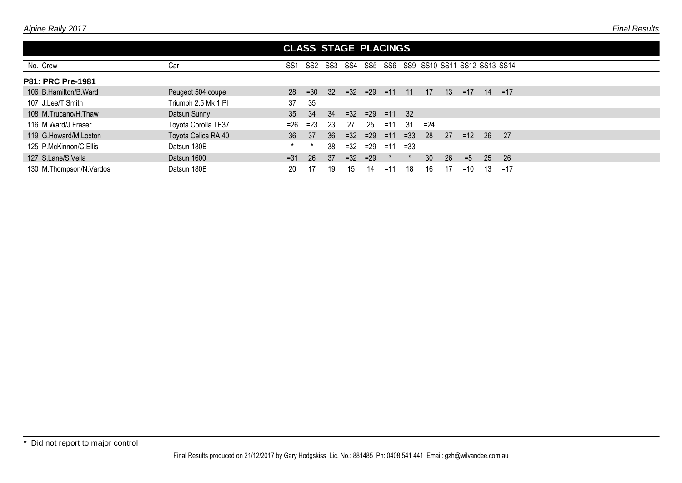|                           |                     | <b>CLASS STAGE PLACINGS</b> |        |                 |       |                   |         |        |        |                  |                              |     |       |  |  |
|---------------------------|---------------------|-----------------------------|--------|-----------------|-------|-------------------|---------|--------|--------|------------------|------------------------------|-----|-------|--|--|
| No. Crew                  | Car                 | SS <sub>1</sub>             | SS2    | SS3             | SS4   |                   | SS5 SS6 |        |        |                  | SS9 SS10 SS11 SS12 SS13 SS14 |     |       |  |  |
| <b>P81: PRC Pre-1981</b>  |                     |                             |        |                 |       |                   |         |        |        |                  |                              |     |       |  |  |
| 106 B.Hamilton/B.Ward     | Peugeot 504 coupe   | 28                          | $=30$  | 32 <sup>2</sup> |       | $=32$ $=29$ $=11$ |         | $-11$  | 17     | 13 <sup>13</sup> | $=17$                        | 14  | $=17$ |  |  |
| 107 J.Lee/T.Smith         | Triumph 2.5 Mk 1 PI | 37                          | 35     |                 |       |                   |         |        |        |                  |                              |     |       |  |  |
| 108 M.Trucano/H.Thaw      | Datsun Sunny        | 35                          | 34     | 34              |       | $=32$ $=29$ $=11$ |         | - 32   |        |                  |                              |     |       |  |  |
| 116 M.Ward/J.Fraser       | Toyota Corolla TE37 | $= 26$                      | $= 23$ | 23              | 27    | 25                | $=11$   | 31     | $= 24$ |                  |                              |     |       |  |  |
| 119 G.Howard/M.Loxton     | Toyota Celica RA 40 | 36 <sup>°</sup>             | 37     | 36              | $=32$ | $=29$             | $=11$   | $=33$  | 28     | 27               | $=12$                        | -26 | - 27  |  |  |
| 125 P.McKinnon/C.Ellis    | Datsun 180B         |                             |        | 38              | $=32$ | $=29$             | $=11$   | $= 33$ |        |                  |                              |     |       |  |  |
| 127 S.Lane/S.Vella        | Datsun 1600         | $= 31$                      | -26    | 37              | $=32$ | $=29$             |         |        | 30     | 26               | $=5$                         | 25  | -26   |  |  |
| 130 M. Thompson/N. Vardos | Datsun 180B         | 20                          |        | 19              | 15    | 14                | $=11$   | 18     | 16     |                  | $=10$                        | 13  | $=17$ |  |  |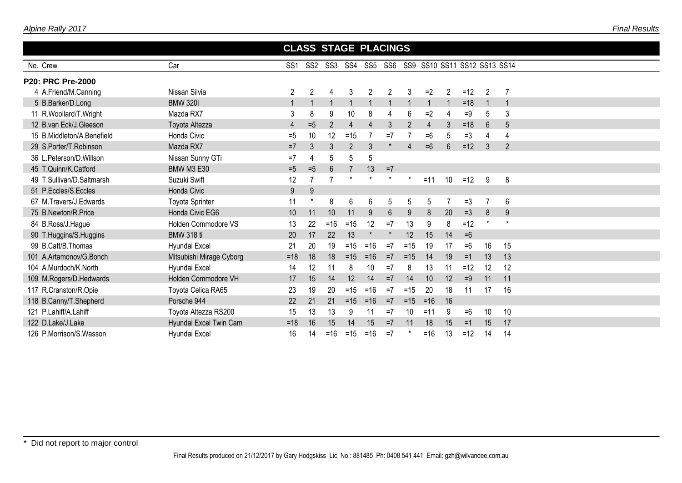| Alpine Rally 2017 |  |
|-------------------|--|
|-------------------|--|

|                              | <b>CLASS STAGE PLACINGS</b> |                 |                 |                |                |       |                |                |                |    |                              |          |                 |  |  |
|------------------------------|-----------------------------|-----------------|-----------------|----------------|----------------|-------|----------------|----------------|----------------|----|------------------------------|----------|-----------------|--|--|
| No. Crew                     | Car                         | SS <sub>1</sub> | SS <sub>2</sub> | SS3            | SS4            |       | SS5 SS6        |                |                |    | SS9 SS10 SS11 SS12 SS13 SS14 |          |                 |  |  |
| <b>P20: PRC Pre-2000</b>     |                             |                 |                 |                |                |       |                |                |                |    |                              |          |                 |  |  |
| 4 A.Friend/M.Canning         | Nissan Silvia               | $\mathfrak{p}$  | $\overline{2}$  | 4              | 3              | 2     | 2              | 3              | $=2$           | 2  | $=12$                        | 2        |                 |  |  |
| 5 B.Barker/D.Long            | <b>BMW 320i</b>             |                 |                 |                |                |       |                |                |                |    | $=18$                        |          |                 |  |  |
| 11 R.Woollard/T.Wright       | Mazda RX7                   | 3               |                 | 9              | 10             | 8     | 4              | 6              | $=2$           |    | $=9$                         | 5        | 3               |  |  |
| 12 B.van Eck/J.Gleeson       | Toyota Altezza              | 4               | $=5$            | $\overline{2}$ | 4              |       | 3 <sup>1</sup> | $\overline{2}$ | $\overline{4}$ |    | $=18$                        | 6        | 5               |  |  |
| 15 B. Middleton/A. Benefield | Honda Civic                 | $=5$            | 10              | 12             | $=15$          |       | $=7$           |                | $=6$           |    | $=3$                         | 4        | 4               |  |  |
| 29 S.Porter/T.Robinson       | Mazda RX7                   | $=7$            |                 | $\mathfrak{Z}$ | $\overline{2}$ | 3     |                | 4              | $=6$           | 6  | $=12$                        | 3        | $\overline{2}$  |  |  |
| 36 L.Peterson/D.Willson      | Nissan Sunny GTi            | $=7$            |                 | 5              | 5              | 5     |                |                |                |    |                              |          |                 |  |  |
| 45 T.Quinn/K.Catford         | <b>BMW M3 E30</b>           | $=5$            | $=5$            | 6              |                | 13    | $=7$           |                |                |    |                              |          |                 |  |  |
| 49 T.Sullivan/D.Saltmarsh    | Suzuki Swift                | 12              |                 |                |                |       |                |                | $=11$          | 10 | $=12$                        | 9        | 8               |  |  |
| 51 P.Eccles/S.Eccles         | <b>Honda Civic</b>          | 9               | 9               |                |                |       |                |                |                |    |                              |          |                 |  |  |
| 67 M.Travers/J.Edwards       | <b>Toyota Sprinter</b>      | 11              |                 | 8              | 6              | 6     | 5              | 5              | 5              |    | $=$ 3                        | 7        | $6\phantom{1}6$ |  |  |
| 75 B.Newton/R.Price          | Honda Civic EG6             | 10              | 11              | 10             | 11             | 9     | $6\phantom{.}$ | 9              | 8              | 20 | $=3$                         | 8        | 9               |  |  |
| 84 B.Ross/J.Hague            | Holden Commodore VS         | 13              | 22              | $=16$          | $=15$          | 12    | $=7$           | 13             | 9              | 8  | $=12$                        | $^\star$ |                 |  |  |
| 90 T.Huggins/S.Huggins       | <b>BMW 318 ti</b>           | 20              | 17              | 22             | 13             |       |                | 12             | 15             | 14 | $=6$                         |          |                 |  |  |
| 99 B.Catt/B.Thomas           | Hyundai Excel               | 21              | 20              | 19             | $=15$          | $=16$ | $=7$           | $=15$          | 19             | 17 | $=6$                         | 16       | 15              |  |  |
| 101 A.Artamonov/G.Bonch      | Mitsubishi Mirage Cyborg    | $=18$           | 18              | 18             | $=15$          | $=16$ | $=7$           | $=15$          | 14             | 19 | $=1$                         | 13       | 13              |  |  |
| 104 A.Murdoch/K.North        | Hyundai Excel               | 14              | 12              | 11             | 8              | 10    | $=7$           | 8              | 13             | 11 | $=12$                        | 12       | 12              |  |  |
| 109 M.Rogers/D.Hedwards      | Holden Commodore VH         | 17              | 15              | 14             | 12             | 14    | $=7$           | 14             | 10             | 12 | $=9$                         | 11       | 11              |  |  |
| 117 R.Cranston/R.Opie        | Toyota Celica RA65          | 23              | 19              | 20             | $=15$          | $=16$ | $=7$           | $=15$          | 20             | 18 | 11                           | 17       | 16              |  |  |
| 118 B.Canny/T.Shepherd       | Porsche 944                 | 22              | 21              | 21             | $=15$          | $=16$ | $=7$           | $=15$          | $= 16$         | 16 |                              |          |                 |  |  |
| 121 P.Lahiff/A.Lahiff        | Toyota Altezza RS200        | 15              | 13              | 13             | 9              | 11    | $=7$           | 10             | $=11$          | 9  | $=6$                         | 10       | 10              |  |  |
| 122 D.Lake/J.Lake            | Hyundai Excel Twin Cam      | $=18$           | 16              | 15             | 14             | 15    | $=7$           | 11             | 18             | 15 | $=1$                         | 15       | 17              |  |  |
| 126 P.Morrison/S.Wasson      | Hyundai Excel               | 16              | 14              | $=16$          | $=15$          | $=16$ | $=7$           |                | $=16$          | 13 | $=12$                        | 14       | 14              |  |  |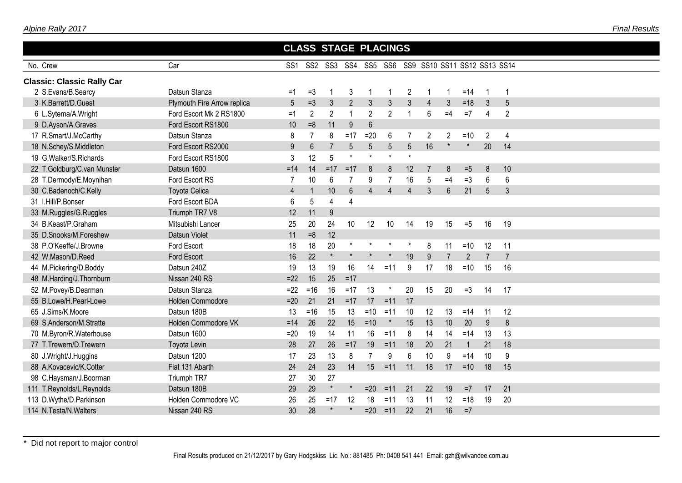| Alpine Rally 2017 |
|-------------------|
|                   |

| Car<br>SS2 SS3 SS4 SS5 SS6 SS9 SS10 SS11 SS12 SS13 SS14<br>SS <sub>1</sub><br><b>Classic: Classic Rally Car</b><br>Datsun Stanza<br>2 S.Evans/B.Searcy<br>$=3$<br>3<br>2<br>$=14$<br>$=1$<br>-1<br>1<br>-1<br>-1<br>-1<br>5<br>$=3$<br>$\overline{2}$<br>$\mathfrak{Z}$<br>$\mathfrak{Z}$<br>$=18$<br>5<br>3 K.Barrett/D.Guest<br>Plymouth Fire Arrow replica<br>$\mathfrak{Z}$<br>3<br>$\mathbf{3}$<br>$\overline{3}$<br>$\overline{4}$<br>$\overline{2}$<br>$\overline{2}$<br>$\overline{2}$<br>$\overline{2}$<br>6<br>$=7$<br>$\overline{2}$<br>6 L.Sytema/A.Wright<br>Ford Escort Mk 2 RS1800<br>$\mathbf{1}$<br>$=4$<br>$=1$<br>$\overline{4}$<br>$6\phantom{1}$<br>9 D.Ayson/A.Graves<br>Ford Escort RS1800<br>10<br>$=8$<br>11<br>9<br>$\overline{7}$<br>$=20$<br>Datsun Stanza<br>8<br>$=17$<br>$\overline{c}$<br>$\overline{2}$<br>$= 10$<br>$\overline{2}$<br>17 R.Smart/J.McCarthy<br>8<br>6<br>4<br>14<br>5<br>16<br>$\star$<br>20<br>18 N.Schey/S.Middleton<br>Ford Escort RS2000<br>9<br>$6\phantom{1}$<br>$\overline{7}$<br>5<br>5<br>5<br>$\star$<br>$\star$<br>$\star$<br>12<br>5<br>$^\star$<br>19 G.Walker/S.Richards<br>3<br>Ford Escort RS1800<br>14<br>$=14$<br>$=17$<br>22 T.Goldburg/C.van Munster<br>Datsun 1600<br>$=17$<br>8<br>8<br>12<br>8<br>8<br>10<br>$=5$<br>$6\phantom{.}$<br>16<br>6<br>28 T.Dermody/E.Moynihan<br>Ford Escort RS<br>$\overline{7}$<br>10<br>$\overline{7}$<br>9<br>$\overline{7}$<br>5<br>$=3$<br>$6\phantom{1}$<br>$=4$<br>$6\phantom{1}$<br>10<br>3<br>$6\phantom{1}$<br>$\mathfrak{Z}$<br>30 C.Badenoch/C.Kelly<br><b>Toyota Celica</b><br>$\overline{4}$<br>$\overline{1}$<br>$\overline{4}$<br>$\boldsymbol{\Delta}$<br>$\overline{4}$<br>21<br>5<br>31 I.Hill/P.Bonser<br>6<br>5<br>4<br>4<br>Ford Escort BDA<br>12<br>11<br>Triumph TR7 V8<br>9<br>33 M.Ruggles/G.Ruggles<br>34 B.Keast/P.Graham<br>Mitsubishi Lancer<br>25<br>20<br>24<br>10<br>12<br>10<br>14<br>19<br>16<br>19<br>15<br>$=5$<br>12<br>11<br>$=8$<br>35 D.Snooks/M.Foreshew<br>Datsun Violet<br>18<br>20<br>$\star$<br>$\star$<br>12<br>38 P.O'Keeffe/J.Browne<br>Ford Escort<br>18<br>$\star$<br>8<br>11<br>$=10$<br>11<br>22<br>$\star$<br>16<br>$\overline{7}$<br>$\overline{7}$<br>42 W.Mason/D.Reed<br>Ford Escort<br>19<br>9<br>$\overline{2}$<br>$\overline{7}$<br>Datsun 240Z<br>13<br>18<br>15<br>16<br>44 M.Pickering/D.Boddy<br>19<br>19<br>16<br>14<br>$=11$<br>9<br>17<br>$=10$<br>Nissan 240 RS<br>$=22$<br>15<br>25<br>$=17$<br>48 M.Harding/J.Thornburn<br>$= 16$<br>52 M.Povey/B.Dearman<br>Datsun Stanza<br>16<br>13<br>$\ast$<br>20<br>15<br>20<br>14<br>$=22$<br>$=17$<br>$=3$<br>17<br>21<br>17<br>17<br>55 B.Lowe/H.Pearl-Lowe<br>Holden Commodore<br>$=20$<br>21<br>$=17$<br>$=11$<br>65 J.Sims/K.Moore<br>Datsun 180B<br>$=16$<br>15<br>$=11$<br>10<br>13<br>13<br>$=10$<br>12<br>13<br>$=14$<br>12<br>11<br>26<br>22<br>15<br>$=10$<br>15<br>13<br>10<br>20<br>8<br>69 S.Anderson/M.Stratte<br>Holden Commodore VK<br>$=14$<br>$^{\star}$<br>9<br>Datsun 1600<br>19<br>14<br>11<br>16<br>8<br>14<br>13<br>70 M.Byron/R.Waterhouse<br>$=20$<br>$=11$<br>14<br>$=14$<br>13<br>28<br>$=17$<br>19<br>$=11$<br>20<br>21<br>18<br>77 T.Trewern/D.Trewern<br>27<br>26<br>18<br>21<br>Toyota Levin<br>$\mathbf 1$<br>23<br>8<br>$6\phantom{1}6$<br>9<br>Datsun 1200<br>13<br>7<br>9<br>10<br>9<br>$=14$<br>10<br>80 J.Wright/J.Huggins<br>17<br>24<br>23<br>14<br>15<br>11<br>18<br>17<br>15<br>88 A.Kovacevic/K.Cotter<br>Fiat 131 Abarth<br>24<br>$=11$<br>$= 10$<br>18<br>27<br>27<br>30<br>98 C.Haysman/J.Boorman<br>Triumph TR7<br>29<br>29<br>$=20$<br>$=11$<br>21<br>22<br>Datsun 180B<br>$^{\star}$<br>19<br>$=7$<br>17<br>21<br>Holden Commodore VC<br>26<br>20<br>25<br>$=17$<br>12<br>18<br>12<br>$=18$<br>19<br>$=11$<br>13<br>11<br>28<br>30<br>22<br>21<br>16<br>Nissan 240 RS<br>$\star$<br>$=20$<br>$=11$<br>$=7$ |                           |  |  | <b>CLASS STAGE PLACINGS</b> |  |  |  |  |
|---------------------------------------------------------------------------------------------------------------------------------------------------------------------------------------------------------------------------------------------------------------------------------------------------------------------------------------------------------------------------------------------------------------------------------------------------------------------------------------------------------------------------------------------------------------------------------------------------------------------------------------------------------------------------------------------------------------------------------------------------------------------------------------------------------------------------------------------------------------------------------------------------------------------------------------------------------------------------------------------------------------------------------------------------------------------------------------------------------------------------------------------------------------------------------------------------------------------------------------------------------------------------------------------------------------------------------------------------------------------------------------------------------------------------------------------------------------------------------------------------------------------------------------------------------------------------------------------------------------------------------------------------------------------------------------------------------------------------------------------------------------------------------------------------------------------------------------------------------------------------------------------------------------------------------------------------------------------------------------------------------------------------------------------------------------------------------------------------------------------------------------------------------------------------------------------------------------------------------------------------------------------------------------------------------------------------------------------------------------------------------------------------------------------------------------------------------------------------------------------------------------------------------------------------------------------------------------------------------------------------------------------------------------------------------------------------------------------------------------------------------------------------------------------------------------------------------------------------------------------------------------------------------------------------------------------------------------------------------------------------------------------------------------------------------------------------------------------------------------------------------------------------------------------------------------------------------------------------------------------------------------------------------------------------------------------------------------------------------------------------------------------------------------------------------------------------------------------------------------------------------------------------------------------------------------------------------------------------------------------------------------------------------------------------------------------------------------------------------------------------------------------------------------------------------------------------------------------------------------------------------|---------------------------|--|--|-----------------------------|--|--|--|--|
|                                                                                                                                                                                                                                                                                                                                                                                                                                                                                                                                                                                                                                                                                                                                                                                                                                                                                                                                                                                                                                                                                                                                                                                                                                                                                                                                                                                                                                                                                                                                                                                                                                                                                                                                                                                                                                                                                                                                                                                                                                                                                                                                                                                                                                                                                                                                                                                                                                                                                                                                                                                                                                                                                                                                                                                                                                                                                                                                                                                                                                                                                                                                                                                                                                                                                                                                                                                                                                                                                                                                                                                                                                                                                                                                                                                                                                                                                 | No. Crew                  |  |  |                             |  |  |  |  |
|                                                                                                                                                                                                                                                                                                                                                                                                                                                                                                                                                                                                                                                                                                                                                                                                                                                                                                                                                                                                                                                                                                                                                                                                                                                                                                                                                                                                                                                                                                                                                                                                                                                                                                                                                                                                                                                                                                                                                                                                                                                                                                                                                                                                                                                                                                                                                                                                                                                                                                                                                                                                                                                                                                                                                                                                                                                                                                                                                                                                                                                                                                                                                                                                                                                                                                                                                                                                                                                                                                                                                                                                                                                                                                                                                                                                                                                                                 |                           |  |  |                             |  |  |  |  |
|                                                                                                                                                                                                                                                                                                                                                                                                                                                                                                                                                                                                                                                                                                                                                                                                                                                                                                                                                                                                                                                                                                                                                                                                                                                                                                                                                                                                                                                                                                                                                                                                                                                                                                                                                                                                                                                                                                                                                                                                                                                                                                                                                                                                                                                                                                                                                                                                                                                                                                                                                                                                                                                                                                                                                                                                                                                                                                                                                                                                                                                                                                                                                                                                                                                                                                                                                                                                                                                                                                                                                                                                                                                                                                                                                                                                                                                                                 |                           |  |  |                             |  |  |  |  |
|                                                                                                                                                                                                                                                                                                                                                                                                                                                                                                                                                                                                                                                                                                                                                                                                                                                                                                                                                                                                                                                                                                                                                                                                                                                                                                                                                                                                                                                                                                                                                                                                                                                                                                                                                                                                                                                                                                                                                                                                                                                                                                                                                                                                                                                                                                                                                                                                                                                                                                                                                                                                                                                                                                                                                                                                                                                                                                                                                                                                                                                                                                                                                                                                                                                                                                                                                                                                                                                                                                                                                                                                                                                                                                                                                                                                                                                                                 |                           |  |  |                             |  |  |  |  |
|                                                                                                                                                                                                                                                                                                                                                                                                                                                                                                                                                                                                                                                                                                                                                                                                                                                                                                                                                                                                                                                                                                                                                                                                                                                                                                                                                                                                                                                                                                                                                                                                                                                                                                                                                                                                                                                                                                                                                                                                                                                                                                                                                                                                                                                                                                                                                                                                                                                                                                                                                                                                                                                                                                                                                                                                                                                                                                                                                                                                                                                                                                                                                                                                                                                                                                                                                                                                                                                                                                                                                                                                                                                                                                                                                                                                                                                                                 |                           |  |  |                             |  |  |  |  |
|                                                                                                                                                                                                                                                                                                                                                                                                                                                                                                                                                                                                                                                                                                                                                                                                                                                                                                                                                                                                                                                                                                                                                                                                                                                                                                                                                                                                                                                                                                                                                                                                                                                                                                                                                                                                                                                                                                                                                                                                                                                                                                                                                                                                                                                                                                                                                                                                                                                                                                                                                                                                                                                                                                                                                                                                                                                                                                                                                                                                                                                                                                                                                                                                                                                                                                                                                                                                                                                                                                                                                                                                                                                                                                                                                                                                                                                                                 |                           |  |  |                             |  |  |  |  |
|                                                                                                                                                                                                                                                                                                                                                                                                                                                                                                                                                                                                                                                                                                                                                                                                                                                                                                                                                                                                                                                                                                                                                                                                                                                                                                                                                                                                                                                                                                                                                                                                                                                                                                                                                                                                                                                                                                                                                                                                                                                                                                                                                                                                                                                                                                                                                                                                                                                                                                                                                                                                                                                                                                                                                                                                                                                                                                                                                                                                                                                                                                                                                                                                                                                                                                                                                                                                                                                                                                                                                                                                                                                                                                                                                                                                                                                                                 |                           |  |  |                             |  |  |  |  |
|                                                                                                                                                                                                                                                                                                                                                                                                                                                                                                                                                                                                                                                                                                                                                                                                                                                                                                                                                                                                                                                                                                                                                                                                                                                                                                                                                                                                                                                                                                                                                                                                                                                                                                                                                                                                                                                                                                                                                                                                                                                                                                                                                                                                                                                                                                                                                                                                                                                                                                                                                                                                                                                                                                                                                                                                                                                                                                                                                                                                                                                                                                                                                                                                                                                                                                                                                                                                                                                                                                                                                                                                                                                                                                                                                                                                                                                                                 |                           |  |  |                             |  |  |  |  |
|                                                                                                                                                                                                                                                                                                                                                                                                                                                                                                                                                                                                                                                                                                                                                                                                                                                                                                                                                                                                                                                                                                                                                                                                                                                                                                                                                                                                                                                                                                                                                                                                                                                                                                                                                                                                                                                                                                                                                                                                                                                                                                                                                                                                                                                                                                                                                                                                                                                                                                                                                                                                                                                                                                                                                                                                                                                                                                                                                                                                                                                                                                                                                                                                                                                                                                                                                                                                                                                                                                                                                                                                                                                                                                                                                                                                                                                                                 |                           |  |  |                             |  |  |  |  |
|                                                                                                                                                                                                                                                                                                                                                                                                                                                                                                                                                                                                                                                                                                                                                                                                                                                                                                                                                                                                                                                                                                                                                                                                                                                                                                                                                                                                                                                                                                                                                                                                                                                                                                                                                                                                                                                                                                                                                                                                                                                                                                                                                                                                                                                                                                                                                                                                                                                                                                                                                                                                                                                                                                                                                                                                                                                                                                                                                                                                                                                                                                                                                                                                                                                                                                                                                                                                                                                                                                                                                                                                                                                                                                                                                                                                                                                                                 |                           |  |  |                             |  |  |  |  |
|                                                                                                                                                                                                                                                                                                                                                                                                                                                                                                                                                                                                                                                                                                                                                                                                                                                                                                                                                                                                                                                                                                                                                                                                                                                                                                                                                                                                                                                                                                                                                                                                                                                                                                                                                                                                                                                                                                                                                                                                                                                                                                                                                                                                                                                                                                                                                                                                                                                                                                                                                                                                                                                                                                                                                                                                                                                                                                                                                                                                                                                                                                                                                                                                                                                                                                                                                                                                                                                                                                                                                                                                                                                                                                                                                                                                                                                                                 |                           |  |  |                             |  |  |  |  |
|                                                                                                                                                                                                                                                                                                                                                                                                                                                                                                                                                                                                                                                                                                                                                                                                                                                                                                                                                                                                                                                                                                                                                                                                                                                                                                                                                                                                                                                                                                                                                                                                                                                                                                                                                                                                                                                                                                                                                                                                                                                                                                                                                                                                                                                                                                                                                                                                                                                                                                                                                                                                                                                                                                                                                                                                                                                                                                                                                                                                                                                                                                                                                                                                                                                                                                                                                                                                                                                                                                                                                                                                                                                                                                                                                                                                                                                                                 |                           |  |  |                             |  |  |  |  |
|                                                                                                                                                                                                                                                                                                                                                                                                                                                                                                                                                                                                                                                                                                                                                                                                                                                                                                                                                                                                                                                                                                                                                                                                                                                                                                                                                                                                                                                                                                                                                                                                                                                                                                                                                                                                                                                                                                                                                                                                                                                                                                                                                                                                                                                                                                                                                                                                                                                                                                                                                                                                                                                                                                                                                                                                                                                                                                                                                                                                                                                                                                                                                                                                                                                                                                                                                                                                                                                                                                                                                                                                                                                                                                                                                                                                                                                                                 |                           |  |  |                             |  |  |  |  |
|                                                                                                                                                                                                                                                                                                                                                                                                                                                                                                                                                                                                                                                                                                                                                                                                                                                                                                                                                                                                                                                                                                                                                                                                                                                                                                                                                                                                                                                                                                                                                                                                                                                                                                                                                                                                                                                                                                                                                                                                                                                                                                                                                                                                                                                                                                                                                                                                                                                                                                                                                                                                                                                                                                                                                                                                                                                                                                                                                                                                                                                                                                                                                                                                                                                                                                                                                                                                                                                                                                                                                                                                                                                                                                                                                                                                                                                                                 |                           |  |  |                             |  |  |  |  |
|                                                                                                                                                                                                                                                                                                                                                                                                                                                                                                                                                                                                                                                                                                                                                                                                                                                                                                                                                                                                                                                                                                                                                                                                                                                                                                                                                                                                                                                                                                                                                                                                                                                                                                                                                                                                                                                                                                                                                                                                                                                                                                                                                                                                                                                                                                                                                                                                                                                                                                                                                                                                                                                                                                                                                                                                                                                                                                                                                                                                                                                                                                                                                                                                                                                                                                                                                                                                                                                                                                                                                                                                                                                                                                                                                                                                                                                                                 |                           |  |  |                             |  |  |  |  |
|                                                                                                                                                                                                                                                                                                                                                                                                                                                                                                                                                                                                                                                                                                                                                                                                                                                                                                                                                                                                                                                                                                                                                                                                                                                                                                                                                                                                                                                                                                                                                                                                                                                                                                                                                                                                                                                                                                                                                                                                                                                                                                                                                                                                                                                                                                                                                                                                                                                                                                                                                                                                                                                                                                                                                                                                                                                                                                                                                                                                                                                                                                                                                                                                                                                                                                                                                                                                                                                                                                                                                                                                                                                                                                                                                                                                                                                                                 |                           |  |  |                             |  |  |  |  |
|                                                                                                                                                                                                                                                                                                                                                                                                                                                                                                                                                                                                                                                                                                                                                                                                                                                                                                                                                                                                                                                                                                                                                                                                                                                                                                                                                                                                                                                                                                                                                                                                                                                                                                                                                                                                                                                                                                                                                                                                                                                                                                                                                                                                                                                                                                                                                                                                                                                                                                                                                                                                                                                                                                                                                                                                                                                                                                                                                                                                                                                                                                                                                                                                                                                                                                                                                                                                                                                                                                                                                                                                                                                                                                                                                                                                                                                                                 |                           |  |  |                             |  |  |  |  |
|                                                                                                                                                                                                                                                                                                                                                                                                                                                                                                                                                                                                                                                                                                                                                                                                                                                                                                                                                                                                                                                                                                                                                                                                                                                                                                                                                                                                                                                                                                                                                                                                                                                                                                                                                                                                                                                                                                                                                                                                                                                                                                                                                                                                                                                                                                                                                                                                                                                                                                                                                                                                                                                                                                                                                                                                                                                                                                                                                                                                                                                                                                                                                                                                                                                                                                                                                                                                                                                                                                                                                                                                                                                                                                                                                                                                                                                                                 |                           |  |  |                             |  |  |  |  |
|                                                                                                                                                                                                                                                                                                                                                                                                                                                                                                                                                                                                                                                                                                                                                                                                                                                                                                                                                                                                                                                                                                                                                                                                                                                                                                                                                                                                                                                                                                                                                                                                                                                                                                                                                                                                                                                                                                                                                                                                                                                                                                                                                                                                                                                                                                                                                                                                                                                                                                                                                                                                                                                                                                                                                                                                                                                                                                                                                                                                                                                                                                                                                                                                                                                                                                                                                                                                                                                                                                                                                                                                                                                                                                                                                                                                                                                                                 |                           |  |  |                             |  |  |  |  |
|                                                                                                                                                                                                                                                                                                                                                                                                                                                                                                                                                                                                                                                                                                                                                                                                                                                                                                                                                                                                                                                                                                                                                                                                                                                                                                                                                                                                                                                                                                                                                                                                                                                                                                                                                                                                                                                                                                                                                                                                                                                                                                                                                                                                                                                                                                                                                                                                                                                                                                                                                                                                                                                                                                                                                                                                                                                                                                                                                                                                                                                                                                                                                                                                                                                                                                                                                                                                                                                                                                                                                                                                                                                                                                                                                                                                                                                                                 |                           |  |  |                             |  |  |  |  |
|                                                                                                                                                                                                                                                                                                                                                                                                                                                                                                                                                                                                                                                                                                                                                                                                                                                                                                                                                                                                                                                                                                                                                                                                                                                                                                                                                                                                                                                                                                                                                                                                                                                                                                                                                                                                                                                                                                                                                                                                                                                                                                                                                                                                                                                                                                                                                                                                                                                                                                                                                                                                                                                                                                                                                                                                                                                                                                                                                                                                                                                                                                                                                                                                                                                                                                                                                                                                                                                                                                                                                                                                                                                                                                                                                                                                                                                                                 |                           |  |  |                             |  |  |  |  |
|                                                                                                                                                                                                                                                                                                                                                                                                                                                                                                                                                                                                                                                                                                                                                                                                                                                                                                                                                                                                                                                                                                                                                                                                                                                                                                                                                                                                                                                                                                                                                                                                                                                                                                                                                                                                                                                                                                                                                                                                                                                                                                                                                                                                                                                                                                                                                                                                                                                                                                                                                                                                                                                                                                                                                                                                                                                                                                                                                                                                                                                                                                                                                                                                                                                                                                                                                                                                                                                                                                                                                                                                                                                                                                                                                                                                                                                                                 |                           |  |  |                             |  |  |  |  |
|                                                                                                                                                                                                                                                                                                                                                                                                                                                                                                                                                                                                                                                                                                                                                                                                                                                                                                                                                                                                                                                                                                                                                                                                                                                                                                                                                                                                                                                                                                                                                                                                                                                                                                                                                                                                                                                                                                                                                                                                                                                                                                                                                                                                                                                                                                                                                                                                                                                                                                                                                                                                                                                                                                                                                                                                                                                                                                                                                                                                                                                                                                                                                                                                                                                                                                                                                                                                                                                                                                                                                                                                                                                                                                                                                                                                                                                                                 |                           |  |  |                             |  |  |  |  |
|                                                                                                                                                                                                                                                                                                                                                                                                                                                                                                                                                                                                                                                                                                                                                                                                                                                                                                                                                                                                                                                                                                                                                                                                                                                                                                                                                                                                                                                                                                                                                                                                                                                                                                                                                                                                                                                                                                                                                                                                                                                                                                                                                                                                                                                                                                                                                                                                                                                                                                                                                                                                                                                                                                                                                                                                                                                                                                                                                                                                                                                                                                                                                                                                                                                                                                                                                                                                                                                                                                                                                                                                                                                                                                                                                                                                                                                                                 |                           |  |  |                             |  |  |  |  |
|                                                                                                                                                                                                                                                                                                                                                                                                                                                                                                                                                                                                                                                                                                                                                                                                                                                                                                                                                                                                                                                                                                                                                                                                                                                                                                                                                                                                                                                                                                                                                                                                                                                                                                                                                                                                                                                                                                                                                                                                                                                                                                                                                                                                                                                                                                                                                                                                                                                                                                                                                                                                                                                                                                                                                                                                                                                                                                                                                                                                                                                                                                                                                                                                                                                                                                                                                                                                                                                                                                                                                                                                                                                                                                                                                                                                                                                                                 |                           |  |  |                             |  |  |  |  |
|                                                                                                                                                                                                                                                                                                                                                                                                                                                                                                                                                                                                                                                                                                                                                                                                                                                                                                                                                                                                                                                                                                                                                                                                                                                                                                                                                                                                                                                                                                                                                                                                                                                                                                                                                                                                                                                                                                                                                                                                                                                                                                                                                                                                                                                                                                                                                                                                                                                                                                                                                                                                                                                                                                                                                                                                                                                                                                                                                                                                                                                                                                                                                                                                                                                                                                                                                                                                                                                                                                                                                                                                                                                                                                                                                                                                                                                                                 |                           |  |  |                             |  |  |  |  |
|                                                                                                                                                                                                                                                                                                                                                                                                                                                                                                                                                                                                                                                                                                                                                                                                                                                                                                                                                                                                                                                                                                                                                                                                                                                                                                                                                                                                                                                                                                                                                                                                                                                                                                                                                                                                                                                                                                                                                                                                                                                                                                                                                                                                                                                                                                                                                                                                                                                                                                                                                                                                                                                                                                                                                                                                                                                                                                                                                                                                                                                                                                                                                                                                                                                                                                                                                                                                                                                                                                                                                                                                                                                                                                                                                                                                                                                                                 |                           |  |  |                             |  |  |  |  |
|                                                                                                                                                                                                                                                                                                                                                                                                                                                                                                                                                                                                                                                                                                                                                                                                                                                                                                                                                                                                                                                                                                                                                                                                                                                                                                                                                                                                                                                                                                                                                                                                                                                                                                                                                                                                                                                                                                                                                                                                                                                                                                                                                                                                                                                                                                                                                                                                                                                                                                                                                                                                                                                                                                                                                                                                                                                                                                                                                                                                                                                                                                                                                                                                                                                                                                                                                                                                                                                                                                                                                                                                                                                                                                                                                                                                                                                                                 |                           |  |  |                             |  |  |  |  |
|                                                                                                                                                                                                                                                                                                                                                                                                                                                                                                                                                                                                                                                                                                                                                                                                                                                                                                                                                                                                                                                                                                                                                                                                                                                                                                                                                                                                                                                                                                                                                                                                                                                                                                                                                                                                                                                                                                                                                                                                                                                                                                                                                                                                                                                                                                                                                                                                                                                                                                                                                                                                                                                                                                                                                                                                                                                                                                                                                                                                                                                                                                                                                                                                                                                                                                                                                                                                                                                                                                                                                                                                                                                                                                                                                                                                                                                                                 |                           |  |  |                             |  |  |  |  |
|                                                                                                                                                                                                                                                                                                                                                                                                                                                                                                                                                                                                                                                                                                                                                                                                                                                                                                                                                                                                                                                                                                                                                                                                                                                                                                                                                                                                                                                                                                                                                                                                                                                                                                                                                                                                                                                                                                                                                                                                                                                                                                                                                                                                                                                                                                                                                                                                                                                                                                                                                                                                                                                                                                                                                                                                                                                                                                                                                                                                                                                                                                                                                                                                                                                                                                                                                                                                                                                                                                                                                                                                                                                                                                                                                                                                                                                                                 | 111 T.Reynolds/L.Reynolds |  |  |                             |  |  |  |  |
|                                                                                                                                                                                                                                                                                                                                                                                                                                                                                                                                                                                                                                                                                                                                                                                                                                                                                                                                                                                                                                                                                                                                                                                                                                                                                                                                                                                                                                                                                                                                                                                                                                                                                                                                                                                                                                                                                                                                                                                                                                                                                                                                                                                                                                                                                                                                                                                                                                                                                                                                                                                                                                                                                                                                                                                                                                                                                                                                                                                                                                                                                                                                                                                                                                                                                                                                                                                                                                                                                                                                                                                                                                                                                                                                                                                                                                                                                 | 113 D.Wythe/D.Parkinson   |  |  |                             |  |  |  |  |
|                                                                                                                                                                                                                                                                                                                                                                                                                                                                                                                                                                                                                                                                                                                                                                                                                                                                                                                                                                                                                                                                                                                                                                                                                                                                                                                                                                                                                                                                                                                                                                                                                                                                                                                                                                                                                                                                                                                                                                                                                                                                                                                                                                                                                                                                                                                                                                                                                                                                                                                                                                                                                                                                                                                                                                                                                                                                                                                                                                                                                                                                                                                                                                                                                                                                                                                                                                                                                                                                                                                                                                                                                                                                                                                                                                                                                                                                                 | 114 N.Testa/N.Walters     |  |  |                             |  |  |  |  |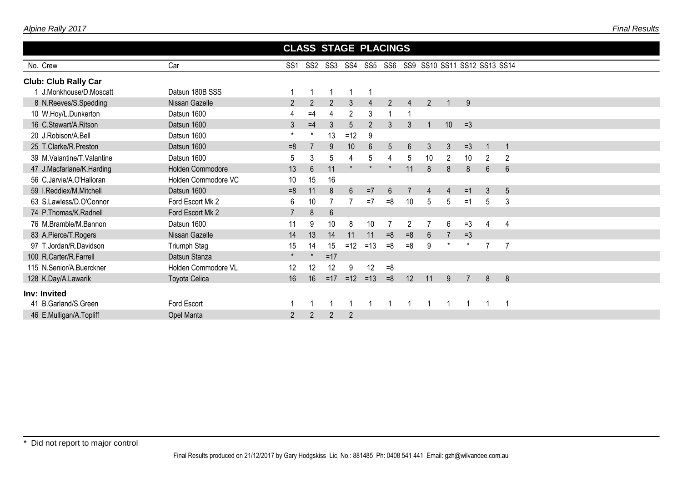|--|

|                             |                      |                 |                 | <b>CLASS STAGE PLACINGS</b> |                |                |                |                |                              |                |      |                |                |  |  |  |
|-----------------------------|----------------------|-----------------|-----------------|-----------------------------|----------------|----------------|----------------|----------------|------------------------------|----------------|------|----------------|----------------|--|--|--|
| No. Crew                    | Car                  | SS <sub>1</sub> | SS <sub>2</sub> | SS3                         |                | SS4 SS5 SS6    |                |                | SS9 SS10 SS11 SS12 SS13 SS14 |                |      |                |                |  |  |  |
| <b>Club: Club Rally Car</b> |                      |                 |                 |                             |                |                |                |                |                              |                |      |                |                |  |  |  |
| J.Monkhouse/D.Moscatt       | Datsun 180B SSS      |                 |                 | 1                           |                |                |                |                |                              |                |      |                |                |  |  |  |
| 8 N.Reeves/S.Spedding       | Nissan Gazelle       | $\overline{2}$  | $\overline{2}$  | $\overline{2}$              | 3              | $\overline{4}$ | $\overline{2}$ | $\overline{4}$ | $\overline{2}$               |                | 9    |                |                |  |  |  |
| 10 W.Hoy/L.Dunkerton        | Datsun 1600          | 4               | $=4$            | 4                           | $\overline{2}$ | 3              |                |                |                              |                |      |                |                |  |  |  |
| 16 C.Stewart/A.Ritson       | Datsun 1600          | $\mathbf{3}$    | $=4$            | 3                           | 5              | $\overline{2}$ | 3              | 3              |                              | 10             | $=3$ |                |                |  |  |  |
| 20 J.Robison/A.Bell         | Datsun 1600          | $\star$         | $^\star$        | 13                          | $=12$          | 9              |                |                |                              |                |      |                |                |  |  |  |
| 25 T.Clarke/R.Preston       | Datsun 1600          | $=8$            |                 | 9                           | 10             | $6\phantom{1}$ | 5              | 6              | 3                            | 3              | $=3$ | $\mathbf 1$    |                |  |  |  |
| 39 M.Valantine/T.Valantine  | Datsun 1600          | 5               | 3               | 5                           | 4              | 5              | 4              | 5              | 10                           | $\overline{2}$ | 10   | 2              | $\overline{2}$ |  |  |  |
| 47 J.Macfarlane/K.Harding   | Holden Commodore     | 13              | $6\phantom{.}$  | 11                          |                |                | $\star$        | 11             | 8                            | 8              | 8    | $6\phantom{1}$ | $6\phantom{1}$ |  |  |  |
| 56 C.Jarvie/A.O'Halloran    | Holden Commodore VC  | 10              | 15              | 16                          |                |                |                |                |                              |                |      |                |                |  |  |  |
| 59 I.Reddiex/M.Mitchell     | Datsun 1600          | $=8$            | 11              | 8                           | $6\phantom{1}$ | $=7$           | 6              |                |                              | 4              | $=1$ | 3              | 5              |  |  |  |
| 63 S.Lawless/D.O'Connor     | Ford Escort Mk 2     | $6\phantom{1}$  | 10              | $\overline{7}$              |                | $=7$           | $=8$           | 10             | 5                            | 5              | $=1$ | 5              | 3              |  |  |  |
| 74 P.Thomas/K.Radnell       | Ford Escort Mk 2     | $\overline{7}$  | 8               | $6\phantom{1}$              |                |                |                |                |                              |                |      |                |                |  |  |  |
| 76 M.Bramble/M.Bannon       | Datsun 1600          | 11              | 9               | 10                          | 8              | 10             | 7              | 2              |                              | 6              | $=3$ | 4              | 4              |  |  |  |
| 83 A.Pierce/T.Rogers        | Nissan Gazelle       | 14              | 13              | 14                          | 11             | 11             | $=8$           | $=8$           | 6                            |                | $=3$ |                |                |  |  |  |
| 97 T.Jordan/R.Davidson      | Triumph Stag         | 15              | 14              | 15                          | $=12$          | $=13$          | $=8$           | $=8$           | 9                            |                |      | 7              | 7              |  |  |  |
| 100 R.Carter/R.Farrell      | Datsun Stanza        | $\star$         |                 | $=17$                       |                |                |                |                |                              |                |      |                |                |  |  |  |
| 115 N.Senior/A.Buerckner    | Holden Commodore VL  | 12              | 12              | 12                          | 9              | 12             | $=8$           |                |                              |                |      |                |                |  |  |  |
| 128 K.Day/A.Lawarik         | <b>Toyota Celica</b> | 16              | 16              | $=17$                       | $=12$          | $=13$          | $=8$           | 12             | 11                           | 9              |      | 8              | 8              |  |  |  |
| Inv: Invited                |                      |                 |                 |                             |                |                |                |                |                              |                |      |                |                |  |  |  |
| 41 B.Garland/S.Green        | Ford Escort          |                 |                 |                             |                |                |                |                |                              |                |      |                |                |  |  |  |
| 46 E.Mulligan/A.Topliff     | Opel Manta           | $\overline{2}$  | $\overline{2}$  | $\overline{2}$              | $\overline{2}$ |                |                |                |                              |                |      |                |                |  |  |  |
|                             |                      |                 |                 |                             |                |                |                |                |                              |                |      |                |                |  |  |  |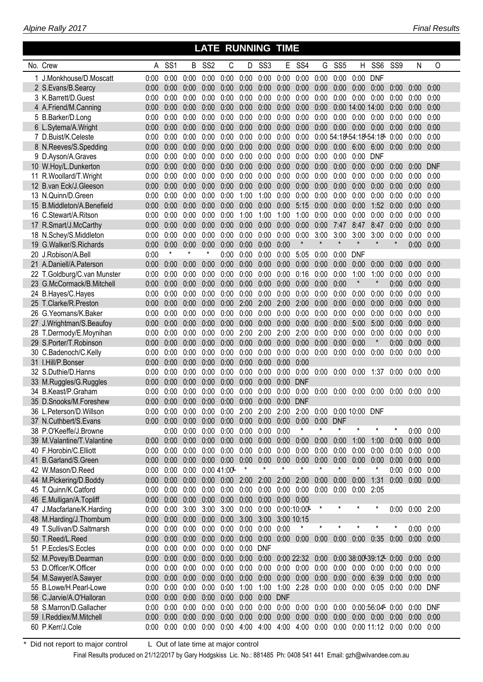#### No. Crew A SS1 B SS2 C D SS3 E SS4 G SS5 H SS6 SS9 N O J.Monkhouse/D.Moscatt 0:00 0:00 0:00 0:00 0:00 0:00 0:00 0:00 0:00 0:00 0:00 0:00 DNF S.Evans/B.Searcy 0:00 0:00 0:00 0:00 0:00 0:00 0:00 0:00 0:00 0:00 0:00 0:00 0:00 0:00 0:00 0:00 K.Barrett/D.Guest 0:00 0:00 0:00 0:00 0:00 0:00 0:00 0:00 0:00 0:00 0:00 0:00 0:00 0:00 0:00 0:00 A.Friend/M.Canning 0:00 0:00 0:00 0:00 0:00 0:00 0:00 0:00 0:00 0:00 0:00 14:00 14:00 0:00 0:00 0:00 B.Barker/D.Long 0:00 0:00 0:00 0:00 0:00 0:00 0:00 0:00 0:00 0:00 0:00 0:00 0:00 0:00 0:00 0:00 L.Sytema/A.Wright 0:00 0:00 0:00 0:00 0:00 0:00 0:00 0:00 0:00 0:00 0:00 0:00 0:00 0:00 0:00 0:00 D.Buist/K.Celeste 0:00 0:00 0:00 0:00 0:00 0:00 0:00 0:00 0:00 0:00 54:18 54:18 54:18 0:00 0:00 0:00 **<sup>L</sup> <sup>L</sup> <sup>L</sup>** N.Reeves/S.Spedding 0:00 0:00 0:00 0:00 0:00 0:00 0:00 0:00 0:00 0:00 0:00 6:00 6:00 0:00 0:00 0:00 D.Ayson/A.Graves 0:00 0:00 0:00 0:00 0:00 0:00 0:00 0:00 0:00 0:00 0:00 0:00 DNF W.Hoy/L.Dunkerton 0:00 0:00 0:00 0:00 0:00 0:00 0:00 0:00 0:00 0:00 0:00 0:00 0:00 0:00 0:00 DNF R.Woollard/T.Wright 0:00 0:00 0:00 0:00 0:00 0:00 0:00 0:00 0:00 0:00 0:00 0:00 0:00 0:00 0:00 0:00 B.van Eck/J.Gleeson 0:00 0:00 0:00 0:00 0:00 0:00 0:00 0:00 0:00 0:00 0:00 0:00 0:00 0:00 0:00 0:00 N.Quinn/D.Green 0:00 0:00 0:00 0:00 0:00 1:00 1:00 0:00 0:00 0:00 0:00 0:00 0:00 0:00 0:00 0:00 B.Middleton/A.Benefield 0:00 0:00 0:00 0:00 0:00 0:00 0:00 0:00 5:15 0:00 0:00 0:00 1:52 0:00 0:00 0:00 C.Stewart/A.Ritson 0:00 0:00 0:00 0:00 0:00 1:00 1:00 1:00 1:00 0:00 0:00 0:00 0:00 0:00 0:00 0:00 R.Smart/J.McCarthy 0:00 0:00 0:00 0:00 0:00 0:00 0:00 0:00 0:00 0:00 7:47 8:47 8:47 0:00 0:00 0:00 N.Schey/S.Middleton 0:00 0:00 0:00 0:00 0:00 0:00 0:00 0:00 0:00 3:00 3:00 3:00 3:00 0:00 0:00 0:00 G.Walker/S.Richards 0:00 0:00 0:00 0:00 0:00 0:00 0:00 0:00 \* \* \* \* \* \* 0:00 0:00 J.Robison/A.Bell 0:00 \* \* \* 0:00 0:00 0:00 0:00 5:05 0:00 0:00 DNF A.Daniell/A.Paterson 0:00 0:00 0:00 0:00 0:00 0:00 0:00 0:00 0:00 0:00 0:00 0:00 0:00 0:00 0:00 0:00 T.Goldburg/C.van Munster 0:00 0:00 0:00 0:00 0:00 0:00 0:00 0:00 0:16 0:00 0:00 1:00 1:00 0:00 0:00 0:00 G.McCormack/B.Mitchell 0:00 0:00 0:00 0:00 0:00 0:00 0:00 0:00 0:00 0:00 0:00 \* \* 0:00 0:00 0:00 B.Hayes/C.Hayes 0:00 0:00 0:00 0:00 0:00 0:00 0:00 0:00 0:00 0:00 0:00 0:00 0:00 0:00 0:00 0:00 T.Clarke/R.Preston 0:00 0:00 0:00 0:00 0:00 2:00 2:00 2:00 2:00 0:00 0:00 0:00 0:00 0:00 0:00 0:00 G.Yeomans/K.Baker 0:00 0:00 0:00 0:00 0:00 0:00 0:00 0:00 0:00 0:00 0:00 0:00 0:00 0:00 0:00 0:00 J.Wrightman/S.Beaufoy 0:00 0:00 0:00 0:00 0:00 0:00 0:00 0:00 0:00 0:00 0:00 5:00 5:00 0:00 0:00 0:00 T.Dermody/E.Moynihan 0:00 0:00 0:00 0:00 0:00 2:00 2:00 2:00 2:00 0:00 0:00 0:00 0:00 0:00 0:00 0:00 S.Porter/T.Robinson 0:00 0:00 0:00 0:00 0:00 0:00 0:00 0:00 0:00 0:00 0:00 0:00 \* 0:00 0:00 0:00 C.Badenoch/C.Kelly 0:00 0:00 0:00 0:00 0:00 0:00 0:00 0:00 0:00 0:00 0:00 0:00 0:00 0:00 0:00 0:00 I.Hill/P.Bonser 0:00 0:00 0:00 0:00 0:00 0:00 0:00 0:00 0:00 S.Duthie/D.Hanns 0:00 0:00 0:00 0:00 0:00 0:00 0:00 0:00 0:00 0:00 0:00 0:00 1:37 0:00 0:00 0:00 M.Ruggles/G.Ruggles 0:00 0:00 0:00 0:00 0:00 0:00 0:00 0:00 DNF B.Keast/P.Graham 0:00 0:00 0:00 0:00 0:00 0:00 0:00 0:00 0:00 0:00 0:00 0:00 0:00 0:00 0:00 0:00 D.Snooks/M.Foreshew 0:00 0:00 0:00 0:00 0:00 0:00 0:00 0:00 DNF L.Peterson/D.Willson 0:00 0:00 0:00 0:00 0:00 2:00 2:00 2:00 2:00 0:00 0:00 10:00 DNF N.Cuthbert/S.Evans 0:00 0:00 0:00 0:00 0:00 0:00 0:00 0:00 0:00 0:00 DNF P.O'Keeffe/J.Browne 0:00 0:00 0:00 0:00 0:00 0:00 0:00 \* \* \* \* \* \* 0:00 0:00 M.Valantine/T.Valantine 0:00 0:00 0:00 0:00 0:00 0:00 0:00 0:00 0:00 0:00 0:00 1:00 1:00 0:00 0:00 0:00 F.Horobin/C.Elliott 0:00 0:00 0:00 0:00 0:00 0:00 0:00 0:00 0:00 0:00 0:00 0:00 0:00 0:00 0:00 0:00 B.Garland/S.Green 0:00 0:00 0:00 0:00 0:00 0:00 0:00 0:00 0:00 0:00 0:00 0:00 0:00 0:00 0:00 0:00 42 W.Mason/D.Reed 0:00 0:00 0:00 0:00 0:00 41:00 **\*** \* \* \* \* \* \* \* \* \* 0:00 0:00 0:00 M.Pickering/D.Boddy 0:00 0:00 0:00 0:00 0:00 2:00 2:00 2:00 2:00 0:00 0:00 0:00 1:31 0:00 0:00 0:00 T.Quinn/K.Catford 0:00 0:00 0:00 0:00 0:00 0:00 0:00 0:00 0:00 0:00 0:00 0:00 2:05 E.Mulligan/A.Topliff 0:00 0:00 0:00 0:00 0:00 0:00 0:00 0:00 0:00 J.Macfarlane/K.Harding 0:00 0:00 3:00 3:00 3:00 0:00 0:00 0:001:10:00 \* \* \* \* 0:00 0:00 2:00 **<sup>L</sup>** M.Harding/J.Thornburn 0:00 0:00 0:00 0:00 0:00 3:00 3:00 3:00 10:15 T.Sullivan/D.Saltmarsh 0:00 0:00 0:00 0:00 0:00 0:00 0:00 0:00 \* \* \* \* \* \* 0:00 0:00 T.Reed/L.Reed 0:00 0:00 0:00 0:00 0:00 0:00 0:00 0:00 0:00 0:00 0:00 0:00 0:35 0:00 0:00 0:00 P.Eccles/S.Eccles 0:00 0:00 0:00 0:00 0:00 0:00 DNF M.Povey/B.Dearman 0:00 0:00 0:00 0:00 0:00 0:00 0:00 0:00 22:32 0:00 0:00 38:00 39:12 0:00 0:00 0:00 **<sup>L</sup> <sup>L</sup>** D.Officer/K.Officer 0:00 0:00 0:00 0:00 0:00 0:00 0:00 0:00 0:00 0:00 0:00 0:00 0:00 0:00 0:00 0:00 M.Sawyer/A.Sawyer 0:00 0:00 0:00 0:00 0:00 0:00 0:00 0:00 0:00 0:00 0:00 0:00 6:39 0:00 0:00 0:00 B.Lowe/H.Pearl-Lowe 0:00 0:00 0:00 0:00 0:00 1:00 1:00 1:00 2:28 0:00 0:00 0:00 0:05 0:00 0:00 DNF C.Jarvie/A.O'Halloran 0:00 0:00 0:00 0:00 0:00 0:00 0:00 DNF S.Marron/D.Gallacher 0:00 0:00 0:00 0:00 0:00 0:00 0:00 0:00 0:00 0:00 0:00 0:001:56:04 0:00 0:00 DNF **<sup>L</sup>** I.Reddiex/M.Mitchell 0:00 0:00 0:00 0:00 0:00 0:00 0:00 0:00 0:00 0:00 0:00 0:00 0:00 0:00 0:00 0:00 P.Kerr/J.Cole 0:00 0:00 0:00 0:00 0:00 4:00 4:00 4:00 4:00 0:00 0:00 0:00 11:12 0:00 0:00 0:00

 **LATE RUNNING TIME**

Did not report to major control L Out of late time at major control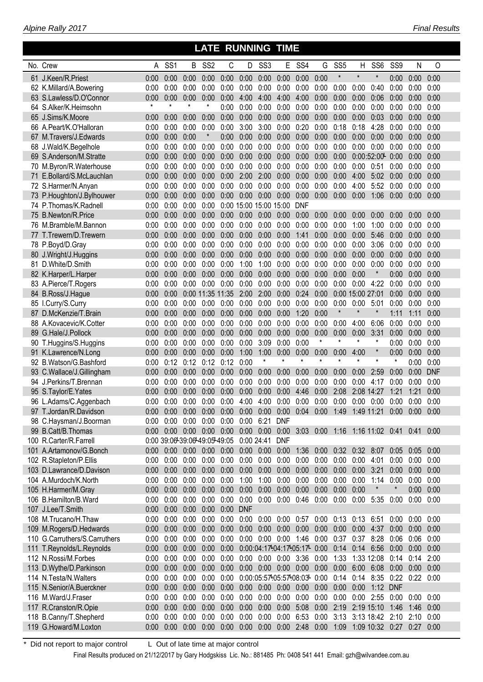| Alpine Rally 2017 |  |
|-------------------|--|
|-------------------|--|

#### No. Crew A SS1 B SS2 C D SS3 E SS4 G SS5 H SS6 SS9 N O J.Keen/R.Priest 0:00 0:00 0:00 0:00 0:00 0:00 0:00 0:00 0:00 0:00 \* \* \* 0:00 0:00 0:00 K.Millard/A.Bowering 0:00 0:00 0:00 0:00 0:00 0:00 0:00 0:00 0:00 0:00 0:00 0:00 0:40 0:00 0:00 0:00 S.Lawless/D.O'Connor 0:00 0:00 0:00 0:00 0:00 4:00 4:00 4:00 4:00 0:00 0:00 0:00 0:06 0:00 0:00 0:00 S.Alker/K.Heimsohn \* \* \* \* 0:00 0:00 0:00 0:00 0:00 0:00 0:00 0:00 0:00 0:00 0:00 0:00 J.Sims/K.Moore 0:00 0:00 0:00 0:00 0:00 0:00 0:00 0:00 0:00 0:00 0:00 0:00 0:03 0:00 0:00 0:00 A.Peart/K.O'Halloran 0:00 0:00 0:00 0:00 0:00 3:00 3:00 0:00 0:20 0:00 0:18 0:18 4:28 0:00 0:00 0:00 M.Travers/J.Edwards 0:00 0:00 0:00 \* 0:00 0:00 0:00 0:00 0:00 0:00 0:00 0:00 0:00 0:00 0:00 0:00 J.Wald/K.Begelhole 0:00 0:00 0:00 0:00 0:00 0:00 0:00 0:00 0:00 0:00 0:00 0:00 0:00 0:00 0:00 0:00 S.Anderson/M.Stratte 0:00 0:00 0:00 0:00 0:00 0:00 0:00 0:00 0:00 0:00 0:00 0:002:52:00 0:00 0:00 0:00 **<sup>L</sup>** M.Byron/R.Waterhouse 0:00 0:00 0:00 0:00 0:00 0:00 0:00 0:00 0:00 0:00 0:00 0:00 0:51 0:00 0:00 0:00 E.Bollard/S.McLauchlan 0:00 0:00 0:00 0:00 0:00 2:00 2:00 0:00 0:00 0:00 0:00 4:00 5:02 0:00 0:00 0:00 S.Harmer/N.Anyan 0:00 0:00 0:00 0:00 0:00 0:00 0:00 0:00 0:00 0:00 0:00 4:00 5:52 0:00 0:00 0:00 P.Houghton/J.Bylhouwer 0:00 0:00 0:00 0:00 0:00 0:00 0:00 0:00 0:00 0:00 0:00 0:00 1:06 0:00 0:00 0:00 P.Thomas/K.Radnell 0:00 0:00 0:00 0:00 0:00 15:00 15:00 15:00 DNF B.Newton/R.Price 0:00 0:00 0:00 0:00 0:00 0:00 0:00 0:00 0:00 0:00 0:00 0:00 0:00 0:00 0:00 0:00 M.Bramble/M.Bannon 0:00 0:00 0:00 0:00 0:00 0:00 0:00 0:00 0:00 0:00 0:00 1:00 1:00 0:00 0:00 0:00 T.Trewern/D.Trewern 0:00 0:00 0:00 0:00 0:00 0:00 0:00 0:00 1:41 0:00 0:00 0:00 5:46 0:00 0:00 0:00 P.Boyd/D.Gray 0:00 0:00 0:00 0:00 0:00 0:00 0:00 0:00 0:00 0:00 0:00 0:00 3:06 0:00 0:00 0:00 J.Wright/J.Huggins 0:00 0:00 0:00 0:00 0:00 0:00 0:00 0:00 0:00 0:00 0:00 0:00 0:00 0:00 0:00 0:00 D.White/D.Smith 0:00 0:00 0:00 0:00 0:00 1:00 1:00 0:00 0:00 0:00 0:00 0:00 0:00 0:00 0:00 0:00 K.Harper/L.Harper 0:00 0:00 0:00 0:00 0:00 0:00 0:00 0:00 0:00 0:00 0:00 0:00 \* 0:00 0:00 0:00 A.Pierce/T.Rogers 0:00 0:00 0:00 0:00 0:00 0:00 0:00 0:00 0:00 0:00 0:00 0:00 4:22 0:00 0:00 0:00 B.Ross/J.Hague 0:00 0:00 0:00 11:35 11:35 2:00 2:00 0:00 0:24 0:00 0:00 15:00 27:01 0:00 0:00 0:00 I.Curry/S.Curry 0:00 0:00 0:00 0:00 0:00 0:00 0:00 0:00 0:00 0:00 0:00 0:00 5:01 0:00 0:00 0:00 D.McKenzie/T.Brain 0:00 0:00 0:00 0:00 0:00 0:00 0:00 0:00 1:20 0:00 \* \* \* 1:11 1:11 0:00 A.Kovacevic/K.Cotter 0:00 0:00 0:00 0:00 0:00 0:00 0:00 0:00 0:00 0:00 0:00 4:00 6:06 0:00 0:00 0:00 G.Hale/J.Pollock 0:00 0:00 0:00 0:00 0:00 0:00 0:00 0:00 0:00 0:00 0:00 0:00 3:31 0:00 0:00 0:00 T.Huggins/S.Huggins 0:00 0:00 0:00 0:00 0:00 0:00 3:09 0:00 0:00 \* \* \* \* 0:00 0:00 0:00 K.Lawrence/N.Long 0:00 0:00 0:00 0:00 0:00 1:00 1:00 0:00 0:00 0:00 0:00 4:00 \* 0:00 0:00 0:00 92 B.Watson/G.Bashford 0:00 0:12 0:12 0:12 0:12 0:00 \* \* \* \* \* \* \* \* \* 0:00 0:00 C.Wallace/J.Gillingham 0:00 0:00 0:00 0:00 0:00 0:00 0:00 0:00 0:00 0:00 0:00 0:00 2:59 0:00 0:00 DNF J.Perkins/T.Brennan 0:00 0:00 0:00 0:00 0:00 0:00 0:00 0:00 0:00 0:00 0:00 0:00 4:17 0:00 0:00 0:00 S.Taylor/E.Yates 0:00 0:00 0:00 0:00 0:00 0:00 0:00 0:00 4:46 0:00 2:08 2:08 14:27 1:21 1:21 0:00 L.Adams/C.Aggenbach 0:00 0:00 0:00 0:00 0:00 4:00 4:00 0:00 0:00 0:00 0:00 0:00 0:00 0:00 0:00 0:00 T.Jordan/R.Davidson 0:00 0:00 0:00 0:00 0:00 0:00 0:00 0:00 0:04 0:00 1:49 1:49 11:21 0:00 0:00 0:00 C.Haysman/J.Boorman 0:00 0:00 0:00 0:00 0:00 0:00 6:21 DNF B.Catt/B.Thomas 0:00 0:00 0:00 0:00 0:00 0:00 0:00 0:00 3:03 0:00 1:16 1:16 11:02 0:41 0:41 0:00 R.Carter/R.Farrell 0:00 39:06 39:06 49:05 49:05 0:00 24:41 DNF **<sup>L</sup> <sup>L</sup> <sup>L</sup>** A.Artamonov/G.Bonch 0:00 0:00 0:00 0:00 0:00 0:00 0:00 0:00 1:36 0:00 0:32 0:32 8:07 0:05 0:05 0:00 R.Stapleton/P.Ellis 0:00 0:00 0:00 0:00 0:00 0:00 0:00 0:00 0:00 0:00 0:00 0:00 4:01 0:00 0:00 0:00 D.Lawrance/D.Davison 0:00 0:00 0:00 0:00 0:00 0:00 0:00 0:00 0:00 0:00 0:00 0:00 3:21 0:00 0:00 0:00 A.Murdoch/K.North 0:00 0:00 0:00 0:00 0:00 1:00 1:00 0:00 0:00 0:00 0:00 0:00 1:14 0:00 0:00 0:00 H.Harmer/M.Gray 0:00 0:00 0:00 0:00 0:00 0:00 0:00 0:00 0:00 0:00 0:00 0:00 \* \* 0:00 0:00 B.Hamilton/B.Ward 0:00 0:00 0:00 0:00 0:00 0:00 0:00 0:00 0:46 0:00 0:00 0:00 5:35 0:00 0:00 0:00 J.Lee/T.Smith 0:00 0:00 0:00 0:00 0:00 DNF M.Trucano/H.Thaw 0:00 0:00 0:00 0:00 0:00 0:00 0:00 0:00 0:57 0:00 0:13 0:13 6:51 0:00 0:00 0:00 M.Rogers/D.Hedwards 0:00 0:00 0:00 0:00 0:00 0:00 0:00 0:00 0:00 0:00 0:00 0:00 4:37 0:00 0:00 0:00 G.Carruthers/S.Carruthers 0:00 0:00 0:00 0:00 0:00 0:00 0:00 0:00 1:46 0:00 0:37 0:37 8:28 0:06 0:06 0:00 T.Reynolds/L.Reynolds 0:00 0:00 0:00 0:00 0:00 0:001:04:171:04:171:05:17 0:00 0:14 0:14 6:56 0:00 0:00 0:00 **<sup>L</sup> <sup>L</sup> <sup>L</sup>** N.Rossi/M.Forbes 0:00 0:00 0:00 0:00 0:00 0:00 0:00 0:00 3:36 0:00 1:33 1:33 12:08 0:14 0:14 2:00 D.Wythe/D.Parkinson 0:00 0:00 0:00 0:00 0:00 0:00 0:00 0:00 0:00 0:00 0:00 6:00 6:08 0:00 0:00 0:00 N.Testa/N.Walters 0:00 0:00 0:00 0:00 0:00 0:001:05:571:05:571:08:03 0:00 0:14 0:14 8:35 0:22 0:22 0:00 **<sup>L</sup> <sup>L</sup> <sup>L</sup>** N.Senior/A.Buerckner 0:00 0:00 0:00 0:00 0:00 0:00 0:00 0:00 0:00 0:00 0:00 0:00 1:12 DNF M.Ward/J.Fraser 0:00 0:00 0:00 0:00 0:00 0:00 0:00 0:00 0:00 0:00 0:00 0:00 2:55 0:00 0:00 0:00 R.Cranston/R.Opie 0:00 0:00 0:00 0:00 0:00 0:00 0:00 0:00 5:08 0:00 2:19 2:19 15:10 1:46 1:46 0:00 B.Canny/T.Shepherd 0:00 0:00 0:00 0:00 0:00 0:00 0:00 0:00 6:53 0:00 3:13 3:13 18:42 2:10 2:10 0:00 G.Howard/M.Loxton 0:00 0:00 0:00 0:00 0:00 0:00 0:00 0:00 2:48 0:00 1:09 1:09 10:32 0:27 0:27 0:00

 **LATE RUNNING TIME**

Did not report to major control L Out of late time at major control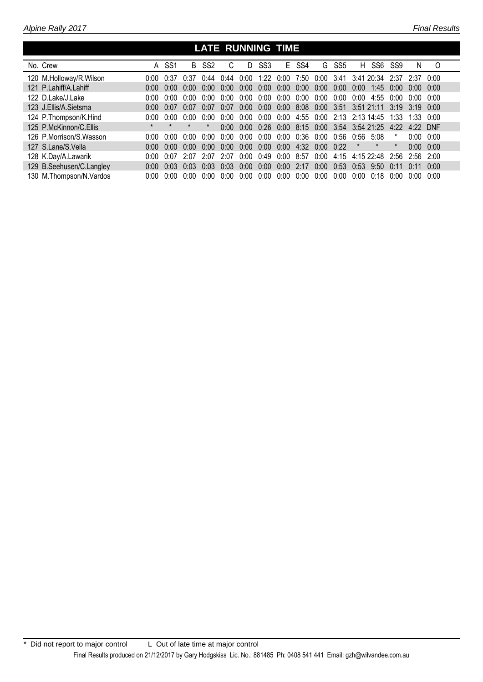Γ

I

#### No. Crew  **LATE RUNNING TIME** A SS1 B SS2 C D SS3 E SS4 G SS5 H SS6 SS9 N O 120 M.Holloway/R.Wilson 0:00 0:37 0:37 0:44 0:44 0:00 1:22 0:00 7:50 0:00 3:41 3:41 20:34 2:37 2:37 0:00 121 P.Lahiff/A.Lahiff 0:00 0:00 0:00 0:00 0:00 0:00 0:00 0:00 0:00 0:00 0:00 0:00 1:45 0:00 0:00 0:00 122 D.Lake/J.Lake 0:00 0:00 0:00 0:00 0:00 0:00 0:00 0:00 0:00 0:00 0:00 0:00 4:55 0:00 0:00 0:00 123 J.Ellis/A.Sietsma 0:00 0:07 0:07 0:07 0:07 0:00 0:00 0:00 8:08 0:00 3:51 3:51 21:11 3:19 3:19 0:00 124 P.Thompson/K.Hind 0:00 0:00 0:00 0:00 0:00 0:00 0:00 0:00 4:55 0:00 2:13 2:13 14:45 1:33 1:33 0:00 125 P.McKinnon/C.Ellis \* \* \* \* 0:00 0:00 0:26 0:00 8:15 0:00 3:54 3:54 21:25 4:22 4:22 DNF

| 126 P.Morrison/S.Wasson    |  |  |  |  |  |  | $0.00$ $0.00$ $0.00$ $0.00$ $0.00$ $0.00$ $0.00$ $0.00$ $0.00$ $0.36$ $0.00$ $0.56$ $0.56$ 5:08          | $0:00$ $0:00$ |  |
|----------------------------|--|--|--|--|--|--|----------------------------------------------------------------------------------------------------------|---------------|--|
| 127 S.Lane/S.Vella         |  |  |  |  |  |  | $0.00$ $0.00$ $0.00$ $0.00$ $0.00$ $0.00$ $0.00$ $0.00$ $0.00$ $4.32$ $0.00$ $0.22$ * * *                | $0:00$ $0:00$ |  |
| 128 K.Day/A.Lawarik        |  |  |  |  |  |  | 0:00 0:07 2:07 2:07 2:07 0:00 0:49 0:00 8:57 0:00 4:15 4:15 22:48 2:56 2:56 2:00                         |               |  |
| 129 B. Seehusen/C. Langley |  |  |  |  |  |  |                                                                                                          |               |  |
| 130 M.Thompson/N.Vardos    |  |  |  |  |  |  | $0:00$ $0:00$ $0:00$ $0:00$ $0:00$ $0:00$ $0:00$ $0:00$ $0:00$ $0:00$ $0:00$ $0:00$ $0:00$ $0:00$ $0:00$ |               |  |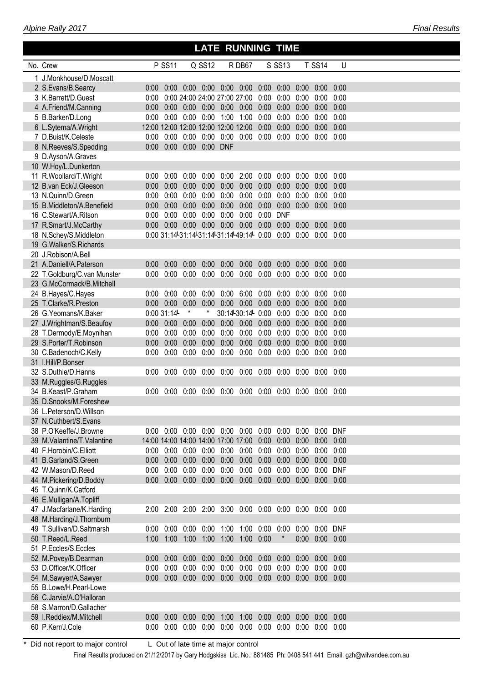| Alpine Rally 2017 |  |  |
|-------------------|--|--|
|-------------------|--|--|

### **LATE RUNNING TIME**

| No. Crew                     |                                          | <b>P SS11</b> |                              | Q SS12        |                             | R DB67                                                          |               | S SS13        |      | <b>T SS14</b> | U    |  |
|------------------------------|------------------------------------------|---------------|------------------------------|---------------|-----------------------------|-----------------------------------------------------------------|---------------|---------------|------|---------------|------|--|
| 1 J.Monkhouse/D.Moscatt      |                                          |               |                              |               |                             |                                                                 |               |               |      |               |      |  |
| 2 S.Evans/B.Searcy           | 0:00                                     | 0:00          |                              |               | $0:00$ $0:00$ $0:00$ $0:00$ |                                                                 | 0:00          | 0:00          | 0:00 | 0:00          | 0:00 |  |
| 3 K.Barrett/D.Guest          | 0:00                                     |               | 0:00 24:00 24:00 27:00 27:00 |               |                             |                                                                 | 0:00          | 0:00          | 0:00 | 0:00          | 0:00 |  |
| 4 A.Friend/M.Canning         | 0:00                                     | 0:00          | 0:00                         |               | $0:00$ $0:00$               | 0:00                                                            | 0:00          | 0:00          | 0:00 | 0:00          | 0:00 |  |
| 5 B.Barker/D.Long            | 0:00                                     | 0:00          |                              |               | $0:00$ $0:00$ $1:00$        | 1:00                                                            | 0:00          | 0:00          | 0:00 | 0:00          | 0:00 |  |
| 6 L.Sytema/A.Wright          | 12:00 12:00 12:00 12:00 12:00 12:00      |               |                              |               |                             |                                                                 | 0:00          | 0:00          | 0:00 | 0:00          | 0:00 |  |
| 7 D.Buist/K.Celeste          | 0:00                                     | 0:00          | 0:00                         |               | $0:00$ $0:00$ $0:00$        |                                                                 | 0:00          | 0:00          | 0:00 | 0:00          | 0:00 |  |
| 8 N.Reeves/S.Spedding        | 0:00                                     | 0:00          |                              | 0:00 0:00 DNF |                             |                                                                 |               |               |      |               |      |  |
| 9 D.Ayson/A.Graves           |                                          |               |                              |               |                             |                                                                 |               |               |      |               |      |  |
| 10 W.Hoy/L.Dunkerton         |                                          |               |                              |               |                             |                                                                 |               |               |      |               |      |  |
| 11 R.Woollard/T.Wright       | 0:00                                     | 0:00          | 0:00                         | 0:00          | 0:00                        | 2:00                                                            | 0:00          | 0:00          | 0:00 | 0:00          | 0:00 |  |
| 12 B.van Eck/J.Gleeson       | 0:00                                     | 0:00          | 0:00                         | 0:00          | 0:00                        |                                                                 | $0:00$ $0:00$ | 0:00          | 0:00 | 0:00          | 0:00 |  |
| 13 N.Quinn/D.Green           | 0:00                                     | 0:00          | 0:00                         | 0:00          | 0:00                        | 0:00                                                            | 0:00          | 0:00          | 0:00 | 0:00          | 0:00 |  |
| 15 B.Middleton/A.Benefield   | 0:00                                     | 0:00          | 0:00                         | 0:00          | 0:00                        |                                                                 | $0:00$ $0:00$ | 0:00          | 0:00 | $0:00$ $0:00$ |      |  |
| 16 C.Stewart/A.Ritson        | 0:00                                     | 0:00          | 0:00                         | 0:00          | 0:00                        | 0:00                                                            | 0:00          | <b>DNF</b>    |      |               |      |  |
| 17 R.Smart/J.McCarthy        |                                          |               |                              |               |                             | $0.00$ $0.00$ $0.00$ $0.00$ $0.00$ $0.00$ $0.00$ $0.00$         |               | 0:00          | 0:00 | 0:00          | 0:00 |  |
| 18 N.Schey/S.Middleton       |                                          |               |                              |               |                             | 0:00 31:14-31:14-31:14-31:14-49:14-0:00                         |               | 0:00          | 0:00 | 0:00          | 0:00 |  |
| 19 G.Walker/S.Richards       |                                          |               |                              |               |                             |                                                                 |               |               |      |               |      |  |
| 20 J.Robison/A.Bell          |                                          |               |                              |               |                             |                                                                 |               |               |      |               |      |  |
| 21 A.Daniell/A.Paterson      | 0:00                                     | 0:00          | 0:00                         | 0:00          | 0:00                        | 0:00                                                            | 0:00          | 0:00          | 0:00 | 0:00          | 0:00 |  |
| 22 T.Goldburg/C.van Munster  | 0:00                                     | 0:00          | 0:00                         |               | $0:00$ $0:00$               | 0:00                                                            | 0:00          | 0:00          | 0:00 | 0:00          | 0:00 |  |
| 23 G.McCormack/B.Mitchell    |                                          |               |                              |               |                             |                                                                 |               |               |      |               |      |  |
| 24 B.Hayes/C.Hayes           | 0:00                                     | 0:00          | 0:00                         | 0:00          | 0:00                        | 6:00                                                            | 0:00          | 0:00          | 0:00 | 0:00          | 0:00 |  |
| 25 T.Clarke/R.Preston        | 0:00                                     | 0:00          | 0:00                         |               |                             | $0:00$ $0:00$ $0:00$                                            | 0:00          | 0:00          | 0:00 | 0:00          | 0:00 |  |
| 26 G.Yeomans/K.Baker         |                                          | 0:0031:14     | $\ast$                       | *             |                             | 30:14-30:14-0:00                                                |               | 0:00          | 0:00 | 0:00          | 0:00 |  |
| 27 J.Wrightman/S.Beaufoy     | 0:00                                     | 0:00          | 0:00                         |               | $0:00$ $0:00$               | $0:00$ $0:00$                                                   |               | 0:00          | 0:00 | 0:00          | 0:00 |  |
| 28 T.Dermody/E.Moynihan      | 0:00                                     | 0:00          | 0:00                         | 0:00          | 0:00                        | 0:00                                                            | 0:00          | 0:00          | 0:00 | 0:00          | 0:00 |  |
| 29 S.Porter/T.Robinson       | 0:00                                     | 0:00          | 0:00                         | 0:00          | 0:00                        | 0:00                                                            | 0:00          | 0:00          | 0:00 | 0:00          | 0:00 |  |
| 30 C.Badenoch/C.Kelly        | 0:00                                     | 0:00          | 0:00                         |               | $0:00$ $0:00$               | 0:00                                                            | 0:00          | 0:00          | 0:00 | 0:00          | 0:00 |  |
| 31 I.Hill/P.Bonser           |                                          |               |                              |               |                             |                                                                 |               |               |      |               |      |  |
| 32 S.Duthie/D.Hanns          | 0:00                                     | 0:00          |                              |               |                             | $0:00$ $0:00$ $0:00$ $0:00$ $0:00$ $0:00$ $0:00$ $0:00$ $0:00$  |               |               |      |               | 0:00 |  |
| 33 M.Ruggles/G.Ruggles       |                                          |               |                              |               |                             |                                                                 |               |               |      |               |      |  |
| 34 B.Keast/P.Graham          |                                          |               |                              |               |                             | 0:00 0:00 0:00 0:00 0:00 0:00 0:00 0:00 0:00 0:00 0:00 0:00     |               |               |      |               |      |  |
| 35 D.Snooks/M.Foreshew       |                                          |               |                              |               |                             |                                                                 |               |               |      |               |      |  |
| 36 L.Peterson/D.Willson      |                                          |               |                              |               |                             |                                                                 |               |               |      |               |      |  |
| 37 N.Cuthbert/S.Evans        |                                          |               |                              |               |                             |                                                                 |               |               |      |               |      |  |
| 38 P.O'Keeffe/J.Browne       |                                          |               |                              |               |                             | 0:00  0:00  0:00  0:00  0:00  0:00  0:00  0:00  0:00  0:00  DNF |               |               |      |               |      |  |
| 39 M. Valantine/T. Valantine | 14:00 14:00 14:00 14:00 17:00 17:00 0:00 |               |                              |               |                             |                                                                 |               | $0:00$ $0:00$ |      | 0:00          | 0:00 |  |
| 40 F.Horobin/C.Elliott       |                                          |               |                              |               |                             | 0:00 0:00 0:00 0:00 0:00 0:00 0:00 0:00 0:00 0:00               |               |               |      | 0:00          | 0:00 |  |
| 41 B.Garland/S.Green         |                                          |               |                              |               |                             | 0:00  0:00  0:00  0:00  0:00  0:00  0:00  0:00  0:00            |               |               |      | 0:00          | 0:00 |  |
| 42 W.Mason/D.Reed            |                                          |               |                              |               |                             | 0:00 0:00 0:00 0:00 0:00 0:00 0:00 0:00 0:00 0:00               |               |               |      | 0:00 DNF      |      |  |
| 44 M.Pickering/D.Boddy       |                                          |               |                              |               |                             | 0:00  0:00  0:00  0:00  0:00  0:00  0:00  0:00  0:00            |               |               |      | $0:00$ $0:00$ |      |  |
| 45 T.Quinn/K.Catford         |                                          |               |                              |               |                             |                                                                 |               |               |      |               |      |  |
| 46 E.Mulligan/A.Topliff      |                                          |               |                              |               |                             |                                                                 |               |               |      |               |      |  |
| 47 J.Macfarlane/K.Harding    |                                          |               |                              |               |                             |                                                                 |               |               |      |               |      |  |
| 48 M.Harding/J.Thornburn     |                                          |               |                              |               |                             |                                                                 |               |               |      |               |      |  |
| 49 T.Sullivan/D.Saltmarsh    |                                          |               |                              |               |                             |                                                                 |               |               |      |               |      |  |
| 50 T.Reed/L.Reed             |                                          |               |                              |               |                             | 1:00 1:00 1:00 1:00 1:00 1:00 0:00                              |               | $\pmb{\ast}$  | 0:00 | $0:00$ $0:00$ |      |  |
| 51 P.Eccles/S.Eccles         |                                          |               |                              |               |                             |                                                                 |               |               |      |               |      |  |
| 52 M.Povey/B.Dearman         |                                          |               |                              |               |                             | 0:00 0:00 0:00 0:00 0:00 0:00 0:00 0:00 0:00 0:00               |               |               |      | $0:00$ $0:00$ |      |  |
| 53 D.Officer/K.Officer       | 0:00                                     |               | $0:00$ $0:00$ $0:00$ $0:00$  |               |                             | 0:00                                                            | 0:00          | 0:00          | 0:00 | 0:00          | 0:00 |  |
| 54 M.Sawyer/A.Sawyer         | 0:00                                     |               |                              |               |                             | $0:00$ $0:00$ $0:00$ $0:00$ $0:00$ $0:00$                       |               | 0:00          | 0:00 | $0:00$ $0:00$ |      |  |
| 55 B.Lowe/H.Pearl-Lowe       |                                          |               |                              |               |                             |                                                                 |               |               |      |               |      |  |
| 56 C.Jarvie/A.O'Halloran     |                                          |               |                              |               |                             |                                                                 |               |               |      |               |      |  |
| 58 S.Marron/D.Gallacher      |                                          |               |                              |               |                             |                                                                 |               |               |      |               |      |  |
| 59 I.Reddiex/M.Mitchell      | 0:00                                     | 0:00          |                              |               |                             | $0:00$ $0:00$ $1:00$ $1:00$ $0:00$                              |               | 0:00          | 0:00 | 0:00          | 0:00 |  |
| 60 P.Kerr/J.Cole             | 0:00                                     |               | $0:00$ $0:00$                |               | $0:00$ $0:00$               | $0:00$ $0:00$                                                   |               | 0:00          | 0:00 | 0:00          | 0:00 |  |

\* Did not report to major control L Out of late time at major control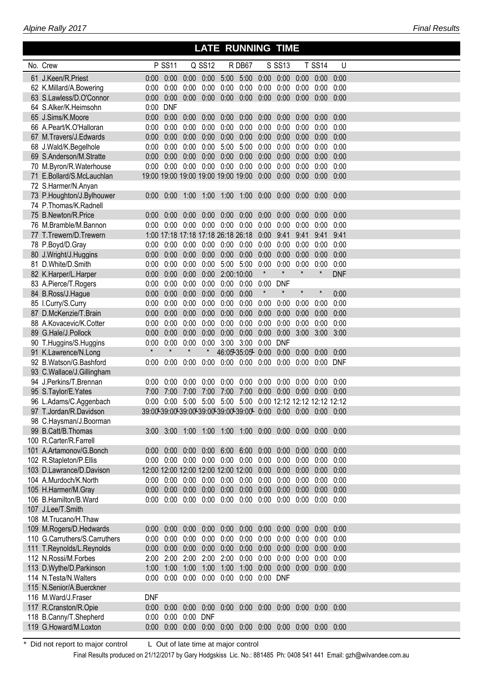| No. Crew                      |            | <b>P SS11</b>                                                     |                      | Q SS12        |               | R DB67                                                |         | S SS13                             |                     | <b>T SS14</b> | $\cup$     |  |
|-------------------------------|------------|-------------------------------------------------------------------|----------------------|---------------|---------------|-------------------------------------------------------|---------|------------------------------------|---------------------|---------------|------------|--|
| 61 J.Keen/R.Priest            |            |                                                                   |                      |               |               |                                                       |         |                                    |                     |               |            |  |
| 62 K.Millard/A.Bowering       | 0:00       | 0:00                                                              | 0:00                 | 0:00          | 0:00          |                                                       |         | $0:00$ $0:00$ $0:00$ $0:00$        |                     | 0:00          | 0:00       |  |
| 63 S.Lawless/D.O'Connor       |            | $0:00$ $0:00$                                                     |                      | $0:00$ $0:00$ |               | 0:00 0:00 0:00 0:00 0:00 0:00 0:00                    |         |                                    |                     |               |            |  |
| 64 S.Alker/K.Heimsohn         | 0:00       | <b>DNF</b>                                                        |                      |               |               |                                                       |         |                                    |                     |               |            |  |
| 65 J.Sims/K.Moore             |            | $0:00$ $0:00$ $0:00$                                              |                      | 0:00          | 0:00          |                                                       |         | $0:00$ $0:00$ $0:00$ $0:00$        |                     | 0:00          | 0:00       |  |
| 66 A.Peart/K.O'Halloran       | 0:00       |                                                                   | $0:00$ $0:00$ $0:00$ |               |               | $0:00$ $0:00$                                         |         | $0:00$ $0:00$ $0:00$               |                     | 0:00          | 0:00       |  |
| 67 M.Travers/J.Edwards        |            | $0:00$ $0:00$ $0:00$ $0:00$                                       |                      |               | 0:00          | 0:00                                                  |         | $0:00$ $0:00$ $0:00$               |                     | 0:00          | 0:00       |  |
| 68 J.Wald/K.Begelhole         |            | $0:00$ $0:00$ $0:00$                                              |                      | 0:00          |               | 5:00 5:00 0:00 0:00 0:00                              |         |                                    |                     | 0:00          | 0:00       |  |
| 69 S.Anderson/M.Stratte       |            | $0:00$ $0:00$ $0:00$ $0:00$                                       |                      |               |               | $0:00$ $0:00$ $0:00$ $0:00$ $0:00$                    |         |                                    |                     | 0:00          | 0:00       |  |
| 70 M.Byron/R.Waterhouse       |            | 0:00  0:00  0:00  0:00  0:00  0:00  0:00  0:00  0:00              |                      |               |               |                                                       |         |                                    |                     | 0:00          | 0:00       |  |
| 71 E.Bollard/S.McLauchlan     |            |                                                                   |                      |               |               |                                                       |         |                                    |                     | $0:00$ $0:00$ |            |  |
| 72 S.Harmer/N.Anyan           |            |                                                                   |                      |               |               |                                                       |         |                                    |                     |               |            |  |
| 73 P.Houghton/J.Bylhouwer     |            | 0:00  0:00  1:00  1:00  1:00  1:00  0:00  0:00  0:00              |                      |               |               |                                                       |         |                                    |                     | $0:00$ $0:00$ |            |  |
| 74 P.Thomas/K.Radnell         |            |                                                                   |                      |               |               |                                                       |         |                                    |                     |               |            |  |
| 75 B.Newton/R.Price           |            | $0:00$ $0:00$                                                     |                      | $0:00$ $0:00$ | 0:00          |                                                       |         | $0.00$ $0.00$ $0.00$ $0.00$ $0.00$ |                     | 0:00          | 0:00       |  |
| 76 M.Bramble/M.Bannon         |            | 0:00  0:00  0:00  0:00  0:00  0:00  0:00  0:00  0:00              |                      |               |               |                                                       |         |                                    |                     | 0:00          | 0:00       |  |
| 77 T.Trewern/D.Trewern        |            | 1:00 17:18 17:18 17:18 26:18 26:18 0:00 9:41                      |                      |               |               |                                                       |         |                                    | 9:41                | 9:41          | 9:41       |  |
| 78 P.Boyd/D.Gray              |            | $0:00$ $0:00$ $0:00$ $0:00$ $0:00$ $0:00$ $0:00$ $0:00$ $0:00$    |                      |               |               |                                                       |         |                                    |                     | 0:00          | 0:00       |  |
| 80 J.Wright/J.Huggins         |            | $0:00$ $0:00$ $0:00$ $0:00$                                       |                      |               |               | $0:00$ $0:00$ $0:00$ $0:00$ $0:00$                    |         |                                    |                     | 0:00          | 0:00       |  |
| 81 D.White/D.Smith            | 0:00       |                                                                   | $0:00$ $0:00$        | 0:00          |               | 5:00 5:00 0:00                                        |         | $0:00$ $0:00$                      |                     | 0:00          | 0:00       |  |
| 82 K.Harper/L.Harper          |            | $0:00$ $0:00$ $0:00$ $0:00$                                       |                      |               | 2:00:10:00    |                                                       | $\star$ | $\star$                            | $\star$             | $\star$       | <b>DNF</b> |  |
| 83 A.Pierce/T.Rogers          | 0:00       |                                                                   | $0:00$ $0:00$        | 0:00          |               | $0:00$ $0:00$ $0:00$                                  |         | <b>DNF</b>                         |                     |               |            |  |
| 84 B.Ross/J.Hague             |            | $0:00$ $0:00$ $0:00$ $0:00$                                       |                      |               | $0:00$ $0:00$ |                                                       | $\star$ | $\pmb{\ast}$                       | $\star$             | $\star$       | 0:00       |  |
| 85 I.Curry/S.Curry            | 0:00       |                                                                   | $0:00$ $0:00$        | 0:00          | 0:00          | $0:00$ $0:00$                                         |         | 0:00                               | 0:00                | 0:00          | 0:00       |  |
| 87 D.McKenzie/T.Brain         | 0:00       | 0:00                                                              | 0:00                 | 0:00          | 0:00          |                                                       |         | $0:00$ $0:00$ $0:00$               | 0:00                | 0:00          | 0:00       |  |
| 88 A.Kovacevic/K.Cotter       | 0:00       |                                                                   | $0:00$ $0:00$        | 0:00          | 0:00          | 0:00                                                  |         | $0:00$ $0:00$ $0:00$               |                     | 0:00          | 0:00       |  |
| 89 G.Hale/J.Pollock           | 0:00       | 0:00                                                              | 0:00                 | 0:00          | 0:00          |                                                       |         |                                    | 0:00 0:00 0:00 3:00 | $3:00$ $3:00$ |            |  |
| 90 T.Huggins/S.Huggins        | 0:00       | $0:00$ $0:00$                                                     |                      | 0:00          |               | 3:00 3:00 0:00 DNF                                    |         |                                    |                     |               |            |  |
| 91 K.Lawrence/N.Long          | $\star$    | $\star$                                                           | $\star$              | $\ast$        |               | 46:05-35:05-0:00 0:00 0:00                            |         |                                    |                     | $0:00$ $0:00$ |            |  |
| 92 B.Watson/G.Bashford        | 0:00       | 0:00                                                              | 0:00                 |               |               | $0:00$ $0:00$ $0:00$ $0:00$ $0:00$                    |         |                                    | 0:00                | 0:00 DNF      |            |  |
| 93 C.Wallace/J.Gillingham     |            |                                                                   |                      |               |               |                                                       |         |                                    |                     |               |            |  |
| 94 J.Perkins/T.Brennan        | 0:00       |                                                                   | $0:00$ $0:00$        |               |               | 0:00  0:00  0:00  0:00  0:00  0:00                    |         |                                    |                     | 0:00          | 0:00       |  |
| 95 S.Taylor/E.Yates           |            | 7:00 7:00 7:00 7:00                                               |                      |               |               | 7:00 7:00 0:00 0:00 0:00 0:00 0:00                    |         |                                    |                     |               |            |  |
| 96 L.Adams/C.Aggenbach        | 0:00       |                                                                   |                      |               |               | 0:00 5:00 5:00 5:00 5:00 0:00 12:12 12:12 12:12 12:12 |         |                                    |                     |               |            |  |
| 97 T.Jordan/R.Davidson        |            | 39:00-39:00-39:00-39:00-39:00-39:00-0:00 0:00 0:00 0:00 0:00 0:00 |                      |               |               |                                                       |         |                                    |                     |               |            |  |
| 98 C.Havsman/J.Boorman        |            |                                                                   |                      |               |               |                                                       |         |                                    |                     |               |            |  |
| 99 B.Catt/B.Thomas            |            | $3:00$ $3:00$ $1:00$                                              |                      | 1:00          |               | 1:00 1:00 0:00 0:00 0:00                              |         |                                    |                     | 0:00          | 0:00       |  |
| 100 R.Carter/R.Farrell        |            |                                                                   |                      |               |               |                                                       |         |                                    |                     |               |            |  |
| 101 A.Artamonov/G.Bonch       |            | $0:00$ $0:00$                                                     | 0:00                 | 0:00          | 6:00          | 6:00 0:00 0:00                                        |         |                                    | 0:00                | 0:00          | 0:00       |  |
| 102 R.Stapleton/P.Ellis       | 0:00       |                                                                   | $0:00$ $0:00$        | 0:00          | 0:00          | 0:00                                                  | 0:00    | 0:00                               | 0:00                | 0:00          | 0:00       |  |
| 103 D.Lawrance/D.Davison      |            | 12:00 12:00 12:00 12:00 12:00 12:00                               |                      |               |               |                                                       | 0:00    | 0:00                               | 0:00                | 0:00          | 0:00       |  |
| 104 A.Murdoch/K.North         | 0:00       | 0:00                                                              | 0:00                 | 0:00          | 0:00          | 0:00                                                  | 0:00    | 0:00                               | 0:00                | 0:00          | 0:00       |  |
| 105 H.Harmer/M.Gray           | 0:00       | 0:00                                                              | 0:00                 | 0:00          | 0:00          | 0:00                                                  | 0:00    | 0:00                               | 0:00                | 0:00          | 0:00       |  |
| 106 B.Hamilton/B.Ward         |            | $0:00$ $0:00$ $0:00$                                              |                      | 0:00          |               | $0:00$ $0:00$ $0:00$ $0:00$ $0:00$                    |         |                                    |                     | $0:00$ $0:00$ |            |  |
| 107 J.Lee/T.Smith             |            |                                                                   |                      |               |               |                                                       |         |                                    |                     |               |            |  |
| 108 M.Trucano/H.Thaw          |            |                                                                   |                      |               |               |                                                       |         |                                    |                     |               |            |  |
| 109 M.Rogers/D.Hedwards       |            | $0:00$ $0:00$                                                     | 0:00                 | 0:00          | 0:00          |                                                       |         | $0:00$ $0:00$ $0:00$ $0:00$        |                     | 0:00          | 0:00       |  |
| 110 G.Carruthers/S.Carruthers | 0:00       | 0:00                                                              | 0:00                 | 0:00          | 0:00          | 0:00                                                  |         | $0:00$ $0:00$                      | 0:00                | 0:00          | 0:00       |  |
| 111 T.Reynolds/L.Reynolds     |            | $0:00$ $0:00$                                                     | 0:00                 | 0:00          | 0:00          |                                                       |         | $0:00$ $0:00$ $0:00$ $0:00$        |                     | $0:00$ $0:00$ |            |  |
| 112 N.Rossi/M.Forbes          |            | 2:00 2:00                                                         | 2:00                 | 2:00          | 2:00          | 0:00                                                  | 0:00    | 0:00                               | 0:00                | 0:00          | 0:00       |  |
| 113 D.Wythe/D.Parkinson       |            | 1:00 1:00 1:00                                                    |                      | 1:00          | 1:00          | 1:00 0:00 0:00 0:00                                   |         |                                    |                     | $0:00$ $0:00$ |            |  |
| 114 N.Testa/N.Walters         | 0:00       |                                                                   | $0:00$ $0:00$        |               |               | 0:00 0:00 0:00 0:00 DNF                               |         |                                    |                     |               |            |  |
| 115 N.Senior/A.Buerckner      |            |                                                                   |                      |               |               |                                                       |         |                                    |                     |               |            |  |
| 116 M.Ward/J.Fraser           | <b>DNF</b> |                                                                   |                      |               |               |                                                       |         |                                    |                     |               |            |  |
| 117 R.Cranston/R.Opie         | 0:00       | 0:00                                                              | 0:00                 | 0:00          |               | 0:00 0:00 0:00 0:00 0:00 0:00 0:00                    |         |                                    |                     |               |            |  |
| 118 B.Canny/T.Shepherd        | 0:00       | 0:00                                                              | 0:00 DNF             |               |               |                                                       |         |                                    |                     |               |            |  |
| 119 G.Howard/M.Loxton         | 0:00       | 0:00                                                              | 0:00                 | 0:00          |               | 0:00 0:00 0:00 0:00 0:00 0:00 0:00                    |         |                                    |                     |               |            |  |

 **LATE RUNNING TIME**

\* Did not report to major control L Out of late time at major control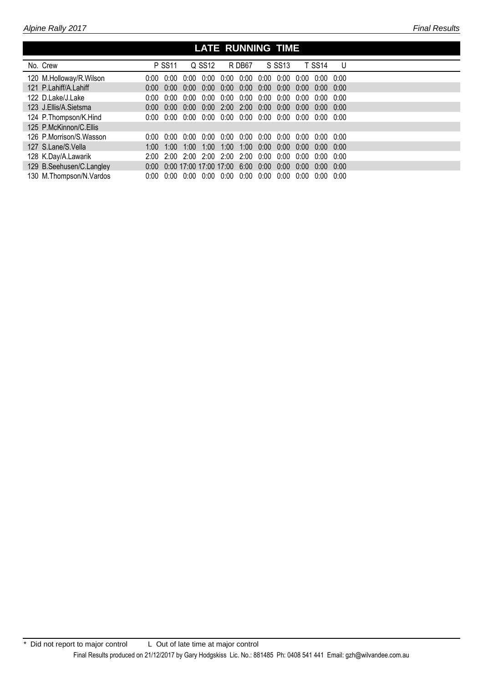## **LATE RUNNING TIME**

| No. Crew                  |            | <b>P SS11</b> |                   | Q SS12                 |                | R DB67 |               | S SS13            |      | <b>T SS14</b> | U    |  |
|---------------------------|------------|---------------|-------------------|------------------------|----------------|--------|---------------|-------------------|------|---------------|------|--|
| 120 M.Holloway/R.Wilson   | 0:00       | 0.00 U        | 0:00              | 0:00                   | 0:00           | 0:00   | 0:00          | 0:00              | 0:00 | 0.00          | 0.00 |  |
| 121 P.Lahiff/A.Lahiff     | 0:00       | 0.00          | 0:00              |                        | $0:00$ $0:00$  | 0:00   |               | $0:00 \quad 0:00$ | 0:00 | 0:00          | 0.00 |  |
| 122 D.Lake/J.Lake         | 0:00       | 0:00          | 0:00              |                        | 0:00 0:00      | 0:00   | $0:00$ $0:00$ |                   | 0:00 | 0:00          | 0.00 |  |
| 123 J.Ellis/A.Sietsma     | 0:00       | 0:00          | 0:00              |                        | $0:00$ 2:00    | 2:00   | $0:00$ $0:00$ |                   | 0:00 | 0:00          | 0:00 |  |
| 124 P.Thompson/K.Hind     | 0:00       |               | 0:00 0:00         |                        | $0:00$ $0:00$  | 0:00   |               | $0:00$ $0:00$     | 0:00 | 0:00          | 0:00 |  |
| 125 P.McKinnon/C.Ellis    |            |               |                   |                        |                |        |               |                   |      |               |      |  |
| 126 P.Morrison/S.Wasson   | 0:00       | 0:00          | 0:00              |                        | 0:00 0:00      | 0:00   | 0:00          | 0:00              | 0:00 | 0:00          | 0:00 |  |
| 127 S.Lane/S.Vella        | $1:00^{-}$ | 1:00          | 1:00              | 1:00                   | $1:00^{-}$     | 1:00   | 0:00          | 0:00              | 0:00 | 0.00          | 0.00 |  |
| 128 K.Day/A.Lawarik       | 2:00       |               | $2:00 \quad 2:00$ |                        | 2:00 2:00 2:00 |        | 0:00          | 0:00              | 0:00 | 0:00          | 0.00 |  |
| 129 B.Seehusen/C.Langley  | 0:00       |               |                   | 0:00 17:00 17:00 17:00 |                | 6:00   | 0:00          | 0:00              | 0.00 | 0.00          | 0.00 |  |
| 130 M. Thompson/N. Vardos | 0:00       |               | 0:00 0:00         |                        | 0:00 0:00      | 0:00   | 0:00          | 0:00              | 0:00 | 0.00          | 0.00 |  |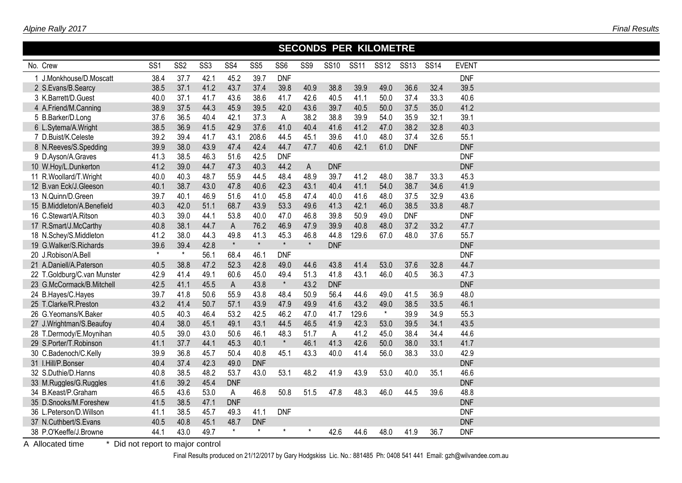|  | Alpine Rally 2017 |
|--|-------------------|
|--|-------------------|

|                             | <b>SECONDS PER KILOMETRE</b> |                 |                 |              |                 |                 |                 |             |             |             |             |             |              |  |
|-----------------------------|------------------------------|-----------------|-----------------|--------------|-----------------|-----------------|-----------------|-------------|-------------|-------------|-------------|-------------|--------------|--|
| No. Crew                    | SS <sub>1</sub>              | SS <sub>2</sub> | SS <sub>3</sub> | SS4          | SS <sub>5</sub> | SS <sub>6</sub> | SS <sub>9</sub> | <b>SS10</b> | <b>SS11</b> | <b>SS12</b> | <b>SS13</b> | <b>SS14</b> | <b>EVENT</b> |  |
| 1 J.Monkhouse/D.Moscatt     | 38.4                         | 37.7            | 42.1            | 45.2         | 39.7            | <b>DNF</b>      |                 |             |             |             |             |             | <b>DNF</b>   |  |
| 2 S.Evans/B.Searcy          | 38.5                         | 37.1            | 41.2            | 43.7         | 37.4            | 39.8            | 40.9            | 38.8        | 39.9        | 49.0        | 36.6        | 32.4        | 39.5         |  |
| 3 K.Barrett/D.Guest         | 40.0                         | 37.1            | 41.7            | 43.6         | 38.6            | 41.7            | 42.6            | 40.5        | 41.1        | 50.0        | 37.4        | 33.3        | 40.6         |  |
| 4 A.Friend/M.Canning        | 38.9                         | 37.5            | 44.3            | 45.9         | 39.5            | 42.0            | 43.6            | 39.7        | 40.5        | 50.0        | 37.5        | 35.0        | 41.2         |  |
| 5 B.Barker/D.Long           | 37.6                         | 36.5            | 40.4            | 42.1         | 37.3            | A               | 38.2            | 38.8        | 39.9        | 54.0        | 35.9        | 32.1        | 39.1         |  |
| 6 L.Sytema/A.Wright         | 38.5                         | 36.9            | 41.5            | 42.9         | 37.6            | 41.0            | 40.4            | 41.6        | 41.2        | 47.0        | 38.2        | 32.8        | 40.3         |  |
| 7 D.Buist/K.Celeste         | 39.2                         | 39.4            | 41.7            | 43.1         | 208.6           | 44.5            | 45.1            | 39.6        | 41.0        | 48.0        | 37.4        | 32.6        | 55.1         |  |
| 8 N.Reeves/S.Spedding       | 39.9                         | 38.0            | 43.9            | 47.4         | 42.4            | 44.7            | 47.7            | 40.6        | 42.1        | 61.0        | <b>DNF</b>  |             | <b>DNF</b>   |  |
| 9 D.Ayson/A.Graves          | 41.3                         | 38.5            | 46.3            | 51.6         | 42.5            | <b>DNF</b>      |                 |             |             |             |             |             | <b>DNF</b>   |  |
| 10 W.Hoy/L.Dunkerton        | 41.2                         | 39.0            | 44.7            | 47.3         | 40.3            | 44.2            | A               | <b>DNF</b>  |             |             |             |             | <b>DNF</b>   |  |
| 11 R.Woollard/T.Wright      | 40.0                         | 40.3            | 48.7            | 55.9         | 44.5            | 48.4            | 48.9            | 39.7        | 41.2        | 48.0        | 38.7        | 33.3        | 45.3         |  |
| 12 B.van Eck/J.Gleeson      | 40.1                         | 38.7            | 43.0            | 47.8         | 40.6            | 42.3            | 43.1            | 40.4        | 41.1        | 54.0        | 38.7        | 34.6        | 41.9         |  |
| 13 N.Quinn/D.Green          | 39.7                         | 40.1            | 46.9            | 51.6         | 41.0            | 45.8            | 47.4            | 40.0        | 41.6        | 48.0        | 37.5        | 32.9        | 43.6         |  |
| 15 B.Middleton/A.Benefield  | 40.3                         | 42.0            | 51.1            | 68.7         | 43.9            | 53.3            | 49.6            | 41.3        | 42.1        | 46.0        | 38.5        | 33.8        | 48.7         |  |
| 16 C.Stewart/A.Ritson       | 40.3                         | 39.0            | 44.1            | 53.8         | 40.0            | 47.0            | 46.8            | 39.8        | 50.9        | 49.0        | <b>DNF</b>  |             | <b>DNF</b>   |  |
| 17 R.Smart/J.McCarthy       | 40.8                         | 38.1            | 44.7            | $\mathsf A$  | 76.2            | 46.9            | 47.9            | 39.9        | 40.8        | 48.0        | 37.2        | 33.2        | 47.7         |  |
| 18 N.Schey/S.Middleton      | 41.2                         | 38.0            | 44.3            | 49.8         | 41.3            | 45.3            | 46.8            | 44.8        | 129.6       | 67.0        | 48.0        | 37.6        | 55.7         |  |
| 19 G.Walker/S.Richards      | 39.6                         | 39.4            | 42.8            | $\star$      | $\star$         | $\star$         | $\star$         | <b>DNF</b>  |             |             |             |             | <b>DNF</b>   |  |
| 20 J.Robison/A.Bell         | $\star$                      | $\star$         | 56.1            | 68.4         | 46.1            | <b>DNF</b>      |                 |             |             |             |             |             | <b>DNF</b>   |  |
| 21 A.Daniell/A.Paterson     | 40.5                         | 38.8            | 47.2            | 52.3         | 42.8            | 49.0            | 44.6            | 43.8        | 41.4        | 53.0        | 37.6        | 32.8        | 44.7         |  |
| 22 T.Goldburg/C.van Munster | 42.9                         | 41.4            | 49.1            | 60.6         | 45.0            | 49.4            | 51.3            | 41.8        | 43.1        | 46.0        | 40.5        | 36.3        | 47.3         |  |
| 23 G.McCormack/B.Mitchell   | 42.5                         | 41.1            | 45.5            | $\mathsf{A}$ | 43.8            | $\star$         | 43.2            | <b>DNF</b>  |             |             |             |             | <b>DNF</b>   |  |
| 24 B.Hayes/C.Hayes          | 39.7                         | 41.8            | 50.6            | 55.9         | 43.8            | 48.4            | 50.9            | 56.4        | 44.6        | 49.0        | 41.5        | 36.9        | 48.0         |  |
| 25 T.Clarke/R.Preston       | 43.2                         | 41.4            | 50.7            | 57.1         | 43.9            | 47.9            | 49.9            | 41.6        | 43.2        | 49.0        | 38.5        | 33.5        | 46.1         |  |
| 26 G.Yeomans/K.Baker        | 40.5                         | 40.3            | 46.4            | 53.2         | 42.5            | 46.2            | 47.0            | 41.7        | 129.6       | $\star$     | 39.9        | 34.9        | 55.3         |  |
| 27 J.Wrightman/S.Beaufoy    | 40.4                         | 38.0            | 45.1            | 49.1         | 43.1            | 44.5            | 46.5            | 41.9        | 42.3        | 53.0        | 39.5        | 34.1        | 43.5         |  |
| 28 T.Dermody/E.Moynihan     | 40.5                         | 39.0            | 43.0            | 50.6         | 46.1            | 48.3            | 51.7            | A           | 41.2        | 45.0        | 38.4        | 34.4        | 44.6         |  |
| 29 S.Porter/T.Robinson      | 41.1                         | 37.7            | 44.1            | 45.3         | 40.1            | $\star$         | 46.1            | 41.3        | 42.6        | 50.0        | 38.0        | 33.1        | 41.7         |  |
| 30 C.Badenoch/C.Kelly       | 39.9                         | 36.8            | 45.7            | 50.4         | 40.8            | 45.1            | 43.3            | 40.0        | 41.4        | 56.0        | 38.3        | 33.0        | 42.9         |  |
| 31 I.Hill/P.Bonser          | 40.4                         | 37.4            | 42.3            | 49.0         | <b>DNF</b>      |                 |                 |             |             |             |             |             | <b>DNF</b>   |  |
| 32 S.Duthie/D.Hanns         | 40.8                         | 38.5            | 48.2            | 53.7         | 43.0            | 53.1            | 48.2            | 41.9        | 43.9        | 53.0        | 40.0        | 35.1        | 46.6         |  |
| 33 M.Ruggles/G.Ruggles      | 41.6                         | 39.2            | 45.4            | <b>DNF</b>   |                 |                 |                 |             |             |             |             |             | <b>DNF</b>   |  |
| 34 B.Keast/P.Graham         | 46.5                         | 43.6            | 53.0            | ${\sf A}$    | 46.8            | 50.8            | 51.5            | 47.8        | 48.3        | 46.0        | 44.5        | 39.6        | 48.8         |  |
| 35 D.Snooks/M.Foreshew      | 41.5                         | 38.5            | 47.1            | <b>DNF</b>   |                 |                 |                 |             |             |             |             |             | <b>DNF</b>   |  |
| 36 L.Peterson/D.Willson     | 41.1                         | 38.5            | 45.7            | 49.3         | 41.1            | <b>DNF</b>      |                 |             |             |             |             |             | <b>DNF</b>   |  |
| 37 N.Cuthbert/S.Evans       | 40.5                         | 40.8            | 45.1            | 48.7         | <b>DNF</b>      |                 |                 |             |             |             |             |             | <b>DNF</b>   |  |
| 38 P.O'Keeffe/J.Browne      | 44.1                         | 43.0            | 49.7            | $\star$      | $\star$         | $\star$         | $\star$         | 42.6        | 44.6        | 48.0        | 41.9        | 36.7        | <b>DNF</b>   |  |

A Allocated time \* Did not report to major control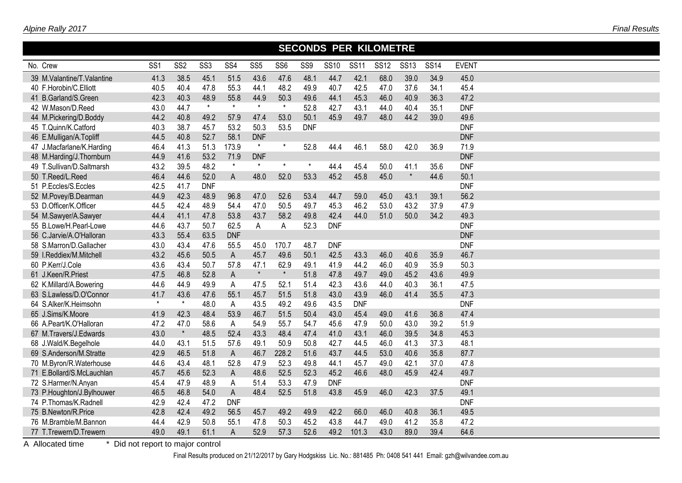|                            | <b>SECONDS PER KILOMETRE</b> |                 |                 |                 |                 |                 |            |             |             |             |             |             |              |  |
|----------------------------|------------------------------|-----------------|-----------------|-----------------|-----------------|-----------------|------------|-------------|-------------|-------------|-------------|-------------|--------------|--|
| No. Crew                   | SS <sub>1</sub>              | SS <sub>2</sub> | SS <sub>3</sub> | SS <sub>4</sub> | SS <sub>5</sub> | SS <sub>6</sub> | SS9        | <b>SS10</b> | <b>SS11</b> | <b>SS12</b> | <b>SS13</b> | <b>SS14</b> | <b>EVENT</b> |  |
| 39 M.Valantine/T.Valantine | 41.3                         | 38.5            | 45.1            | 51.5            | 43.6            | 47.6            | 48.1       | 44.7        | 42.1        | 68.0        | 39.0        | 34.9        | 45.0         |  |
| 40 F.Horobin/C.Elliott     | 40.5                         | 40.4            | 47.8            | 55.3            | 44.1            | 48.2            | 49.9       | 40.7        | 42.5        | 47.0        | 37.6        | 34.1        | 45.4         |  |
| 41 B.Garland/S.Green       | 42.3                         | 40.3            | 48.9            | 55.8            | 44.9            | 50.3            | 49.6       | 44.1        | 45.3        | 46.0        | 40.9        | 36.3        | 47.2         |  |
| 42 W.Mason/D.Reed          | 43.0                         | 44.7            | $\star$         | $\star$         | $\star$         | $\pmb{\star}$   | 52.8       | 42.7        | 43.1        | 44.0        | 40.4        | 35.1        | <b>DNF</b>   |  |
| 44 M.Pickering/D.Boddy     | 44.2                         | 40.8            | 49.2            | 57.9            | 47.4            | 53.0            | 50.1       | 45.9        | 49.7        | 48.0        | 44.2        | 39.0        | 49.6         |  |
| 45 T.Quinn/K.Catford       | 40.3                         | 38.7            | 45.7            | 53.2            | 50.3            | 53.5            | <b>DNF</b> |             |             |             |             |             | <b>DNF</b>   |  |
| 46 E.Mulligan/A.Topliff    | 44.5                         | 40.8            | 52.7            | 58.1            | <b>DNF</b>      |                 |            |             |             |             |             |             | <b>DNF</b>   |  |
| 47 J.Macfarlane/K.Harding  | 46.4                         | 41.3            | 51.3            | 173.9           | $\star$         | $\star$         | 52.8       | 44.4        | 46.1        | 58.0        | 42.0        | 36.9        | 71.9         |  |
| 48 M.Harding/J.Thornburn   | 44.9                         | 41.6            | 53.2            | 71.9            | <b>DNF</b>      |                 |            |             |             |             |             |             | <b>DNF</b>   |  |
| 49 T.Sullivan/D.Saltmarsh  | 43.2                         | 39.5            | 48.2            | $\star$         | $\star$         | $\star$         | $\star$    | 44.4        | 45.4        | 50.0        | 41.1        | 35.6        | <b>DNF</b>   |  |
| 50 T.Reed/L.Reed           | 46.4                         | 44.6            | 52.0            | A               | 48.0            | 52.0            | 53.3       | 45.2        | 45.8        | 45.0        | $\star$     | 44.6        | 50.1         |  |
| 51 P.Eccles/S.Eccles       | 42.5                         | 41.7            | <b>DNF</b>      |                 |                 |                 |            |             |             |             |             |             | <b>DNF</b>   |  |
| 52 M.Povey/B.Dearman       | 44.9                         | 42.3            | 48.9            | 96.8            | 47.0            | 52.6            | 53.4       | 44.7        | 59.0        | 45.0        | 43.1        | 39.1        | 56.2         |  |
| 53 D.Officer/K.Officer     | 44.5                         | 42.4            | 48.9            | 54.4            | 47.0            | 50.5            | 49.7       | 45.3        | 46.2        | 53.0        | 43.2        | 37.9        | 47.9         |  |
| 54 M.Sawyer/A.Sawyer       | 44.4                         | 41.1            | 47.8            | 53.8            | 43.7            | 58.2            | 49.8       | 42.4        | 44.0        | 51.0        | 50.0        | 34.2        | 49.3         |  |
| 55 B.Lowe/H.Pearl-Lowe     | 44.6                         | 43.7            | 50.7            | 62.5            | Α               | A               | 52.3       | <b>DNF</b>  |             |             |             |             | <b>DNF</b>   |  |
| 56 C.Jarvie/A.O'Halloran   | 43.3                         | 55.4            | 63.5            | <b>DNF</b>      |                 |                 |            |             |             |             |             |             | <b>DNF</b>   |  |
| 58 S.Marron/D.Gallacher    | 43.0                         | 43.4            | 47.6            | 55.5            | 45.0            | 170.7           | 48.7       | <b>DNF</b>  |             |             |             |             | <b>DNF</b>   |  |
| 59 I.Reddiex/M.Mitchell    | 43.2                         | 45.6            | 50.5            | A               | 45.7            | 49.6            | 50.1       | 42.5        | 43.3        | 46.0        | 40.6        | 35.9        | 46.7         |  |
| 60 P.Kerr/J.Cole           | 43.6                         | 43.4            | 50.7            | 57.8            | 47.1            | 62.9            | 49.1       | 41.9        | 44.2        | 46.0        | 40.9        | 35.9        | 50.3         |  |
| 61 J.Keen/R.Priest         | 47.5                         | 46.8            | 52.8            | A               | $\star$         | $\star$         | 51.8       | 47.8        | 49.7        | 49.0        | 45.2        | 43.6        | 49.9         |  |
| 62 K.Millard/A.Bowering    | 44.6                         | 44.9            | 49.9            | $\mathsf{A}$    | 47.5            | 52.1            | 51.4       | 42.3        | 43.6        | 44.0        | 40.3        | 36.1        | 47.5         |  |
| 63 S.Lawless/D.O'Connor    | 41.7                         | 43.6            | 47.6            | 55.1            | 45.7            | 51.5            | 51.8       | 43.0        | 43.9        | 46.0        | 41.4        | 35.5        | 47.3         |  |
| 64 S.Alker/K.Heimsohn      | $\star$                      | $\star$         | 48.0            | A               | 43.5            | 49.2            | 49.6       | 43.5        | <b>DNF</b>  |             |             |             | <b>DNF</b>   |  |
| 65 J.Sims/K.Moore          | 41.9                         | 42.3            | 48.4            | 53.9            | 46.7            | 51.5            | 50.4       | 43.0        | 45.4        | 49.0        | 41.6        | 36.8        | 47.4         |  |
| 66 A.Peart/K.O'Halloran    | 47.2                         | 47.0            | 58.6            | A               | 54.9            | 55.7            | 54.7       | 45.6        | 47.9        | 50.0        | 43.0        | 39.2        | 51.9         |  |
| 67 M.Travers/J.Edwards     | 43.0                         | $\star$         | 48.5            | 52.4            | 43.3            | 48.4            | 47.4       | 41.0        | 43.1        | 46.0        | 39.5        | 34.8        | 45.3         |  |
| 68 J.Wald/K.Begelhole      | 44.0                         | 43.1            | 51.5            | 57.6            | 49.1            | 50.9            | 50.8       | 42.7        | 44.5        | 46.0        | 41.3        | 37.3        | 48.1         |  |
| 69 S.Anderson/M.Stratte    | 42.9                         | 46.5            | 51.8            | $\mathsf{A}$    | 46.7            | 228.2           | 51.6       | 43.7        | 44.5        | 53.0        | 40.6        | 35.8        | 87.7         |  |
| 70 M.Byron/R.Waterhouse    | 44.6                         | 43.4            | 48.1            | 52.8            | 47.9            | 52.3            | 49.8       | 44.1        | 45.7        | 49.0        | 42.1        | 37.0        | 47.8         |  |
| 71 E.Bollard/S.McLauchlan  | 45.7                         | 45.6            | 52.3            | $\mathsf{A}$    | 48.6            | 52.5            | 52.3       | 45.2        | 46.6        | 48.0        | 45.9        | 42.4        | 49.7         |  |
| 72 S.Harmer/N.Anyan        | 45.4                         | 47.9            | 48.9            | A               | 51.4            | 53.3            | 47.9       | <b>DNF</b>  |             |             |             |             | <b>DNF</b>   |  |
| 73 P.Houghton/J.Bylhouwer  | 46.5                         | 46.8            | 54.0            | $\mathsf A$     | 48.4            | 52.5            | 51.8       | 43.8        | 45.9        | 46.0        | 42.3        | 37.5        | 49.1         |  |
| 74 P.Thomas/K.Radnell      | 42.9                         | 42.4            | 47.2            | <b>DNF</b>      |                 |                 |            |             |             |             |             |             | <b>DNF</b>   |  |
| 75 B.Newton/R.Price        | 42.8                         | 42.4            | 49.2            | 56.5            | 45.7            | 49.2            | 49.9       | 42.2        | 66.0        | 46.0        | 40.8        | 36.1        | 49.5         |  |
| 76 M.Bramble/M.Bannon      | 44.4                         | 42.9            | 50.8            | 55.1            | 47.8            | 50.3            | 45.2       | 43.8        | 44.7        | 49.0        | 41.2        | 35.8        | 47.2         |  |
| 77 T.Trewern/D.Trewern     | 49.0                         | 49.1            | 61.1            | $\mathsf{A}$    | 52.9            | 57.3            | 52.6       | 49.2        | 101.3       | 43.0        | 89.0        | 39.4        | 64.6         |  |

A Allocated time \* Did not report to major control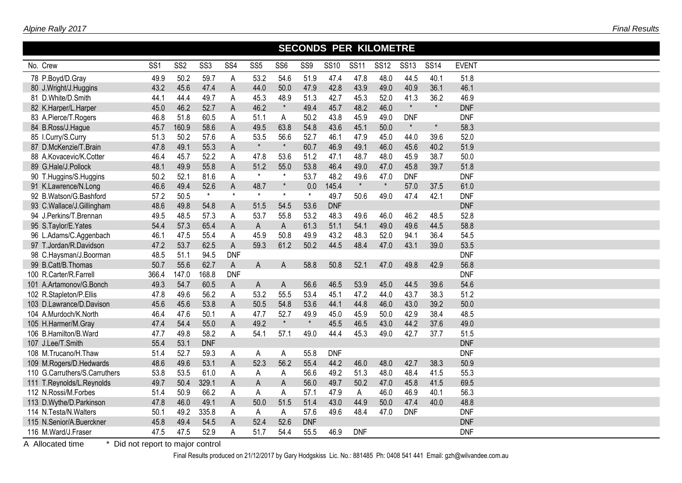|                               | <b>SECONDS PER KILOMETRE</b> |                 |                 |                 |                 |                 |            |             |             |             |             |             |              |  |
|-------------------------------|------------------------------|-----------------|-----------------|-----------------|-----------------|-----------------|------------|-------------|-------------|-------------|-------------|-------------|--------------|--|
| No. Crew                      | SS <sub>1</sub>              | SS <sub>2</sub> | SS <sub>3</sub> | SS <sub>4</sub> | SS <sub>5</sub> | SS <sub>6</sub> | SS9        | <b>SS10</b> | <b>SS11</b> | <b>SS12</b> | <b>SS13</b> | <b>SS14</b> | <b>EVENT</b> |  |
| 78 P.Boyd/D.Gray              | 49.9                         | 50.2            | 59.7            | $\mathsf A$     | 53.2            | 54.6            | 51.9       | 47.4        | 47.8        | 48.0        | 44.5        | 40.1        | 51.8         |  |
| 80 J.Wright/J.Huggins         | 43.2                         | 45.6            | 47.4            | $\mathsf{A}$    | 44.0            | 50.0            | 47.9       | 42.8        | 43.9        | 49.0        | 40.9        | 36.1        | 46.1         |  |
| 81 D.White/D.Smith            | 44.1                         | 44.4            | 49.7            | A               | 45.3            | 48.9            | 51.3       | 42.7        | 45.3        | 52.0        | 41.3        | 36.2        | 46.9         |  |
| 82 K.Harper/L.Harper          | 45.0                         | 46.2            | 52.7            | $\mathsf{A}$    | 46.2            | $\star$         | 49.4       | 45.7        | 48.2        | 46.0        | $\star$     | $\star$     | <b>DNF</b>   |  |
| 83 A.Pierce/T.Rogers          | 46.8                         | 51.8            | 60.5            | A               | 51.1            | A               | 50.2       | 43.8        | 45.9        | 49.0        | <b>DNF</b>  |             | <b>DNF</b>   |  |
| 84 B.Ross/J.Hague             | 45.7                         | 160.9           | 58.6            | $\mathsf A$     | 49.5            | 63.8            | 54.8       | 43.6        | 45.1        | 50.0        | $\star$     | $\star$     | 58.3         |  |
| 85 I.Curry/S.Curry            | 51.3                         | 50.2            | 57.6            | A               | 53.5            | 56.6            | 52.7       | 46.1        | 47.9        | 45.0        | 44.0        | 39.6        | 52.0         |  |
| 87 D.McKenzie/T.Brain         | 47.8                         | 49.1            | 55.3            | $\mathsf A$     | $\star$         | $\star$         | 60.7       | 46.9        | 49.1        | 46.0        | 45.6        | 40.2        | 51.9         |  |
| 88 A.Kovacevic/K.Cotter       | 46.4                         | 45.7            | 52.2            | A               | 47.8            | 53.6            | 51.2       | 47.1        | 48.7        | 48.0        | 45.9        | 38.7        | 50.0         |  |
| 89 G.Hale/J.Pollock           | 48.1                         | 49.9            | 55.8            | $\mathsf A$     | 51.2            | 55.0            | 53.8       | 46.4        | 49.0        | 47.0        | 45.8        | 39.7        | 51.8         |  |
| 90 T.Huggins/S.Huggins        | 50.2                         | 52.1            | 81.6            | Α               | $\star$         | $\star$         | 53.7       | 48.2        | 49.6        | 47.0        | <b>DNF</b>  |             | <b>DNF</b>   |  |
| 91 K.Lawrence/N.Long          | 46.6                         | 49.4            | 52.6            | A               | 48.7            | $\star$         | 0.0        | 145.4       | $\star$     | $\star$     | 57.0        | 37.5        | 61.0         |  |
| 92 B.Watson/G.Bashford        | 57.2                         | 50.5            | $\star$         | $\star$         | $\star$         | $\star$         | $\star$    | 49.7        | 50.6        | 49.0        | 47.4        | 42.1        | <b>DNF</b>   |  |
| 93 C.Wallace/J.Gillingham     | 48.6                         | 49.8            | 54.8            | ${\sf A}$       | 51.5            | 54.5            | 53.6       | <b>DNF</b>  |             |             |             |             | <b>DNF</b>   |  |
| 94 J.Perkins/T.Brennan        | 49.5                         | 48.5            | 57.3            | A               | 53.7            | 55.8            | 53.2       | 48.3        | 49.6        | 46.0        | 46.2        | 48.5        | 52.8         |  |
| 95 S.Taylor/E.Yates           | 54.4                         | 57.3            | 65.4            | $\mathsf A$     | $\mathsf{A}$    | $\overline{A}$  | 61.3       | 51.1        | 54.1        | 49.0        | 49.6        | 44.5        | 58.8         |  |
| 96 L.Adams/C.Aggenbach        | 46.1                         | 47.5            | 55.4            | A               | 45.9            | 50.8            | 49.9       | 43.2        | 48.3        | 52.0        | 94.1        | 36.4        | 54.5         |  |
| 97 T.Jordan/R.Davidson        | 47.2                         | 53.7            | 62.5            | $\mathsf A$     | 59.3            | 61.2            | 50.2       | 44.5        | 48.4        | 47.0        | 43.1        | 39.0        | 53.5         |  |
| 98 C.Haysman/J.Boorman        | 48.5                         | 51.1            | 94.5            | <b>DNF</b>      |                 |                 |            |             |             |             |             |             | <b>DNF</b>   |  |
| 99 B.Catt/B.Thomas            | 50.7                         | 55.6            | 62.7            | $\mathsf A$     | $\mathsf{A}$    | $\overline{A}$  | 58.8       | 50.8        | 52.1        | 47.0        | 49.8        | 42.9        | 56.8         |  |
| 100 R.Carter/R.Farrell        | 366.4                        | 147.0           | 168.8           | <b>DNF</b>      |                 |                 |            |             |             |             |             |             | <b>DNF</b>   |  |
| 101 A.Artamonov/G.Bonch       | 49.3                         | 54.7            | 60.5            | $\mathsf{A}$    | $\mathsf{A}$    | $\mathsf A$     | 56.6       | 46.5        | 53.9        | 45.0        | 44.5        | 39.6        | 54.6         |  |
| 102 R.Stapleton/P.Ellis       | 47.8                         | 49.6            | 56.2            | A               | 53.2            | 55.5            | 53.4       | 45.1        | 47.2        | 44.0        | 43.7        | 38.3        | 51.2         |  |
| 103 D.Lawrance/D.Davison      | 45.6                         | 45.6            | 53.8            | $\mathsf{A}$    | 50.5            | 54.8            | 53.6       | 44.1        | 44.8        | 46.0        | 43.0        | 39.2        | 50.0         |  |
| 104 A.Murdoch/K.North         | 46.4                         | 47.6            | 50.1            | A               | 47.7            | 52.7            | 49.9       | 45.0        | 45.9        | 50.0        | 42.9        | 38.4        | 48.5         |  |
| 105 H.Harmer/M.Gray           | 47.4                         | 54.4            | 55.0            | $\mathsf A$     | 49.2            | $\star$         | $\star$    | 45.5        | 46.5        | 43.0        | 44.2        | 37.6        | 49.0         |  |
| 106 B.Hamilton/B.Ward         | 47.7                         | 49.8            | 58.2            | A               | 54.1            | 57.1            | 49.0       | 44.4        | 45.3        | 49.0        | 42.7        | 37.7        | 51.5         |  |
| 107 J.Lee/T.Smith             | 55.4                         | 53.1            | <b>DNF</b>      |                 |                 |                 |            |             |             |             |             |             | <b>DNF</b>   |  |
| 108 M.Trucano/H.Thaw          | 51.4                         | 52.7            | 59.3            | A               | A               | A               | 55.8       | <b>DNF</b>  |             |             |             |             | <b>DNF</b>   |  |
| 109 M.Rogers/D.Hedwards       | 48.6                         | 49.6            | 53.1            | $\mathsf A$     | 52.3            | 56.2            | 55.4       | 44.2        | 46.0        | 48.0        | 42.7        | 38.3        | 50.9         |  |
| 110 G.Carruthers/S.Carruthers | 53.8                         | 53.5            | 61.0            | А               | Α               | A               | 56.6       | 49.2        | 51.3        | 48.0        | 48.4        | 41.5        | 55.3         |  |
| 111 T.Reynolds/L.Reynolds     | 49.7                         | 50.4            | 329.1           | $\mathsf A$     | $\mathsf A$     | $\mathsf A$     | 56.0       | 49.7        | 50.2        | 47.0        | 45.8        | 41.5        | 69.5         |  |
| 112 N.Rossi/M.Forbes          | 51.4                         | 50.9            | 66.2            | $\mathsf A$     | A               | A               | 57.1       | 47.9        | $\sf A$     | 46.0        | 46.9        | 40.1        | 56.3         |  |
| 113 D.Wythe/D.Parkinson       | 47.8                         | 46.0            | 49.1            | $\mathsf A$     | 50.0            | 51.5            | 51.4       | 43.0        | 44.9        | 50.0        | 47.4        | 40.0        | 48.8         |  |
| 114 N.Testa/N.Walters         | 50.1                         | 49.2            | 335.8           | A               | A               | A               | 57.6       | 49.6        | 48.4        | 47.0        | <b>DNF</b>  |             | <b>DNF</b>   |  |
| 115 N.Senior/A.Buerckner      | 45.8                         | 49.4            | 54.5            | A               | 52.4            | 52.6            | <b>DNF</b> |             |             |             |             |             | <b>DNF</b>   |  |
| 116 M.Ward/J.Fraser           | 47.5                         | 47.5            | 52.9            | Α               | 51.7            | 54.4            | 55.5       | 46.9        | <b>DNF</b>  |             |             |             | <b>DNF</b>   |  |

A Allocated time \* Did not report to major control